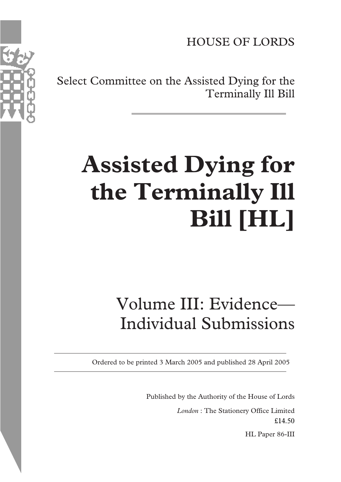HOUSE OF LORDS

Select Committee on the Assisted Dying for the Terminally Ill Bill

# **Assisted Dying for the Terminally Ill Bill [HL]**

# Volume III: Evidence— Individual Submissions

Ordered to be printed 3 March 2005 and published 28 April 2005

Published by the Authority of the House of Lords

*London* : The Stationery Office Limited £14.50

HL Paper 86-III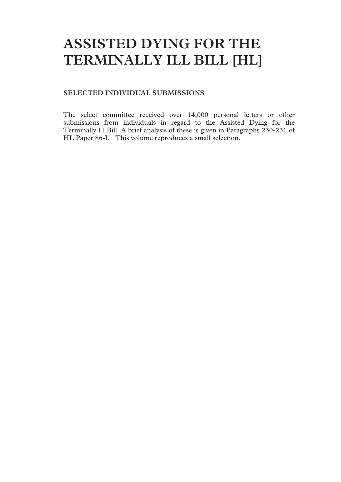## **ASSISTED DYING FOR THE TERMINALLY ILL BILL [HL]**

#### **SELECTED INDIVIDUAL SUBMISSIONS**

The select committee received over 14,000 personal letters or other submissions from individuals in regard to the Assisted Dying for the Terminally Ill Bill. A brief analysis of these is given in Paragraphs 230-231 of HL Paper 86-I. This volume reproduces a small selection.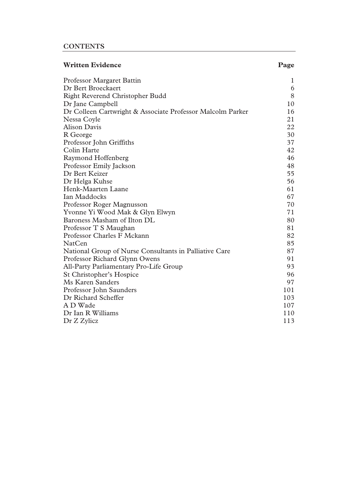| <b>Written Evidence</b>                                    | Page |
|------------------------------------------------------------|------|
| Professor Margaret Battin                                  | 1    |
| Dr Bert Broeckaert                                         | 6    |
| Right Reverend Christopher Budd                            | 8    |
| Dr Jane Campbell                                           | 10   |
| Dr Colleen Cartwright & Associate Professor Malcolm Parker | 16   |
| Nessa Coyle                                                | 21   |
| <b>Alison Davis</b>                                        | 22   |
| R George                                                   | 30   |
| Professor John Griffiths                                   | 37   |
| Colin Harte                                                | 42   |
| Raymond Hoffenberg                                         | 46   |
| Professor Emily Jackson                                    | 48   |
| Dr Bert Keizer                                             | 55   |
| Dr Helga Kuhse                                             | 56   |
| Henk-Maarten Laane                                         | 61   |
| Ian Maddocks                                               | 67   |
| Professor Roger Magnusson                                  | 70   |
| Yvonne Yi Wood Mak & Glyn Elwyn                            | 71   |
| Baroness Masham of Ilton DL                                | 80   |
| Professor T S Maughan                                      | 81   |
| Professor Charles F Mckann                                 | 82   |
| <b>NatCen</b>                                              | 85   |
| National Group of Nurse Consultants in Palliative Care     | 87   |
| Professor Richard Glynn Owens                              | 91   |
| <b>All-Party Parliamentary Pro-Life Group</b>              | 93   |
| St Christopher's Hospice                                   | 96   |
| <b>Ms Karen Sanders</b>                                    | 97   |
| Professor John Saunders                                    | 101  |
| Dr Richard Scheffer                                        | 103  |
| A D Wade                                                   | 107  |
| Dr Ian R Williams                                          | 110  |
| Dr Z Zylicz                                                | 113  |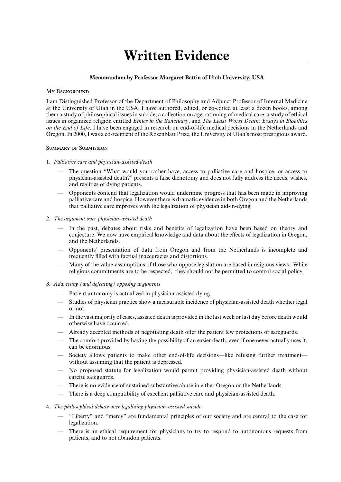### **Written Evidence**

#### **Memorandum by Professor Margaret Battin of Utah University, USA**

#### MY BACKGROUND

I am Distinguished Professor of the Department of Philosophy and Adjunct Professor of Internal Medicine at the University of Utah in the USA. I have authored, edited, or co-edited at least a dozen books, among them a study of philosophical issues in suicide, a collection on age-rationing of medical care, a study of ethical issues in organized religion entitled *Ethics in the Sanctuary*, and *The Least Worst Death: Essays in Bioethics on the End of Life*. I have been engaged in research on end-of-life medical decisions in the Netherlands and Oregon. In 2000, I was a co-recipient of the Rosenblatt Prize, the University of Utah's most prestigious award.

#### Summary of Submission

- 1. *Palliative care and physician-assisted death*
	- The question "What would you rather have, access to palliative care and hospice, or access to physician-assisted death?" presents a false dichotomy and does not fully address the needs, wishes, and realities of dying patients.
	- Opponents contend that legalization would undermine progress that has been made in improving palliative care and hospice. However there is dramatic evidence in both Oregon and the Netherlands that palliative care improves with the legalization of physician aid-in-dying.
- 2. *The argument over physician-assisted death*
	- In the past, debates about risks and benefits of legalization have been based on theory and conjecture. We now have empirical knowledge and data about the effects of legalization in Oregon, and the Netherlands.
	- Opponents' presentation of data from Oregon and from the Netherlands is incomplete and frequently filled with factual inaccuracies and distortions.
	- Many of the value-assumptions of those who oppose legislation are based in religious views. While religious commitments are to be respected, they should not be permitted to control social policy.
- 3. *Addressing (and defeating) opposing arguments*
	- Patient autonomy is actualized in physician-assisted dying.
	- Studies of physician practice show a measurable incidence of physician-assisted death whether legal or not.
	- In the vast majority of cases, assisted death is provided in the last week or last day before death would otherwise have occurred.
	- Already accepted methods of negotiating death offer the patient few protections or safeguards.
	- The comfort provided by having the possibility of an easier death, even if one never actually uses it, can be enormous.
	- Society allows patients to make other end-of-life decisions—like refusing further treatment without assuming that the patient is depressed.
	- No proposed statute for legalization would permit providing physician-assisted death without careful safeguards.
	- There is no evidence of sustained substantive abuse in either Oregon or the Netherlands.
	- There is a deep compatibility of excellent palliative care and physician-assisted death.

#### 4. *The philosophical debate over legalizing physician-assisted suicide*

- "Liberty" and "mercy" are fundamental principles of our society and are central to the case for legalization.
- There is an ethical requirement for physicians to try to respond to autonomous requests from patients, and to not abandon patients.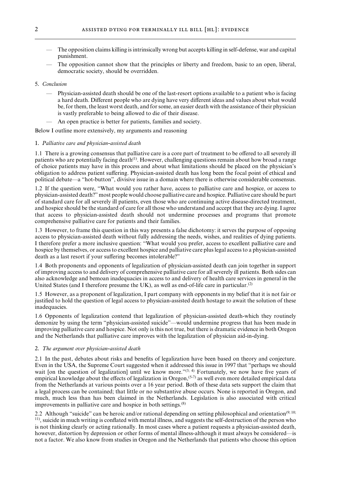- The opposition claims killing is intrinsically wrong but accepts killing in self-defense, war and capital punishment.
- The opposition cannot show that the principles or liberty and freedom, basic to an open, liberal, democratic society, should be overridden.

#### 5. *Conclusion*

- Physician-assisted death should be one of the last-resort options available to a patient who is facing a hard death. Different people who are dying have very different ideas and values about what would be, for them, the least worst death, and for some, an easier death with the assistance of their physician is vastly preferable to being allowed to die of their disease.
- An open practice is better for patients, families and society.

Below I outline more extensively, my arguments and reasoning

#### 1. *Palliative care and physician-assisted death*

1.1 There is a growing consensus that palliative care is a core part of treatment to be offered to all severely ill patients who are potentially facing death $(1)$ . However, challenging questions remain about how broad a range of choice patients may have in this process and about what limitations should be placed on the physician's obligation to address patient suffering. Physician-assisted death has long been the focal point of ethical and political debate—a "hot-button", divisive issue in a domain where there is otherwise considerable consensus.

1.2 If the question were, "What would you rather have, access to palliative care and hospice, or access to physician-assisted death?" most people would choose palliative care and hospice. Palliative care should be part of standard care for all severely ill patients, even those who are continuing active disease-directed treatment, and hospice should be the standard of care for all those who understand and accept that they are dying. I agree that access to physician-assisted death should not undermine processes and programs that promote comprehensive palliative care for patients and their families.

1.3 However, to frame this question in this way presents a false dichotomy: it serves the purpose of opposing access to physician-assisted death without fully addressing the needs, wishes, and realities of dying patients. I therefore prefer a more inclusive question: "What would you prefer, access to excellent palliative care and hospice by themselves, or access to excellent hospice and palliative care plus legal access to a physician-assisted death as a last resort if your suffering becomes intolerable?"

1.4 Both proponents and opponents of legalization of physician-assisted death can join together in support of improving access to and delivery of comprehensive palliative care for all severely ill patients. Both sides can also acknowledge and bemoan inadequacies in access to and delivery of health care services in general in the United States (and I therefore presume the UK), as well as end-of-life care in particular.<sup>(2)</sup>

1.5 However, as a proponent of legalization, I part company with opponents in my belief that it is not fair or justified to hold the question of legal access to physician-assisted death hostage to await the solution of these inadequacies.

1.6 Opponents of legalization contend that legalization of physician-assisted death-which they routinely demonize by using the term "physician-assisted suicide"—would undermine progress that has been made in improving palliative care and hospice. Not only is this not true, but there is dramatic evidence in both Oregon and the Netherlands that palliative care improves with the legalization of physician aid-in-dying.

#### 2. *The argument over physician-assisted death*

2.1 In the past, debates about risks and benefits of legalization have been based on theory and conjecture. Even in the USA, the Supreme Court suggested when it addressed this issue in 1997 that "perhaps we should wait [on the question of legalization] until we know more."<sup>(3; 4)</sup> Fortunately, we now have five years of empirical knowledge about the effects of legalization in Oregon,<sup> $(5-7)$ </sup> as well even more detailed empirical data from the Netherlands at various points over a 16 year period. Both of these data sets support the claim that a legal process can be contained; that little or no substantive abuse occurs. None is reported in Oregon, and much, much less than has been claimed in the Netherlands. Legislation is also associated with critical improvements in palliative care and hospice in both settings.(8)

2.2 Although "suicide" can be heroic and/or rational depending on setting philosophical and orientation<sup>(9; 10;</sup> 11), suicide in much writing is conflated with mental illness, and suggests the self-destruction of the person who is not thinking clearly or acting rationally. In most cases where a patient requests a physician-assisted death, however, distortion by depression or other forms of mental illness-although it must always be considered—is not a factor. We also know from studies in Oregon and the Netherlands that patients who choose this option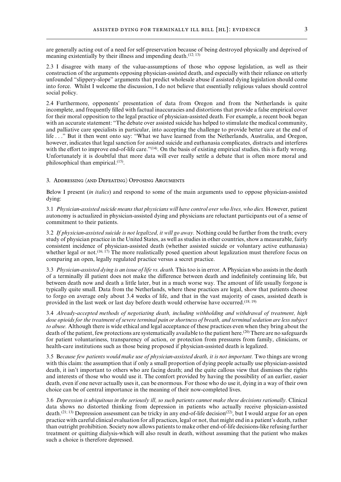are generally acting out of a need for self-preservation because of being destroyed physically and deprived of meaning existentially by their illness and impending death. $(12; 13)$ 

2.3 I disagree with many of the value-assumptions of those who oppose legislation, as well as their construction of the arguments opposing physician-assisted death, and especially with their reliance on utterly unfounded "slippery-slope" arguments that predict wholesale abuse if assisted dying legislation should come into force. Whilst I welcome the discussion, I do not believe that essentially religious values should control social policy.

2.4 Furthermore, opponents' presentation of data from Oregon and from the Netherlands is quite incomplete, and frequently filled with factual inaccuracies and distortions that provide a false empirical cover for their moral opposition to the legal practice of physician-assisted death. For example, a recent book began with an accurate statement: "The debate over assisted suicide has helped to stimulate the medical community, and palliative care specialists in particular, into accepting the challenge to provide better care at the end of life . . ." But it then went onto say: "What we have learned from the Netherlands, Australia, and Oregon, however, indicates that legal sanction for assisted suicide and euthanasia complicates, distracts and interferes with the effort to improve end-of-life care." $(14)$ . On the basis of existing empirical studies, this is flatly wrong. Unfortunately it is doubtful that more data will ever really settle a debate that is often more moral and philosophical than empirical.(15).

#### 3. Addressing (and Defeating) Opposing Arguments

Below I present (*in italics*) and respond to some of the main arguments used to oppose physician-assisted dying:

3.1 *Physician-assisted suicide means that physicians will have control over who lives, who dies.* However, patient autonomy is actualized in physician-assisted dying and physicians are reluctant participants out of a sense of commitment to their patients.

3.2 *If physician-assisted suicide is not legalized, it will go away.* Nothing could be further from the truth; every study of physician practice in the United States, as well as studies in other countries, show a measurable, fairly consistent incidence of physician-assisted death (whether assisted suicide or voluntary active euthanasia) whether legal or not.<sup>(16; 17)</sup> The more realistically posed question about legalization must therefore focus on comparing an open, legally regulated practice versus a secret practice.

3.3 *Physician-assisted dying is an issue of life vs. death.* This too is in error. A Physician who assists in the death of a terminally ill patient does not make the difference between death and indefinitely continuing life, but between death now and death a little later, but in a much worse way. The amount of life usually forgone is typically quite small. Data from the Netherlands, where these practices are legal, show that patients choose to forgo on average only about 3.4 weeks of life, and that in the vast majority of cases, assisted death is provided in the last week or last day before death would otherwise have occurred.(18; 19)

3.4 *Already-accepted methods of negotiating death, including withholding and withdrawal of treatment, high dose opioids for the treatment of severe terminal pain or shortness of breath, and terminal sedation are less subject to abuse.* Although there is wide ethical and legal acceptance of these practices even when they bring about the death of the patient, few protections are systematically available to the patient here.<sup>(20)</sup> There are no safeguards for patient voluntariness, transparency of action, or protection from pressures from family, clinicians, or health-care institutions such as those being proposed if physician-assisted death is legalized.

3.5 B*ecause few patients would make use of physician-assisted death, it is not important.* Two things are wrong with this claim: the assumption that if only a small proportion of dying people actually use physician-assisted death, it isn't important to others who are facing death; and the quite callous view that dismisses the rights and interests of those who would use it. The comfort provided by having the possibility of an earlier, easier death, even if one never actually uses it, can be enormous. For those who do use it, dying in a way of their own choice can be of central importance in the meaning of their now-completed lives.

3.6 *Depression is ubiquitous in the seriously ill, so such patients cannot make these decisions rationally.* Clinical data shows no distorted thinking from depression in patients who actually receive physician-assisted death.(21; 13) Depression assessment can be tricky in any end-of-life decision(22), but I would argue for an open practice with careful clinical evaluation for all practices, legal or not, that might end in a patient's death, rather than outright prohibition. Society now allows patients to make other end-of-life decisions-like refusing further treatment or quitting dialysis-which will also result in death, without assuming that the patient who makes such a choice is therefore depressed.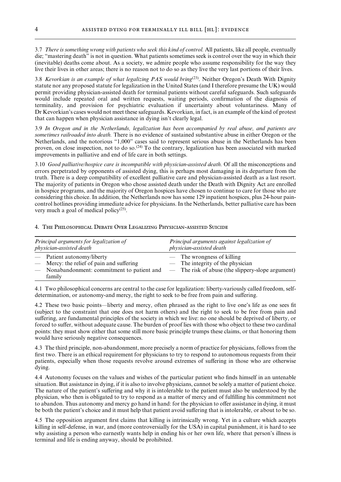3.7 *There is something wrong with patients who seek this kind of control.* All patients, like all people, eventually die; "mastering death" is not in question. What patients sometimes seek is control over the way in which their (inevitable) deaths come about. As a society, we admire people who assume responsibility for the way they live their lives in other areas; there is no reason not to do so as they live the very last portions of their lives.

3.8 *Kevorkian is an example of what legalizing PAS would bring*(23). Neither Oregon's Death With Dignity statute nor any proposed statute for legalization in the United States (and I therefore presume the UK) would permit providing physician-assisted death for terminal patients without careful safeguards. Such safeguards would include repeated oral and written requests, waiting periods, confirmation of the diagnosis of terminality, and provision for psychiatric evaluation if uncertainty about voluntariness. Many of Dr Kevorkian's cases would not meet these safeguards. Kevorkian, in fact, is an example of the kind of protest that can happen when physician assistance in dying isn't clearly legal.

3.9 *In Oregon and in the Netherlands, legalization has been accompanied by real abuse, and patients are sometimes railroaded into death.* There is no evidence of sustained substantive abuse in either Oregon or the Netherlands, and the notorious "1,000" cases said to represent serious abuse in the Netherlands has been proven, on close inspection, not to do so.<sup> $(24)$ </sup> To the contrary, legalization has been associated with marked improvements in palliative and end of life care in both settings.

3.10 *Good palliative/hospice care is incompatible with physician-assisted death.* Of all the misconceptions and errors perpetrated by opponents of assisted dying, this is perhaps most damaging in its departure from the truth. There is a deep compatibility of excellent palliative care and physician-assisted death as a last resort. The majority of patients in Oregon who chose assisted death under the Death with Dignity Act are enrolled in hospice programs, and the majority of Oregon hospices have chosen to continue to care for those who are considering this choice. In addition, the Netherlands now has some 129 inpatient hospices, plus 24-hour paincontrol hotlines providing immediate advice for physicians. In the Netherlands, better palliative care has been very much a goal of medical policy<sup> $(25)$ </sup>.

#### 4. The Philosophical Debate Over Legalizing Physician-assisted Suicide

| Principal arguments for legalization of                                                                                        | Principal arguments against legalization of                                                                                                                         |
|--------------------------------------------------------------------------------------------------------------------------------|---------------------------------------------------------------------------------------------------------------------------------------------------------------------|
| physician-assisted death                                                                                                       | physician-assisted death                                                                                                                                            |
| - Patient autonomy/liberty<br>— Mercy: the relief of pain and suffering<br>Nonabandonment: commitment to patient and<br>family | $-$ The wrongness of killing<br>$\overline{\phantom{a}}$ The integrity of the physician<br>$\overline{\phantom{a}}$ The risk of abuse (the slippery-slope argument) |

4.1 Two philosophical concerns are central to the case for legalization: liberty-variously called freedom, selfdetermination, or autonomy-and mercy, the right to seek to be free from pain and suffering.

4.2 These two basic points—liberty and mercy, often phrased as the right to live one's life as one sees fit (subject to the constraint that one does not harm others) and the right to seek to be free from pain and suffering, are fundamental principles of the society in which we live: no one should be deprived of liberty, or forced to suffer, without adequate cause. The burden of proof lies with those who object to these two cardinal points: they must show either that some still more basic principle trumps these claims, or that honoring them would have seriously negative consequences.

4.3 The third principle, non-abandonment, more precisely a norm of practice for physicians, follows from the first two. There is an ethical requirement for physicians to try to respond to autonomous requests from their patients, especially when those requests revolve around extremes of suffering in those who are otherwise dying.

4.4 Autonomy focuses on the values and wishes of the particular patient who finds himself in an untenable situation. But assistance in dying, if it is also to involve physicians, cannot be solely a matter of patient choice. The nature of the patient's suffering and why it is intolerable to the patient must also be understood by the physician, who then is obligated to try to respond as a matter of mercy and of fulfilling his commitment not to abandon. Thus autonomy and mercy go hand in hand: for the physician to offer assistance in dying, it must be both the patient's choice and it must help that patient avoid suffering that is intolerable, or about to be so.

4.5 The opposition argument first claims that killing is intrinsically wrong. Yet in a culture which accepts killing in self-defense, in war, and (more controversially for the USA) in capital punishment, it is hard to see why assisting a person who earnestly wants help in ending his or her own life, where that person's illness is terminal and life is ending anyway, should be prohibited.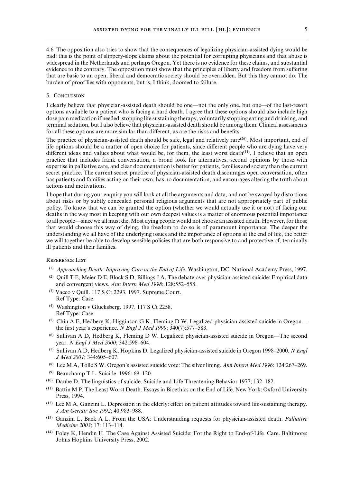4.6 The opposition also tries to show that the consequences of legalizing physician-assisted dying would be bad: this is the point of slippery-slope claims about the potential for corrupting physicians and that abuse is widespread in the Netherlands and perhaps Oregon. Yet there is no evidence for these claims, and substantial evidence to the contrary. The opposition must show that the principles of liberty and freedom from suffering that are basic to an open, liberal and democratic society should be overridden. But this they cannot do. The burden of proof lies with opponents, but is, I think, doomed to failure.

#### 5. Conclusion

I clearly believe that physician-assisted death should be one—not the only one, but one—of the last-resort options available to a patient who is facing a hard death. I agree that these options should also include high dose pain medication if needed, stopping life sustaining therapy, voluntarily stopping eating and drinking, and terminal sedation, but I also believe that physician-assisted death should be among them. Clinical assessments for all these options are more similar than different, as are the risks and benefits.

The practice of physician-assisted death should be safe, legal and relatively rare<sup>(26)</sup>. Most important, end of life options should be a matter of open choice for patients, since different people who are dying have very different ideas and values about what would be, for them, the least worst death $(11)$ . I believe that an open practice that includes frank conversation, a broad look for alternatives, second opinions by those with expertise in palliative care, and clear documentation is better for patients, families and society than the current secret practice. The current secret practice of physician-assisted death discourages open conversation, often has patients and families acting on their own, has no documentation, and encourages altering the truth about actions and motivations.

I hope that during your enquiry you will look at all the arguments and data, and not be swayed by distortions about risks or by subtly concealed personal religious arguments that are not appropriately part of public policy. To know that we can be granted the option (whether we would actually use it or not) of facing our deaths in the way most in keeping with our own deepest values is a matter of enormous potential importance to all people—since we all must die. Most dying people would not choose an assisted death. However, for those that would choose this way of dying, the freedom to do so is of paramount importance. The deeper the understanding we all have of the underlying issues and the importance of options at the end of life, the better we will together be able to develop sensible policies that are both responsive to and protective of, terminally ill patients and their families.

#### Reference List

- (1) *Approaching Death: Improving Care at the End of Life.* Washington, DC: National Academy Press, 1997.
- (2) Quill T E, Meier D E, Block S D, Billings J A. The debate over physician-assisted suicide: Empirical data and convergent views. *Ann Intern Med 1998*; 128:552–558.
- (3) Vacco v Quill. 117 S Ct 2293. 1997. Supreme Court. Ref Type: Case.
- (4) Washington v Glucksberg. 1997. 117 S Ct 2258. Ref Type: Case.
- $<sup>(5)</sup>$  Chin A E, Hedberg K, Higginson G K, Fleming D W. Legalized physician-assisted suicide in Oregon—</sup> the first year's experience. *N Engl J Med 1999*; 340(7):577–583.
- (6) Sullivan A D, Hedberg K, Fleming D W. Legalized physician-assisted suicide in Oregon—The second year. *N Engl J Med 2000*; 342:598–604.
- (7) Sullivan A D, Hedberg K, Hopkins D. Legalized physician-assisted suicide in Oregon 1998–2000. *N Engl J Med 2001*; 344:605–607.
- (8) Lee M A, Tolle S W. Oregon's assisted suicide vote: The silver lining. *Ann Intern Med 1996*; 124:267–269.
- (9) Beauchamp T L. Suicide. 1996: 69–120.
- (10) Daube D. The linguistics of suicide. Suicide and Life Threatening Behavior 1977; 132–182.
- (11) Battin M P. The Least Worst Death. Essays in Bioethics on the End of Life. New York: Oxford University Press, 1994.
- $(12)$  Lee M A, Ganzini L. Depression in the elderly: effect on patient attitudes toward life-sustaining therapy. *J Am Geriatr Soc 1992*; 40:983–988.
- (13) Ganzini L, Back A L. From the USA: Understanding requests for physician-assisted death. *Palliative Medicine 2003*; 17: 113–114.
- (14) Foley K, Hendin H. The Case Against Assisted Suicide: For the Right to End-of-Life Care. Baltimore: Johns Hopkins University Press, 2002.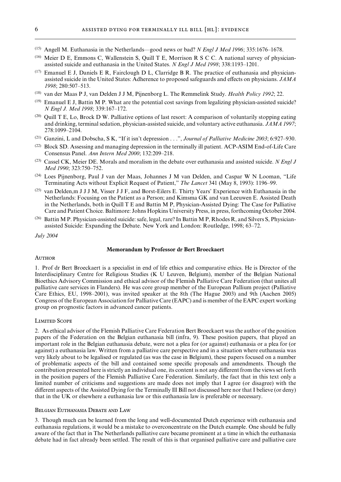- (15) Angell M. Euthanasia in the Netherlands—good news or bad? *N Engl J Med 1996*; 335:1676–1678.
- (16) Meier D E, Emmons C, Wallenstein S, Quill T E, Morrison R S C C. A national survey of physicianassisted suicide and euthanasia in the United States. *N Engl J Med 1998*; 338:1193–1201.
- $(17)$  Emanuel E J, Daniels E R, Fairclough D L, Clarridge B R. The practice of euthanasia and physicianassisted suicide in the United States: Adherence to proposed safeguards and effects on physicians. *JAMA 1998*; 280:507–513.
- (18) van der Maas P J, van Delden J J M, Pijnenborg L. The Remmelink Study. *Health Policy 1992*; 22.
- (19) Emanuel E J, Battin M P. What are the potential cost savings from legalizing physician-assisted suicide? *N Engl J. Med 1998*; 339:167–172.
- (20) Quill T E, Lo, Brock D W. Palliative options of last resort: A comparison of voluntarily stopping eating and drinking, terminal sedation, physician-assisted suicide, and voluntary active euthanasia. *JAMA 1997*; 278:1099–2104.
- (21) Ganzini, L and Dobscha, S K, "If it isn't depression . . .", *Journal of Palliative Medicine 2003*; 6:927–930.
- (22) Block SD. Assessing and managing depression in the terminally ill patient. ACP-ASIM End-of-Life Care Consensus Panel. *Ann Intern Med 2000*; 132:209–218.
- (23) Cassel CK, Meier DE. Morals and moralism in the debate over euthanasia and assisted suicide. *N Engl J Med 1990*; 323:750–752.
- (24) Loes Pijnenborg, Paul J van der Maas, Johannes J M van Delden, and Caspar W N Looman, "Life Terminating Acts without Explicit Request of Patient," *The Lancet* 341 (May 8, 1993): 1196–99.
- $(25)$  van Delden,m J J J M, Visser J J F, and Borst-Eilers E. Thirty Years' Experience with Euthanasia in the Netherlands: Focusing on the Patient as a Person; and Kimsma GK and van Leeuwen E. Assisted Death in the Netherlands, both in Quill T E and Battin M P, Physician-Assisted Dying: The Case for Palliative Care and Patient Choice. Baltimore: Johns Hopkins University Press, in press, forthcoming October 2004.
- $(26)$  Battin M P. Physician-assisted suicide: safe, legal, rare? In Battin M P, Rhodes R, and Silvers S, Physicianassisted Suicide: Expanding the Debate. New York and London: Routledge, 1998; 63–72.

*July 2004*

#### **Memorandum by Professor dr Bert Broeckaert**

#### **AUTHOR**

1. Prof dr Bert Broeckaert is a specialist in end of life ethics and comparative ethics. He is Director of the Interdisciplinary Centre for Religious Studies (K U Leuven, Belgium), member of the Belgian National Bioethics Advisory Commission and ethical advisor of the Flemish Palliative Care Federation (that unites all palliative care services in Flanders). He was core group member of the European Pallium project (Palliative Care Ethics, EU, 1998–2001), was invited speaker at the 8th (The Hague 2003) and 9th (Aachen 2005) Congress of the European Association for Palliative Care (EAPC) and is member of the EAPC expert working group on prognostic factors in advanced cancer patients.

#### Limited Scope

2. As ethical advisor of the Flemish Palliative Care Federation Bert Broeckaert was the author of the position papers of the Federation on the Belgian euthanasia bill (infra, 9). These position papers, that played an important role in the Belgian euthanasia debate, were not a plea for (or against) euthanasia or a plea for (or against) a euthanasia law. Written from a palliative care perspective and in a situation where euthanasia was very likely about to be legalised or regulated (as was the case in Belgium), these papers focused on a number of problematic aspects of the bill and contained some specific proposals and amendments. Though the contribution presented here is strictly an individual one, its content is not any different from the views set forth in the position papers of the Flemish Palliative Care Federation. Similarly, the fact that in this text only a limited number of criticisms and suggestions are made does not imply that I agree (or disagree) with the different aspects of the Assisted Dying for the Terminally Ill Bill not discussed here nor that I believe (or deny) that in the UK or elsewhere a euthanasia law or this euthanasia law is preferable or necessary.

#### Belgian Euthanasia Debate and Law

3. Though much can be learned from the long and well-documented Dutch experience with euthanasia and euthanasia regulations, it would be a mistake to overconcentrate on the Dutch example. One should be fully aware of the fact that in The Netherlands palliative care became prominent at a time in which the euthanasia debate had in fact already been settled. The result of this is that organised palliative care and palliative care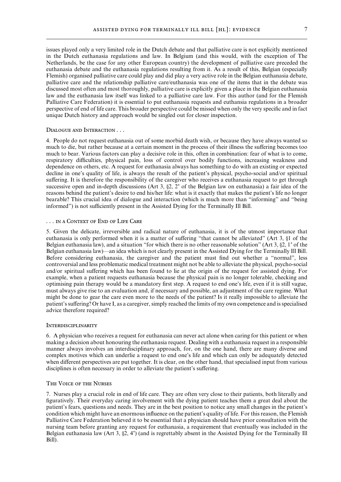issues played only a very limited role in the Dutch debate and that palliative care is not explicitly mentioned in the Dutch euthanasia regulations and law. In Belgium (and this would, with the exception of The Netherlands, be the case for any other European country) the development of palliative care preceded the euthanasia debate and the euthanasia regulations resulting from it. As a result of this, Belgian (especially Flemish) organised palliative care could play and did play a very active role in the Belgian euthanasia debate, palliative care and the relationship palliative care/euthanasia was one of the items that in the debate was discussed most often and most thoroughly, palliative care is explicitly given a place in the Belgian euthanasia law and the euthanasia law itself was linked to a palliative care law. For this author (and for the Flemish Palliative Care Federation) it is essential to put euthanasia requests and euthansia regulations in a broader perspective of end of life care. This broader perspective could be missed when only the very specific and in fact unique Dutch history and approach would be singled out for closer inspection.

#### DIALOGUE AND INTERACTION . . .

4. People do not request euthanasia out of some morbid death wish, or because they have always wanted so much to die, but rather because at a certain moment in the process of their illness the suffering becomes too much to bear. Various factors can play a decisive role in this, often in combination: fear of what is to come, respiratory difficulties, physical pain, loss of control over bodily functions, increasing weakness and dependence on others, etc. A request for euthanasia always has something to do with an existing or expected decline in one's quality of life, is always the result of the patient's physical, psycho-social and/or spiritual suffering. It is therefore the responsibility of the caregiver who receives a euthanasia request to get through successive open and in-depth discussions (Art 3, §2, 2° of the Belgian law on euthanasia) a fair idea of the reasons behind the patient's desire to end his/her life: what is it exactly that makes the patient's life no longer bearable? This crucial idea of dialogue and interaction (which is much more than "informing" and "being informed") is not sufficiently present in the Assisted Dying for the Terminally Ill Bill.

#### ... in a Context of End of Life Care

5. Given the delicate, irreversible and radical nature of euthanasia, it is of the utmost importance that euthanasia is only performed when it is a matter of suffering "that cannot be alleviated" (Art 3, §1 of the Belgian euthanasia law), and a situation "for which there is no other reasonable solution" (Art 3,  $\S$ 2, 1° of the Belgian euthanasia law)—an idea which is not clearly present in the Assisted Dying for the Terminally Ill Bill. Before considering euthanasia, the caregiver and the patient must find out whether a "normal", less controversial and less problematic medical treatment might not be able to alleviate the physical, psycho-social and/or spiritual suffering which has been found to lie at the origin of the request for assisted dying. For example, when a patient requests euthanasia because the physical pain is no longer tolerable, checking and optimising pain therapy would be a mandatory first step. A request to end one's life, even if it is still vague, must always give rise to an evaluation and, if necessary and possible, an adjustment of the care regime. What might be done to gear the care even more to the needs of the patient? Is it really impossible to alleviate the patient's suffering? Or have I, as a caregiver, simply reached the limits of my own competence and is specialised advice therefore required?

#### Interdisciplinarity

6. A physician who receives a request for euthanasia can never act alone when caring for this patient or when making a decision about honouring the euthanasia request. Dealing with a euthanasia request in a responsible manner always involves an interdisciplinary approach, for, on the one hand, there are many diverse and complex motives which can underlie a request to end one's life and which can only be adequately detected when different perspectives are put together. It is clear, on the other hand, that specialised input from various disciplines is often necessary in order to alleviate the patient's suffering.

#### The Voice of the Nurses

7. Nurses play a crucial role in end of life care. They are often very close to their patients, both literally and figuratively. Their everyday caring involvement with the dying patient teaches them a great deal about the patient's fears, questions and needs. They are in the best position to notice any small changes in the patient's condition which might have an enormous influence on the patient's quality of life. For this reason, the Flemish Palliative Care Federation believed it to be essential that a physician should have prior consultation with the nursing team before granting any request for euthanasia, a requirement that eventually was included in the Belgian euthanasia law (Art 3,  $\S2$ , 4°) (and is regrettably absent in the Assisted Dying for the Terminally Ill Bill).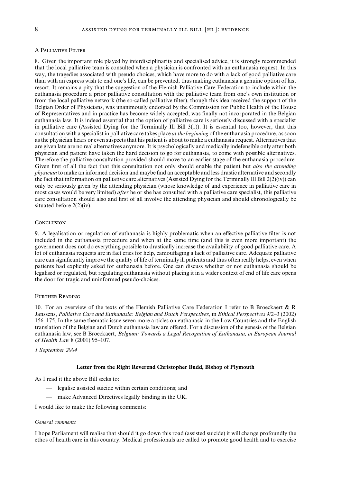#### A Palliative Filter

8. Given the important role played by interdisciplinarity and specialised advice, it is strongly recommended that the local palliative team is consulted when a physician is confronted with an euthanasia request. In this way, the tragedies associated with pseudo choices, which have more to do with a lack of good palliative care than with an express wish to end one's life, can be prevented, thus making euthanasia a genuine option of last resort. It remains a pity that the suggestion of the Flemish Palliative Care Federation to include within the euthanasia procedure a prior palliative consultation with the palliative team from one's own institution or from the local palliative network (the so-called palliative filter), though this idea received the support of the Belgian Order of Physicians, was unanimously endorsed by the Commission for Public Health of the House of Representatives and in practice has become widely accepted, was finally not incorporated in the Belgian euthanasia law. It is indeed essential that the option of palliative care is seriously discussed with a specialist in palliative care (Assisted Dying for the Terminally Ill Bill 3(1)). It is essential too, however, that this consultation with a specialist in palliative care takes place *at the beginning* of the euthanasia procedure, as soon as the physician hears or even suspects that his patient is about to make a euthanasia request. Alternatives that are given late are no real alternatives anymore. It is psychologically and medically indefensible only after both physician and patient have taken the hard decision to go for euthanasia, to come with possible alternatives. Therefore the palliative consultation provided should move to an earlier stage of the euthanasia procedure. Given first of all the fact that this consultation not only should enable the patient but *also the attending physician* to make an informed decision and maybe find an acceptable and less drastic alternative and secondly the fact that information on palliative care alternatives (Assisted Dying for the Terminally Ill Bill  $2(2)(iv)$ ) can only be seriously given by the attending physician (whose knowledge of and experience in palliative care in most cases would be very limited) *after* he or she has consulted with a palliative care specialist, this palliative care consultation should also and first of all involve the attending physician and should chronologically be situated before 2(2)(iv).

#### **CONCLUSION**

9. A legalisation or regulation of euthanasia is highly problematic when an effective palliative filter is not included in the euthanasia procedure and when at the same time (and this is even more important) the government does not do everything possible to drastically increase the availability of good palliative care. A lot of euthanasia requests are in fact cries for help, camouflaging a lack of palliative care. Adequate palliative care can significantly improve the quality of life of terminally ill patients and thus often really helps, even when patients had explicitly asked for euthanasia before. One can discuss whether or not euthanasia should be legalised or regulated, but regulating euthanasia without placing it in a wider context of end of life care opens the door for tragic and uninformed pseudo-choices.

#### Further Reading

10. For an overview of the texts of the Flemish Palliative Care Federation I refer to B Broeckaert & R Janssens, *Palliative Care and Euthanasia: Belgian and Dutch Perspectives*, in *Ethical Perspectives* 9/2–3 (2002) 156–175. In the same thematic issue seven more articles on euthanasia in the Low Countries and the English translation of the Belgian and Dutch euthanasia law are offered. For a discussion of the genesis of the Belgian euthanasia law, see B Broeckaert, *Belgium: Towards a Legal Recognition of Euthanasia, in European Journal of Health Law* 8 (2001) 95–107.

*1 September 2004*

#### **Letter from the Right Reverend Christopher Budd, Bishop of Plymouth**

As I read it the above Bill seeks to:

- legalise assisted suicide within certain conditions; and
- make Advanced Directives legally binding in the UK.

I would like to make the following comments:

#### *General comments*

I hope Parliament will realise that should it go down this road (assisted suicide) it will change profoundly the ethos of health care in this country. Medical professionals are called to promote good health and to exercise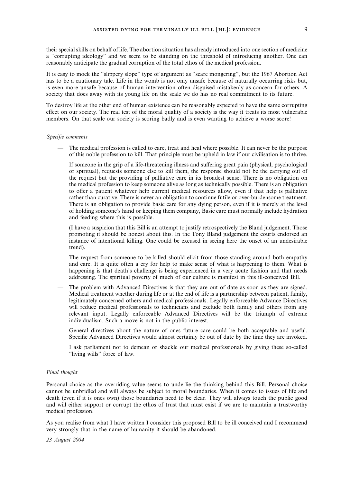their special skills on behalf of life. The abortion situation has already introduced into one section of medicine a "corrupting ideology" and we seem to be standing on the threshold of introducing another. One can reasonably anticipate the gradual corruption of the total ethos of the medical profession.

It is easy to mock the "slippery slope" type of argument as "scare mongering", but the 1967 Abortion Act has to be a cautionary tale. Life in the womb is not only unsafe because of naturally occurring risks but, is even more unsafe because of human intervention often disguised mistakenly as concern for others. A society that does away with its young life on the scale we do has no real commitment to its future.

To destroy life at the other end of human existence can be reasonably expected to have the same corrupting effect on our society. The real test of the moral quality of a society is the way it treats its most vulnerable members. On that scale our society is scoring badly and is even wanting to achieve a worse score!

#### *Specific comments*

— The medical profession is called to care, treat and heal where possible. It can never be the purpose of this noble profession to kill. That principle must be upheld in law if our civilisation is to thrive.

If someone in the grip of a life-threatening illness and suffering great pain (physical, psychological or spiritual), requests someone else to kill them, the response should not be the carrying out of the request but the providing of palliative care in its broadest sense. There is no obligation on the medical profession to keep someone alive as long as technically possible. There is an obligation to offer a patient whatever help current medical resources allow, even if that help is palliative rather than curative. There is never an obligation to continue futile or over-burdensome treatment. There is an obligation to provide basic care for any dying person, even if it is merely at the level of holding someone's hand or keeping them company, Basic care must normally include hydration and feeding where this is possible.

(I have a suspicion that this Bill is an attempt to justify retrospectively the Bland judgement. Those promoting it should be honest about this. In the Tony Bland judgement the courts endorsed an instance of intentional killing. One could be excused in seeing here the onset of an undesirable trend).

The request from someone to be killed should elicit from those standing around both empathy and care. It is quite often a cry for help to make sense of what is happening to them. What is happening is that death's challenge is being experienced in a very acute fashion and that needs addressing. The spiritual poverty of much of our culture is manifest in this ill-conceived Bill.

— The problem with Advanced Directives is that they are out of date as soon as they are signed. Medical treatment whether during life or at the end of life is a partnership between patient, family, legitimately concerned others and medical professionals. Legally enforceable Advance Directives will reduce medical professionals to technicians and exclude both family and others from any relevant input. Legally enforceable Advanced Directives will be the triumph of extreme individualism. Such a move is not in the public interest.

General directives about the nature of ones future care could be both acceptable and useful. Specific Advanced Directives would almost certainly be out of date by the time they are invoked.

I ask parliament not to demean or shackle our medical professionals by giving these so-called "living wills" force of law.

#### *Final thought*

Personal choice as the overriding value seems to underlie the thinking behind this Bill. Personal choice cannot be unbridled and will always be subject to moral boundaries. When it comes to issues of life and death (even if it is ones own) those boundaries need to be clear. They will always touch the public good and will either support or corrupt the ethos of trust that must exist if we are to maintain a trustworthy medical profession.

As you realise from what I have written I consider this proposed Bill to be ill conceived and I recommend very strongly that in the name of humanity it should be abandoned.

*23 August 2004*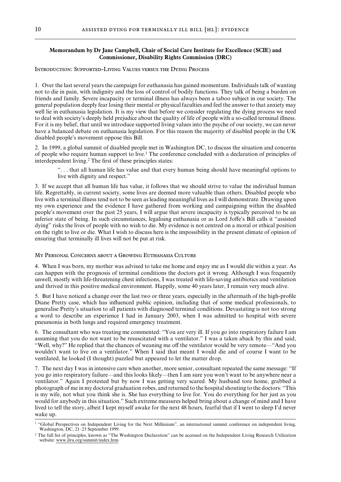#### **Memorandum by Dr Jane Campbell, Chair of Social Care Institute for Excellence (SCIE) and Commissioner, Disability Rights Commission (DRC)**

Introduction: Supported-Living Values versus the Dying Process

1. Over the last several years the campaign for euthanasia has gained momentum. Individuals talk of wanting not to die in pain, with indignity and the loss of control of bodily functions. They talk of being a burden on friends and family. Severe incapacity or terminal illness has always been a taboo subject in our society. The general population deeply fear losing their mental or physical faculties and feel the answer to that anxiety may well lie in euthanasia legislation. It is my view that before we consider regulating the dying process we need to deal with society's deeply held prejudice about the quality of life of people with a so-called terminal illness. For it is my belief, that until we introduce supported living values into the psyche of our society, we can never have a balanced debate on euthanasia legislation. For this reason the majority of disabled people in the UK disabled people's movement oppose this Bill.

2. In 1999, a global summit of disabled people met in Washington DC, to discuss the situation and concerns of people who require human support to live.<sup>1</sup> The conference concluded with a declaration of principles of interdependent living.<sup>2</sup> The first of these principles states:

". . . that all human life has value and that every human being should have meaningful options to live with dignity and respect."

3. If we accept that all human life has value, it follows that we should strive to value the individual human life. Regrettably, in current society, some lives are deemed more valuable than others. Disabled people who live with a terminal illness tend not to be seen as leading meaningful lives as I will demonstrate. Drawing upon my own experience and the evidence I have gathered from working and campaigning within the disabled people's movement over the past 25 years, I will argue that severe incapacity is typically perceived to be an inferior state of being. In such circumstances, legalising euthanasia or as Lord Joffe's Bill calls it "assisted dying" risks the lives of people with no wish to die. My evidence is not centred on a moral or ethical position on the right to live or die. What I wish to discuss here is the impossibility in the present climate of opinion of ensuring that terminally ill lives will not be put at risk.

#### My Personal Concerns about a Growing Euthanasia Culture

4. When I was born, my mother was advised to take me home and enjoy me as I would die within a year. As can happen with the prognosis of terminal conditions the doctors got it wrong. Although I was frequently unwell, mostly with life-threatening chest infections, I was treated with life-saving antibiotics and ventilation and thrived in this positive medical environment. Happily, some 40 years later, I remain very much alive.

5. But I have noticed a change over the last two or three years, especially in the aftermath of the high-profile Diane Pretty case, which has influenced public opinion, including that of some medical professionals, to generalise Pretty's situation to all patients with diagnosed terminal conditions. Devastating is not too strong a word to describe an experience I had in January 2003, when I was admitted to hospital with severe pneumonia in both lungs and required emergency treatment.

6. The consultant who was treating me commented: "You are very ill. If you go into respiratory failure I am assuming that you do not want to be resuscitated with a ventilator." I was a taken aback by this and said, "Well, why?" He replied that the chances of weaning me off the ventilator would be very remote—"And you wouldn't want to live on a ventilator." When I said that meant I would die and of course I want to be ventilated, he looked (I thought) puzzled but appeared to let the matter drop.

7. The next day I was in intensive care when another, more senior, consultant repeated the same message: "If you go into respiratory failure—and this looks likely—then I am sure you won't want to be anywhere near a ventilator." Again I protested but by now I was getting very scared. My husband tore home, grabbed a photograph of me in my doctoral graduation robes, and returned to the hospital shouting to the doctors: "This is my wife, not what you think she is. She has everything to live for. You do everything for her just as you would for anybody in this situation." Such extreme measures helped bring about a change of mind and I have lived to tell the story, albeit I kept myself awake for the next 48 hours, fearful that if I went to sleep I'd never wake up.

<sup>&</sup>lt;sup>1</sup> "Global Perspectives on Independent Living for the Next Millenium", an international summit conference on independent living, Washington, DC, 21–25 September 1999.

<sup>&</sup>lt;sup>2</sup> The full list of principles, known as "The Washington Declaration" can be accessed on the Independent Living Research Utilization website: www.ilru.org/summit/index.htm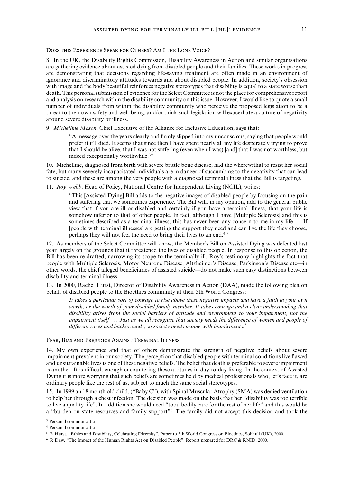8. In the UK, the Disability Rights Commission, Disability Awareness in Action and similar organisations are gathering evidence about assisted dying from disabled people and their families. These works in progress are demonstrating that decisions regarding life-saving treatment are often made in an environment of ignorance and discriminatory attitudes towards and about disabled people. In addition, society's obsession with image and the body beautiful reinforces negative stereotypes that disability is equal to a state worse than death. This personal submission of evidence for the Select Committee is not the place for comprehensive report and analysis on research within the disability community on this issue. However, I would like to quote a small number of individuals from within the disability community who perceive the proposed legislation to be a threat to their own safety and well-being, and/or think such legislation will exacerbate a culture of negativity around severe disability or illness.

9. *Michelline Mason*, Chief Executive of the Alliance for Inclusive Education, says that:

"A message over the years clearly and firmly slipped into my unconscious, saying that people would prefer it if I died. It seems that since then I have spent nearly all my life desperately trying to prove that I should be alive, that I was not suffering (even when I was) [and] that I was not worthless, but indeed exceptionally worthwhile.<sup>3"</sup>

10. Michelline, diagnosed from birth with severe brittle bone disease, had the wherewithal to resist her social fate, but many severely incapacitated individuals are in danger of succumbing to the negativity that can lead to suicide, and these are among the very people with a diagnosed terminal illness that the Bill is targeting.

11. *Roy Webb*, Head of Policy, National Centre for Independent Living (NCIL), writes:

"This [Assisted Dying] Bill adds to the negative images of disabled people by focusing on the pain and suffering that we sometimes experience. The Bill will, in my opinion, add to the general public view that if you are ill or disabled and certainly if you have a terminal illness, that your life is somehow inferior to that of other people. In fact, although I have [Multiple Sclerosis] and this is sometimes described as a terminal illness, this has never been any concern to me in my life . . . If [people with terminal illnesses] are getting the support they need and can live the life they choose, perhaps they will not feel the need to bring their lives to an end.<sup>4"</sup>

12. As members of the Select Committee will know, the Member's Bill on Assisted Dying was defeated last year largely on the grounds that it threatened the lives of disabled people. In response to this objection, the Bill has been re-drafted, narrowing its scope to the terminally ill. Roy's testimony highlights the fact that people with Multiple Sclerosis, Motor Neurone Disease, Altzheimer's Disease, Parkinson's Disease etc—in other words, the chief alleged beneficiaries of assisted suicide—do not make such easy distinctions between disability and terminal illness.

13. In 2000, Rachel Hurst, Director of Disability Awareness in Action (DAA), made the following plea on behalf of disabled people to the Bioethics community at their 5th World Congress:

*It takes a particular sort of courage to rise above these negative impacts and have a faith in your own worth, or the worth of your disabled family member. It takes courage and a clear understanding that disability arises from the social barriers of attitude and environment to your impairment, not the impairment itself . . . Just as we all recognise that society needs the difference of women and people of* different races and backgrounds, so society needs people with impairments.<sup>5</sup>

#### FEAR, BIAS AND PREJUDICE AGAINST TERMINAL ILLNESS

14. My own experience and that of others demonstrate the strength of negative beliefs about severe impairment prevalent in our society. The perception that disabled people with terminal conditions live flawed and unsustainable lives is one of these negative beliefs. The belief that death is preferable to severe impairment is another. It is difficult enough encountering these attitudes in day-to-day living. In the context of Assisted Dying it is more worrying that such beliefs are sometimes held by medical professionals who, let's face it, are ordinary people like the rest of us, subject to much the same social stereotypes.

15. In 1999 an 18 month old child, ("Baby C"), with Spinal Muscular Atrophy (SMA) was denied ventilation to help her through a chest infection. The decision was made on the basis that her "disability was too terrible to live a quality life". In addition she would need "total bodily care for the rest of her life" and this would be a "burden on state resources and family support"6. The family did not accept this decision and took the

<sup>3</sup> Personal communication.

<sup>4</sup> Personal communication.

<sup>5</sup> R Hurst, "Ethics and Disability, Celebrating Diversity", Paper to 5th World Congress on Bioethics, Solihull (UK), 2000.

<sup>6</sup> R Daw, "The Impact of the Human Rights Act on Disabled People", Report prepared for DRC & RNID, 2000.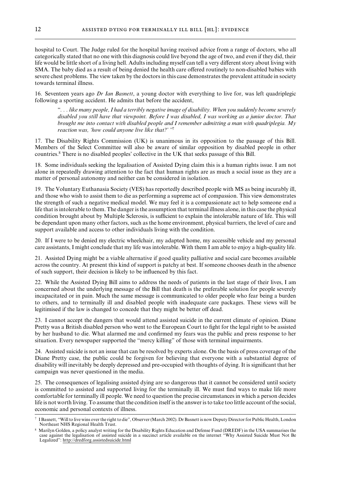hospital to Court. The Judge ruled for the hospital having received advice from a range of doctors, who all categorically stated that no one with this diagnosis could live beyond the age of two, and even if they did, their life would be little short of a living hell. Adults including myself can tell a very different story about living with SMA. The baby died as a result of being denied the health care offered routinely to non-disabled babies with severe chest problems. The view taken by the doctors in this case demonstrates the prevalent attitude in society towards terminal illness.

16. Seventeen years ago *Dr Ian Basnett*, a young doctor with everything to live for, was left quadriplegic following a sporting accident. He admits that before the accident,

"*. . . like many people, I had a terribly negative image of disability. When you suddenly become severely disabled you still have that viewpoint. Before I was disabled, I was working as a junior doctor. That brought me into contact with disabled people and I remember admitting a man with quadriplegia. My reaction was, 'how could anyone live like that?' "*<sup>7</sup>

17. The Disability Rights Commission (UK) is unanimous in its opposition to the passage of this Bill. Members of the Select Committee will also be aware of similar opposition by disabled people in other countries.8 There is no disabled peoples' collective in the UK that seeks passage of this Bill.

18. Some individuals seeking the legalisation of Assisted Dying claim this is a human rights issue. I am not alone in repeatedly drawing attention to the fact that human rights are as much a social issue as they are a matter of personal autonomy and neither can be considered in isolation.

19. The Voluntary Euthanasia Society (VES) has reportedly described people with MS as being incurably ill, and those who wish to assist them to die as performing a supreme act of compassion. This view demonstrates the strength of such a negative medical model. We may feel it is a compassionate act to help someone end a life that is intolerable to them. The danger is the assumption that terminal illness alone, in this case the physical condition brought about by Multiple Sclerosis, is sufficient to explain the intolerable nature of life. This will be dependant upon many other factors, such as the home environment, physical barriers, the level of care and support available and access to other individuals living with the condition.

20. If I were to be denied my electric wheelchair, my adapted home, my accessible vehicle and my personal care assistants, I might conclude that my life was intolerable. With them I am able to enjoy a high-quality life.

21. Assisted Dying might be a viable alternative if good quality palliative and social care becomes available across the country. At present this kind of support is patchy at best. If someone chooses death in the absence of such support, their decision is likely to be influenced by this fact.

22. While the Assisted Dying Bill aims to address the needs of patients in the last stage of their lives, I am concerned about the underlying message of the Bill that death is the preferable solution for people severely incapacitated or in pain. Much the same message is communicated to older people who fear being a burden to others, and to terminally ill and disabled people with inadequate care packages. These views will be legitimised if the law is changed to concede that they might be better off dead.

23. I cannot accept the dangers that would attend assisted suicide in the current climate of opinion. Diane Pretty was a British disabled person who went to the European Court to fight for the legal right to be assisted by her husband to die. What alarmed me and confirmed my fears was the public and press response to her situation. Every newspaper supported the "mercy killing" of those with terminal impairments.

24. Assisted suicide is not an issue that can be resolved by experts alone. On the basis of press coverage of the Diane Pretty case, the public could be forgiven for believing that everyone with a substantial degree of disability will inevitably be deeply depressed and pre-occupied with thoughts of dying. It is significant that her campaign was never questioned in the media.

25. The consequences of legalising assisted dying are so dangerous that it cannot be considered until society is committed to assisted and supported living for the terminally ill. We must find ways to make life more comfortable for terminally ill people. We need to question the precise circumstances in which a person decides life is not worth living. To assume that the condition itself is the answer is to take too little account of the social, economic and personal contexts of illness.

<sup>7</sup> I Basnett, "Will to live wins over the right to die", Observer (March 2002). Dr Basnett is now Deputy Director for Public Health, London Northeast NHS Regional Health Trust.

<sup>8</sup> Marilyn Golden, a policy analyst writing for the Disability Rights Education and Defense Fund (DREDF) in the USA summarises the case against the legalisation of assisted suicide in a succinct article available on the internet "Why Assisted Suicide Must Not Be Legalized": http://dredforg.assistedsuicide.html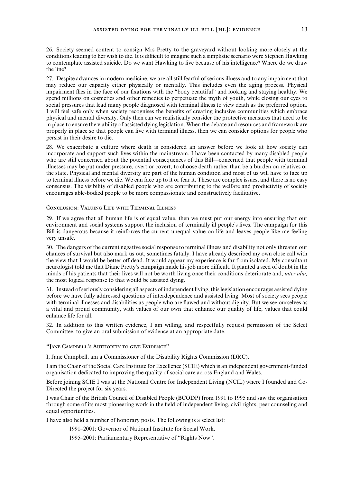26. Society seemed content to consign Mrs Pretty to the graveyard without looking more closely at the conditions leading to her wish to die. It is difficult to imagine such a simplistic scenario were Stephen Hawking to contemplate assisted suicide. Do we want Hawking to live because of his intelligence? Where do we draw the line?

27. Despite advances in modern medicine, we are all still fearful of serious illness and to any impairment that may reduce our capacity either physically or mentally. This includes even the aging process. Physical impairment flies in the face of our fixations with the "body beautiful" and looking and staying healthy. We spend millions on cosmetics and other remedies to perpetuate the myth of youth, while closing our eyes to social pressures that lead many people diagnosed with terminal illness to view death as the preferred option. I will feel safe only when society recognises the benefits of creating inclusive communities which embrace physical and mental diversity. Only then can we realistically consider the protective measures that need to be in place to ensure the viability of assisted dying legislation. When the debate and resources and framework are properly in place so that people can live with terminal illness, then we can consider options for people who persist in their desire to die.

28. We exacerbate a culture where death is considered an answer before we look at how society can incorporate and support such lives within the mainstream. I have been contacted by many disabled people who are still concerned about the potential consequences of this Bill—concerned that people with terminal illnesses may be put under pressure, overt or covert, to choose death rather than be a burden on relatives or the state. Physical and mental diversity are part of the human condition and most of us will have to face up to terminal illness before we die. We can face up to it or fear it. These are complex issues, and there is no easy consensus. The visibility of disabled people who are contributing to the welfare and productivity of society encourages able-bodied people to be more compassionate and constructively facilitative.

#### Conclusion: Valuing Life with Terminal Illness

29. If we agree that all human life is of equal value, then we must put our energy into ensuring that our environment and social systems support the inclusion of terminally ill people's lives. The campaign for this Bill is dangerous because it reinforces the current unequal value on life and leaves people like me feeling very unsafe.

30. The dangers of the current negative social response to terminal illness and disability not only threaten our chances of survival but also mark us out, sometimes fatally. I have already described my own close call with the view that I would be better off dead. It would appear my experience is far from isolated. My consultant neurologist told me that Diane Pretty's campaign made his job more difficult. It planted a seed of doubt in the minds of his patients that their lives will not be worth living once their conditions deteriorate and, *inter alia,* the most logical response to that would be assisted dying.

31. Instead of seriously considering all aspects of independent living, this legislation encourages assisted dying before we have fully addressed questions of interdependence and assisted living. Most of society sees people with terminal illnesses and disabilities as people who are flawed and without dignity. But we see ourselves as a vital and proud community, with values of our own that enhance our quality of life, values that could enhance life for all.

32. In addition to this written evidence, I am willing, and respectfully request permission of the Select Committee, to give an oral submission of evidence at an appropriate date.

"Jane Campbell's Authority to give Evidence"

I, Jane Campbell, am a Commissioner of the Disability Rights Commission (DRC).

I am the Chair of the Social Care Institute for Excellence (SCIE) which is an independent government-funded organisation dedicated to improving the quality of social care across England and Wales.

Before joining SCIE I was at the National Centre for Independent Living (NCIL) where I founded and Co-Directed the project for six years.

I was Chair of the British Council of Disabled People (BCODP) from 1991 to 1995 and saw the organisation through some of its most pioneering work in the field of independent living, civil rights, peer counseling and equal opportunities.

I have also held a number of honorary posts. The following is a select list:

1991–2001: Governor of National Institute for Social Work.

1995–2001: Parliamentary Representative of "Rights Now".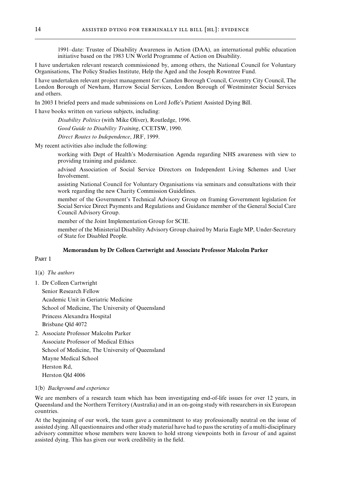1991–date: Trustee of Disability Awareness in Action (DAA), an international public education initiative based on the 1983 UN World Programme of Action on Disability.

I have undertaken relevant research commissioned by, among others, the National Council for Voluntary Organisations, The Policy Studies Institute, Help the Aged and the Joseph Rowntree Fund.

I have undertaken relevant project management for: Camden Borough Council, Coventry City Council, The London Borough of Newham, Harrow Social Services, London Borough of Westminster Social Services and others.

In 2003 I briefed peers and made submissions on Lord Joffe's Patient Assisted Dying Bill.

I have books written on various subjects, including:

*Disability Politics* (with Mike Oliver), Routledge, 1996.

*Good Guide to Disability Training*, CCETSW, 1990.

*Direct Routes to Independence*, JRF, 1999.

My recent activities also include the following:

working with Dept of Health's Modernisation Agenda regarding NHS awareness with view to providing training and guidance.

advised Association of Social Service Directors on Independent Living Schemes and User Involvement.

assisting National Council for Voluntary Organisations via seminars and consultations with their work regarding the new Charity Commission Guidelines.

member of the Government's Technical Advisory Group on framing Government legislation for Social Service Direct Payments and Regulations and Guidance member of the General Social Care Council Advisory Group.

member of the Joint Implementation Group for SCIE.

member of the Ministerial Disability Advisory Group chaired by Maria Eagle MP, Under-Secretary of State for Disabled People.

#### **Memorandum by Dr Colleen Cartwright and Associate Professor Malcolm Parker**

#### PART<sub>1</sub>

#### 1(a) *The authors*

1. Dr Colleen Cartwright

Senior Research Fellow Academic Unit in Geriatric Medicine School of Medicine, The University of Queensland Princess Alexandra Hospital Brisbane Qld 4072

2. Associate Professor Malcolm Parker Associate Professor of Medical Ethics School of Medicine, The University of Queensland Mayne Medical School Herston Rd, Herston Qld 4006

#### 1(b) *Background and experience*

We are members of a research team which has been investigating end-of-life issues for over 12 years, in Queensland and the Northern Territory (Australia) and in an on-going study with researchers in six European countries.

At the beginning of our work, the team gave a commitment to stay professionally neutral on the issue of assisted dying. All questionnaires and other study material have had to pass the scrutiny of a multi-disciplinary advisory committee whose members were known to hold strong viewpoints both in favour of and against assisted dying. This has given our work credibility in the field.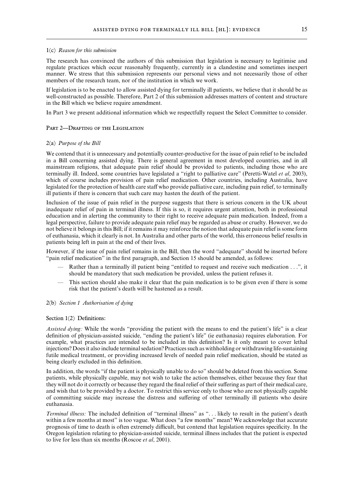#### 1(c) *Reason for this submission*

The research has convinced the authors of this submission that legislation is necessary to legitimise and regulate practices which occur reasonably frequently, currently in a clandestine and sometimes inexpert manner. We stress that this submission represents our personal views and not necessarily those of other members of the research team, nor of the institution in which we work.

If legislation is to be enacted to allow assisted dying for terminally ill patients, we believe that it should be as well-constructed as possible. Therefore, Part 2 of this submission addresses matters of content and structure in the Bill which we believe require amendment.

In Part 3 we present additional information which we respectfully request the Select Committee to consider.

#### PART 2-DRAFTING OF THE LEGISLATION

#### 2(a) *Purpose of the Bill*

We contend that it is unnecessary and potentially counter-productive for the issue of pain relief to be included in a Bill concerning assisted dying. There is general agreement in most developed countries, and in all mainstream religions, that adequate pain relief should be provided to patients, including those who are terminally ill. Indeed, some countries have legislated a "right to palliative care" (Peretti-Watel *et al*, 2003), which of course includes provision of pain relief medication. Other countries, including Australia, have legislated for the protection of health care staff who provide palliative care, including pain relief, to terminally ill patients if there is concern that such care may hasten the death of the patient.

Inclusion of the issue of pain relief in the purpose suggests that there is serious concern in the UK about inadequate relief of pain in terminal illness. If this is so, it requires urgent attention, both in professional education and in alerting the community to their right to receive adequate pain medication. Indeed, from a legal perspective, failure to provide adequate pain relief may be regarded as abuse or cruelty. However, we do not believe it belongs in this Bill; if it remains it may reinforce the notion that adequate pain relief is some form of euthanasia, which it clearly is not. In Australia and other parts of the world, this erroneous belief results in patients being left in pain at the end of their lives.

However, if the issue of pain relief remains in the Bill, then the word "adequate" should be inserted before "pain relief medication" in the first paragraph, and Section 15 should be amended, as follows:

- Rather than a terminally ill patient being "entitled to request and receive such medication . . .", it should be mandatory that such medication be provided, unless the patient refuses it.
- This section should also make it clear that the pain medication is to be given even if there is some risk that the patient's death will be hastened as a result.

#### 2(b) *Section 1 Authorisation of dying*

#### Section 1(2) Definitions:

*Assisted dying:* While the words "providing the patient with the means to end the patient's life" is a clear definition of physician-assisted suicide, "ending the patient's life" (ie euthanasia) requires elaboration. For example, what practices are intended to be included in this definition? Is it only meant to cover lethal injections? Does it also include terminal sedation? Practices such as withholding or withdrawing life-sustaining futile medical treatment, or providing increased levels of needed pain relief medication, should be stated as being clearly excluded in this definition.

In addition, the words "if the patient is physically unable to do so" should be deleted from this section. Some patients, while physically capable, may not wish to take the action themselves, either because they fear that they will not do it correctly or because they regard the final relief of their suffering as part of their medical care, and wish that to be provided by a doctor. To restrict this service only to those who are not physically capable of committing suicide may increase the distress and suffering of other terminally ill patients who desire euthanasia.

*Terminal illness:* The included definition of "terminal illness" as ". . . likely to result in the patient's death within a few months at most" is too vague. What does "a few months" mean? We acknowledge that accurate prognosis of time to death is often extremely difficult, but contend that legislation requires specificity. In the Oregon legislation relating to physician-assisted suicide, terminal illness includes that the patient is expected to live for less than six months (Roscoe *et al*, 2001).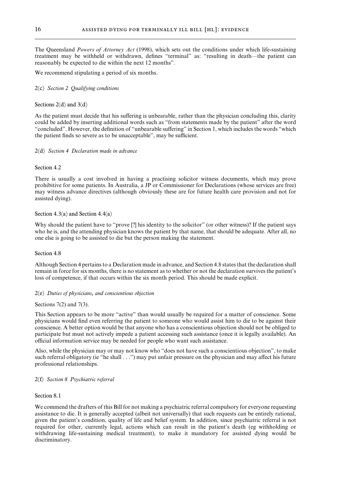The Queensland *Powers of Attorney Act* (1998), which sets out the conditions under which life-sustaining treatment may be withheld or withdrawn, defines "terminal" as: "resulting in death—the patient can reasonably be expected to die within the next 12 months".

We recommend stipulating a period of six months.

2(c) *Section 2 Qualifying conditions*

#### Sections 2(d) and 3(d)

As the patient must decide that his suffering is unbearable, rather than the physician concluding this, clarity could be added by inserting additional words such as "from statements made by the patient" after the word "concluded". However, the definition of "unbearable suffering" in Section 1, which includes the words "which the patient finds so severe as to be unacceptable", may be sufficient.

2(d) *Section 4 Declaration made in advance*

#### Section 4.2

There is usually a cost involved in having a practising solicitor witness documents, which may prove prohibitive for some patients. In Australia, a JP or Commissioner for Declarations (whose services are free) may witness advance directives (although obviously these are for future health care provision and not for assisted dying).

Section 4.3(a) and Section 4.4(a)

Why should the patient have to "prove [?] his identity to the solicitor" (or other witness)? If the patient says who he is, and the attending physician knows the patient by that name, that should be adequate. After all, no one else is going to be assisted to die but the person making the statement.

Section 4.8

Although Section 4 pertains to a Declaration made in advance, and Section 4.8 states that the declaration shall remain in force for six months, there is no statement as to whether or not the declaration survives the patient's loss of competence, if that occurs within the six month period. This should be made explicit.

#### 2(e) *Duties of physicians, and conscientious objection*

#### Sections  $7(2)$  and  $7(3)$ .

This Section appears to be more "active" than would usually be required for a matter of conscience. Some physicians would find even referring the patient to someone who would assist him to die to be against their conscience. A better option would be that anyone who has a conscientious objection should not be obliged to participate but must not actively impede a patient accessing such assistance (once it is legally available). An official information service may be needed for people who want such assistance.

Also, while the physician may or may not know who "does not have such a conscientious objection", to make such referral obligatory (ie "he shall  $\dots$ ") may put unfair pressure on the physician and may affect his future professional relationships.

2(f) *Section 8 Psychiatric referral*

#### Section 8.1

We commend the drafters of this Bill for not making a psychiatric referral compulsory for everyone requesting assistance to die. It is generally accepted (albeit not universally) that such requests can be entirely rational, given the patient's condition, quality of life and belief system. In addition, since psychiatric referral is not required for other, currently legal, actions which can result in the patient's death (eg withholding or withdrawing life-sustaining medical treatment), to make it mandatory for assisted dying would be discriminatory.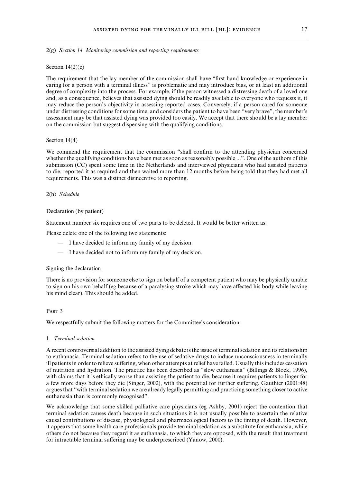#### 2(g) *Section 14 Monitoring commission and reporting requirements*

#### Section  $14(2)(c)$

The requirement that the lay member of the commission shall have "first hand knowledge or experience in caring for a person with a terminal illness" is problematic and may introduce bias, or at least an additional degree of complexity into the process. For example, if the person witnessed a distressing death of a loved one and, as a consequence, believes that assisted dying should be readily available to everyone who requests it, it may reduce the person's objectivity in assessing reported cases. Conversely, if a person cared for someone under distressing conditions for some time, and considers the patient to have been "very brave", the member's assessment may be that assisted dying was provided too easily. We accept that there should be a lay member on the commission but suggest dispensing with the qualifying conditions.

#### Section 14(4)

We commend the requirement that the commission "shall confirm to the attending physician concerned whether the qualifying conditions have been met as soon as reasonably possible ...". One of the authors of this submission (CC) spent some time in the Netherlands and interviewed physicians who had assisted patients to die, reported it as required and then waited more than 12 months before being told that they had met all requirements. This was a distinct disincentive to reporting.

#### 2(h) *Schedule*

#### Declaration (by patient)

Statement number six requires one of two parts to be deleted. It would be better written as:

Please delete one of the following two statements:

- I have decided to inform my family of my decision.
- I have decided not to inform my family of my decision.

#### Signing the declaration

There is no provision for someone else to sign on behalf of a competent patient who may be physically unable to sign on his own behalf (eg because of a paralysing stroke which may have affected his body while leaving his mind clear). This should be added.

#### PART<sub>3</sub>

We respectfully submit the following matters for the Committee's consideration:

#### 1. *Terminal sedation*

A recent controversial addition to the assisted dying debate is the issue of terminal sedation and its relationship to euthanasia. Terminal sedation refers to the use of sedative drugs to induce unconsciousness in terminally ill patients in order to relieve suffering, when other attempts at relief have failed. Usually this includes cessation of nutrition and hydration. The practice has been described as "slow euthanasia" (Billings & Block, 1996), with claims that it is ethically worse than assisting the patient to die, because it requires patients to linger for a few more days before they die (Singer, 2002), with the potential for further suffering. Gauthier (2001:48) argues that "with terminal sedation we are already legally permitting and practicing something closer to active euthanasia than is commonly recognised".

We acknowledge that some skilled palliative care physicians (eg Ashby, 2001) reject the contention that terminal sedation causes death because in such situations it is not usually possible to ascertain the relative causal contributions of disease, physiological and pharmacological factors to the timing of death. However, it appears that some health care professionals provide terminal sedation as a substitute for euthanasia, while others do not because they regard it as euthanasia, to which they are opposed, with the result that treatment for intractable terminal suffering may be underprescribed (Yanow, 2000).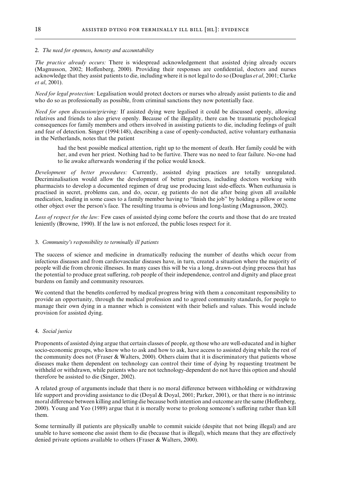#### 2. *The need for openness, honesty and accountability*

*The practice already occurs:* There is widespread acknowledgement that assisted dying already occurs (Magnusson, 2002; Hoffenberg, 2000). Providing their responses are confidential, doctors and nurses acknowledge that they assist patients to die, including where it is not legal to do so (Douglas *et al*, 2001; Clarke *et al*, 2001).

*Need for legal protection:* Legalisation would protect doctors or nurses who already assist patients to die and who do so as professionally as possible, from criminal sanctions they now potentially face.

*Need for open discussion/grieving:* If assisted dying were legalised it could be discussed openly, allowing relatives and friends to also grieve openly. Because of the illegality, there can be traumatic psychological consequences for family members and others involved in assisting patients to die, including feelings of guilt and fear of detection. Singer (1994:148), describing a case of openly-conducted, active voluntary euthanasia in the Netherlands, notes that the patient

had the best possible medical attention, right up to the moment of death. Her family could be with her, and even her priest. Nothing had to be furtive. There was no need to fear failure. No-one had to lie awake afterwards wondering if the police would knock.

*Development of better procedures:* Currently, assisted dying practices are totally unregulated. Decriminalisation would allow the development of better practices, including doctors working with pharmacists to develop a documented regimen of drug use producing least side-effects. When euthanasia is practised in secret, problems can, and do, occur, eg patients do not die after being given all available medication, leading in some cases to a family member having to "finish the job" by holding a pillow or some other object over the person's face. The resulting trauma is obvious and long-lasting (Magnusson, 2002).

*Loss of respect for the law:* Few cases of assisted dying come before the courts and those that do are treated leniently (Browne, 1990). If the law is not enforced, the public loses respect for it.

#### 3. *Community's responsibility to terminally ill patients*

The success of science and medicine in dramatically reducing the number of deaths which occur from infectious diseases and from cardiovascular diseases have, in turn, created a situation where the majority of people will die from chronic illnesses. In many cases this will be via a long, drawn-out dying process that has the potential to produce great suffering, rob people of their independence, control and dignity and place great burdens on family and community resources.

We contend that the benefits conferred by medical progress bring with them a concomitant responsibility to provide an opportunity, through the medical profession and to agreed community standards, for people to manage their own dying in a manner which is consistent with their beliefs and values. This would include provision for assisted dying.

#### 4. *Social justice*

Proponents of assisted dying argue that certain classes of people, eg those who are well-educated and in higher socio-economic groups, who know who to ask and how to ask, have access to assisted dying while the rest of the community does not (Fraser & Walters, 2000). Others claim that it is discriminatory that patients whose diseases make them dependent on technology can control their time of dying by requesting treatment be withheld or withdrawn, while patients who are not technology-dependent do not have this option and should therefore be assisted to die (Singer, 2002).

A related group of arguments include that there is no moral difference between withholding or withdrawing life support and providing assistance to die (Doyal & Doyal, 2001; Parker, 2001), or that there is no intrinsic moral difference between killing and letting die because both intention and outcome are the same (Hoffenberg, 2000). Young and Yeo (1989) argue that it is morally worse to prolong someone's suffering rather than kill them.

Some terminally ill patients are physically unable to commit suicide (despite that not being illegal) and are unable to have someone else assist them to die (because that is illegal), which means that they are effectively denied private options available to others (Fraser & Walters, 2000).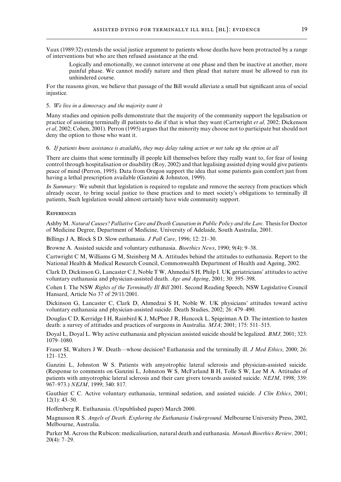Vaux (1989:32) extends the social justice argument to patients whose deaths have been protracted by a range of interventions but who are then refused assistance at the end.

Logically and emotionally, we cannot intervene at one phase and then be inactive at another, more painful phase. We cannot modify nature and then plead that nature must be allowed to run its unhindered course.

For the reasons given, we believe that passage of the Bill would alleviate a small but significant area of social injustice.

#### 5. *We live in a democracy and the majority want it*

Many studies and opinion polls demonstrate that the majority of the community support the legalisation or practice of assisting terminally ill patients to die if that is what they want (Cartwright *et al,* 2002; Dickenson *et al*, 2002; Cohen, 2001). Perron (1995) argues that the minority may choose not to participate but should not deny the option to those who want it.

6. *If patients know assistance is available, they may delay taking action or not take up the option at all*

There are claims that some terminally ill people kill themselves before they really want to, for fear of losing control through hospitalisation or disability (Roy, 2002) and that legalising assisted dying would give patients peace of mind (Perron, 1995). Data from Oregon support the idea that some patients gain comfort just from having a lethal prescription available (Ganzini & Johnston, 1999).

*In Summary:* We submit that legislation is required to regulate and remove the secrecy from practices which already occur, to bring social justice to these practices and to meet society's obligations to terminally ill patients, Such legislation would almost certainly have wide community support.

#### **REFERENCES**

Ashby M. *Natural Causes? Palliative Care and Death Causation in Public Policy and the Law.* Thesis for Doctor of Medicine Degree, Department of Medicine, University of Adelaide, South Australia, 2001.

Billings J A, Block S D. Slow euthanasia. *J Pall Care*, 1996; 12: 21–30.

Browne A. Assisted suicide and voluntary euthanasia. *Bioethics News*, 1990; 9(4): 9–38.

Cartwright C M, Williams G M, Steinberg M A. Attitudes behind the attitudes to euthanasia. Report to the National Health & Medical Research Council, Commonwealth Department of Health and Ageing, 2002.

Clark D, Dickinson G, Lancaster C J, Noble T W, Ahmedai S H, Philp I. UK geriatricians' attitudes to active voluntary euthanasia and physician-assisted death. *Age and Ageing*, 2001; 30: 395–398.

Cohen I. The NSW *Rights of the Terminally Ill Bill* 2001. Second Reading Speech, NSW Legislative Council Hansard, Article No 37 of 29/11/2001.

Dickinson G, Lancaster C, Clark D, Ahmedzai S H, Noble W. UK physicians' attitudes toward active voluntary euthanasia and physician-assisted suicide. Death Studies, 2002; 26: 479–490.

Douglas C D, Kerridge I H, Rainbird K J, McPhee J R, Hancock L, Spigeiman A D. The intention to hasten death: a survey of attitudes and practices of surgeons in Australia. *MJA*; 2001; 175: 511–515.

Doyal L, Doyal L. Why active euthanasia and physician assisted suicide should be legalized. *BMJ,* 2001; 323: 1079–1080.

Fraser SI, Walters J W. Death—whose decision? Euthanasia and the terminally ill. *J Med Ethics*, 2000; 26: 121–125.

Ganzini L, Johnston W S. Patients with amyotrophic lateral sclerosis and physician-assisted suicide. (Response to comments on Ganzini L, Johnston W S, McFarland B H, Tolle S W, Lee M A. Attitudes of patients with amyotrophic lateral sclerosis and their care givers towards assisted suicide. *NEJM*, 1998; 339: 967–973.) *NEJM*, 1999; 340: 817.

Gauthier C C. Active voluntary euthanasia, terminal sedation, and assisted suicide. *J Clin Ethics*, 2001; 12(1): 43–50.

Hoffenberg R. Euthanasia. (Unpublished paper) March 2000.

Magnusson R S. *Angels of Death. Exploring the Euthanasia Underground.* Melbourne University Press, 2002, Melbourne, Australia.

Parker M. Across the Rubicon: medicalisation, natural death and euthanasia. *Monash Bioethics Review,* 2001; 20(4): 7–29.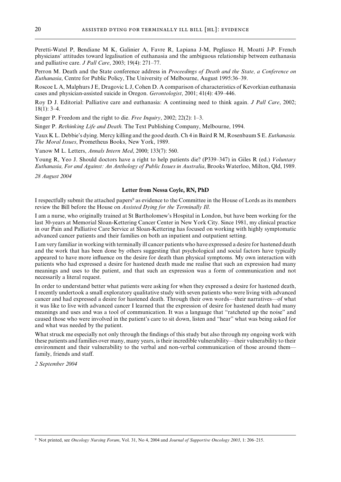Peretti-Watel P, Bendiane M K, Galinier A, Favre R, Lapiana J-M, Pegliasco H, Moatti J-P. French physicians' attitudes toward legalisation of euthanasia and the ambiguous relationship between euthanasia and palliative care. *J Pall Care*, 2003; 19(4): 271–77.

Perron M. Death and the State conference address in *Proceedings of Death and the State, a Conference on Euthanasia*, Centre for Public Policy, The University of Melbourne, August 1995:36–39.

Roscoe L A, Malphurs J E, Dragovic L J, Cohen D. A comparison of characteristics of Kevorkian euthanasia cases and physician-assisted suicide in Oregon. *Gerontologist*, 2001; 41(4): 439–446.

Roy D J. Editorial: Palliative care and euthanasia: A continuing need to think again. *J Pall Care*, 2002; 18(1): 3–4.

Singer P. Freedom and the right to die. *Free Inquiry*, 2002; 22(2): 1–3.

Singer P. *Rethinking Life and Death.* The Text Publishing Company, Melbourne, 1994.

Vaux K L. Debbie's dying. Mercy killing and the good death. Ch 4 in Baird R M, Rosenbaum S E. *Euthanasia. The Moral Issues*, Prometheus Books, New York, 1989.

Yanow M L. Letters, *Annals Intern Med*, 2000; 133(7): 560.

Young R, Yeo J. Should doctors have a right to help patients die? (P339–347) in Giles R (ed.) *Voluntary Euthanasia, For and Against: An Anthology of Public Issues in Australia*, Brooks Waterloo, Milton, Qld, 1989.

*28 August 2004*

#### **Letter from Nessa Coyle, RN, PhD**

I respectfully submit the attached papers<sup>9</sup> as evidence to the Committee in the House of Lords as its members review the Bill before the House on *Assisted Dying for the Terminally Ill*.

I am a nurse, who originally trained at St Bartholomew's Hospital in London, but have been working for the last 30-years at Memorial Sloan-Kettering Cancer Center in New York City. Since 1981, my clinical practice in our Pain and Palliative Care Service at Sloan-Kettering has focused on working with highly symptomatic advanced cancer patients and their families on both an inpatient and outpatient setting.

I am very familiar in working with terminally ill cancer patients who have expressed a desire for hastened death and the work that has been done by others suggesting that psychological and social factors have typically appeared to have more influence on the desire for death than physical symptoms. My own interaction with patients who had expressed a desire for hastened death made me realise that such an expression had many meanings and uses to the patient, and that such an expression was a form of communication and not necessarily a literal request.

In order to understand better what patients were asking for when they expressed a desire for hastened death, I recently undertook a small exploratory qualitative study with seven patients who were living with advanced cancer and had expressed a desire for hastened death. Through their own words—their narratives—of what it was like to live with advanced cancer I learned that the expression of desire for hastened death had many meanings and uses and was a tool of communication. It was a language that "ratcheted up the noise" and caused those who were involved in the patient's care to sit down, listen and "hear" what was being asked for and what was needed by the patient.

What struck me especially not only through the findings of this study but also through my ongoing work with these patients and families over many, many years, is their incredible vulnerability—their vulnerability to their environment and their vulnerability to the verbal and non-verbal communication of those around them family, friends and staff.

*2 September 2004*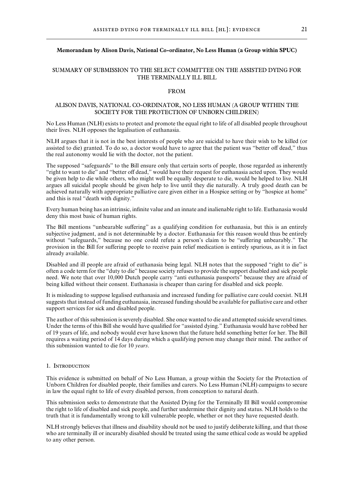#### **Memorandum by Alison Davis, National Co-ordinator, No Less Human (a Group within SPUC)**

#### SUMMARY OF SUBMISSION TO THE SELECT COMMITTEE ON THE ASSISTED DYING FOR THE TERMINALLY ILL BILL

#### FROM

#### ALISON DAVIS, NATIONAL CO-ORDINATOR, NO LESS HUMAN (A GROUP WITHIN THE SOCIETY FOR THE PROTECTION OF UNBORN CHILDREN)

No Less Human (NLH) exists to protect and promote the equal right to life of all disabled people throughout their lives. NLH opposes the legalisation of euthanasia.

NLH argues that it is not in the best interests of people who are suicidal to have their wish to be killed (or assisted to die) granted. To do so, a doctor would have to agree that the patient was "better off dead," thus the real autonomy would lie with the doctor, not the patient.

The supposed "safeguards" to the Bill ensure only that certain sorts of people, those regarded as inherently "right to want to die" and "better off dead," would have their request for euthanasia acted upon. They would be given help to die while others, who might well be equally desperate to die, would be helped to live. NLH argues all suicidal people should be given help to live until they die naturally. A truly good death can be achieved naturally with appropriate palliative care given either in a Hospice setting or by "hospice at home" and this is real "death with dignity."

Every human being has an intrinsic, infinite value and an innate and inalienable right to life. Euthanasia would deny this most basic of human rights.

The Bill mentions "unbearable suffering" as a qualifying condition for euthanasia, but this is an entirely subjective judgment, and is not determinable by a doctor. Euthanasia for this reason would thus be entirely without "safeguards," because no one could refute a person's claim to be "suffering unbearably." The provision in the Bill for suffering people to receive pain relief medication is entirely spurious, as it is in fact already available.

Disabled and ill people are afraid of euthanasia being legal. NLH notes that the supposed "right to die" is often a code term for the "duty to die" because society refuses to provide the support disabled and sick people need. We note that over 10,000 Dutch people carry "anti euthanasia passports" because they are afraid of being killed without their consent. Euthanasia is cheaper than caring for disabled and sick people.

It is misleading to suppose legalised euthanasia and increased funding for palliative care could coexist. NLH suggests that instead of funding euthanasia, increased funding should be available for palliative care and other support services for sick and disabled people.

The author of this submission is severely disabled. She once wanted to die and attempted suicide several times. Under the terms of this Bill she would have qualified for "assisted dying." Euthanasia would have robbed her of 19 years of life, and nobody would ever have known that the future held something better for her. The Bill requires a waiting period of 14 days during which a qualifying person may change their mind. The author of this submission wanted to die for 10 *years*.

#### 1. Introduction

This evidence is submitted on behalf of No Less Human, a group within the Society for the Protection of Unborn Children for disabled people, their families and carers. No Less Human (NLH) campaigns to secure in law the equal right to life of every disabled person, from conception to natural death.

This submission seeks to demonstrate that the Assisted Dying for the Terminally Ill Bill would compromise the right to life of disabled and sick people, and further undermine their dignity and status. NLH holds to the truth that it is fundamentally wrong to kill vulnerable people, whether or not they have requested death.

NLH strongly believes that illness and disability should not be used to justify deliberate killing, and that those who are terminally ill or incurably disabled should be treated using the same ethical code as would be applied to any other person.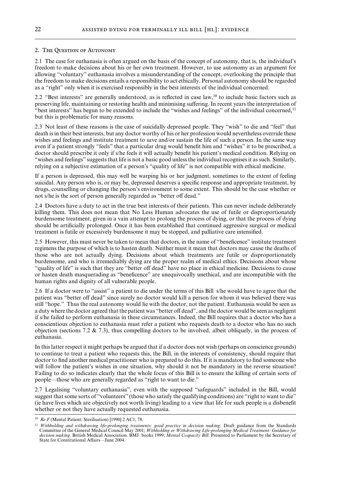#### 2. The Question of Autonomy

2.1 The case for euthanasia is often argued on the basis of the concept of autonomy, that is, the individual's freedom to make decisions about his or her own treatment. However, to use autonomy as an argument for allowing "voluntary" euthanasia involves a misunderstanding of the concept, overlooking the principle that the freedom to make decisions entails a responsibility to act ethically. Personal autonomy should be regarded as a "right" only when it is exercised responsibly in the best interests of the individual concerned.

2.2 "Best interests" are generally understood, as is reflected in case law,<sup>10</sup> to include basic factors such as preserving life, maintaining or restoring health and minimising suffering. In recent years the interpretation of "best interests" has begun to be extended to include the "wishes and feelings" of the individual concerned,11 but this is problematic for many reasons.

2.3 Not least of these reasons is the case of suicidally depressed people. They "wish" to die and "feel" that death is in their best interests, but any doctor worthy of his or her profession would nevertheless overrule these wishes and feelings and institute treatment to save and/or sustain the life of such a person. In the same way even if a patient strongly "feels" that a particular drug would benefit him and "wishes" it to be prescribed, a doctor should prescribe it only if s/he feels it will actually benefit his patient's medical condition. Relying on "wishes and feelings" suggests that life is not a basic good unless the individual recognises it as such. Similarly, relying on a subjective estimation of a person's "quality of life" is not compatible with ethical medicine.

If a person is depressed, this may well be warping his or her judgment, sometimes to the extent of feeling suicidal. Any person who is, or may be, depressed deserves a specific response and appropriate treatment, by drugs, counselling or changing the person's environment to some extent. This should be the case whether or not s/he is the sort of person generally regarded as "better off dead."

2.4 Doctors have a duty to act in the true best interests of their patients. This can never include deliberately killing them. This does not mean that No Less Human advocates the use of futile or disproportionately burdensome treatment, given in a vain attempt to prolong the process of dying, or that the process of dying should be artificially prolonged. Once it has been established that continued aggressive surgical or medical treatment is futile or excessively burdensome it may be stopped, and palliative care intensified.

2.5 However, this must never be taken to mean that doctors, in the name of "beneficence" institute treatment regimens the purpose of which is to hasten death. Neither must it mean that doctors may cause the deaths of those who are not actually dying. Decisions about which treatments are futile or disproportionately burdensome, and who is irremediably dying are the proper realm of medical ethics. Decisions about whose "quality of life" is such that they are "better off dead" have no place in ethical medicine. Decisions to cause or hasten death masquerading as "beneficence" are unequivocally unethical, and are incompatible with the human rights and dignity of all vulnerable people.

2.6 If a doctor were to "assist" a patient to die under the terms of this Bill s/he would have to agree that the patient was "better off dead" since surely no doctor would kill a person for whom it was believed there was still "hope." Thus the real autonomy would lie with the doctor, not the patient. Euthanasia would be seen as a duty where the doctor agreed that the patient was "better off dead", and the doctor would be seen as negligent if s/he failed to perform euthanasia in these circumstances. Indeed, the Bill requires that a doctor who has a conscientious objection to euthanasia must refer a patient who requests death to a doctor who has no such objection (sections 7.2  $\&$  7.3), thus compelling doctors to be involved, albeit obliquely, in the process of euthanasia.

In this latter respect it might perhaps be argued that if a doctor does not wish (perhaps on conscience grounds) to continue to treat a patient who requests this, the Bill, in the interests of consistency, should require that doctor to find another medical practitioner who is prepared to do this. If it is mandatory to find someone who will follow the patient's wishes in one situation, why should it not be mandatory in the reverse situation? Failing to do so indicates clearly that the whole focus of this Bill is to ensure the killing of certain sorts of people—those who are generally regarded as "right to want to die."

2.7 Legalising "voluntary euthanasia", even with the supposed "safeguards" included in the Bill, would suggest that some sorts of "volunteers" (those who satisfy the qualifying conditions) are "right to want to die" (ie have lives which are objectively not worth living) leading to a view that life for such people is a disbenefit whether or not they have actually requested euthanasia.

<sup>10</sup> *Re F* (Mental Patient: Sterilisation) [1990] 2 AC1, 78.

<sup>11</sup> *Withholding and withdrawing life-prolonging treatments: good practice in decision making:* Draft guidance from the Standards Committee of the General Medical Council May 2001; *Withholding or Withdrawing Life-prolonging Medical Treatment: Guidance for decision making.* British Medical Association. BMJ books 1999; *Mental Ccapacity Bill*. Presented to Parliament by the Secretary of State for Constitutional Affairs—June 2004.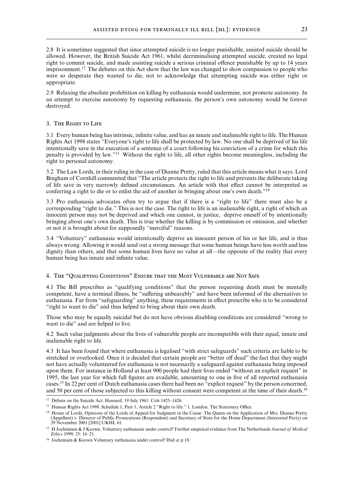2.9 Relaxing the absolute prohibition on killing by euthanasia would undermine, not promote autonomy. In an attempt to exercise autonomy by requesting euthanasia, the person's own autonomy would be forever destroyed.

#### 3. The Right to Life

3.1 Every human being has intrinsic, infinite value, and has an innate and inalienable right to life. The Human Rights Act 1998 states "Everyone's right to life shall be protected by law. No one shall be deprived of his life intentionally save in the execution of a sentence of a court following his conviction of a crime for which this penalty is provided by law."13 Without the right to life, all other rights become meaningless, including the right to personal autonomy.

3.2 The Law Lords, in their ruling in the case of Dianne Pretty, ruled that this article means what it says. Lord Bingham of Cornhill commented that "The article protects the right to life and prevents the deliberate taking of life save in very narrowly defined circumstances. An article with that effect cannot be interpreted as conferring a right to die or to enlist the aid of another in bringing about one's own death."14

3.3 Pro euthanasia advocates often try to argue that if there is a "right to life" there must also be a corresponding "right to die." This is not the case. The right to life is an inalienable right, a right of which an innocent person may not be deprived and which one cannot, in justice, deprive oneself of by intentionally bringing about one's own death. This is true whether the killing is by commission or omission, and whether or not it is brought about for supposedly "merciful" reasons.

3.4 "Voluntary" euthanasia would intentionally deprive an innocent person of his or her life, and is thus always wrong. Allowing it would send out a strong message that some human beings have less worth and less dignity than others, and that some human lives have no value at all—the opposite of the reality that every human being has innate and infinite value.

#### 4. The "Qualifying Conditions" Ensure that the Most Vulnerable are Not Safe

4.1 The Bill prescribes as "qualifying conditions" that the person requesting death must be mentally competent, have a terminal illness, be "suffering unbearably" and have been informed of the alternatives to euthanasia. Far from "safeguarding" anything, these requirements in effect prescribe who is to be considered "right to want to die" and thus helped to bring about their own death.

Those who may be equally suicidal but do not have obvious disabling conditions are considered "wrong to want to die" and are helped to live.

4.2 Such value judgments about the lives of vulnerable people are incompatible with their equal, innate and inalienable right to life.

4.3 It has been found that where euthanasia is legalised "with strict safeguards" such criteria are liable to be stretched or overlooked. Once it is decided that certain people are "better off dead" the fact that they might not have actually volunteered for euthanasia is not necessarily a safeguard against euthanasia being imposed upon them. For instance in Holland at least 900 people had their lives ended "without an explicit request" in 1995, the last year for which full figures are available, amounting to one in five of all reported euthanasia cases.15 In 22 per cent of Dutch euthanasia cases there had been no "explicit request" by the person concerned, and 50 per cent of those subjected to this killing without consent were competent at the time of their death.<sup>16</sup>

<sup>&</sup>lt;sup>12</sup> Debate on the Suicide Act. Hansard. 19 July 1961. Cols 1425-1426.

<sup>&</sup>lt;sup>13</sup> Human Rights Act 1998. Schedule 1, Part 1, Article 2 "Right to life." 1. London. The Stationery Office.

<sup>&</sup>lt;sup>14</sup> House of Lords. Opinions of the Lords of Appeal for Judgment in the Cause: The Queen on the Application of Mrs. Dianne Pretty (Appellent) v. Director of Public Prosecutions (Respondent) and Secretary of State for the Home Department (Interested Party) on 29 November 2001 [2001] UKHL 61.

<sup>15</sup> H Jochemsen & J Keown. Voluntary euthanasia under control? Further empirical evidence from The Netherlands *Journal of Medical Ethics* 1999; 25: 16–21.

<sup>16</sup> Jochemsen & Keown Voluntary euthanasia under control? Ibid at p 18.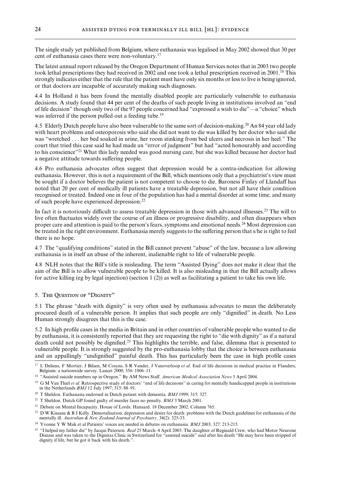The single study yet published from Belgium, where euthanasia was legalised in May 2002 showed that 30 per cent of euthanasia cases there were non-voluntary.17

The latest annual report released by the Oregon Department of Human Services notes that in 2003 two people took lethal prescriptions they had received in 2002 and one took a lethal prescription received in 2001.<sup>18</sup> This strongly indicates either that the rule that the patient must have only six months or less to live is being ignored, or that doctors are incapable of accurately making such diagnoses.

4.4 In Holland it has been found the mentally disabled people are particularly vulnerable to euthanasia decisions. A study found that 44 per cent of the deaths of such people living in institutions involved an "end of life decision" though only two of the 97 people concerned had "expressed a wish to die"—a "choice" which was inferred if the person pulled out a feeding tube.<sup>19</sup>

4.5 Elderly Dutch people have also been vulnerable to the same sort of decision-making.20 An 84 year old lady with heart problems and osteoporosis who said she did not want to die was killed by her doctor who said she was "wretched . . . her bed soaked in urine, her room stinking from bed ulcers and necrosis in her heel." The court that tried this case said he had made an "error of judgment" but had "acted honourably and according to his conscience"21 What this lady needed was good nursing care, but she was killed because her doctor had a negative attitude towards suffering people.

4.6 Pro euthanasia advocates often suggest that depression would be a contra-indication for allowing euthanasia. However, this is not a requirement of the Bill, which mentions only that a psychiatrist's view must be sought if a doctor believes the patient is not competent to choose to die. Baroness Finlay of Llandaff has noted that 20 per cent of medically ill patients have a treatable depression, but not all have their condition recognised or treated. Indeed one in four of the population has had a mental disorder at some time, and many of such people have experienced depression.22

In fact it is notoriously difficult to assess treatable depression in those with advanced illnesses.<sup>23</sup> The will to live often fluctuates widely over the course of an illness or progressive disability, and often disappears when proper care and attention is paid to the person's fears, symptoms and emotional needs.24 Most depression can be treated in the right environment. Euthanasia merely suggests to the suffering person that s/he is right to feel there is no hope.

4.7 The "qualifying conditions" stated in the Bill cannot prevent "abuse" of the law, because a law allowing euthanasia is in itself an abuse of the inherent, inalienable right to life of vulnerable people.

4.8 NLH notes that the Bill's title is misleading. The term "Assisted Dying" does not make it clear that the aim of the Bill is to allow vulnerable people to be killed. It is also misleading in that the Bill actually allows for active killing (eg by legal injection) (section 1 (2)) as well as facilitating a patient to take his own life.

#### 5. The Question of "Dignity"

5.1 The phrase "death with dignity" is very often used by euthanasia advocates to mean the deliberately procured death of a vulnerable person. It implies that such people are only "dignified" in death. No Less Human strongly disagrees that this is the case.

5.2 In high profile cases in the media in Britain and in other countries of vulnerable people who wanted to die by euthanasia, it is consistently reported that they are requesting the right to "die with dignity" as if a natural death could not possibly be dignified.25 This highlights the terrible, and false, dilemma that is presented to vulnerable people. It is strongly suggested by the pro-euthanasia lobby that the choice is between euthanasia and an appallingly "undignified" painful death. This has particularly been the case in high profile cases

<sup>17</sup> L Deliens, F Mortier, J Bilsen, M Cosyns, S R Vander, J Vanoverloop *et al*. End of life decisions in medical practice in Flanders, Belgium: a nationwide survey. Lancet 2000; 356: 1806–11.

<sup>19</sup> G M Van Thiel *et al*. Retrospective study of doctors' "end of life decisions" in caring for mentally handicapped people in institutions in the Netherlands *BMJ* 12 July 1997; 315: 88–91.

- <sup>21</sup> T Sheldon. Dutch GP found guilty of murder faces no penalty. *BMJ* 3 March 2001.
- <sup>22</sup> Debate on Mental Incapacity. House of Lords. Hansard. 18 December 2002. Column 765.

<sup>23</sup> D W Kissane & B J Kelly. Demoralisation, depression and desire for death: problems with the Dutch guidelines for euthanasia of the mentally ill. *Australian & New Zealand Journal of Psychiatry*. 34(2): 325-33.

<sup>24</sup> Yvonne Y W Mak et al Patients' voices are needed in debates on euthanasia. *BMJ* 2003; 327: 213-215.

<sup>25</sup> "I helped my father die" by Jacqui Paterson. *Real* 25 March–4 April 2003. The daughter of Reginald Crew, who had Motor Neurone Disease and was taken to the Dignitas Clinic in Switzerland for "assisted suicide" said after his death "He may have been stripped of dignity if life, but he got it back with his death.".

<sup>&</sup>lt;sup>18</sup> "Assisted suicide numbers up in Oregon." By AM News Staff. American Medical Association News 5 April 2004.

<sup>20</sup> T Sheldon. Euthanasia endorsed in Dutch patient with dementia. *BMJ* 1999; 315: 327.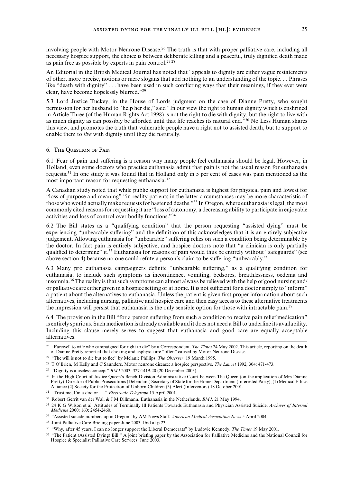involving people with Motor Neurone Disease.<sup>26</sup> The truth is that with proper palliative care, including all necessary hospice support, the choice is between deliberate killing and a peaceful, truly dignified death made as pain free as possible by experts in pain control.<sup>27,28</sup>

An Editorial in the British Medical Journal has noted that "appeals to dignity are either vague restatements of other, more precise, notions or mere slogans that add nothing to an understanding of the topic. . . Phrases like "death with dignity" . . . have been used in such conflicting ways that their meanings, if they ever were clear, have become hopelessly blurred."29

5.3 Lord Justice Tuckey, in the House of Lords judgment on the case of Dianne Pretty, who sought permission for her husband to "help her die," said "In our view the right to human dignity which is enshrined in Article Three (of the Human Rights Act 1998) is not the right to die with dignity, but the right to live with as much dignity as can possibly be afforded until that life reaches its natural end."<sup>30</sup> No Less Human shares this view, and promotes the truth that vulnerable people have a right not to assisted death, but to support to enable them to *live* with dignity until they die naturally.

#### 6. The Question of Pain

6.1 Fear of pain and suffering is a reason why many people feel euthanasia should be legal. However, in Holland, even some doctors who practice euthanasia admit that pain is not the usual reason for euthanasia requests.31 In one study it was found that in Holland only in 5 per cent of cases was pain mentioned as the most important reason for requesting euthanasia.32

A Canadian study noted that while public support for euthanasia is highest for physical pain and lowest for "loss of purpose and meaning" "in reality patients in the latter circumstances may be more characteristic of those who would actually make requests for hastened deaths."33 In Oregon, where euthanasia is legal, the most commonly cited reasons for requesting it are "loss of autonomy, a decreasing ability to participate in enjoyable activities and loss of control over bodily functions."34

6.2 The Bill states as a "qualifying condition" that the person requesting "assisted dying" must be experiencing "unbearable suffering" and the definition of this acknowledges that it is an entirely subjective judgement. Allowing euthanasia for "unbearable" suffering relies on such a condition being determinable by the doctor. In fact pain is entirely subjective, and hospice doctors note that "a clinician is only partially qualified to determine" it.<sup>35</sup> Euthanasia for reasons of pain would thus be entirely without "safeguards" (see above section 4) because no one could refute a person's claim to be suffering "unbearably."

6.3 Many pro euthanasia campaigners definite "unbearable suffering," as a qualifying condition for euthanasia, to include such symptoms as incontinence, vomiting, bedsores, breathlessness, oedema and insomnia.36 The reality is that such symptoms can almost always be relieved with the help of good nursing and/ or palliative care either given in a hospice setting or at home. It is not sufficient for a doctor simply to "inform" a patient about the alternatives to euthanasia. Unless the patient is given first proper information about such alternatives, including nursing, palliative and hospice care and then easy access to these alternative treatments the impression will persist that euthanasia is the only sensible option for those with intractable pain.37

6.4 The provision in the Bill "for a person suffering from such a condition to receive pain relief medication" is entirely spurious. Such medication is already available and it does not need a Bill to underline its availability. Including this clause merely serves to suggest that euthanasia and good care are equally acceptable alternatives.

<sup>29</sup> "Dignity is a useless concept" *BMJ* 2003; 327:1419-20 (20 December 2003).

<sup>26</sup> "Farewell to wife who campaigned for right to die" by a Correspondent. *The Times* 24 May 2002. This article, reporting on the death of Dianne Pretty reported that choking and asphyxia are "often" caused by Motor Neurone Disease.

<sup>27</sup> "The will is not to die but to flee" by Melanie Phillips. *The Observer*. 19 March 1995.

<sup>28</sup> T O'Brien, M Kelly and C Saunders. Motor neurone disease: a hospice perspective. *The Lancet* 1992; 304: 471-473.

<sup>&</sup>lt;sup>30</sup> In the High Court of Justice Queen's Bench Division Administrative Court between The Queen (on the application of Mrs Dianne Pretty) Director of Public Prosecutions (Defendant) Secretary of State for the Home Department (Interested Party), (1) Medical Ethics Alliance (2) Society for the Protection of Unborn Children (3) Alert (Intervenors) 18 October 2001.

<sup>31</sup> "Trust me, I'm a doctor . . ." *Electronic Telegraph* 15 April 2001.

<sup>32</sup> Robert Gerrit van der Wal, & J M Dillmann. Euthanasia in the Netherlands. *BMJ*. 21 May 1994.

<sup>33</sup> 24 K G Wilson et al. Attitudes of Terminally Ill Patients Towards Euthanasia and Physician Assisted Suicide. *Archives of Internal Medicine* 2000; 160: 2454-2460.

<sup>&</sup>lt;sup>34</sup> "Assisted suicide numbers up in Oregon" by AM News Staff. *American Medical Association News* 5 April 2004.

<sup>35</sup> Joint Palliative Care Briefing paper June 2003. Ibid at p 23.

<sup>36</sup> "Why, after 45 years, I can no longer support the Liberal Democrats" by Ludovic Kennedy. *The Times* 19 May 2001.

<sup>&</sup>lt;sup>37</sup> "The Patient (Assisted Dying) Bill." A joint briefing paper by the Association for Palliative Medicine and the National Council for Hospice & Specialist Palliative Care Services. June 2003.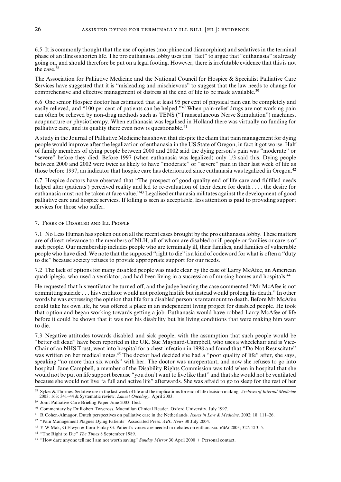6.5 It is commonly thought that the use of opiates (morphine and diamorphine) and sedatives in the terminal phase of an illness shorten life. The pro euthanasia lobby uses this "fact" to argue that "euthanasia" is already going on, and should therefore be put on a legal footing. However, there is irrefutable evidence that this is not the case.38

The Association for Palliative Medicine and the National Council for Hospice & Specialist Palliative Care Services have suggested that it is "misleading and mischievous" to suggest that the law needs to change for comprehensive and effective management of distress at the end of life to be made available.<sup>39</sup>

6.6 One senior Hospice doctor has estimated that at least 95 per cent of physical pain can be completely and easily relieved, and "100 per cent of patients can be helped."<sup>40</sup> When pain-relief drugs are not working pain can often be relieved by non-drug methods such as TENS ("Transcutaneous Nerve Stimulation") machines, acupuncture or physiotherapy. When euthanasia was legalised in Holland there was virtually no funding for palliative care, and its quality there even now is questionable.<sup>41</sup>

A study in the Journal of Palliative Medicine has shown that despite the claim that pain management for dying people would improve after the legalization of euthanasia in the US State of Oregon, in fact it got worse. Half of family members of dying people between 2000 and 2002 said the dying person's pain was "moderate" or "severe" before they died. Before 1997 (when euthanasia was legalized) only 1/3 said this. Dying people between 2000 and 2002 were twice as likely to have "moderate" or "severe" pain in their last week of life as those before 1997, an indicator that hospice care has deteriorated since euthanasia was legalized in Oregon.42

6.7 Hospice doctors have observed that "The prospect of good quality end of life care and fulfilled needs helped alter (patients') perceived reality and led to re-evaluation of their desire for death . . . . the desire for euthanasia must not be taken at face value."43 Legalised euthanasia militates against the development of good palliative care and hospice services. If killing is seen as acceptable, less attention is paid to providing support services for those who suffer.

#### 7. Fears of Disabled and Ill People

7.1 No Less Human has spoken out on all the recent cases brought by the pro euthanasia lobby. These matters are of direct relevance to the members of NLH, all of whom are disabled or ill people or families or carers of such people. Our membership includes people who are terminally ill, their families, and families of vulnerable people who have died. We note that the supposed "right to die" is a kind of codeword for what is often a "duty to die" because society refuses to provide appropriate support for our needs.

7.2 The lack of options for many disabled people was made clear by the case of Larry McAfee, an American quadriplegic, who used a ventilator, and had been living in a succession of nursing homes and hospitals.<sup>44</sup>

He requested that his ventilator be turned off, and the judge hearing the case commented "Mr McAfee is not committing suicide . . . his ventilator would not prolong his life but instead would prolong his death." In other words he was expressing the opinion that life for a disabled person is tantamount to death. Before Mr McAfee could take his own life, he was offered a place in an independent living project for disabled people. He took that option and began working towards getting a job. Euthanasia would have robbed Larry McAfee of life before it could be shown that it was not his disability but his living conditions that were making him want to die.

7.3 Negative attitudes towards disabled and sick people, with the assumption that such people would be "better off dead" have been reported in the UK. Sue Maynard-Campbell, who uses a wheelchair and is Vice-Chair of an NHS Trust, went into hospital for a chest infection in 1998 and found that "Do Not Resuscitate" was written on her medical notes.<sup>45</sup> The doctor had decided she had a "poor quality of life" after, she says, speaking "no more than six words" with her. The doctor was unrepentant, and now she refuses to go into hospital. Jane Campbell, a member of the Disability Rights Commission was told when in hospital that she would not be put on life support because "you don't want to live like that" and that she would not be ventilated because she would not live "a full and active life" afterwards. She was afraid to go to sleep for the rest of her

<sup>38</sup> Sykes & Thornes. Sedative use in the last week of life and the implications for end of life decision making. *Archives of Internal Medicine* 2003: 163: 341–44 & Systematic review. *Lancet Oncology*. April 2003.

<sup>39</sup> Joint Palliative Care Briefing Paper June 2003. Ibid.

<sup>40</sup> Commentary by Dr Robert Twycross, Macmillan Clinical Reader, Oxford University. July 1997.

<sup>41</sup> R Cohen-Almagor. Dutch perspectives on palliative care in the Netherlands. *Issues in Law & Medicine*. 2002; 18: 111–26.

<sup>42</sup> "Pain Management Plagues Dying Patients" Associated Press. *ABC News* 30 July 2004.

<sup>43</sup> Y W Mak, G Elwyn & Ilora Finlay G. Patient's voices are needed in debates on euthanasia. *BMJ* 2003; 327: 213–5.

<sup>44</sup> "The Right to Die" *The Times* 8 September 1989.

<sup>&</sup>lt;sup>45</sup> "How dare anyone tell me I am not worth saving" *Sunday Mirror* 30 April 2000 + Personal contact.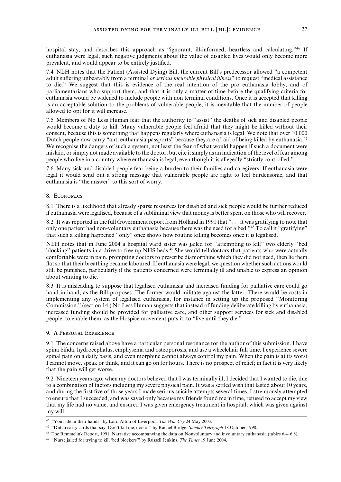hospital stay, and describes this approach as "ignorant, ill-informed, heartless and calculating."<sup>46</sup> If euthanasia were legal, such negative judgments about the value of disabled lives would only become more prevalent, and would appear to be entirely justified.

7.4 NLH notes that the Patient (Assisted Dying) Bill, the current Bill's predecessor allowed "a competent adult suffering unbearably from a terminal *or serious incurable physical illness*" to request "medical assistance to die." We suggest that this is evidence of the real intention of the pro euthanasia lobby, and of parliamentarians who support them, and that it is only a matter of time before the qualifying criteria for euthanasia would be widened to include people with non terminal conditions. Once it is accepted that killing is an acceptable solution to the problems of vulnerable people, it is inevitable that the number of people allowed to opt for it will increase.

7.5 Members of No Less Human fear that the authority to "assist" the deaths of sick and disabled people would become a duty to kill. Many vulnerable people feel afraid that they might be killed without their consent, because this is something that happens regularly where euthanasia is legal. We note that over 10,000 Dutch people now carry "anti euthanasia passports" because they are afraid of being killed by euthanasia.<sup>47</sup> We recognise the dangers of such a system, not least the fear of what would happen if such a document were mislaid, or simply not made available to the doctor, but cite it simply as an indication of the level of fear among people who live in a country where euthanasia is legal, even though it is allegedly "strictly controlled."

7.6 Many sick and disabled people fear being a burden to their families and caregivers. If euthanasia were legal it would send out a strong message that vulnerable people are right to feel burdensome, and that euthanasia is "the answer" to this sort of worry.

#### 8. Economics

8.1 There is a likelihood that already sparse resources for disabled and sick people would be further reduced if euthanasia were legalised, because of a subliminal view that money is better spent on those who will recover.

8.2 It was reported in the full Government report from Holland in 1991 that ". . . it was gratifying to note that only one patient had non-voluntary euthanasia because there was the need for a bed."48 To call it "gratifying" that such a killing happened "only" once shows how routine killing becomes once it is legalised.

NLH notes that in June 2004 a hospital ward sister was jailed for "attempting to kill" two elderly "bed blocking" patients in a drive to free up NHS beds.<sup>49</sup> She would tell doctors that patients who were actually comfortable were in pain, prompting doctors to prescribe diamorphine which they did not need, then lie them flat so that their breathing became laboured. If euthanasia were legal, we question whether such actions would still be punished, particularly if the patients concerned were terminally ill and unable to express an opinion about wanting to die.

8.3 It is misleading to suppose that legalised euthanasia and increased funding for palliative care could go hand in hand, as the Bill proposes. The former would militate against the latter. There would be costs in implementing any system of legalised euthanasia, for instance in setting up the proposed "Monitoring Commission." (section 14.) No Less Human suggests that instead of funding deliberate killing by euthanasia, increased funding should be provided for palliative care, and other support services for sick and disabled people, to enable them, as the Hospice movement puts it, to "live until they die."

#### 9. A Personal Experience

9.1 The concerns raised above have a particular personal resonance for the author of this submission. I have spina bifida, hydrocephalus, emphysema and osteoporosis, and use a wheelchair full time. I experience severe spinal pain on a daily basis, and even morphine cannot always control my pain. When the pain is at its worst I cannot move, speak or think, and it can go on for hours. There is no prospect of relief; in fact it is very likely that the pain will get worse.

9.2 Nineteen years ago, when my doctors believed that I was terminally ill, I decided that I wanted to die, due to a combination of factors including my severe physical pain. It was a settled wish that lasted about 10 years, and during the first five of those years I made serious suicide attempts several times. I strenuously attempted to ensure that I succeeded, and was saved only because my friends found me in time, refused to accept my view that my life had no value, and ensured I was given emergency treatment in hospital, which was given against my will.

<sup>46</sup> "Your life in their hands" by Lord Alton of Liverpool. *The War Cry* 24 May 2003.

<sup>47</sup> "Dutch carry cards that say: Don't kill me, doctor" by Rachel Bridge. *Sunday Telegraph* 18 October 1998.

<sup>48</sup> The Remmelink Report, 1991. Narrative accompanying the data on Nonvoluntary and involuntary euthanasia (tables 6.4–6.8).

<sup>49</sup> "Nurse jailed for trying to kill 'bed blockers'" by Russell Jenkins. *The Times* 19 June 2004.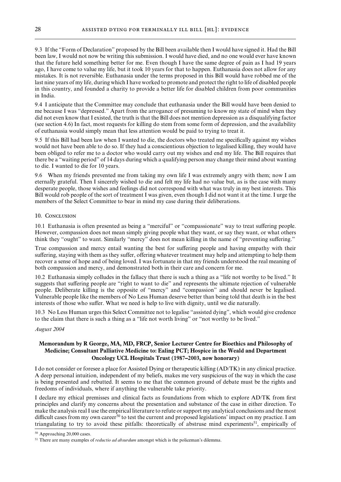9.3 If the "Form of Declaration" proposed by the Bill been available then I would have signed it. Had the Bill been law, I would not now be writing this submission. I would have died, and no one would ever have known that the future held something better for me. Even though I have the same degree of pain as I had 19 years ago, I have come to value my life, but it took 10 years for that to happen. Euthanasia does not allow for any mistakes. It is not reversible. Euthanasia under the terms proposed in this Bill would have robbed me of the last nine years of my life, during which I have worked to promote and protect the right to life of disabled people in this country, and founded a charity to provide a better life for disabled children from poor communities in India.

9.4 I anticipate that the Committee may conclude that euthanasia under the Bill would have been denied to me because I was "depressed." Apart from the arrogance of presuming to know my state of mind when they did not even know that I existed, the truth is that the Bill does not mention depression as a disqualifying factor (see section 4.6) In fact, most requests for killing do stem from some form of depression, and the availability of euthanasia would simply mean that less attention would be paid to trying to treat it.

9.5 If this Bill had been law when I wanted to die, the doctors who treated me specifically against my wishes would not have been able to do so. If they had a conscientious objection to legalised killing, they would have been obliged to refer me to a doctor who would carry out my wishes and end my life. The Bill requires that there be a "waiting period" of 14 days during which a qualifying person may change their mind about wanting to die. I wanted to die for 10 years.

9.6 When my friends prevented me from taking my own life I was extremely angry with them; now I am eternally grateful. Then I sincerely wished to die and felt my life had no value but, as is the case with many desperate people, those wishes and feelings did not correspond with what was truly in my best interests. This Bill would rob people of the sort of treatment I was given, even though I did not want it at the time. I urge the members of the Select Committee to bear in mind my case during their deliberations.

#### 10. CONCLUSION

10.1 Euthanasia is often presented as being a "merciful" or "compassionate" way to treat suffering people. However, compassion does not mean simply giving people what they want, or say they want, or what others think they "ought" to want. Similarly "mercy" does not mean killing in the name of "preventing suffering."

True compassion and mercy entail wanting the best for suffering people and having empathy with their suffering, staying with them as they suffer, offering whatever treatment may help and attempting to help them recover a sense of hope and of being loved. I was fortunate in that my friends understood the real meaning of both compassion and mercy, and demonstrated both in their care and concern for me.

10.2 Euthanasia simply colludes in the fallacy that there is such a thing as a "life not worthy to be lived." It suggests that suffering people are "right to want to die" and represents the ultimate rejection of vulnerable people. Deliberate killing is the opposite of "mercy" and "compassion" and should never be legalised. Vulnerable people like the members of No Less Human deserve better than being told that death is in the best interests of those who suffer. What we need is help to live with dignity, until we die naturally.

10.3 No Less Human urges this Select Committee not to legalise "assisted dying", which would give credence to the claim that there is such a thing as a "life not worth living" or "not worthy to be lived."

#### *August 2004*

#### **Memorandum by R George, MA, MD, FRCP, Senior Lecturer Centre for Bioethics and Philosophy of Medicine; Consultant Palliative Medicine to: Ealing PCT; Hospice in the Weald and Department Oncology UCL Hospitals Trust (1987–2003, now honorary)**

I do not consider or foresee a place for Assisted Dying or therapeutic killing (AD/TK) in any clinical practice. A deep personal intuition, independent of my beliefs, makes me very suspicious of the way in which the case is being presented and rebutted. It seems to me that the common ground of debate must be the rights and freedoms of individuals, where if anything the vulnerable take priority.

I declare my ethical premisses and clinical facts as foundations from which to explore AD/TK from first principles and clarify my concerns about the presentation and substance of the case in either direction. To make the analysis real I use the empirical literature to refute or support my analytical conclusions and the most difficult cases from my own career<sup>50</sup> to test the current and proposed legislations' impact on my practice. I am triangulating to try to avoid these pitfalls: theoretically of abstruse mind experiments<sup>51</sup>, empirically of

<sup>50</sup> Approaching 20,000 cases.

<sup>51</sup> There are many examples of *reductio ad absurdum* amongst which is the policeman's dilemma.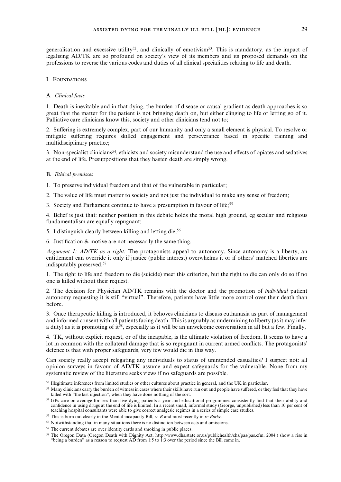generalisation and excessive utility<sup>52</sup>, and clinically of emotivism<sup>53</sup>. This is mandatory, as the impact of legalising AD/TK are so profound on society's view of its members and its proposed demands on the professions to reverse the various codes and duties of all clinical specialities relating to life and death.

#### I. Foundations

#### A. *Clinical facts*

1. Death is inevitable and in that dying, the burden of disease or causal gradient as death approaches is so great that the matter for the patient is not bringing death on, but either clinging to life or letting go of it. Palliative care clinicians know this, society and other clinicians tend not to;

2. Suffering is extremely complex, part of our humanity and only a small element is physical. To resolve or mitigate suffering requires skilled engagement and perseverance based in specific training and multidisciplinary practice;

3. Non-specialist clinicians<sup>54</sup>, ethicists and society misunderstand the use and effects of opiates and sedatives at the end of life. Presuppositions that they hasten death are simply wrong.

#### B. *Ethical premisses*

1. To preserve individual freedom and that of the vulnerable in particular;

2. The value of life must matter to society and not just the individual to make any sense of freedom;

3. Society and Parliament continue to have a presumption in favour of life;<sup>55</sup>

4. Belief is just that: neither position in this debate holds the moral high ground, eg secular and religious fundamentalism are equally repugnant;

5. I distinguish clearly between killing and letting die;<sup>56</sup>

6. Justification & motive are not necessarily the same thing.

*Argument 1: AD/TK as a right:* The protagonists appeal to autonomy. Since autonomy is a liberty, an entitlement can override it only if justice (public interest) overwhelms it or if others' matched liberties are indisputably preserved.57

1. The right to life and freedom to die (suicide) meet this criterion, but the right to die can only do so if no one is killed without their request.

2. The decision for Physician AD/TK remains with the doctor and the promotion of *individual* patient autonomy requesting it is still "virtual". Therefore, patients have little more control over their death than before.

3. Once therapeutic killing is introduced, it behoves clinicians to discuss euthanasia as part of management and informed consent with all patients facing death. This is arguably as undermining to liberty (as it may infer a duty) as it is promoting of it<sup>58</sup>, especially as it will be an unwelcome conversation in all but a few. Finally,

4. TK, without explicit request, or of the incapable, is the ultimate violation of freedom. It seems to have a lot in common with the collateral damage that is so repugnant in current armed conflicts. The protagonists' defence is that with proper safeguards, very few would die in this way.

Can society really accept relegating any individuals to status of unintended casualties? I suspect not: all opinion surveys in favour of AD/TK assume and expect safeguards for the vulnerable. None from my systematic review of the literature seeks views if no safeguards are possible.

<sup>&</sup>lt;sup>52</sup> Illegitimate inferences from limited studies or other cultures about practice in general, and the UK in particular.

<sup>&</sup>lt;sup>53</sup> Many clinicians carry the burden of witness in cases where their skills have run out and people have suffered, or they feel that they have killed with "the last injection", when they have done nothing of the sort.

<sup>&</sup>lt;sup>54</sup> GPs care on average for less than five dying patients a year and educational programmes consistently find that their ability and confidence in using drugs at the end of life is limited. In a recent small, informal study (George, unpublished) less than 10 per cent of teaching hospital consultants were able to give correct analgesic regimes in a series of simple case studies.

<sup>55</sup> This is born out clearly in the Mental incapacity Bill, *re R* and most recently in *re Burke*.

<sup>56</sup> Notwithstanding that in many situations there is no distinction between acts and omissions.

<sup>&</sup>lt;sup>57</sup> The current debates are over identity cards and smoking in public places.

<sup>58</sup> The Oregon Data (Oregon Death with Dignity Act. http://www.dhs.state.or.us/publichealth/chs/pas/pas.cfm. 2004.) show a rise in "being a burden" as a reason to request  $AD$  from 1:5 to 1:3 over the period since the Bill came in.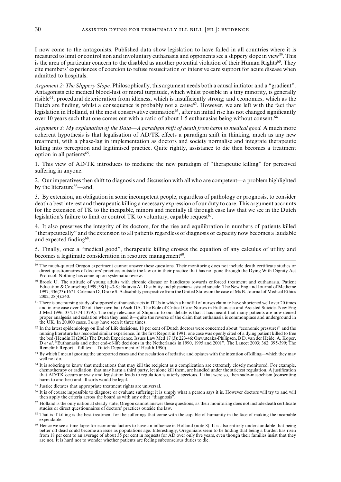I now come to the antagonists. Published data show legislation to have failed in all countries where it is measured to limit or control non and involuntary euthanasia and opponents see a slippery slope in view59. This is the area of particular concern to the disabled as another potential violation of their Human Rights<sup>60</sup>. They cite members' experiences of coercion to refuse resuscitation or intensive care support for acute disease when admitted to hospitals.

*Argument 2: The Slippery Slope.* Philosophically, this argument needs both a causal initiator and a "gradient". Antagonists cite medical blood-lust or moral turpitude, which whilst possible in a tiny minority, is generally risible<sup>61</sup>; procedural deterioration from idleness, which is insufficiently strong; and economics, which as the Dutch are finding, whilst a consequence is probably not a cause<sup>62</sup>. However, we are left with the fact that legislation in Holland, at the most conservative estimation<sup>63</sup>, after an initial rise has not changed significantly over 10 years such that one comes out with a ratio of about 1:5 euthanasias being without consent.<sup>64</sup>

*Argument 3: My explanation of the Data—A paradigm shift of death from harm to medical good.* A much more coherent hypothesis is that legalisation of AD/TK effects a paradigm shift in thinking, much as any new treatment, with a phase-lag in implementation as doctors and society normalise and integrate therapeutic killing into perception and legitimised practice. Quite rightly, assistance to die then becomes a treatment option in all patients<sup>65</sup>.

1. This view of AD/TK introduces to medicine the new paradigm of "therapeutic killing" for perceived suffering in anyone.

2. Our imperatives then shift to diagnosis and discussion with all who are competent—a problem highlighted by the literature<sup>66</sup>—and,

3. By extension, an obligation in some incompetent people, regardless of pathology or prognosis, to consider death a best interest and therapeutic killing a necessary expression of our duty to care. This argument accounts for the extension of TK to the incapable, minors and mentally ill through case law that we see in the Dutch legislation's failure to limit or control TK to voluntary, capable request<sup>67</sup>.

4. It also preserves the integrity of its doctors, for the rise and equilibration in numbers of patients killed "therapeutically" and the extension to all patients regardless of diagnosis or capacity now becomes a laudable and expected finding68.

5. Finally, once a "medical good", therapeutic killing crosses the equation of any calculus of utility and becomes a legitimate consideration in resource management<sup>69</sup>.

- <sup>59</sup> The much-quoted Oregon experiment cannot answer these questions. Their monitoring does not include death certificate studies or direct questionnaires of doctors' practices outside the law or in their practice that has not gone through the Dying With Dignity Act Protocol. Nothing has come up on systematic review.
- <sup>60</sup> Brook U. The attitude of young adults with chronic disease or handicaps towards enforced treatment and euthanasia. Patient Education & Counseling 1999; 38(1):43-8.; Batavia Al. Disability and physician-assisted suicide. The New England Journal of Medicine 1997; 336(23):1671. Coleman D, Drake S. A disability perspective from the United States on the case of Ms B. Journal of Medical Ethics 2002; 28(4):240.
- <sup>61</sup> There is one nursing study of supposed euthanastic acts in ITUs in which a handful of nurses claim to have shortened well over 20 times and in one case over 100 off their own bat (Asch DA. The Role of Critical Care Nurses in Euthanasia and Assisted Suicide. New Eng J Med 1996; 334:1374-1379.). The only relevance of Shipman to our debate is that it has meant that many patients are now denied proper analgesia and sedation when they need it—quite the reverse of the claim that euthanasia is commonplace and underground in the UK. In 20,000 cases, I *may* have seen it three times.
- <sup>62</sup> In the latest epidemiology on End of Life decisions, 18 per cent of Dutch doctors were concerned about "economic pressures" and the nursing literature has recorded similar experience. In the first Report in 1991, one case was openly cited of a dying patient killed to free the bed (Hendin H (2002) The Dutch Experience. Issues Law Med 17 (3): 223-46; Onwuteaka-Philipsen, B D, van der Heide, A, Koper, D *et al*, "Euthanasia and other end-of-life decisions in the Netherlands in 1990, 1995 and 2001", The Lancet 2003; 362: 395-399; The Remelink Report—full text—Dutch Department of Health 1990).
- $63$  By which I mean ignoring the unreported cases and the escalation of sedative and opiates with the intention of killing—which they may well not do.
- <sup>64</sup> It is sobering to know that medications that may kill the recipient as a complication are extremely closely monitored. For example, chemotherapy or radiation, that may harm a third party, let alone kill them, are handled under the strictest regulation. A justification that AD/TK occurs anyway and legislation leads to regulation is utterly specious. If that were so, then sado-masochism (consenting harm to another) and all sorts would be legal.
- <sup>65</sup> Justice dictates that appropriate treatment rights are universal.
- <sup>66</sup> It is of course impossible to diagnose or evaluate suffering: it is simply what a person says it is. However doctors will try to and will then apply the criteria across the board as with any other "diagnosis".
- $67$  Holland is the only nation at steady state; Oregon cannot answer these questions, as their monitoring does not include death certificate studies or direct questionnaires of doctors' practices outside the law.
- <sup>68</sup> That is if killing is the best treatment for the sufferings that come with the capable of humanity in the face of making the incapable expendable.
- <sup>69</sup> Hence we see a time lapse for economic factors to have an influence in Holland (note 8). It is also entirely understandable that being better off dead could become an issue as populations age. Interestingly, Oregonians seem to be finding that being a burden has risen from 18 per cent to an average of about 35 per cent in requests for AD over only five years, even though their families insist that they are not. It is hard not to wonder whether patients are feeling subconscious duties to die.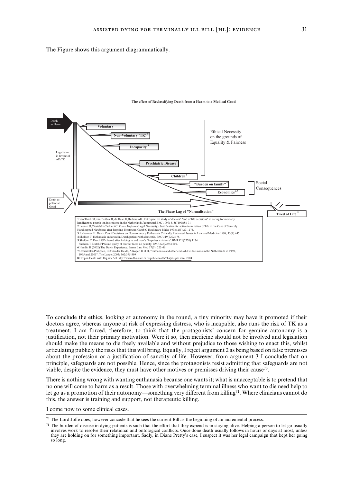The Figure shows this argument diagrammatically.



#### **The effect of Reclassifying Death from a Harm to a Medical Good**

To conclude the ethics, looking at autonomy in the round, a tiny minority may have it promoted if their doctors agree, whereas anyone at risk of expressing distress, who is incapable, also runs the risk of TK as a treatment. I am forced, therefore, to think that the protagonists' concern for genuine autonomy is a justification, not their primary motivation. Were it so, then medicine should not be involved and legislation should make the means to die freely available and without prejudice to those wishing to enact this, whilst articulating publicly the risks that this will bring. Equally, I reject argument 2 as being based on false premisses about the profession or a justification of sanctity of life. However, from argument 3 I conclude that on principle, safeguards are not possible. Hence, since the protagonists resist admitting that safeguards are not viable, despite the evidence, they must have other motives or premisses driving their cause<sup>70</sup>.

There is nothing wrong with wanting euthanasia because one wants it; what is unacceptable is to pretend that no one will come to harm as a result. Those with overwhelming terminal illness who want to die need help to let go as a promotion of their autonomy—something very different from killing<sup>71</sup>. Where clinicians cannot do this, the answer is training and support, not therapeutic killing.

I come now to some clinical cases.

 $70$  The Lord Joffe does, however concede that he sees the current Bill as the beginning of an incremental process.

 $71$  The burden of disease in dying patients is such that the effort that they expend is in staying alive. Helping a person to let go usually involves work to resolve their relational and ontological conflicts. Once done death usually follows in hours or days at most, unless they are holding on for something important. Sadly, in Diane Pretty's case, I suspect it was her legal campaign that kept her going so long.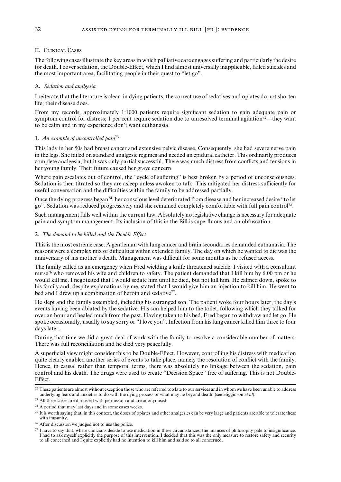#### II. CLINICAL CASES

The following cases illustrate the key areas in which palliative care engages suffering and particularly the desire for death. I cover sedation, the Double-Effect, which I find almost universally inapplicable, failed suicides and the most important area, facilitating people in their quest to "let go".

#### A. *Sedation and analgesia*

I reiterate that the literature is clear: in dying patients, the correct use of sedatives and opiates do not shorten life; their disease does.

From my records, approximately 1:1000 patients require significant sedation to gain adequate pain or symptom control for distress; 1 per cent require sedation due to unresolved terminal agitation<sup>72</sup>—they want to be calm and in my experience don't want euthanasia.

#### 1. *An example of uncontrolled pain*<sup>73</sup>

This lady in her 50s had breast cancer and extensive pelvic disease. Consequently, she had severe nerve pain in the legs. She failed on standard analgesic regimes and needed an epidural catheter. This ordinarily produces complete analgesia, but it was only partial successful. There was much distress from conflicts and tensions in her young family. Their future caused her grave concern.

Where pain escalates out of control, the "cycle of suffering" is best broken by a period of unconsciousness. Sedation is then titrated so they are asleep unless awoken to talk. This mitigated her distress sufficiently for useful conversation and the difficulties within the family to be addressed partially.

Once the dying progress began<sup>74</sup>, her conscious level deteriorated from disease and her increased desire "to let go". Sedation was reduced progressively and she remained completely comfortable with full pain control<sup>75</sup>.

Such management falls well within the current law. Absolutely no legislative change is necessary for adequate pain and symptom management. Its inclusion of this in the Bill is superfluous and an obfuscation.

#### 2. *The demand to be killed and the Double Effect*

This is the most extreme case. A gentleman with lung cancer and brain secondaries demanded euthanasia. The reasons were a complex mix of difficulties within extended family. The day on which he wanted to die was the anniversary of his mother's death. Management was difficult for some months as he refused access.

The family called as an emergency when Fred wielding a knife threatened suicide. I visited with a consultant nurse<sup>76</sup> who removed his wife and children to safety. The patient demanded that I kill him by 6.00 pm or he would kill me. I negotiated that I would sedate him until he died, but not kill him. He calmed down, spoke to his family and, despite explanations by me, stated that I would give him an injection to kill him. He went to bed and I drew up a combination of heroin and sedative<sup>77</sup>.

He slept and the family assembled, including his estranged son. The patient woke four hours later, the day's events having been ablated by the sedative. His son helped him to the toilet, following which they talked for over an hour and healed much from the past. Having taken to his bed, Fred began to withdraw and let go. He spoke occasionally, usually to say sorry or "I love you". Infection from his lung cancer killed him three to four days later.

During that time we did a great deal of work with the family to resolve a considerable number of matters. There was full reconciliation and he died very peacefully.

A superficial view might consider this to be Double-Effect. However, controlling his distress with medication quite clearly enabled another series of events to take place, namely the resolution of conflict with the family. Hence, in causal rather than temporal terms, there was absolutely no linkage between the sedation, pain control and his death. The drugs were used to create "Decision Space" free of suffering. This is not Double-Effect.

 $72$  These patients are almost without exception those who are referred too late to our services and in whom we have been unable to address underlying fears and anxieties to do with the dying process or what may lie beyond death. (see Higginson *et al*).

<sup>73</sup> All these cases are discussed with permission and are anonymised.

<sup>74</sup> A period that may last days and in some cases weeks.

<sup>&</sup>lt;sup>75</sup> It is worth saying that, in this context, the doses of opiates and other analgesics can be very large and patients are able to tolerate these with impunity.

<sup>76</sup> After discussion we judged not to use the police.

 $77$  I have to say that, where clinicians decide to use medication in these circumstances, the nuances of philosophy pale to insignificance. I had to ask myself explicitly the purpose of this intervention. I decided that this was the only measure to restore safety and security to all concerned and I quite explicitly had no intention to kill him and said so to all concerned.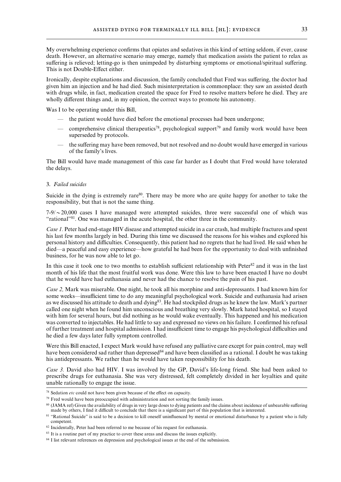My overwhelming experience confirms that opiates and sedatives in this kind of setting seldom, if ever, cause death. However, an alternative scenario may emerge, namely that medication assists the patient to relax as suffering is relieved; letting-go is then unimpeded by disturbing symptoms or emotional/spiritual suffering. This is not Double-Effect either.

Ironically, despite explanations and discussion, the family concluded that Fred was suffering, the doctor had given him an injection and he had died. Such misinterpretation is commonplace: they saw an assisted death with drugs while, in fact, medication created the space for Fred to resolve matters before he died. They are wholly different things and, in my opinion, the correct ways to promote his autonomy.

Was I to be operating under this Bill,

- the patient would have died before the emotional processes had been undergone;
- comprehensive clinical therapeutics<sup>78</sup>, psychological support<sup>79</sup> and family work would have been superseded by protocols.
- $-$  the suffering may have been removed, but not resolved and no doubt would have emerged in various of the family's lives.

The Bill would have made management of this case far harder as I doubt that Fred would have tolerated the delays.

## 3. *Failed suicides*

Suicide in the dying is extremely rare<sup>80</sup>. There may be more who are quite happy for another to take the responsibility, but that is not the same thing.

 $7-9/20,000$  cases I have managed were attempted suicides, three were successful one of which was "rational"81. One was managed in the acute hospital, the other three in the community.

*Case 1.* Peter had end-stage HIV disease and attempted suicide in a car crash, had multiple fractures and spent his last few months largely in bed. During this time we discussed the reasons for his wishes and explored his personal history and difficulties. Consequently, this patient had no regrets that he had lived. He said when he died—a peaceful and easy experience—how grateful he had been for the opportunity to deal with unfinished business, for he was now able to let go.

In this case it took one to two months to establish sufficient relationship with Peter<sup>82</sup> and it was in the last month of his life that the most fruitful work was done. Were this law to have been enacted I have no doubt that he would have had euthanasia and never had the chance to resolve the pain of his past.

*Case 2,* Mark was miserable. One night, he took all his morphine and anti-depressants. I had known him for some weeks—insufficient time to do any meaningful psychological work. Suicide and euthanasia had arisen as we discussed his attitude to death and dying<sup>83</sup>. He had stockpiled drugs as he knew the law. Mark's partner called one night when he found him unconscious and breathing very slowly. Mark hated hospital, so I stayed with him for several hours, but did nothing as he would wake eventually. This happened and his medication was converted to injectables. He had little to say and expressed no views on his failure. I confirmed his refusal of further treatment and hospital admission. I had insufficient time to engage his psychological difficulties and he died a few days later fully symptom controlled.

Were this Bill enacted, I expect Mark would have refused any palliative care except for pain control, may well have been considered sad rather than depressed<sup>84</sup> and have been classified as a rational. I doubt he was taking his antidepressants. We rather than he would have taken responsibility for his death.

*Case 3.* David also had HIV. I was involved by the GP, David's life-long friend. She had been asked to prescribe drugs for euthanasia. She was very distressed, felt completely divided in her loyalties and quite unable rationally to engage the issue.

<sup>&</sup>lt;sup>78</sup> Sedation *etc* could not have been given because of the effect on capacity.

<sup>79</sup> Fred would have been preoccupied with administration and not sorting the family issues.

<sup>80 (</sup>JAMA ref) Given the availability of drugs in very large doses to dying patients and the claims about incidence of unbearable suffering made by others, I find it difficult to conclude that there is a significant part of this population that is interested.

<sup>81 &</sup>quot;Rational Suicide" is said to be a decision to kill oneself uninfluenced by mental or emotional disturbance by a patient who is fully competent.

<sup>82</sup> Incidentally, Peter had been referred to me because of his request for euthanasia.

<sup>83</sup> It is a routine part of my practice to cover these areas and discuss the issues explicitly.

<sup>&</sup>lt;sup>84</sup> I list relevant references on depression and psychological issues at the end of the submission.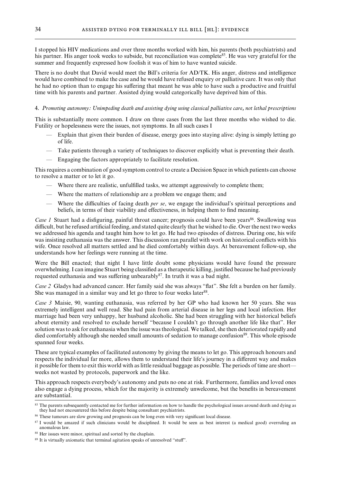I stopped his HIV medications and over three months worked with him, his parents (both psychiatrists) and his partner. His anger took weeks to subside, but reconciliation was complete<sup>85</sup>. He was very grateful for the summer and frequently expressed how foolish it was of him to have wanted suicide.

There is no doubt that David would meet the Bill's criteria for AD/TK. His anger, distress and intelligence would have combined to make the case and he would have refused enquiry or palliative care. It was only that he had no option than to engage his suffering that meant he was able to have such a productive and fruitful time with his parents and partner. Assisted dying would categorically have deprived him of this.

### 4. *Promoting autonomy: Unimpeding death and assisting dying using classical palliative care, not lethal prescriptions*

This is substantially more common. I draw on three cases from the last three months who wished to die. Futility or hopelessness were the issues, not symptoms. In all such cases I

- Explain that given their burden of disease, energy goes into staying alive: dying is simply letting go of life.
- Take patients through a variety of techniques to discover explicitly what is preventing their death.
- Engaging the factors appropriately to facilitate resolution.

This requires a combination of good symptom control to create a Decision Space in which patients can choose to resolve a matter or to let it go.

- Where there are realistic, unfulfilled tasks, we attempt aggressively to complete them;
- Where the matters of relationship are a problem we engage them; and
- Where the difficulties of facing death *per se*, we engage the individual's spiritual perceptions and beliefs, in terms of their viability and effectiveness, in helping them to find meaning.

*Case 1* Stuart had a disfiguring, painful throat cancer; prognosis could have been years<sup>86</sup>. Swallowing was difficult, but he refused artificial feeding, and stated quite clearly that he wished to die. Over the next two weeks we addressed his agenda and taught him how to let go. He had two episodes of distress. During one, his wife was insisting euthanasia was the answer. This discussion ran parallel with work on historical conflicts with his wife. Once resolved all matters settled and he died comfortably within days. At bereavement follow-up, she understands how her feelings were running at the time.

Were the Bill enacted; that night I have little doubt some physicians would have found the pressure overwhelming. I can imagine Stuart being classified as a therapeutic killing, justified because he had previously requested euthanasia and was suffering unbearably  $87$ . In truth it was a bad night.

*Case 2* Gladys had advanced cancer. Her family said she was always "flat". She felt a burden on her family. She was managed in a similar way and let go three to four weeks later<sup>88</sup>.

*Case 3* Maisie, 90, wanting euthanasia, was referred by her GP who had known her 50 years. She was extremely intelligent and well read. She had pain from arterial disease in her legs and local infection. Her marriage had been very unhappy, her husband alcoholic. She had been struggling with her historical beliefs about eternity and resolved to exclude herself "because I couldn't go through another life like that". Her solution was to ask for euthanasia when the issue was theological. We talked, she then deteriorated rapidly and died comfortably although she needed small amounts of sedation to manage confusion<sup>89</sup>. This whole episode spanned four weeks.

These are typical examples of facilitated autonomy by giving the means to let go. This approach honours and respects the individual far more, allows them to understand their life's journey in a different way and makes it possible for them to exit this world with as little residual baggage as possible. The periods of time are short weeks not wasted by protocols, paperwork and the like.

This approach respects everybody's autonomy and puts no one at risk. Furthermore, families and loved ones also engage a dying process, which for the majority is extremely unwelcome, but the benefits in bereavement are substantial.

<sup>&</sup>lt;sup>85</sup> The parents subsequently contacted me for further information on how to handle the psychological issues around death and dying as they had not encountered this before despite being consultant psychiatrists.

<sup>86</sup> These tumours are slow growing and prognosis can be long even with very significant local disease.

<sup>87</sup> I would be amazed if such clinicians would be disciplined. It would be seen as best interest (a medical good) overruling an anomalous law.

<sup>88</sup> Her issues were minor, spiritual and sorted by the chaplain.

<sup>&</sup>lt;sup>89</sup> It is virtually axiomatic that terminal agitation speaks of unresolved "stuff".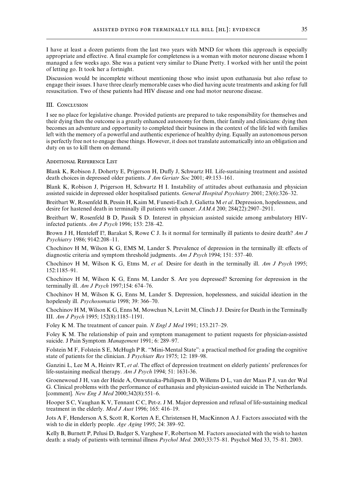I have at least a dozen patients from the last two years with MND for whom this approach is especially appropriate and effective. A final example for completeness is a woman with motor neurone disease whom I managed a few weeks ago. She was a patient very similar to Diane Pretty. I worked with her until the point of letting go. It took her a fortnight.

Discussion would be incomplete without mentioning those who insist upon euthanasia but also refuse to engage their issues. I have three clearly memorable cases who died having acute treatments and asking for full resuscitation. Two of these patients had HIV disease and one had motor neurone disease.

## III. CONCLUSION

I see no place for legislative change. Provided patients are prepared to take responsibility for themselves and their dying then the outcome is a greatly enhanced autonomy for them, their family and clinicians: dying then becomes an adventure and opportunity to completed their business in the context of the life led with families left with the memory of a powerful and authentic experience of healthy dying. Equally an autonomous person is perfectly free not to engage these things. However, it does not translate automatically into an obligation and duty on us to kill them on demand.

### Additional Reference List

Blank K, Robison J, Doherty E, Prigerson H, Duffy J, Schwartz HI. Life-sustaining treatment and assisted death choices in depressed older patients. *J Am Geriatr Soc* 2001; 49:153–161.

Blank K, Robison J, Prigerson H, Schwartz H I. Instability of attitudes about euthanasia and physician assisted suicide in depressed older hospitalised patients. *General Hospital Psychiatry* 2001; 23(6):326–32.

Breitbart W, Rosenfeld B, Pessin H, Kaim M, Funesti-Esch J, Galietta M *et al*. Depression, hopelessness, and desire for hastened death in terminally ill patients with cancer. *JAMA* 200; 284(22):2907–2911.

Breitbart W, Rosenfeld B D, Passik S D. Interest in physician assisted suicide among ambulatory HIVinfected patients. *Am J Psych* 1996; 153: 238–42.

Brown J H, Henteleff I?, Barakat S, Rowe C J. Is it normal for terminally ill patients to desire death? *Am J Psychiatry* 1986; 9142:208–11.

Chochinov H M, Wilson K G, EMS M, Lander S. Prevalence of depression in the terminally ill: effects of diagnostic criteria and symptom threshold judgments. *Am J Psych* 1994; 151: 537–40.

Chochinov H M, Wilson K G, Etms M, *et al.* Desire for death in the terminally ill. *Am J Psych* 1995; 152:1185–91.

Chochinov H M, Wilson K G, Enns M, Lander S. Are you depressed? Screening for depression in the terminally ill. *Am J Psych* 1997;154: 674–76.

Chochinov H M, Wilson K G, Enns M, Lander S. Depression, hopelessness, and suicidal ideation in the hopelessly ill. *Psychosomatia* 1998; 39: 366–70.

Chochinov H M, Wilson K G, Enns M, Mowchun N, Levitt M, Clinch J J. Desire for Death in the Terminally III. *Am J Psych* 1995; 152(8):1185–1191.

Foley K M. The treatment of cancer pain. *N Engl J Med* 1991; 153.217–29.

Foley K M. The relationship of pain and symptom management to patient requests for physician-assisted suicide. J Pain Symptom *Management* 1991; 6: 289–97.

Folstein M F, Folstein S E, McHugh P R. "Mini-Mental State": a practical method for grading the cognitive state of patients for the clinician. J *Psychiatr Res* 1975; 12: 189–98.

Ganzini L, Lee M A, Heintv RT, *et al*. The effect of depression treatment on elderly patients' preferences for life-sustaining medical therapy. *Am J Psych* 1994; 51: 1631-36.

Groenewoud J H, van der Heide A, Onwuteaka-Philipsen B D, Willems D L, van der Maas P J, van der Wal G. Clinical problems with the performance of euthanasia and physician-assisted suicide in The Netherlands. [comment]. *New Eng J Med* 2000;342(8):551–6.

Hooper S C, Vaughan K V, Tennant C C, Pet-z. J M. Major depression and refusal of life-sustaining medical treatment in the elderly. *Med J Aust* 1996; 165: 416–19.

Jots A F, Henderson A S, Scott R, Korten A E, Christensen H, MacKinnon A J. Factors associated with the wish to die in elderly people. *Age Aging* 1995; 24: 389–92.

Kelly B, Burnett P, Pelusi D, Badger S, Varghese F, Robertson M. Factors associated with the wish to hasten death: a study of patients with terminal illness *Psychol Med.* 2003;33:75–81. Psychol Med 33, 75–81. 2003.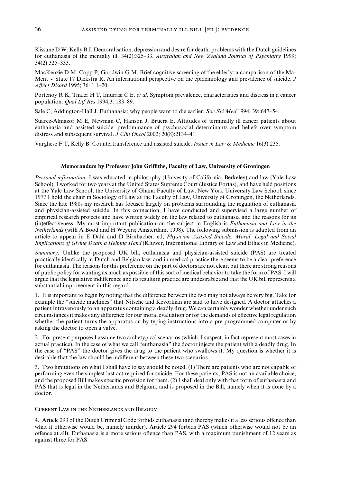Kissane D W. Kelly B J. Demoralisation, depression and desire for death: problems with the Dutch guidelines for euthanasia of the mentally ill. 34(2):325–33. *Australian and New Zealand Journal of Psychiatry* 1999; 34(2):325–333.

MacKenzie D M, Copp P, Goodwin G M. Brief cognitive screening of the elderly: a comparison of the Ma-Ment  $\sim$  State 17 Diekstra R. An international perspective on the epidemiology and prevalence of suicide. *J AVect Disord* 1995; 36: 1 1–20.

Portenoy R K, Thaler H T, Imurrisi C E, *et al*. Symptom prevalence, characteristics and distress in a cancer population. *Qual Lif Res* 1994;3: 183–89.

Sale C, Addington-Hall J. Euthanasia: why people want to die earlier. *Soc Sci Med* 1994; 39: 647–54.

Suarez-Almazor M E, Newman C, Hanson J, Bruera E. Attitudes of terminally ill cancer patients about euthanasia and assisted suicide: predominance of psychosocial determinants and beliefs over symptom distress and subsequent survival. *J Clin Oncol* 2002; 20(8):2134–41.

Varghese F T, Kelly B. Countertransference and assisted suicide. *Issues in Law & Medicine* 16(3):235.

## **Memorandum by Professor John Griffiths, Faculty of Law, University of Groningen**

*Personal information:* I was educated in philosophy (Univesity of California, Berkeley) and law (Yale Law School); I worked for two years at the United States Supreme Court (Justice Fortas), and have held positions at the Yale Law School, the University of Ghana Faculty of Law, New York University Law School; since 1977 I hold the chair in Sociology of Law at the Faculty of Law, University of Groningen, the Netherlands. Since the late 1980s my research has focused largely on problems surrounding the regulation of euthanasia and physician-assisted suicide. In this connection, I have conducted and supervised a large number of empirical research projects and have written widely on the law related to euthanasia and the reasons for its (in)effectiveness. My most important publication on the subject in English is *Euthanasia and Law in the Netherlands* (with A Bood and H Weyers; Amsterdam, 1998). The following submission is adapted from an article to appear in E Dahl and D Birnbacher, ed, *Physician Assisted Suicide. Moral, Legal and Social Implications of Giving Death a Helping Hand* (Kluwer, International Library of Law and Ethics in Medicine).

*Summary:* Unlike the proposed UK bill, euthanasia and physician-assisted suicide (PAS) are treated practically identically in Dutch and Belgian law, and in medical practice there seems to be a clear preference for euthanasia. The reasons for this preference on the part of doctors are not clear, but there are strong reasons of public policy for wanting as much as possible of this sort of medical behavior to take the form of PAS. I will argue that the legislative indifference and its results in practice are undesirable and that the UK bill represents a substantial improvement in this regard.

1. It is important to begin by noting that the difference between the two may not always be very big. Take for example the "suicide machines" that Nitsche and Kevorkian are said to have designed. A doctor attaches a patient intravenously to an apparatus containing a deadly drug. We can certainly wonder whether under such circumstances it makes any difference for our moral evaluation or for the demands of effective legal regulation whether the patient turns the apparatus on by typing instructions into a pre-programmed computer or by asking the doctor to open a valve.

2. For present purposes I assume two archetypical scenarios (which, I suspect, in fact represent most cases in actual practice). In the case of what we call "euthanasia" the doctor injects the patient with a deadly drug. In the case of "PAS" the doctor gives the drug to the patient who swallows it. My question is whether it is desirable that the law should be indifferent between these two scenarios.

3. Two limitations on what I shall have to say should be noted. (1) There are patients who are not capable of performing even the simplest last act required for suicide. For these patients, PAS is not an available choice, and the proposed Bill makes specific provision for them. (2) I shall deal only with that form of euthanasia and PAS that is legal in the Netherlands and Belgium, and is proposed in the Bill, namely when it is done by a doctor.

### Current Law in the Netherlands and Belgium

4. Article 293 of the Dutch Criminal Code forbids euthanasia (and thereby makes it a less serious offence than what it otherwise would be, namely murder). Article 294 forbids PAS (which otherwise would not be an offence at all). Euthanasia is a more serious offence than PAS, with a maximum punishment of 12 years as against three for PAS.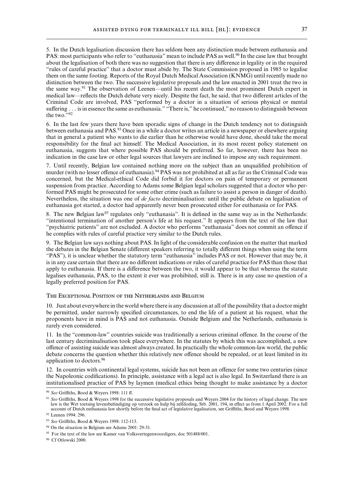5. In the Dutch legalisation discussion there has seldom been any distinction made between euthanasia and PAS: most participants who refer to "euthanasia" mean to include PAS as well.<sup>90</sup> In the case law that brought about the legalisation of both there was no suggestion that there is any difference in legality or in the required "rules of careful practice" that a doctor must abide by. The State Commission proposed in 1985 to legalise them on the same footing. Reports of the Royal Dutch Medical Association (KNMG) until recently made no distinction between the two. The successive legislative proposals and the law enacted in 2001 treat the two in the same way.91 The observation of Leenen—until his recent death the most prominent Dutch expert in medical law—reflects the Dutch debate very nicely. Despite the fact, he said, that two different articles of the Criminal Code are involved, PAS "performed by a doctor in a situation of serious physical or mental suffering . . . is in essence the same as euthanasia." "There is," he continued," no reason to distinguish between the two."92

6. In the last few years there have been sporadic signs of change in the Dutch tendency not to distinguish between euthanasia and PAS.<sup>93</sup> Once in a while a doctor writes an article in a newspaper or elsewhere arguing that in general a patient who wants to die earlier than he otherwise would have done, should take the moral responsibility for the final act himself. The Medical Association, in its most recent policy statement on euthanasia, suggests that where possible PAS should be preferred. So far, however, there has been no indication in the case law or other legal sources that lawyers are inclined to impose any such requirement.

7. Until recently, Belgian law contained nothing more on the subject than an unqualified prohibition of murder (with no lesser offence of euthanasia).<sup>94</sup> PAS was not prohibited at all as far as the Criminal Code was concerned, but the Medical-ethical Code did forbid it for doctors on pain of temporary or permanent suspension from practice. According to Adams some Belgian legal scholars suggested that a doctor who performed PAS might be prosecuted for some other crime (such as failure to assist a person in danger of death). Nevertheless, the situation was one of *de facto* decriminalisation: until the public debate on legalisation of euthanasia got started, a doctor had apparently never been prosecuted either for euthanasia or for PAS.

8. The new Belgian law95 regulates only "euthanasia". It is defined in the same way as in the Netherlands: "intentional termination of another person's life at his request." It appears from the text of the law that "psychiatric patients" are not excluded. A doctor who performs "euthanasia" does not commit an offence if he complies with rules of careful practice very similar to the Dutch rules.

9. The Belgian law says nothing about PAS. In light of the considerable confusion on the matter that marked the debates in the Belgian Senate (different speakers referring to totally different things when using the term "PAS"), it is unclear whether the statutory term "euthanasia" includes PAS or not. However that may be, it is in any case certain that there are no different indications or rules of careful practice for PAS than those that apply to euthanasia. If there is a difference between the two, it would appear to be that whereas the statute legalises euthanasia, PAS, to the extent it ever was prohibited, still is. There is in any case no question of a legally preferred position for PAS.

### The Exceptional Position of the Netherlands and Belgium

10. Just about everywhere in the world where there is any discussion at all of the possibility that a doctor might be permitted, under narrowly specified circumstances, to end the life of a patient at his request, what the proponents have in mind is PAS and not euthanasia. Outside Belgium and the Netherlands, euthanasia is rarely even considered.

11. In the "common-law" countries suicide was traditionally a serious criminal offence. In the course of the last century decriminalisation took place everywhere. In the statutes by which this was accomplished, a new offence of assisting suicide was almost always created. In practically the whole common-law world, the public debate concerns the question whether this relatively new offence should be repealed, or at least limited in its application to doctors.96

12. In countries with continental legal systems, suicide has not been an offence for some two centuries (since the Napoleonic codifications). In principle, assistance with a legal act is also legal. In Switzerland there is an institutionalised practice of PAS by laymen (medical ethics being thought to make assistance by a doctor

<sup>96</sup> Cf Otlowski 2000.

<sup>&</sup>lt;sup>90</sup> See Griffiths, Bood & Weyers 1998: 111 ff.

<sup>&</sup>lt;sup>91</sup> See Griffiths, Bood & Weyers 1998 for the successive legislative proposals and Weyers 2004 for the history of legal change. The new law is the Wet toetsing levensbeëindiging op verzoek en hulp bij zelfdoding, Stb. 2001, 194, in effect as from 1 April 2002. For a full account of Dutch euthanasia law shortly before the final act of legislative legalisation, see Griffiths, Bood and Weyers 1998.

<sup>92</sup> Leenen 1994: 296.

<sup>&</sup>lt;sup>93</sup> See Griffiths, Bood & Weyers 1998: 112-113.

<sup>94</sup> On the situation in Belgium see Adams 2001: 29-31.

<sup>&</sup>lt;sup>95</sup> For the text of the law see Kamer van Volksvertegenwoordigers, doc 501488/001.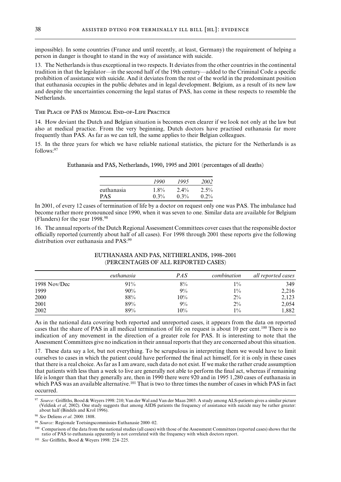impossible). In some countries (France and until recently, at least, Germany) the requirement of helping a person in danger is thought to stand in the way of assistance with suicide.

13. The Netherlands is thus exceptional in two respects. It deviates from the other countries in the continental tradition in that the legislator—in the second half of the 19th century—added to the Criminal Code a specific prohibition of assistance with suicide. And it deviates from the rest of the world in the predominant position that euthanasia occupies in the public debates and in legal development. Belgium, as a result of its new law and despite the uncertainties concerning the legal status of PAS, has come in these respects to resemble the Netherlands.

The Place of PAS in Medical End-of-Life Practice

14. How deviant the Dutch and Belgian situation is becomes even clearer if we look not only at the law but also at medical practice. From the very beginning, Dutch doctors have practised euthanasia far more frequently than PAS. As far as we can tell, the same applies to their Belgian colleagues.

15. In the three years for which we have reliable national statistics, the picture for the Netherlands is as follows:97

Euthanasia and PAS, Netherlands, 1990, 1995 and 2001 (percentages of all deaths)

|            | 1990    | 1995    | 2002    |
|------------|---------|---------|---------|
| euthanasia | $1.8\%$ | $2.4\%$ | $2.5\%$ |
| <b>PAS</b> | $0.3\%$ | $0.3\%$ | $0.2\%$ |

In 2001, of every 12 cases of termination of life by a doctor on request only one was PAS. The imbalance had become rather more pronounced since 1990, when it was seven to one. Similar data are available for Belgium (Flanders) for the year 1998.98

16. The annual reports of the Dutch Regional Assessment Committees cover cases that the responsible doctor officially reported (currently about half of all cases). For 1998 through 2001 these reports give the following distribution over euthanasia and PAS:<sup>99</sup>

|              | euthanasia | PAS    | combination | all reported cases |
|--------------|------------|--------|-------------|--------------------|
| 1998 Nov/Dec | 91%        | 8%     | $1\%$       | 349                |
| 1999         | 90%        | $9\%$  | $1\%$       | 2,216              |
| 2000         | 88%        | $10\%$ | $2\%$       | 2,123              |
| 2001         | 89%        | 9%     | $2\%$       | 2,054              |
| 2002         | 89%        | 10%    | $1\%$       | 1,882              |

# EUTHANASIA AND PAS, NETHERLANDS, 1998–2001 (PERCENTAGES OF ALL REPORTED CASES)

As in the national data covering both reported and unreported cases, it appears from the data on reported cases that the share of PAS in all medical termination of life on request is about 10 per cent.100 There is no indication of any movement in the direction of a greater role for PAS. It is interesting to note that the Assessment Committees give no indication in their annual reports that they are concerned about this situation.

17. These data say a lot, but not everything. To be scrupulous in interpreting them we would have to limit ourselves to cases in which the patient could have performed the final act himself, for it is only in these cases that there is a real choice. As far as I am aware, such data do not exist. If we make the rather crude assumption that patients with less than a week to live are generally not able to perform the final act, whereas if remaining life is longer than that they generally are, then in 1990 there were 920 and in 1995 1,280 cases of euthanasia in which PAS was an available alternative.<sup>101</sup> That is two to three times the number of cases in which PAS in fact occurred.

<sup>&</sup>lt;sup>97</sup> *Source:* Griffiths, Bood & Weyers 1998: 210; Van der Wal and Van der Maas 2003. A study among ALS-patients gives a similar picture (Veldink *et al*, 2002). One study suggests that among AIDS patients the frequency of assistance with suicide may be rather greater: about half (Bindels and Krol 1996).

<sup>98</sup> *See* Deliens *et al*. 2000: 1808.

<sup>99</sup> *Source:* Regionale Toetsingscommissies Euthanasie 2000–02.

<sup>&</sup>lt;sup>100</sup> Comparison of the data from the national studies (all cases) with those of the Assessment Committees (reported cases) shows that the ratio of PAS to euthanasia apparently is not correlated with the frequency with which doctors report.

<sup>&</sup>lt;sup>101</sup> See Griffiths, Bood & Weyers 1998: 224-225.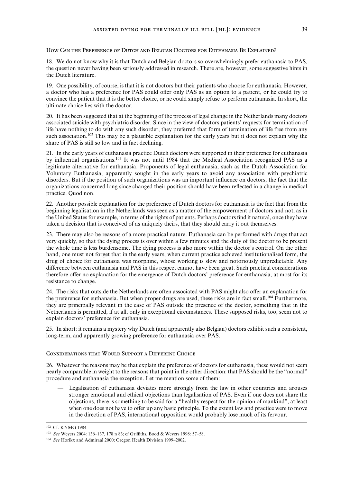How Can the Preference of Dutch and Belgian Doctors for Euthanasia Be Explained?

18. We do not know why it is that Dutch and Belgian doctors so overwhelmingly prefer euthanasia to PAS, the question never having been seriously addressed in research. There are, however, some suggestive hints in the Dutch literature.

19. One possibility, of course, is that it is not doctors but their patients who choose for euthanasia. However, a doctor who has a preference for PAS could offer only PAS as an option to a patient, or he could try to convince the patient that it is the better choice, or he could simply refuse to perform euthanasia. In short, the ultimate choice lies with the doctor.

20. It has been suggested that at the beginning of the process of legal change in the Netherlands many doctors associated suicide with psychiatric disorder. Since in the view of doctors patients' requests for termination of life have nothing to do with any such disorder, they preferred that form of termination of life free from any such association.<sup>102</sup> This may be a plausible explanation for the early years but it does not explain why the share of PAS is still so low and in fact declining.

21. In the early years of euthanasia practice Dutch doctors were supported in their preference for euthanasia by influential organisations.<sup>103</sup> It was not until 1984 that the Medical Association recognized PAS as a legitimate alternative for euthanasia. Proponents of legal euthanasia, such as the Dutch Association for Voluntary Euthanasia, apparently sought in the early years to avoid any association with psychiatric disorders. But if the position of such organizations was an important influence on doctors, the fact that the organizations concerned long since changed their position should have been reflected in a change in medical practice. Quod non.

22. Another possible explanation for the preference of Dutch doctors for euthanasia is the fact that from the beginning legalisation in the Netherlands was seen as a matter of the empowerment of doctors and not, as in the United States for example, in terms of the rights of patients. Perhaps doctors find it natural, once they have taken a decision that is conceived of as uniquely theirs, that they should carry it out themselves.

23. There may also be reasons of a more practical nature. Euthanasia can be performed with drugs that act very quickly, so that the dying process is over within a few minutes and the duty of the doctor to be present the whole time is less burdensome. The dying process is also more within the doctor's control. On the other hand, one must not forget that in the early years, when current practice achieved institutionalised form, the drug of choice for euthanasia was morphine, whose working is slow and notoriously unpredictable. Any difference between euthanasia and PAS in this respect cannot have been great. Such practical considerations therefore offer no explanation for the emergence of Dutch doctors' preference for euthanasia, at most for its resistance to change.

24. The risks that outside the Netherlands are often associated with PAS might also offer an explanation for the preference for euthanasia. But when proper drugs are used, these risks are in fact small.<sup>104</sup> Furthermore, they are principally relevant in the case of PAS outside the presence of the doctor, something that in the Netherlands is permitted, if at all, only in exceptional circumstances. These supposed risks, too, seem not to explain doctors' preference for euthanasia.

25. In short: it remains a mystery why Dutch (and apparently also Belgian) doctors exhibit such a consistent, long-term, and apparently growing preference for euthanasia over PAS.

## CONSIDERATIONS THAT WOULD SUPPORT A DIFFERENT CHOICE

26. Whatever the reasons may be that explain the preference of doctors for euthanasia, these would not seem nearly comparable in weight to the reasons that point in the other direction: that PAS should be the "normal" procedure and euthanasia the exception. Let me mention some of them:

— Legalisation of euthanasia deviates more strongly from the law in other countries and arouses stronger emotional and ethical objections than legalisation of PAS. Even if one does not share the objections, there is something to be said for a "healthy respect for the opinion of mankind", at least when one does not have to offer up any basic principle. To the extent law and practice were to move in the direction of PAS, international opposition would probably lose much of its fervour.

<sup>&</sup>lt;sup>102</sup> Cf. KNMG 1984.

<sup>&</sup>lt;sup>103</sup> *See* Weyers 2004: 136-137, 178 n 83; cf Griffiths, Bood & Weyers 1998: 57-58.

<sup>104</sup> *See* Horikx and Admiraal 2000; Oregon Health Division 1999–2002.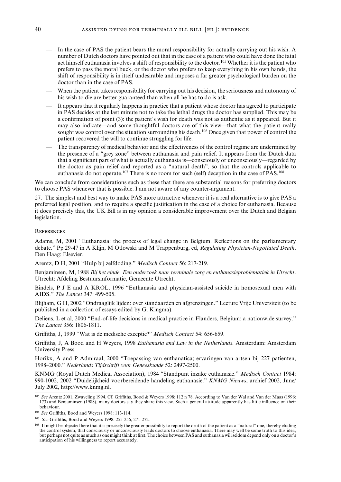- In the case of PAS the patient bears the moral responsibility for actually carrying out his wish. A number of Dutch doctors have pointed out that in the case of a patient who could have done the fatal act himself euthanasia involves a shift of responsibility to the doctor.<sup>105</sup> Whether it is the patient who prefers to pass the moral buck, or the doctor who prefers to keep everything in his own hands, the shift of responsibility is in itself undesirable and imposes a far greater psychological burden on the doctor than in the case of PAS.
- When the patient takes responsibility for carrying out his decision, the seriousness and autonomy of his wish to die are better guaranteed than when all he has to do is ask.
- It appears that it regularly happens in practice that a patient whose doctor has agreed to participate in PAS decides at the last minute not to take the lethal drugs the doctor has supplied. This may be a confirmation of point (3): the patient's wish for death was not as authentic as it appeared. But it may also indicate—and some thoughtful doctors are of this view—that what the patient really sought was control over the situation surrounding his death.<sup>106</sup> Once given that power of control the patient recovered the will to continue struggling for life.
- The transparency of medical behavior and the effectiveness of the control regime are undermined by the presence of a "grey zone" between euthanasia and pain relief. It appears from the Dutch data that a significant part of what is actually euthanasia is—consciously or unconsciously—regarded by the doctor as pain relief and reported as a "natural death", so that the controls applicable to euthanasia do not operate.107 There is no room for such (self) deception in the case of PAS.108

We can conclude from considerations such as these that there are substantial reasons for preferring doctors to choose PAS whenever that is possible. I am not aware of any counter-argument.

27. The simplest and best way to make PAS more attractive whenever it is a real alternative is to give PAS a preferred legal position, and to require a specific justification in the case of a choice for euthanasia. Because it does precisely this, the UK Bill is in my opinion a considerable improvement over the Dutch and Belgian legislation.

#### **REFERENCES**

Adams, M, 2001 "Euthanasia: the process of legal change in Belgium. Reflections on the parliamentary debate." Pp 29-47 in A Klijn, M Otlowski and M Trappenburg, ed, *Regulating Physician-Negotiated Death*. Den Haag: Elsevier.

Arentz, D H, 2001 "Hulp bij zelfdoding." *Medisch Contact* 56: 217-219.

Benjaminsen, M, 1988 *Bij het einde. Een onderzoek naar terminale zorg en euthanasieproblematiek in Utrecht*. Utrecht: Afdeling Bestuursinformatie, Gemeente Utrecht.

Bindels, P J E and A KROL, 1996 "Euthanasia and physician-assisted suicide in homosexual men with AIDS." *The Lancet* 347: 499-505.

Blijham, G H, 2002 "Ondraaglijk lijden: over standaarden en afgrenzingen." Lecture Vrije Universiteit (to be published in a collection of essays edited by G. Kingma).

Deliens, L et al, 2000 "End-of-life decisions in medical practice in Flanders, Belgium: a nationwide survey." *The Lancet* 356: 1806-1811.

Griffiths, J, 1999 "Wat is de medische exceptie?" *Medisch Contact* 54: 656-659.

Griffiths, J, A Bood and H Weyers, 1998 *Euthanasia and Law in the Netherlands*. Amsterdam: Amsterdam University Press.

Horikx, A and P Admiraal, 2000 "Toepassing van euthanatica; ervaringen van artsen bij 227 patienten, 1998–2000." *Nederlands Tijdschrift voor Geneeskunde* 52: 2497-2500.

KNMG (Royal Dutch Medical Association), 1984 "Standpunt inzake euthanasie." *Medisch Contact* 1984: 990-1002, 2002 "Duidelijkheid voorbereidende handeling euthanasie." *KNMG Nieuws*, archief 2002, June/ July 2002, http://www.knmg.nl.

<sup>&</sup>lt;sup>105</sup> See Arentz 2001, Zwaveling 1994. Cf. Griffiths, Bood & Weyers 1998: 112 n 78. According to Van der Wal and Van der Maas (1996: 173) and Benjaminsen (1988), many doctors say they share this view. Such a general attitude apparently has little influence on their behaviour.

<sup>&</sup>lt;sup>106</sup> *See* Griffiths, Bood and Weyers 1998: 113-114.

<sup>&</sup>lt;sup>107</sup> *See* Griffiths, Bood and Weyers 1998: 255-256, 271-272.

<sup>&</sup>lt;sup>108</sup> It might be objected here that it is precisely the greater possibility to report the death of the patient as a "natural" one, thereby eluding the control system, that consciously or unconsciously leads doctors to choose euthanasia. There may well be some truth to this idea, but perhaps not quite as much as one might think at first. The choice between PAS and euthanasia will seldom depend only on a doctor's anticipation of his willingness to report accurately.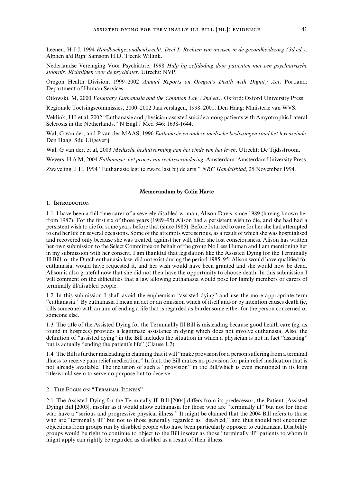Leenen, H J J, 1994 *Handboekgezondheidsrecht. Deel I: Rechten van mensen in de gezondheidszorg (3d ed.)*. Alphen a/d Rijn: Samsom H.D. Tjeenk Willink.

Nederlandse Vereniging Voor Psychiatrie, 1998 *Hulp bij zelfdoding door patienten met een psychiatrische stoornis. Richtlijnen voor de psychiater*. Utrecht: NVP.

Oregon Health Division, 1999–2002 *Annual Reports on Oregon's Death with Dignity Act*. Portland: Department of Human Services.

Otlowski, M, 2000 *Voluntary Euthanasia and the Common Law (2nd ed)*. Oxford: Oxford University Press.

Regionale Toetsingscommissies, 2000–2002 Jaarverslagen, 1998–2001. Den Haag: Ministerie van WVS.

Veldink, J H et al, 2002 "Euthanasie and physician-assisted suicide among patients with Amyotrophic Lateral Sclerosis in the Netherlands." N Engl J Med 346: 1638-1644.

Wal, G van der, and P van der MAAS, 1996 *Euthanasie en andere medische beslissingen rond het levenseinde*. Den Haag: Sdu Uitgeverij.

Wal, G van der, et al, 2003 *Medische besluitvorming aan het einde van het leven*. Utrecht: De Tijdsstroom.

Weyers, H A M, 2004 *Euthanasie: het proces van rechtsverandering*. Amsterdam: Amsterdam University Press.

Zwaveling, J H, 1994 "Euthanasie legt te zware last bij de arts." *NRC Handelsblad*, 25 November 1994.

## **Memorandum by Colin Harte**

## 1. Introduction

1.1 I have been a full-time carer of a severely disabled woman, Alison Davis, since 1989 (having known her from 1987). For the first six of those years (1989–95) Alison had a persistent wish to die, and she had had a persistent wish to die for some years before that (since 1985). Before I started to care for her she had attempted to end her life on several occasions. Some of the attempts were serious, as a result of which she was hospitalised and recovered only because she was treated, against her will, after she lost consciousness. Alison has written her own submission to the Select Committee on behalf of the group No Less Human and I am mentioning her in my submission with her consent. I am thankful that legislation like the Assisted Dying for the Terminally Ill Bill, or the Dutch euthanasia law, did not exist during the period 1985–95. Alison would have qualified for euthanasia, would have requested it, and her wish would have been granted and she would now be dead. Alison is also grateful now that she did not then have the opportunity to choose death. In this submission I will comment on the difficulties that a law allowing euthanasia would pose for family members or carers of terminally ill/disabled people.

1.2 In this submission I shall avoid the euphemism "assisted dying" and use the more appropriate term "euthanasia." By euthanasia I mean an act or an omission which of itself and/or by intention causes death (ie, kills someone) with an aim of ending a life that is regarded as burdensome either for the person concerned or someone else.

1.3 The title of the Assisted Dying for the Terminallly Ill Bill is misleading because good health care (eg, as found in hospices) provides a legitimate assistance in dying which does not involve euthanasia. Also, the definition of "assisted dying" in the Bill includes the situation in which a physician is not in fact "assisting" but is actually "ending the patient's life" (Clause 1.2).

1.4 The Bill is further misleading in claiming that it will "make provision for a person suffering from a terminal illness to receive pain relief medication." In fact, the Bill makes no provision for pain relief medication that is not already available. The inclusion of such a "provision" in the Bill⁄which is even mentioned in its long title⁄would seem to serve no purpose but to deceive.

## 2. The Focus on "Terminal Illness"

2.1 The Assisted Dying for the Terminally Ill Bill [2004] differs from its predecessor, the Patient (Assisted Dying) Bill [2003], insofar as it would allow euthanasia for those who are "terminally ill" but not for those who have a "serious and progressive physical illness." It might be claimed that the 2004 Bill refers to those who are "terminally ill" but not to those generally regarded as "disabled," and thus should not encounter objections from groups run by disabled people who have been particularly opposed to euthanasia. Disability groups would be right to continue to object to the Bill insofar as those "terminally ill" patients to whom it might apply can rightly be regarded as disabled as a result of their illness.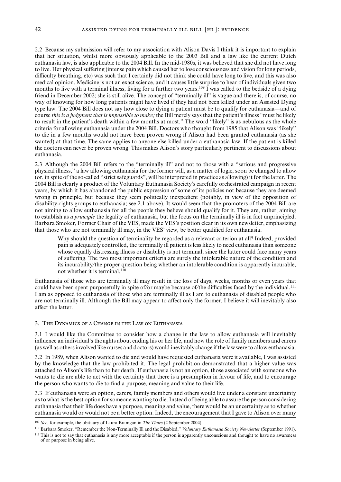2.2 Because my submission will refer to my association with Alison Davis I think it is important to explain that her situation, whilst more obviously applicable to the 2003 Bill and a law like the current Dutch euthanasia law, is also applicable to the 2004 Bill. In the mid-1980s, it was believed that she did not have long to live. Her physical suffering (intense pain which caused her to lose consciousness and vision for long periods, difficulty breathing, etc) was such that I certainly did not think she could have long to live, and this was also medical opinion. Medicine is not an exact science, and it causes little surprise to hear of individuals given two months to live with a terminal illness, living for a further two years.<sup>109</sup> I was called to the bedside of a dying friend in December 2002; she is still alive. The concept of "terminally ill" is vague and there is, of course, no way of knowing for how long patients might have lived if they had not been killed under an Assisted Dying type law. The 2004 Bill does not say how close to dying a patient must be to qualify for euthanasia—and of course *this is a judgment that is impossible to make;* the Bill merely says that the patient's illness "must be likely to result in the patient's death within a few months at most." The word "likely" is as nebulous as the whole criteria for allowing euthanasia under the 2004 Bill. Doctors who thought from 1985 that Alison was "likely" to die in a few months would not have been proven wrong if Alison had been granted euthanasia (as she wanted) at that time. The same applies to anyone else killed under a euthanasia law. If the patient is killed the doctors can never be proven wrong. This makes Alison's story particularly pertinent to discussions about euthanasia.

2.3 Although the 2004 Bill refers to the "terminally ill" and not to those with a "serious and progressive physical illness," a law allowing euthanasia for the former will, as a matter of logic, soon be changed to allow (or, in spite of the so-called "strict safeguards", will be interpreted in practice as allowing) it for the latter. The 2004 Bill is clearly a product of the Voluntary Euthanasia Society's carefully orchestrated campaign in recent years, by which it has abandoned the public expression of some of its policies not because they are deemed wrong in principle, but because they seem politically inexpedient (notably, in view of the opposition of disability-rights groups to euthanasia; see 2.1 above). It would seem that the promoters of the 2004 Bill are not aiming to allow euthanasia for all the people they believe should qualify for it. They are, rather, aiming to establish as *a principle* the legality of euthanasia, but the focus on the terminally ill is in fact unprincipled. Barbara Smoker, Former Chair of the VES, made the VES's position clear in its own newsletter, emphasizing that those who are not terminally ill may, in the VES' view, be better qualified for euthanasia.

Why should the question of terminality be regarded as a relevant criterion at all? Indeed, provided pain is adequately controlled, the terminally ill patient is less likely to need euthanasia than someone whose equally distressing illness or disability is not terminal, since the latter could face many years of suffering. The two most important criteria are surely the intolerable nature of the condition and its incurability⁄the proper question being whether an intolerable condition is apparently incurable, not whether it is terminal.<sup>110</sup>

Euthanasia of those who are terminally ill may result in the loss of days, weeks, months or even years that could have been spent purposefully in spite of/or maybe because of/the difficulties faced by the individual.<sup>111</sup> I am as opposed to euthanasia of those who are terminally ill as I am to euthanasia of disabled people who are not terminally ill. Although the Bill may appear to affect only the former, I believe it will inevitably also affect the latter.

## 3. The Dynamics of a Change in the Law on Euthanasia

3.1 I would like the Committee to consider how a change in the law to allow euthanasia will inevitably influence an individual's thoughts about ending his or her life, and how the role of family members and carers (as well as others involved like nurses and doctors) would inevitably change if the law were to allow euthanasia.

3.2 In 1989, when Alison wanted to die and would have requested euthanasia were it available, I was assisted by the knowledge that the law prohibited it. The legal prohibition demonstrated that a higher value was attached to Alison's life than to her death. If euthanasia is not an option, those associated with someone who wants to die are able to act with the certainty that there is a presumption in favour of life, and to encourage the person who wants to die to find a purpose, meaning and value to their life.

3.3 If euthanasia were an option, carers, family members and others would live under a constant uncertainty as to what is the best option for someone wanting to die. Instead of being able to assure the person considering euthanasia that their life does have a purpose, meaning and value, there would be an uncertainty as to whether euthanasia would or would not be a better option. Indeed, the encouragement that I gave to Alison over many

<sup>109</sup> *See*, for example, the obituary of Laura Branigan in *The Times* (2 September 2004).

<sup>110</sup> Barbara Smoker, "Remember the Non-Terminally Ill and the Disabled," *Voluntary Euthanasia Society Newsletter* (September 1991).

<sup>&</sup>lt;sup>111</sup> This is not to say that euthanasia is any more acceptable if the person is apparently unconscious and thought to have no awareness of or purpose in being alive.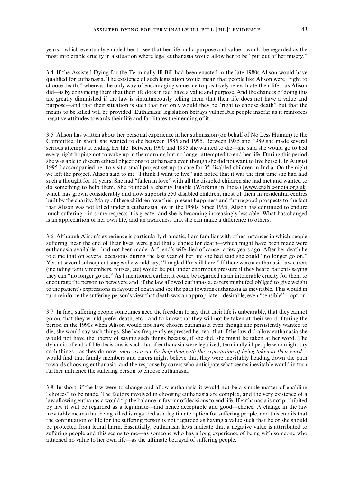years—which eventually enabled her to see that her life had a purpose and value—would be regarded as the most intolerable cruelty in a situation where legal euthanasia would allow her to be "put out of her misery."

3.4 If the Assisted Dying for the Terminally Ill Bill had been enacted in the late 1980s Alison would have qualified for euthanasia. The existence of such legislation would mean that people like Alison were "right to choose death," whereas the only way of encouraging someone to positively re-evaluate their life—as Alison did—is by convincing them that their life does in fact have a value and purpose. And the chances of doing this are greatly diminished if the law is simultaneously telling them that their life does not have a value and purpose—and that their situation is such that not only would they be "right to choose death" but that the means to be killed will be provided. Euthanasia legislation betrays vulnerable people insofar as it reinforces negative attitudes towards their life and facilitates their ending of it.

3.5 Alison has written about her personal experience in her submission (on behalf of No Less Human) to the Committee. In short, she wanted to die between 1985 and 1995. Between 1985 and 1989 she made several serious attempts at ending her life. Between 1990 and 1995 she wanted to die—she said she would go to bed every night hoping not to wake up in the morning but no longer attempted to end her life. During this period she was able to discern ethical objections to euthanasia even though she did not want to live herself. In August 1995 I accompanied her to visit a small project set up to care for 35 disabled children in India. On the night we left the project, Alison said to me "I think I want to live" and noted that it was the first time she had had such a thought for 10 years. She had "fallen in love" with all the disabled children she had met and wanted to do something to help them. She founded a charity Enable (Working in India) [www.enable-india.org.uk] which has grown considerably and now supports 350 disabled children, most of them in residential centres built by the charity. Many of these children owe their present happiness and future good prospects to the fact that Alison was not killed under a euthanasia law in the 1980s. Since 1995, Alison has continued to endure much suffering—in some respects it is greater and she is becoming increasingly less able. What has changed is an appreciation of her own life, and an awareness that she can make a difference to others.

3.6 Although Alison's experience is particularly dramatic, I am familiar with other instances in which people suffering, near the end of their lives, were glad that a choice for death—which might have been made were euthanasia available—had not been made. A friend's wife died of cancer a few years ago. After her death he told me that on several occasions during the last year of her life she had said she could "no longer go on." Yet, at several subsequent stages she would say, "I'm glad I'm still here." If there were a euthanasia law carers (including family members, nurses, etc) would be put under enormous pressure if they heard patients saying they can "no longer go on." As I mentioned earlier, it could be regarded as an intolerable cruelty for them to encourage the person to persevere and, if the law allowed euthanasia, carers might feel obliged to give weight to the patient's expressions in favour of death and see the path towards euthanasia as inevitable. This would in turn reinforce the suffering person's view that death was an appropriate—desirable, even "sensible"—option.

3.7 In fact, suffering people sometimes need the freedom to say that their life is unbearable, that they cannot go on, that they would prefer death, etc—and to know that they will not be taken at their word. During the period in the 1990s when Alison would not have chosen euthanasia even though she persistently wanted to die, she would say such things. She has frequently expressed her fear that if the law did allow euthanasia she would not have the liberty of saying such things because, if she did, she might be taken at her word. The dynamic of end-of-life decisions is such that if euthanasia were legalized, terminally ill people who might say such things—as they do now, *more as a cry for help than with the expectation of being taken at their word* would find that family members and carers might believe that they were inevitably heading down the path towards choosing euthanasia, and the response by carers who anticipate what seems inevitable would in turn further influence the suffering person to choose euthanasia.

3.8 In short, if the law were to change and allow euthanasia it would not be a simple matter of enabling "choices" to be made. The factors involved in choosing euthanasia are complex, and the very existence of a law allowing euthanasia would tip the balance in favour of decisions to end life. If euthanasia is not prohibited by law it will be regarded as a legitimate—and hence acceptable and good—choice. A change in the law inevitably means that being killed is regarded as a legitimate option for suffering people, and this entails that the continuation of life for the suffering person is not regarded as having a value such that he or she should be protected from lethal harm. Essentially, euthanasia laws indicate that a negative value is attrributed to suffering people and this seems to me—as someone who has a long experience of being with someone who attached no value to her own life—as the ultimate betrayal of suffering people.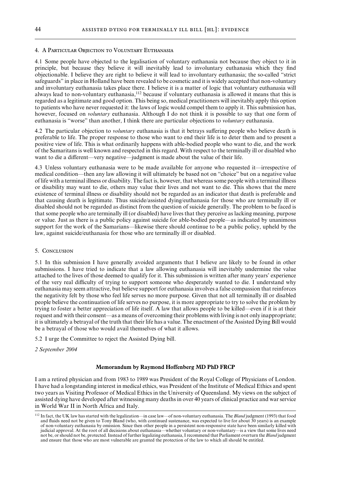## 4. A Particular Objection to Voluntary Euthanasia

4.1 Some people have objected to the legalisation of voluntary euthanasia not because they object to it in principle, but because they believe it will inevitably lead to involuntary euthanasia which they find objectionable. I believe they are right to believe it will lead to involuntary euthanasia; the so-called "strict safeguards" in place in Holland have been revealed to be cosmetic and it is widely accepted that non-voluntary and involuntary euthanasia takes place there. I believe it is a matter of logic that voluntary euthanasia will always lead to non-voluntary euthanasia,112 because if voluntary euthanasia is allowed it means that this is regarded as a legitimate and good option. This being so, medical practitioners will inevitably apply this option to patients who have never requested it: the laws of logic would compel them to apply it. This submission has, however, focused on *voluntary* euthanasia. Although I do not think it is possible to say that one form of euthanasia is "worse" than another, I think there are particular objections to *voluntary* euthanasia.

4.2 The particular objection to *voluntary* euthanasia is that it betrays suffering people who believe death is preferable to life. The proper response to those who want to end their life is to deter them and to present a positive view of life. This is what ordinarily happens with able-bodied people who want to die, and the work of the Samaritans is well known and respected in this regard. With respect to the terminally ill or disabled who want to die a different—very negative—judgment is made about the value of their life.

4.3 Unless voluntary euthanasia were to be made available for anyone who requested it—irrespective of medical condition—then any law allowing it will ultimately be based not on "choice" but on a negative value of life with a terminal illness or disability. The fact is, however, that whereas some people with a terminal illness or disability may want to die, others may value their lives and not want to die. This shows that the mere existence of terminal illness or disability should not be regarded as an indicator that death is preferable and that causing death is legitimate. Thus suicide/assisted dying/euthanasia for those who are terminally ill or disabled should not be regarded as distinct from the question of suicide generally. The problem to be faced is that some people who are terminally ill (or disabled) have lives that they perceive as lacking meaning, purpose or value. Just as there is a public policy against suicide for able-bodied people—as indicated by unanimous support for the work of the Samarians—likewise there should continue to be a public policy, upheld by the law, against suicide/euthanasia for those who are terminally ill or disabled.

#### 5. Conclusion

5.1 In this submission I have generally avoided arguments that I believe are likely to be found in other submissions. I have tried to indicate that a law allowing euthanasia will inevitably undermine the value attached to the lives of those deemed to qualify for it. This submission is written after many years' experience of the very real difficulty of trying to support someone who desperately wanted to die. I understand why euthanasia may seem attractive, but believe support for euthanasia involves a false compassion that reinforces the negativity felt by those who feel life serves no more purpose. Given that not all terminally ill or disabled people believe the continuation of life serves no purpose, it is more appropriate to try to solve the problem by trying to foster a better appreciation of life itself. A law that allows people to be killed—even if it is at their request and with their consent—as a means of overcoming their problems with living is not only inappropriate; it is ultimately a betrayal of the truth that their life has a value. The enactment of the Assisted Dying Bill would be a betrayal of those who would avail themselves of what it allows.

5.2 I urge the Committee to reject the Assisted Dying bill.

*2 September 2004*

### **Memorandum by Raymond Hoffenberg MD PhD FRCP**

I am a retired physician and from 1983 to 1989 was President of the Royal College of Physicians of London. I have had a longstanding interest in medical ethics, was President of the Institute of Medical Ethics and spent two years as Visiting Professor of Medical Ethics in the University of Queensland. My views on the subject of assisted dying have developed after witnessing many deaths in over 40 years of clinical practice and war service in World War II in North Africa and Italy.

<sup>112</sup> In fact, the UK law has started with the legalization—in case law—of non-voluntary euthanasia. The *Bland* judgment (1993) that food and fluids need not be given to Tony Bland (who, with continued sustenance, was expected to live for about 30 years) is an example of non-voluntary euthanasia by omission. Since then other people in a persistent non-responsive state have been similarly killed with judicial approval. At the root of all decisions about euthanasia—whether voluntary or non-voluntary—is a view that some lives need not be, or should not be, protected. Instead of further legalizing euthanasia, I recommend that Parliament overturn the *Bland* judgment and ensure that those who are most vulnerable are granted the protection of the law to which all should be entitled.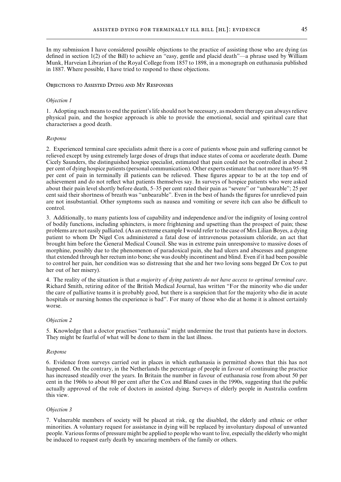In my submission I have considered possible objections to the practice of assisting those who are dying (as defined in section 1(2) of the Bill) to achieve an "easy, gentle and placid death"—a phrase used by William Munk, Harveian Librarian of the Royal College from 1857 to 1898, in a monograph on euthanasia published in 1887. Where possible, I have tried to respond to these objections.

### Objections to Assisted Dying and My Responses

### *Objection 1*

1. Adopting such means to end the patient's life should not be necessary, as modern therapy can always relieve physical pain, and the hospice approach is able to provide the emotional, social and spiritual care that characterises a good death.

### *Response*

2. Experienced terminal care specialists admit there is a core of patients whose pain and suffering cannot be relieved except by using extremely large doses of drugs that induce states of coma or accelerate death. Dame Cicely Saunders, the distinguished hospice specialist, estimated that pain could not be controlled in about 2 per cent of dying hospice patients (personal communication). Other experts estimate that not more than 95–98 per cent of pain in terminally ill patients can be relieved. These figures appear to be at the top end of achievement and do not reflect what patients themselves say. In surveys of hospice patients who were asked about their pain level shortly before death, 5–35 per cent rated their pain as "severe" or "unbearable"; 25 per cent said their shortness of breath was "unbearable". Even in the best of hands the figures for unrelieved pain are not insubstantial. Other symptoms such as nausea and vomiting or severe itch can also be difficult to control.

3. Additionally, to many patients loss of capability and independence and/or the indignity of losing control of bodily functions, including sphincters, is more frightening and upsetting than the prospect of pain; these problems are not easily palliated. (As an extreme example I would refer to the case of Mrs Lilian Boyes, a dying patient to whom Dr Nigel Cox administered a fatal dose of intravenous potassium chloride, an act that brought him before the General Medical Council. She was in extreme pain unresponsive to massive doses of morphine, possibly due to the phenomenon of paradoxical pain, she had ulcers and abscesses and gangrene that extended through her rectum into bone; she was doubly incontinent and blind. Even if it had been possible to control her pain, her condition was so distressing that she and her two loving sons begged Dr Cox to put her out of her misery).

4. The reality of the situation is that *a majority of dying patients do not have access to optimal terminal care*. Richard Smith, retiring editor of the British Medical Journal, has written "For the minority who die under the care of palliative teams it is probably good, but there is a suspicion that for the majority who die in acute hospitals or nursing homes the experience is bad". For many of those who die at home it is almost certainly worse.

### *Objection 2*

5. Knowledge that a doctor practises "euthanasia" might undermine the trust that patients have in doctors. They might be fearful of what will be done to them in the last illness.

#### *Response*

6. Evidence from surveys carried out in places in which euthanasia is permitted shows that this has not happened. On the contrary, in the Netherlands the percentage of people in favour of continuing the practice has increased steadily over the years. In Britain the number in favour of euthanasia rose from about 50 per cent in the 1960s to about 80 per cent after the Cox and Bland cases in the 1990s, suggesting that the public actually approved of the role of doctors in assisted dying. Surveys of elderly people in Australia confirm this view.

#### *Objection 3*

7. Vulnerable members of society will be placed at risk, eg the disabled, the elderly and ethnic or other minorities. A voluntary request for assistance in dying will be replaced by involuntary disposal of unwanted people. Various forms of pressure might be applied to people who want to live, especially the elderly who might be induced to request early death by uncaring members of the family or others.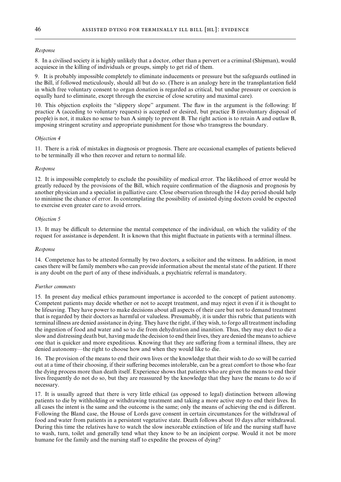### *Response*

8. In a civilised society it is highly unlikely that a doctor, other than a pervert or a criminal (Shipman), would acquiesce in the killing of individuals or groups, simply to get rid of them.

9. It is probably impossible completely to eliminate inducements or pressure but the safeguards outlined in the Bill, if followed meticulously, should all but do so. (There is an analogy here in the transplantation field in which free voluntary consent to organ donation is regarded as critical, but undue pressure or coercion is equally hard to eliminate, except through the exercise of close scrutiny and maximal care).

10. This objection exploits the "slippery slope" argument. The flaw in the argument is the following: If practice A (acceding to voluntary requests) is accepted or desired, but practice B (involuntary disposal of people) is not, it makes no sense to ban A simply to prevent B. The right action is to retain A and outlaw B, imposing stringent scrutiny and appropriate punishment for those who transgress the boundary.

### *Objection 4*

11. There is a risk of mistakes in diagnosis or prognosis. There are occasional examples of patients believed to be terminally ill who then recover and return to normal life.

### *Response*

12. It is impossible completely to exclude the possibility of medical error. The likelihood of error would be greatly reduced by the provisions of the Bill, which require confirmation of the diagnosis and prognosis by another physician and a specialist in palliative care. Close observation through the 14 day period should help to minimise the chance of error. In contemplating the possibility of assisted dying doctors could be expected to exercise even greater care to avoid errors.

### *Objection 5*

13. It may be difficult to determine the mental competence of the individual, on which the validity of the request for assistance is dependent. It is known that this might fluctuate in patients with a terminal illness.

### *Response*

14. Competence has to be attested formally by two doctors, a solicitor and the witness. In addition, in most cases there will be family members who can provide information about the mental state of the patient. If there is any doubt on the part of any of these individuals, a psychiatric referral is mandatory.

## *Further comments*

15. In present day medical ethics paramount importance is accorded to the concept of patient autonomy. Competent patients may decide whether or not to accept treatment, and may reject it even if it is thought to be lifesaving. They have power to make decisions about all aspects of their care but not to demand treatment that is regarded by their doctors as harmful or valueless. Presumably, it is under this rubric that patients with terminal illness are denied assistance in dying. They have the right, if they wish, to forgo all treatment including the ingestion of food and water and so to die from dehydration and inanition. Thus, they may elect to die a slow and distressing death but, having made the decision to end their lives, they are denied the means to achieve one that is quicker and more expeditious. Knowing that they are suffering from a terminal illness, they are denied autonomy—the right to choose how and when they would like to die.

16. The provision of the means to end their own lives or the knowledge that their wish to do so will be carried out at a time of their choosing, if their suffering becomes intolerable, can be a great comfort to those who fear the dying process more than death itself. Experience shows that patients who are given the means to end their lives frequently do not do so, but they are reassured by the knowledge that they have the means to do so if necessary.

17. It is usually agreed that there is very little ethical (as opposed to legal) distinction between allowing patients to die by withholding or withdrawing treatment and taking a more active step to end their lives. In all cases the intent is the same and the outcome is the same; only the means of achieving the end is different. Following the Bland case, the House of Lords gave consent in certain circumstances for the withdrawal of food and water from patients in a persistent vegetative state. Death follows about 10 days after withdrawal. During this time the relatives have to watch the slow inexorable extinction of life and the nursing staff have to wash, turn, toilet and generally tend what they know to be an incipient corpse. Would it not be more humane for the family and the nursing staff to expedite the process of dying?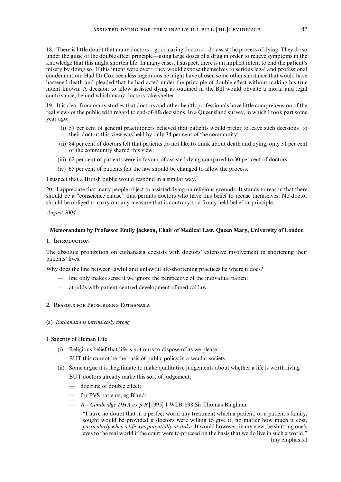18. There is little doubt that many doctors—good caring doctors—do assist the process of dying. They do so under the guise of the double effect principle—using large doses of a drug in order to relieve symptoms in the knowledge that this might shorten life. In many cases, I suspect, there is an implicit intent to end the patient's misery by doing so. If this intent were overt, they would expose themselves to serious legal and professional condemnation. Had Dr Cox been less ingenuous he might have chosen some other substance that would have hastened death and pleaded that he had acted under the principle of double effect without making his true intent known. A decision to allow assisted dying as outlined in the Bill would obviate a moral and legal contrivance, behind which many doctors take shelter.

19. It is clear from many studies that doctors and other health professionals have little comprehension of the real views of the public with regard to end-of-life decisions. In a Queensland survey, in which I took part some year ago:

- (i) 57 per cent of general practitioners believed that patients would prefer to leave such decisions to their doctor; this view was held by only 34 per cent of the community;
- (ii) 84 per cent of doctors felt that patients do not like to think about death and dying; only 31 per cent of the community shared this view;
- (iii) 62 per cent of patients were in favour of assisted dying compared to 30 per cent of doctors,
- (iv) 65 per cent of patients felt the law should be changed to allow the process.

I suspect that a British public would respond in a similar way.

20. I appreciate that many people object to assisted dying on religious grounds. It stands to reason that there should be a "conscience clause" that permits doctors who have this belief to recuse themselves. No doctor should be obliged to carry out any measure that is contrary to a firmly held belief or principle.

## *August 2004*

## **Memorandum by Professor Emily Jackson, Chair of Medical Law, Queen Mary, University of London**

### 1. Introduction

The absolute prohibition on euthanasia coexists with doctors' extensive involvement in shortening their patients' lives.

Why does the line between lawful and unlawful life-shortening practices lie where it does?

- line only makes sense if we ignore the perspective of the individual patient.
- at odds with patient-centred development of medical law.

### 2. Reasons for Proscribing Euthanasia

(a) *Euthanasia is intrinsically wrong*

#### I Sanctity of Human Life

(i) Religious belief that life is not ours to dispose of as we please,

BUT this cannot be the basis of public policy in a secular society.

- (ii) Some argue it is illegitimate to make qualitative judgements about whether a life is worth living BUT doctors already make this sort of judgement:
	- $\equiv$  doctrine of double effect:
	- for PVS patients, eg Bland;
	- *R v Cambridge DHA ex p B* [1995] 1 WLR 898 Sir Thomas Bingham:

"I have no doubt that in a perfect world any treatment which a patient, or a patient's family, sought would be provided if doctors were willing to give it, no matter how much it cost, *particularly when a life was potentially at stake.* It would however, in my view, be shutting one's eyes to the real world if the court were to proceed on the basis that we do live in such a world." (my emphasis.)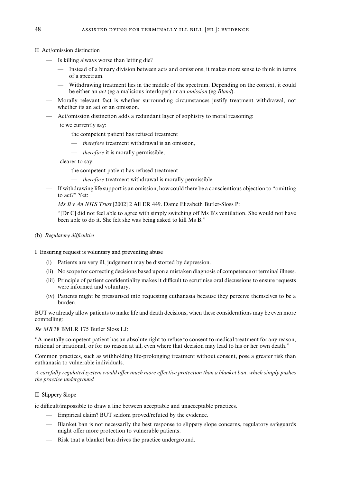### II Act/omission distinction

- Is killing always worse than letting die?
	- Instead of a binary division between acts and omissions, it makes more sense to think in terms of a spectrum.
	- Withdrawing treatment lies in the middle of the spectrum. Depending on the context, it could be either an *act* (eg a malicious interloper) or an *omission* (eg *Bland*).
- Morally relevant fact is whether surrounding circumstances justify treatment withdrawal, not whether its an act or an omission.
- Act/omission distinction adds a redundant layer of sophistry to moral reasoning:
	- ie we currently say:
		- the competent patient has refused treatment
		- *therefore* treatment withdrawal is an omission,
		- *therefore* it is morally permissible,

clearer to say:

- the competent patient has refused treatment
	- *therefore* treatment withdrawal is morally permissible.
- If withdrawing life support is an omission, how could there be a conscientious objection to "omitting to act?" Yet:

*Ms B v An NHS Trust* [2002] 2 All ER 449. Dame Elizabeth Butler-Sloss P:

"[Dr C] did not feel able to agree with simply switching off Ms B's ventilation. She would not have been able to do it. She felt she was being asked to kill Ms B."

### (b) *Regulatory difficulties*

I Ensuring request is voluntary and preventing abuse

- (i) Patients are very ill, judgement may be distorted by depression.
- (ii) No scope for correcting decisions based upon a mistaken diagnosis of competence or terminal illness.
- (iii) Principle of patient confidentiality makes it difficult to scrutinise oral discussions to ensure requests were informed and voluntary.
- (iv) Patients might be pressurised into requesting euthanasia because they perceive themselves to be a burden.

BUT we already allow patients to make life and death decisions, when these considerations may be even more compelling:

### *Re MB* 38 BMLR 175 Butler Sloss LJ:

"A mentally competent patient has an absolute right to refuse to consent to medical treatment for any reason, rational or irrational, or for no reason at all, even where that decision may lead to his or her own death."

Common practices, such as withholding life-prolonging treatment without consent, pose a greater risk than euthanasia to vulnerable individuals.

*A carefully regulated system would oVer much more eVective protection than a blanket ban, which simply pushes the practice underground.*

### II Slippery Slope

ie difficult/impossible to draw a line between acceptable and unacceptable practices.

- Empirical claim? BUT seldom proved/refuted by the evidence.
- Blanket ban is not necessarily the best response to slippery slope concerns, regulatory safeguards might offer more protection to vulnerable patients.
- Risk that a blanket ban drives the practice underground.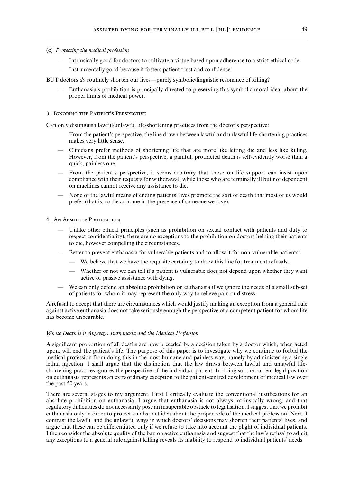- (c) *Protecting the medical profession*
	- Intrinsically good for doctors to cultivate a virtue based upon adherence to a strict ethical code.
	- Instrumentally good because it fosters patient trust and confidence.

BUT doctors *do* routinely shorten our lives—purely symbolic/linguistic resonance of killing?

— Euthanasia's prohibition is principally directed to preserving this symbolic moral ideal about the proper limits of medical power.

#### 3. Ignoring the Patient's Perspective

Can only distinguish lawful/unlawful life-shortening practices from the doctor's perspective:

- From the patient's perspective, the line drawn between lawful and unlawful life-shortening practices makes very little sense.
- Clinicians prefer methods of shortening life that are more like letting die and less like killing. However, from the patient's perspective, a painful, protracted death is self-evidently worse than a quick, painless one.
- From the patient's perspective, it seems arbitrary that those on life support can insist upon compliance with their requests for withdrawal, while those who are terminally ill but not dependent on machines cannot receive any assistance to die.
- None of the lawful means of ending patients' lives promote the sort of death that most of us would prefer (that is, to die at home in the presence of someone we love).

#### 4. AN ABSOLUTE PROHIBITION

- Unlike other ethical principles (such as prohibition on sexual contact with patients and duty to respect confidentiality), there are no exceptions to the prohibition on doctors helping their patients to die, however compelling the circumstances.
- Better to prevent euthanasia for vulnerable patients and to allow it for non-vulnerable patients:
	- We believe that we have the requisite certainty to draw this line for treatment refusals.
	- Whether or not we can tell if a patient is vulnerable does not depend upon whether they want active or passive assistance with dying.
- We can only defend an absolute prohibition on euthanasia if we ignore the needs of a small sub-set of patients for whom it may represent the only way to relieve pain or distress.

A refusal to accept that there are circumstances which would justify making an exception from a general rule against active euthanasia does not take seriously enough the perspective of a competent patient for whom life has become unbearable.

### *Whose Death is it Anyway: Euthanasia and the Medical Profession*

A significant proportion of all deaths are now preceded by a decision taken by a doctor which, when acted upon, will end the patient's life. The purpose of this paper is to investigate why we continue to forbid the medical profession from doing this in the most humane and painless way, namely by administering a single lethal injection. I shall argue that the distinction that the law draws between lawful and unlawful lifeshortening practices ignores the perspective of the individual patient. In doing so, the current legal position on euthanasia represents an extraordinary exception to the patient-centred development of medical law over the past 50 years.

There are several stages to my argument. First I critically evaluate the conventional justifications for an absolute prohibition on euthanasia. I argue that euthanasia is not always intrinsically wrong, and that regulatory difficulties do not necessarily pose an insuperable obstacle to legalisation. I suggest that we prohibit euthanasia only in order to protect an abstract idea about the proper role of the medical profession. Next, I contrast the lawful and the unlawful ways in which doctors' decisions may shorten their patients' lives, and argue that these can be differentiated only if we refuse to take into account the plight of individual patients. I then consider the absolute quality of the ban on active euthanasia and suggest that the law's refusal to admit any exceptions to a general rule against killing reveals its inability to respond to individual patients' needs.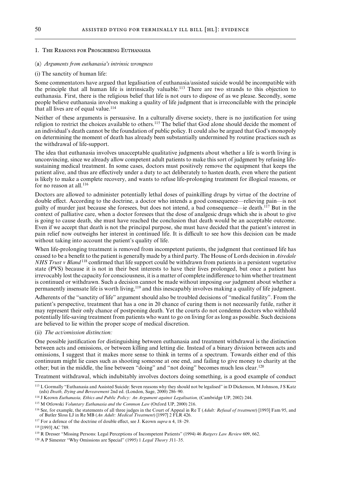#### 1. The Reasons for Proscribing Euthanasia

#### (a) *Arguments from euthanasia's intrinsic wrongness*

#### (i) The sanctity of human life:

Some commentators have argued that legalisation of euthanasia/assisted suicide would be incompatible with the principle that all human life is intrinsically valuable.113 There are two strands to this objection to euthanasia. First, there is the religious belief that life is not ours to dispose of as we please. Secondly, some people believe euthanasia involves making a quality of life judgment that is irreconcilable with the principle that all lives are of equal value.<sup>114</sup>

Neither of these arguments is persuasive. In a culturally diverse society, there is no justification for using religion to restrict the choices available to others.115 The belief that God alone should decide the moment of an individual's death cannot be the foundation of public policy. It could also be argued that God's monopoly on determining the moment of death has already been substantially undermined by routine practices such as the withdrawal of life-support.

The idea that euthanasia involves unacceptable qualitative judgments about whether a life is worth living is unconvincing, since we already allow competent adult patients to make this sort of judgment by refusing lifesustaining medical treatment. In some cases, doctors must positively remove the equipment that keeps the patient alive, and thus are effectively under a duty to act deliberately to hasten death, even where the patient is likely to make a complete recovery, and wants to refuse life-prolonging treatment for illogical reasons, or for no reason at all.<sup>116</sup>

Doctors are allowed to administer potentially lethal doses of painkilling drugs by virtue of the doctrine of double effect. According to the doctrine, a doctor who intends a good consequence—relieving pain—is not guilty of murder just because she foresees, but does not intend, a bad consequence—ie death.<sup>117</sup> But in the context of palliative care, when a doctor foresees that the dose of analgesic drugs which she is about to give is going to cause death, she must have reached the conclusion that death would be an acceptable outcome. Even if we accept that death is not the principal purpose, she must have decided that the patient's interest in pain relief now outweighs her interest in continued life. It is difficult to see how this decision can be made without taking into account the patient's quality of life.

When life-prolonging treatment is removed from incompetent patients, the judgment that continued life has ceased to be a benefit to the patient is generally made by a third party. The House of Lords decision in *Airedale NHS Trust v Bland*<sup>118</sup> confirmed that life support could be withdrawn from patients in a persistent vegetative state (PVS) because it is not in their best interests to have their lives prolonged, but once a patient has irrevocably lost the capacity for consciousness, it is a matter of complete indifference to him whether treatment is continued or withdrawn. Such a decision cannot be made without imposing *our* judgment about whether a permanently insensate life is worth living,119 and this inescapably involves making a quality of life judgment.

Adherents of the "sanctity of life" argument should also be troubled decisions of "medical futility". From the patient's perspective, treatment that has a one in 20 chance of curing them is not necessarily futile, rather it may represent their only chance of postponing death. Yet the courts do not condemn doctors who withhold potentially life-saving treatment from patients who want to go on living for as long as possible. Such decisions are believed to lie within the proper scope of medical discretion.

### (ii) *The act/omission distinction:*

One possible justification for distinguishing between euthanasia and treatment withdrawal is the distinction between acts and omissions, or between killing and letting die. Instead of a binary division between acts and omissions, I suggest that it makes more sense to think in terms of a spectrum. Towards either end of this continuum might lie cases such as shooting someone at one end, and failing to give money to charity at the other; but in the middle, the line between "doing" and "not doing" becomes much less clear.120

Treatment withdrawal, which indubitably involves doctors doing something, is a good example of conduct

<sup>&</sup>lt;sup>113</sup> L Gormally "Euthanasia and Assisted Suicide: Seven reasons why they should not be legalised" in D Dickenson, M Johnson, J S Katz (eds) *Death, Dying and Bereavement* 2nd ed. (London, Sage, 2000) 286–90.

<sup>114</sup> J Keown *Euthanasia, Ethics and Public Policy: An Argument against Legalisation,* (Cambridge UP, 2002) 244.

<sup>115</sup> M Otlowski *Voluntary Euthanasia and the Common Law* (Oxford UP, 2000) 216.

<sup>116</sup> See, for example, the statements of all three judges in the Court of Appeal in Re T (*Adult: Refusal of treatment*) [1993] Fam 95, and of Butler Sloss LJ in Re MB (*An Adult: Medical Treatment*) [1997] 2 FLR 426.

<sup>&</sup>lt;sup>117</sup> For a defence of the doctrine of double effect, see J. Keown *supra* n 4, 18–29.

<sup>118</sup> [1993] AC 789.

<sup>119</sup> R Dresser "Missing Persons: Legal Perceptions of Incompetent Patients" (1994) 46 *Rutgers Law Review* 609, 662.

<sup>120</sup> A P Simester "Why Omissions are Special" (1995) 1 *Legal Theory 3*11–35.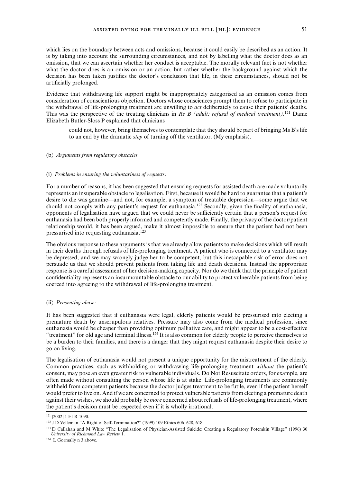which lies on the boundary between acts and omissions, because it could easily be described as an action. It is by taking into account the surrounding circumstances, and not by labelling what the doctor does as an omission, that we can ascertain whether her conduct is acceptable. The morally relevant fact is not whether what the doctor does is an omission or an action, but rather whether the background against which the decision has been taken justifies the doctor's conclusion that life, in these circumstances, should not be artificially prolonged.

Evidence that withdrawing life support might be inappropriately categorised as an omission comes from consideration of conscientious objection. Doctors whose consciences prompt them to refuse to participate in the withdrawal of life-prolonging treatment are unwilling to *act* deliberately to cause their patients' deaths. This was the perspective of the treating clinicians in *Re B (adult: refusal of medical treatment).*<sup>121</sup> Dame Elizabeth Butler-Sloss P explained that clinicians

could not, however, bring themselves to contemplate that they should be part of bringing Ms B's life to an end by the dramatic *step* of turning off the ventilator. (My emphasis).

## (b) *Arguments from regulatory obstacles*

## (i) *Problems in ensuring the voluntariness of requests:*

For a number of reasons, it has been suggested that ensuring requests for assisted death are made voluntarily represents an insuperable obstacle to legalisation. First, because it would be hard to guarantee that a patient's desire to die was genuine—and not, for example, a symptom of treatable depression—some argue that we should not comply with any patient's request for euthanasia.<sup>122</sup> Secondly, given the finality of euthanasia, opponents of legalisation have argued that we could never be sufficiently certain that a person's request for euthanasia had been both properly informed and competently made. Finally, the privacy of the doctor/patient relationship would, it has been argued, make it almost impossible to ensure that the patient had not been pressurised into requesting euthanasia.123

The obvious response to these arguments is that we already allow patients to make decisions which will result in their deaths through refusals of life-prolonging treatment. A patient who is connected to a ventilator may be depressed, and we may wrongly judge her to be competent, but this inescapable risk of error does not persuade us that we should prevent patients from taking life and death decisions. Instead the appropriate response is a careful assessment of her decision-making capacity. Nor do we think that the principle of patient confidentiality represents an insurmountable obstacle to our ability to protect vulnerable patients from being coerced into agreeing to the withdrawal of life-prolonging treatment.

## (ii) *Preventing abuse:*

It has been suggested that if euthanasia were legal, elderly patients would be pressurised into electing a premature death by unscrupulous relatives. Pressure may also come from the medical profession, since euthanasia would be cheaper than providing optimum palliative care, and might appear to be a cost-effective "treatment" for old age and terminal illness.<sup>124</sup> It is also common for elderly people to perceive themselves to be a burden to their families, and there is a danger that they might request euthanasia despite their desire to go on living.

The legalisation of euthanasia would not present a unique opportunity for the mistreatment of the elderly. Common practices, such as withholding or withdrawing life-prolonging treatment *without* the patient's consent, may pose an even greater risk to vulnerable individuals. Do Not Resuscitate orders, for example, are often made without consulting the person whose life is at stake. Life-prolonging treatments are commonly withheld from competent patients because the doctor judges treatment to be futile, even if the patient herself would prefer to live on. And if we are concerned to protect vulnerable patients from electing a premature death against their wishes, we should probably be *more* concerned about refusals of life-prolonging treatment, where the patient's decision must be respected even if it is wholly irrational.

<sup>121</sup> [2002] 1 FLR 1090.

<sup>122</sup> J D Velleman "A Right of Self-Termination?" (1999) 109 Ethics 606–628, 618.

<sup>&</sup>lt;sup>123</sup> D Callahan and M White "The Legalisation of Physician-Assisted Suicide: Creating a Regulatory Potemkin Village" (1996) 30 *University of Richmond Law Review* 1.

<sup>124</sup> L Gormally n 3 above.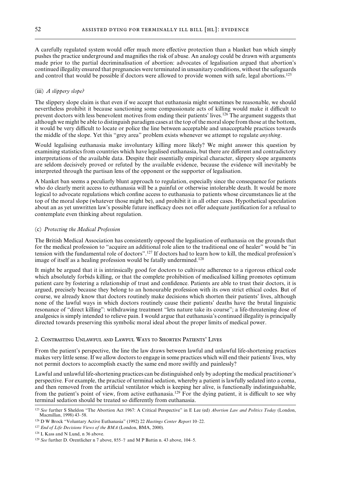A carefully regulated system would offer much more effective protection than a blanket ban which simply pushes the practice underground and magnifies the risk of abuse. An analogy could be drawn with arguments made prior to the partial decriminalisation of abortion: advocates of legalisation argued that abortion's continued illegality ensured that pregnancies were terminated in unsanitary conditions, without the safeguards and control that would be possible if doctors were allowed to provide women with safe, legal abortions.125

## (iii) *A slippery slope?*

The slippery slope claim is that even if we accept that euthanasia might sometimes be reasonable, we should nevertheless prohibit it because sanctioning some compassionate acts of killing would make it difficult to prevent doctors with less benevolent motives from ending their patients' lives.126 The argument suggests that although we might be able to distinguish paradigm cases at the top of the moral slope from those at the bottom, it would be very difficult to locate or police the line between acceptable and unacceptable practices towards the middle of the slope. Yet this "grey area" problem exists whenever we attempt to regulate *anything*.

Would legalising euthanasia make involuntary killing more likely? We might answer this question by examining statistics from countries which have legalised euthanasia, but there are different and contradictory interpretations of the available data. Despite their essentially empirical character, slippery slope arguments are seldom decisively proved or refuted by the available evidence, because the evidence will inevitably be interpreted through the partisan lens of the opponent or the supporter of legalisation.

A blanket ban seems a peculiarly blunt approach to regulation, especially since the consequence for patients who do clearly merit access to euthanasia will be a painful or otherwise intolerable death. It would be more logical to advocate regulations which confine access to euthanasia to patients whose circumstances lie at the top of the moral slope (whatever those might be), and prohibit it in all other cases. Hypothetical speculation about an as yet unwritten law's possible future inefficacy does not offer adequate justification for a refusal to contemplate even thinking about regulation.

### (c) *Protecting the Medical Profession*

The British Medical Association has consistently opposed the legalisation of euthanasia on the grounds that for the medical profession to "acquire an additional role alien to the traditional one of healer" would be "in tension with the fundamental role of doctors".127 If doctors had to learn how to kill, the medical profession's image of itself as a healing profession would be fatally undermined.<sup>128</sup>

It might be argued that it is intrinsically good for doctors to cultivate adherence to a rigorous ethical code which absolutely forbids killing, or that the complete prohibition of medicalised killing promotes optimum patient care by fostering a relationship of trust and confidence. Patients are able to trust their doctors, it is argued, precisely because they belong to an honourable profession with its own strict ethical codes. But of course, we already know that doctors routinely make decisions which shorten their patients' lives, although none of the lawful ways in which doctors routinely cause their patients' deaths have the brutal linguistic resonance of "direct killing": withdrawing treatment "lets nature take its course"; a life-threatening dose of analgesics is simply intended to relieve pain. I would argue that euthanasia's continued illegality is principally directed towards preserving this symbolic moral ideal about the proper limits of medical power.

## 2. Contrasting Unlawful and Lawful Ways to Shorten Patients' Lives

From the patient's perspective, the line the law draws between lawful and unlawful life-shortening practices makes very little sense. If we allow doctors to engage in some practices which will end their patients' lives, why not permit doctors to accomplish exactly the same end more swiftly and painlessly?

Lawful and unlawful life-shortening practices can be distinguished only by adopting the medical practitioner's perspective. For example, the practice of terminal sedation, whereby a patient is lawfully sedated into a coma, and then removed from the artificial ventilator which is keeping her alive, is functionally indistinguishable, from the patient's point of view, from active euthanasia.<sup>129</sup> For the dying patient, it is difficult to see why terminal sedation should be treated so differently from euthanasia.

<sup>125</sup> *See* further S Sheldon "The Abortion Act 1967: A Critical Perspective" in E Lee (ed) *Abortion Law and Politics Today* (London, Macmillan, 1998) 43–58.

<sup>126</sup> D W Brock "Voluntary Active Euthanasia" (1992) 22 *Hastings Center Report* 10–22.

<sup>127</sup> *End of Life Decisions Views of the BMA* (London, BMA, 2000).

<sup>128</sup> L Kass and N Lund, n 36 above.

<sup>&</sup>lt;sup>129</sup> *See* further D. Orentlicher n 7 above, 855–7 and M P Battin n. 43 above, 104–5.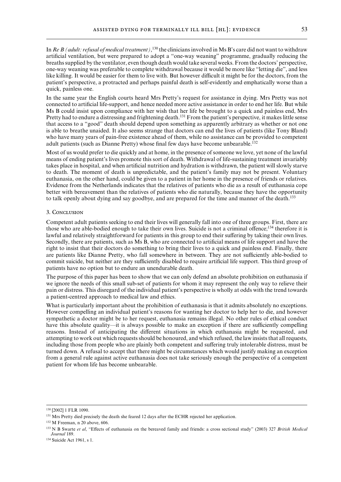In *Re B (adult: refusal of medical treatment)*, <sup>130</sup> the clinicians involved in Ms B's care did not want to withdraw artificial ventilation, but were prepared to adopt a "one-way weaning" programme, gradually reducing the breaths supplied by the ventilator, even though death would take several weeks. From the doctors' perspective, one-way weaning was preferable to complete withdrawal because it would be more like "letting die", and less like killing. It would be easier for them to live with. But however difficult it might be for the doctors, from the patient's perspective, a protracted and perhaps painful death is self-evidently and emphatically worse than a quick, painless one.

In the same year the English courts heard Mrs Pretty's request for assistance in dying. Mrs Pretty was not connected to artificial life-support, and hence needed more active assistance in order to end her life. But while Ms B could insist upon compliance with her wish that her life be brought to a quick and painless end, Mrs Pretty had to endure a distressing and frightening death.<sup>131</sup> From the patient's perspective, it makes little sense that access to a "good" death should depend upon something as apparently arbitrary as whether or not one is able to breathe unaided. It also seems strange that doctors can end the lives of patients (like Tony Bland) who have many years of pain-free existence ahead of them, while no assistance can be provided to competent adult patients (such as Dianne Pretty) whose final few days have become unbearable.<sup> $132$ </sup>

Most of us would prefer to die quickly and at home, in the presence of someone we love, yet none of the lawful means of ending patient's lives promote this sort of death. Withdrawal of life-sustaining treatment invariably takes place in hospital, and when artificial nutrition and hydration is withdrawn, the patient will slowly starve to death. The moment of death is unpredictable, and the patient's family may not be present. Voluntary euthanasia, on the other hand, could be given to a patient in her home in the presence of friends or relatives. Evidence from the Netherlands indicates that the relatives of patients who die as a result of euthanasia cope better with bereavement than the relatives of patients who die naturally, because they have the opportunity to talk openly about dying and say goodbye, and are prepared for the time and manner of the death.<sup>133</sup>

## 3. Conclusion

Competent adult patients seeking to end their lives will generally fall into one of three groups. First, there are those who are able-bodied enough to take their own lives. Suicide is not a criminal offence;<sup>134</sup> therefore it is lawful and relatively straightforward for patients in this group to end their suffering by taking their own lives. Secondly, there are patients, such as Ms B, who are connected to artificial means of life support and have the right to insist that their doctors do something to bring their lives to a quick and painless end. Finally, there are patients like Dianne Pretty, who fall somewhere in between. They are not sufficiently able-bodied to commit suicide, but neither are they sufficiently disabled to require artificial life support. This third group of patients have no option but to endure an unendurable death.

The purpose of this paper has been to show that we can only defend an absolute prohibition on euthanasia if we ignore the needs of this small sub-set of patients for whom it may represent the only way to relieve their pain or distress. This disregard of the individual patient's perspective is wholly at odds with the trend towards a patient-centred approach to medical law and ethics.

What is particularly important about the prohibition of euthanasia is that it admits absolutely no exceptions. However compelling an individual patient's reasons for wanting her doctor to help her to die, and however sympathetic a doctor might be to her request, euthanasia remains illegal. No other rules of ethical conduct have this absolute quality—it is always possible to make an exception if there are sufficiently compelling reasons. Instead of anticipating the different situations in which euthanasia might be requested, and attempting to work out which requests should be honoured, and which refused, the law insists that all requests, including those from people who are plainly both competent and suffering truly intolerable distress, must be turned down. A refusal to accept that there might be circumstances which would justify making an exception from a general rule against active euthanasia does not take seriously enough the perspective of a competent patient for whom life has become unbearable.

<sup>130</sup> [2002] 1 FLR 1090.

<sup>&</sup>lt;sup>131</sup> Mrs Pretty died precisely the death she feared 12 days after the ECHR rejected her application.

<sup>132</sup> M Freeman, n 20 above, 606.

<sup>&</sup>lt;sup>133</sup> N B Swarte *et al*, "Effects of euthanasia on the bereaved family and friends: a cross sectional study" (2003) 327 *British Medical Journal* 189.

<sup>134</sup> Suicide Act 1961, s 1.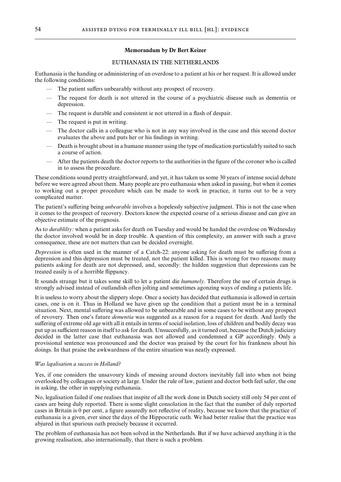## **Memorandum by Dr Bert Keizer**

### EUTHANASIA IN THE NETHERLANDS

Euthanasia is the handing or administering of an overdose to a patient at his or her request. It is allowed under the following conditions:

- The patient suffers unbearably without any prospect of recovery.
- The request for death is not uttered in the course of a psychiatric disease such as dementia or depression.
- The request is durable and consistent ie not uttered in a flash of despair.
- The request is put in writing.
- The doctor calls in a colleague who is not in any way involved in the case and this second doctor evaluates the above and puts her or his findings in writing.
- Death is brought about in a humane manner using the type of medication particulalrly suited to such a course of action.
- After the patients death the doctor reports to the authorities in the figure of the coroner who is called in to assess the procedure.

These conditions sound pretty straightforward, and yet, it has taken us some 30 years of intense social debate before we were agreed about them. Many people are pro euthanasia when asked in passing, but when it comes to working out a proper procedure which can be made to work in practice, it turns out to be a very complicated matter.

The patient's suffering being *unbearable* involves a hopelessly subjective judgment. This is not the case when it comes to the prospect of recovery. Doctors know the expected course of a serious disease and can give an objective estimate of the prognosis.

As to *durablilty:* when a patient asks for death on Tuesday and would be handed the overdose on Wednesday the doctor involved would be in deep trouble. A question of this complexity, an answer with such a grave consequence, these are not matters that can be decided overnight.

*Depression* is often used in the manner of a Catch-22: anyone asking for death must be suffering from a depression and this depression must be treated, not the patient killed. This is wrong for two reasons: many patients asking for death are not depressed, and, secondly: the hidden suggestion that depressions can be treated easily is of a horrible flippancy.

It sounds strange but it takes some skill to let a patient die *humanely.* Therefore the use of certain drugs is strongly advised instead of outlandish often jolting and sometimes agonzing ways of ending a patients life.

It is useless to worry about the slippery slope. Once a society has decided that euthanasia is allowed in certain cases, one is on it. Thus in Holland we have given up the condition that a patient must be in a terminal situation. Next, mental suffering was allowed to be unbearable and in some cases to be without any prospect of revovery. Then one's future *dementia* was suggested as a reason for a request for death. And lastly the suffering of extreme old age with all it entails in terms of social isolation, loss of children and bodily decay was put up as sufficient reason in itself to ask for death. Unsuccesfully, as it turned out, because the Dutch judiciary decided in the latter case that euthanasia was not allowed and condemned a GP accordingly. Only a provisional sentence was pronounced and the doctor was praised by the court for his frankness about his doings. In that praise the awkwardness of the entire situation was neatly expressed.

#### *Was legalisation a success in Holland?*

Yes, if one considers the unsavoury kinds of messing around doctors inevitably fall into when not being overlooked by colleagues or society at large. Under the rule of law, patient and doctor both feel safer, the one in asking, the other in supplying euthanasia.

No, legalisation failed if one realises that inspite of all the work done in Dutch society still only 54 per cent of cases are being duly reported. There is some slight consolation in the fact that the number of duly reported cases in Britain is 0 per cent, a figure assuredly not reflective of reality, because we know that the practice of euthanasia is a given, ever since the days of the Hippocratic oath. We had better realise that the practice was abjured in that spurious oath precisely because it occurred.

The problem of euthanasia has not been solved in the Netherlands. But if we have achieved anything it is the growing realisation, also internationally, that there is such a problem.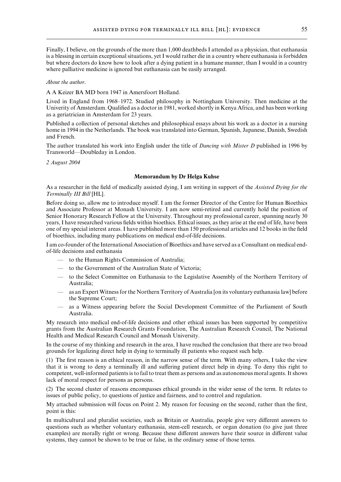Finally, I believe, on the grounds of the more than 1,000 deathbeds I attended as a physician, that euthanasia is a blessing in certain exceptional situations, yet I would rather die in a country where euthanasia is forbidden but where doctors do know how to look after a dying patient in a humane manner, than I would in a country where palliative medicine is ignored but euthanasia can be easily arranged.

#### *About the author.*

A A Keizer BA MD born 1947 in Amersfoort Holland.

Lived in England from 1968–1972. Studied philosophy in Nottingham University. Then medicine at the Univerity of Amsterdam. Qualified as a doctor in 1981, worked shortly in Kenya Africa, and has been working as a geriatrician in Amsterdam for 23 years.

Published a collection of personal sketches and philosophical essays about his work as a doctor in a nursing home in 1994 in the Netherlands. The book was translated into German, Spanish, Japanese, Danish, Swedish and French.

The author translated his work into English under the title of *Dancing with Mister D* published in 1996 by Transworld—Doubleday in London.

*2 August 2004*

#### **Memorandum by Dr Helga Kuhse**

As a researcher in the field of medically assisted dying, I am writing in support of the *Assisted Dying for the Terminally III Bill* [HL].

Before doing so, allow me to introduce myself. I am the former Director of the Centre for Human Bioethics and Associate Professor at Monash University. I am now semi-retired and currently hold the position of Senior Honorary Research Fellow at the University. Throughout my professional career, spanning nearly 30 years, I have researched various fields within bioethics. Ethical issues, as they arise at the end of life, have been one of my special interest areas. I have published more than 150 professional articles and 12 books in the field of bioethics, including many publications on medical end-of-life decisions.

I am co-founder of the International Association of Bioethics and have served as a Consultant on medical endof-life decisions and euthanasia

- to the Human Rights Commission of Australia;
- to the Government of the Australian State of Victoria;
- to the Select Committee on Euthanasia to the Legislative Assembly of the Northern Territory of Australia;
- as an Expert Witness for the Northern Territory of Australia [on its voluntary euthanasia law] before the Supreme Court;
- as a Witness appearing before the Social Development Committee of the Parliament of South Australia.

My research into medical end-of-life decisions and other ethical issues has been supported by competitive grants from the Australian Research Grants Foundation, The Australian Research Council, The National Health and Medical Research Council and Monash University.

In the course of my thinking and research in the area, I have reached the conclusion that there are two broad grounds for legalizing direct help in dying to terminally ill patients who request such help.

(1) The first reason is an ethical reason, in the narrow sense of the term. With many others, I take the view that it is wrong to deny a terminally ill and suffering patient direct help in dying. To deny this right to competent, well-informed patients is to fail to treat them as persons and as autonomous moral agents. It shows lack of moral respect for persons as persons.

(2) The second cluster of reasons encompasses ethical grounds in the wider sense of the term. It relates to issues of public policy, to questions of justice and fairness, and to control and regulation.

My attached submission will focus on Point 2. My reason for focusing on the second, rather than the first, point is this:

In multicultural and pluralist societies, such as Britain or Australia, people give very different answers to questions such as whether voluntary euthanasia, stem-cell research, or organ donation (to give just three examples) are morally right or wrong. Because these different answers have their source in different value systems, they cannot be shown to be true or false, in the ordinary sense of those terms.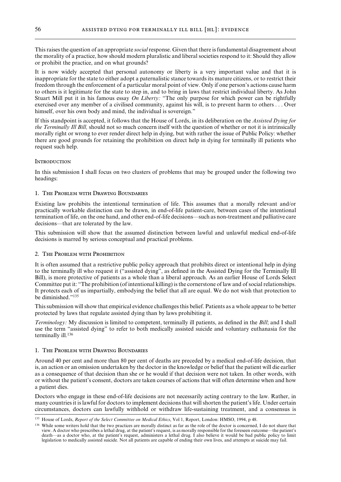This raises the question of an appropriate *social*response. Given that there is fundamental disagreement about the morality of a practice, how should modern pluralistic and liberal societies respond to it: Should they allow or prohibit the practice, and on what grounds?

It is now widely accepted that personal autonomy or liberty is a very important value and that it is inappropriate for the state to either adopt a paternalistic stance towards its mature citizens, or to restrict their freedom through the enforcement of a particular moral point of view. Only if one person's actions cause harm to others is it legitimate for the state to step in, and to bring in laws that restrict individual liberty. As John Stuart Mill put it in his famous essay *On Liberty:* "The only purpose for which power can be rightfully exercised over any member of a civilised community, against his will, is to prevent harm to others . . . Over himself, over his own body and mind, the individual is sovereign."

If this standpoint is accepted, it follows that the House of Lords, in its deliberation on the *Assisted Dying for the Terminally Ill Bill,* should not so much concern itself with the question of whether or not it is intrinsically morally right or wrong to ever render direct help in dying, but with rather the issue of Public Policy: whether there are good grounds for retaining the prohibition on direct help in dying for terminally ill patients who request such help.

## **INTRODUCTION**

In this submission I shall focus on two clusters of problems that may be grouped under the following two headings:

## 1. The Problem with Drawing Boundaries

Existing law prohibits the intentional termination of life. This assumes that a morally relevant and/or practically workable distinction can be drawn, in end-of-life patient-care, between cases of the intentional termination of life, on the one hand, and other end-of-life decisions—such as non-treatment and palliative care decisions—that are tolerated by the law.

This submission will show that the assumed distinction between lawful and unlawful medical end-of-life decisions is marred by serious conceptual and practical problems.

## 2. THE PROBLEM WITH PROHIBITION

It is often assumed that a restrictive public policy approach that prohibits direct or intentional help in dying to the terminally ill who request it ("assisted dying", as defined in the Assisted Dying for the Terminally Ill Bill), is more protective of patients as a whole than a liberal approach. As an earlier House of Lords Select Committee put it: "The prohibition (of intentional killing) is the cornerstone of law and of social relationships. It protects each of us impartially, embodying the belief that all are equal. We do not wish that protection to be diminished."<sup>135</sup>

This submission will show that empirical evidence challenges this belief. Patients as a whole appear to be better protected by laws that regulate assisted dying than by laws prohibiting it.

*Terminology:* My discussion is limited to competent, terminally ill patients, as defined in the *Bill*; and I shall use the term "assisted dying" to refer to both medically assisted suicide and voluntary euthanasia for the terminally ill.<sup>136</sup>

### 1. The Problem with Drawing Boundaries

Around 40 per cent and more than 80 per cent of deaths are preceded by a medical end-of-life decision, that is, an action or an omission undertaken by the doctor in the knowledge or belief that the patient will die earlier as a consequence of that decision than she or he would if that decision were not taken. In other words, with or without the patient's consent, doctors are taken courses of actions that will often determine when and how a patient dies.

Doctors who engage in these end-of-life decisions are not necessarily acting contrary to the law. Rather, in many countries it is lawful for doctors to implement decisions that will shorten the patient's life. Under certain circumstances, doctors can lawfully withhold or withdraw life-sustaining treatment, and a consensus is

<sup>135</sup> House of Lords, *Report of the Select Committee on Medical Ethics*, Vol 1, Report, London: HMSO, 1994, p 48.

<sup>&</sup>lt;sup>136</sup> While some writers hold that the two practices are morally distinct as far as the role of the doctor is concerned, I do not share that view. A doctor who prescribes a lethal drug, at the patient's request, is as morally responsible for the foreseen outcome—the patient's death—as a doctor who, at the patient's request, administers a lethal drug. I also believe it would be bad public policy to limit legislation to medically assisted suicide. Not all patients are capable of ending their own lives, and attempts at suicide may fail.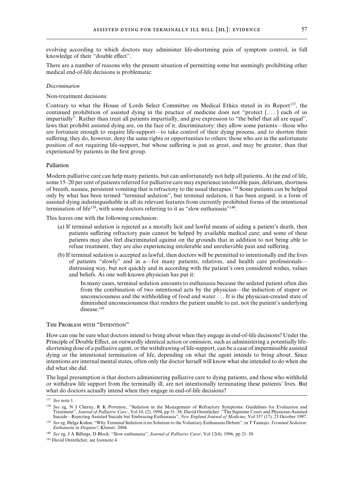evolving according to which doctors may administer life-shortening pain of symptom control, in full knowledge of their "double effect".

There are a number of reasons why the present situation of permitting some but seemingly prohibiting other medical end-of-life decisions is problematic:

### *Discrimination*

### Non-treatment decisions:

Contrary to what the House of Lords Select Committee on Medical Ethics stated in its Report137, the continued prohibition of assisted dying in the practice of medicine does not "protect [ . . . ] each of us impartially". Rather than treat all patients impartially, and give expression to "the belief that all are equal", laws that prohibit assisted dying are, on the face of it, discriminatory: they allow some patients—those who are fortunate enough to require life-support—to take control of their dying process, and to shorten their suffering; they do, however, deny the same rights or opportunities to others: those who are in the unfortunate position of not requiring life-support, but whose suffering is just as great, and may be greater, than that experienced by patients in the first group.

### Palliation

Modern palliative care can help many patients, but can unfortunately not help all patients. At the end of life, some 15–20 per cent of patients referred for palliative care may experience intolerable pain, delirium, shortness of breath, nausea, persistent vomiting that is refractory to the usual therapies.138 Some patients can be helped only by what has been termed "terminal sedation", but terminal sedation, it has been argued, is a form of assisted dying indistinguishable in all its relevant features from currently prohibited forms of the intentional termination of life<sup>139</sup>, with some doctors referring to it as "slow euthanasia"<sup>140</sup>.

This leaves one with the following conclusion:

- (a) If terminal sedation is rejected as a morally licit and lawful means of aiding a patient's death, then patients suffering refractory pain cannot be helped by available medical care; and some of these patients may also feel discriminated against on the grounds that in addition to not being able to refuse treatment, they are also experiencing intolerable and unrelievable pain and suffering.
- (b) If terminal sedation is accepted as lawful, then doctors will be permitted to intentionally end the lives of patients "slowly" and in a—for many patients, relatives, and health care professionals distressing way, but not quickly and in according with the patient's own considered wishes, values and beliefs. As one well-known physician has put it:

In many cases, terminal sedation amounts to euthanasia because the sedated patient often dies from the combination of two intentional acts by the physician—the induction of stupor or unconsciousness and the withholding of food and water . . . It is the physician-created state of diminished unconsciousness that renders the patient unable to eat, not the patient's underlying disease.<sup>141</sup>

THE PROBLEM WITH "INTENTION"

How can one be sure what doctors intend to bring about when they engage in end-of-life decisions? Under the Principle of Double Effect, an outwardly identical action or omission, such as administering a potentially lifeshortening dose of a palliative agent, or the withdrawing of life-support, can be a case of impermissible assisted dying or the intentional termination of life, depending on what the agent intends to bring about. Since intentions are internal mental states, often only the doctor herself will know what she intended to do when she did what she did.

The legal presumption is that doctors administering palliative care to dying patients, and those who withhold or withdraw life support from the terminally ill, are not intentionally terminating these patients' lives. But what do doctors actually intend when they engage in end-of-life decisions?

<sup>137</sup> *See* note 1.

<sup>138</sup> *See* eg, N I Cherny, R K Portenoy, "Sedation in the Management of Refractory Symptoms: Guidelines for Evaluation and Treatment", *Journal of Palliative Care:*, Vol 10, (2), 1994, pp 31–38; David Orentlicher: "The Supreme Court and Physician-Assisted Suicide—Rejecting Assisted Suicide but Embracing Euthanasia", *New England Journal of Medicine*, Vol 337 (17), 23 October 1997.

<sup>139</sup> *See* eg, Helga Kuhse: "Why Terminal Sedation is no Solution to the Voluntary Euthanasia Debate", in T Tannsjo: *Terminal Sedation: Euthanasia in Disguise?*, Kluwer, 2004.

<sup>140</sup> *See* eg, J A Billings, D Block: "Slow euthanasia", *Journal of Palliative Carer*, Vol 12(4), 1996, pp 21–30.

<sup>141</sup> David Orentlicher, see footnote 4.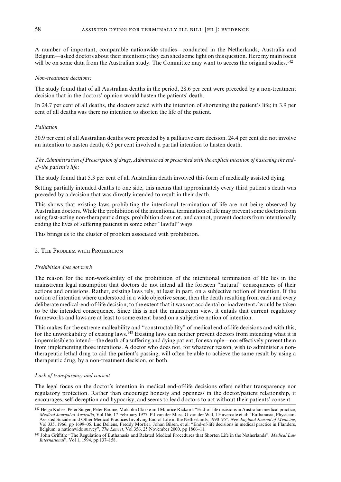A number of important, comparable nationwide studies—conducted in the Netherlands, Australia and Belgium—asked doctors about their intentions; they can shed some light on this question. Here my main focus will be on some data from the Australian study. The Committee may want to access the original studies.<sup>142</sup>

#### *Non-treatment decisions:*

The study found that of all Australian deaths in the period, 28.6 per cent were preceded by a non-treatment decision that in the doctors' opinion would hasten the patients' death.

In 24.7 per cent of all deaths, the doctors acted with the intention of shortening the patient's life; in 3.9 per cent of all deaths was there no intention to shorten the life of the patient.

#### *Palliation*

30.9 per cent of all Australian deaths were preceded by a palliative care decision. 24.4 per cent did not involve an intention to hasten death; 6.5 per cent involved a partial intention to hasten death.

*The Administration of Prescription of drugs, Administered or prescribed with the explicit intention of hastening the endof-the patient's life:*

The study found that 5.3 per cent of all Australian death involved this form of medically assisted dying.

Setting partially intended deaths to one side, this means that approximately every third patient's death was preceded by a decision that was directly intended to result in their death.

This shows that existing laws prohibiting the intentional termination of life are not being observed by Australian doctors. While the prohibition of the intentional termination of life may prevent some doctors from using fast-acting non-therapeutic drugs, prohibition does not, and cannot, prevent doctors from intentionally ending the lives of suffering patients in some other "lawful" ways.

This brings us to the cluster of problem associated with prohibition.

## 2. The Problem with Prohibition

#### *Prohibition does not work*

The reason for the non-workability of the prohibition of the intentional termination of life lies in the mainstream legal assumption that doctors do not intend all the foreseen "natural" consequences of their actions and omissions. Rather, existing laws rely, at least in part, on a subjective notion of intention. If the notion of intention where understood in a wide objective sense, then the death resulting from each and every deliberate medical-end-of-life decision, to the extent that it was not accidental or inadvertent ⁄ would be taken to be the intended consequence. Since this is not the mainstream view, it entails that current regulatory frameworks and laws are at least to some extent based on a subjective notion of intention.

This makes for the extreme malleability and "constructability" of medical end-of-life decisions and with this, for the unworkability of existing laws.<sup>143</sup> Existing laws can neither prevent doctors from intending what it is impermissible to intend—the death of a suffering and dying patient, for example—nor effectively prevent them from implementing those intentions. A doctor who does not, for whatever reason, wish to administer a nontherapeutic lethal drug to aid the patient's passing, will often be able to achieve the same result by using a therapeutic drug, by a non-treatment decision, or both.

### *Lack of transparency and consent*

The legal focus on the doctor's intention in medical end-of-life decisions offers neither transparency nor regulatory protection. Rather than encourage honesty and openness in the doctor/patient relationship, it encourages, self-deception and hypocrisy, and seems to lead doctors to act without their patients' consent.

<sup>142</sup> Helga Kuhse, Peter Singer, Peter Baume, Malcolm Clarke and Maurice Rickard: "End-of-life decisions in Australian medical practice, *Medical Journal of Australia*, Vol 166, 17 February 1977; P J van der Mass, G van der Wal, I Havercate et al: "Euthanasia, Physician-Assisted Suicide an d Other Medical Practices Involving End of Life in the Netherlands, 1990–95", *New England Journal of Medicine*, Vol 335, 1966, pp 1699–05. Luc Deliens, Freddy Mortier, Johan Bilsen, et al: "End-of-life decisions in medical practice in Flanders, Belgium: a nationwide survey", *The Lancet*, Vol 356, 25 November 2000, pp 1806–11.

<sup>&</sup>lt;sup>143</sup> John Griffith: "The Regulation of Euthanasia and Related Medical Procedures that Shorten Life in the Netherlands", Medical Law *International*", Vol 1, 1994, pp 137–158.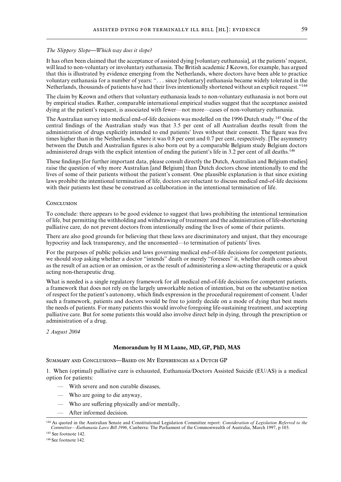### *The Slippery Slope—Which way does it slope?*

It has often been claimed that the acceptance of assisted dying [voluntary euthanasia], at the patients' request, will lead to non-voluntary or involuntary euthanasia. The British academic J Keown, for example, has argued that this is illustrated by evidence emerging from the Netherlands, where doctors have been able to practice voluntary euthanasia for a number of years: ". . . since [voluntary] euthanasia became widely tolerated in the Netherlands, thousands of patients have had their lives intentionally shortened without an explicit request."144

The claim by Keown and others that voluntary euthanasia leads to non-voluntary euthanasia is not born out by empirical studies. Rather, comparable international empirical studies suggest that the acceptance assisted dying at the patient's request, is associated with fewer—not more—cases of non-voluntary euthanasia.

The Australian survey into medical end-of-life decisions was modelled on the 1996 Dutch study.145 One of the central findings of the Australian study was that 3.5 per cent of all Australian deaths result from the administration of drugs explicitly intended to end patients' lives without their consent. The figure was five times higher than in the Netherlands, where it was 0.8 per cent and 0.7 per cent, respectively. [The asymmetry between the Dutch and Australian figures is also born out by a comparable Belgium study Belgium doctors administered drugs with the explicit intention of ending the patient's life in 3.2 per cent of all deaths.146

These findings [for further important data, please consult directly the Dutch, Australian and Belgium studies] raise the question of why more Australian [and Belgium] than Dutch doctors chose intentionally to end the lives of some of their patients without the patient's consent. One plausible explanation is that since existing laws prohibit the intentional termination of life, doctors are reluctant to discuss medical end-of-life decisions with their patients lest these be construed as collaboration in the intentional termination of life.

## **CONCLUSION**

To conclude: there appears to be good evidence to suggest that laws prohibiting the intentional termination of life, but permitting the withholding and withdrawing of treatment and the administration of life-shortening palliative care, do not prevent doctors from intentionally ending the lives of some of their patients.

There are also good grounds for believing that these laws are discriminatory and unjust, that they encourage hypocrisy and lack transparency, and the unconsented—to termination of patients' lives.

For the purposes of public policies and laws governing medical end-of-life decisions for competent patients, we should stop asking whether a doctor "intends" death or merely "foresees" it, whether death comes about as the result of an action or an omission, or as the result of administering a slow-acting therapeutic or a quick acting non-therapeutic drug.

What is needed is a single regulatory framework for all medical end-of-life decisions for competent patients, a framework that does not rely on the largely unworkable notion of intention, but on the substantive notion of respect for the patient's autonomy, which finds expression in the procedural requirement of consent. Under such a framework, patients and doctors would be free to jointly decide on a mode of dying that best meets the needs of patients. For many patients this would involve foregoing life-sustaining treatment, and accepting palliative care. But for some patients this would also involve direct help in dying, through the prescription or administration of a drug.

*2 August 2004*

## **Memorandum by H M Laane, MD, GP, PhD, MAS**

Summary and Conclusions—Based on My Experiences as a Dutch GP

1. When (optimal) palliative care is exhausted, Euthanasia/Doctors Assisted Suicide (EU/AS) is a medical option for patients:

- With severe and non curable diseases,
- Who are going to die anyway,
- Who are suffering physically and/or mentally,
- After informed decision.

<sup>144</sup> As quoted in the Australian Senate and Constitutional Legislation Committee report: *Consideration of Legislation Referred to the Committee—Euthanasia Laws Bill 1996*, Canberra: The Parliament of the Commonwealth of Australia, March 1997, p 103.

<sup>145</sup> See footnote 142.

<sup>146</sup> See footnote 142.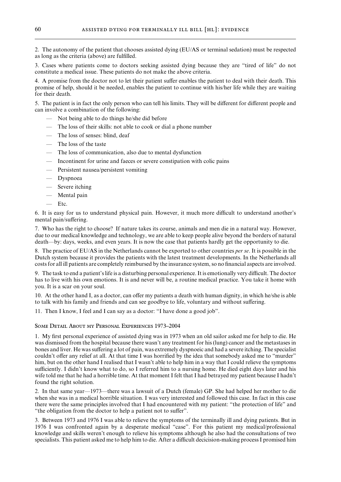2. The autonomy of the patient that chooses assisted dying (EU/AS or terminal sedation) must be respected as long as the criteria (above) are fulfilled.

3. Cases where patients come to doctors seeking assisted dying because they are "tired of life" do not constitute a medical issue. These patients do not make the above criteria.

4. A promise from the doctor not to let their patient suffer enables the patient to deal with their death. This promise of help, should it be needed, enables the patient to continue with his/her life while they are waiting for their death.

5. The patient is in fact the only person who can tell his limits. They will be different for different people and can involve a combination of the following:

- Not being able to do things he/she did before
- The loss of their skills: not able to cook or dial a phone number
- The loss of senses: blind, deaf
- The loss of the taste
- The loss of communication, also due to mental dysfunction
- Incontinent for urine and faeces or severe constipation with colic pains
- Persistent nausea/persistent vomiting
- Dyspnoea
- Severe itching
- Mental pain
- $\qquad$  Etc.

6. It is easy for us to understand physical pain. However, it much more difficult to understand another's mental pain/suffering.

7. Who has the right to choose? If nature takes its course, animals and men die in a natural way. However, due to our medical knowledge and technology, we are able to keep people alive beyond the borders of natural death—by: days, weeks, and even years. It is now the case that patients hardly get the opportunity to die.

8. The practice of EU/AS in the Netherlands cannot be exported to other countries *per se*. It is possible in the Dutch system because it provides the patients with the latest treatment developments. In the Netherlands all costs for all ill patients are completely reimbursed by the insurance system, so no financial aspects are involved.

9. The task to end a patient's life is a disturbing personal experience. It is emotionally very difficult. The doctor has to live with his own emotions. It is and never will be, a routine medical practice. You take it home with you. It is a scar on your soul.

10. At the other hand I, as a doctor, can offer my patients a death with human dignity, in which he/she is able to talk with his family and friends and can see goodbye to life, voluntary and without suffering.

11. Then I know, I feel and I can say as a doctor: "I have done a good job".

#### Some Detail About my Personal Experiences 1973–2004

1. My first personal experience of assisted dying was in 1973 when an old sailor asked me for help to die. He was dismissed from the hospital because there wasn't any treatment for his (lung) cancer and the metastases in bones and liver. He was suffering a lot of pain, was extremely dyspnoeic and had a severe itching. The specialist couldn't offer any relief at all. At that time I was horrified by the idea that somebody asked me to "murder" him, but on the other hand I realised that I wasn't able to help him in a way that I could relieve the symptoms sufficiently. I didn't know what to do, so I referred him to a nursing home. He died eight days later and his wife told me that he had a horrible time. At that moment I felt that I had betrayed my patient because I hadn't found the right solution.

2. In that same year—1973—there was a lawsuit of a Dutch (female) GP. She had helped her mother to die when she was in a medical horrible situation. I was very interested and followed this case. In fact in this case there were the same principles involved that I had encountered with my patient: "the protection of life" and "the obligation from the doctor to help a patient not to suffer".

3. Between 1973 and 1976 I was able to relieve the symptoms of the terminally ill and dying patients. But in 1976 I was confronted again by a desperate medical "case". For this patient my medical/professional knowledge and skills weren't enough to relieve his symptoms although he also had the consultations of two specialists. This patient asked me to help him to die. After a difficult decicision-making process I promised him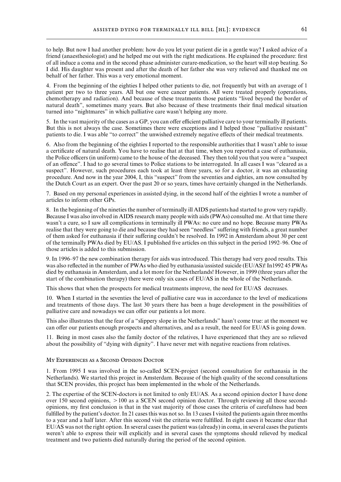to help. But now I had another problem: how do you let your patient die in a gentle way? I asked advice of a friend (anaesthesiologist) and he helped me out with the right medications. He explained the procedure: first of all induce a coma and in the second phase administer curare-medication, so the heart will stop beating. So I did. His daughter was present and after the death of her father she was very relieved and thanked me on behalf of her father. This was a very emotional moment.

4. From the beginning of the eighties I helped other patients to die, not frequently but with an average of 1 patient per two to three years. All but one were cancer patients. All were treated properly (operations, chemotherapy and radiation). And because of these treatments those patients "lived beyond the border of natural death", sometimes many years. But also because of these treatments their final medical situation turned into "nightmares" in which palliative care wasn't helping any more.

5. In the vast majority of the cases as a GP, you can offer efficient palliative care to your terminally ill patients. But this is not always the case. Sometimes there were exceptions and I helped those "palliative resistant" patients to die. I was able "to correct" the unwished extremely negative effects of their medical treatments.

6. Also from the beginning of the eighties I reported to the responsible authorities that I wasn't able to issue a certificate of natural death. You have to realise that at that time, when you reported a case of euthanasia, the Police officers (in uniform) came to the house of the deceased. They then told you that you were a "suspect of an offence". I had to go several times to Police stations to be interrogated. In all cases I was "cleared as a suspect". However, such procedures each took at least three years, so for a doctor, it was an exhausting procedure. And now in the year 2004, I, this "suspect" from the seventies and eighties, am now consulted by the Dutch Court as an expert. Over the past 20 or so years, times have certainly changed in the Netherlands.

7. Based on my personal experiences in assisted dying, in the second half of the eighties I wrote a number of articles to inform other GPs.

8. In the beginning of the nineties the number of terminally ill AIDS patients had started to grow very rapidly. Because I was also involved in AIDS research many people with aids (PWAs) consulted me. At that time there wasn't a cure, so I saw all complications in terminally ill PWAs: no cure and no hope. Because many PWAs realise that they were going to die and because they had seen "needless" suffering with friends, a great number of them asked for euthanasia if their suffering couldn't be resolved. In 1992 in Amsterdam about 30 per cent of the terminally PWAs died by EU/AS. I published five articles on this subject in the period 1992–96. One of those articles is added to this submission.

9. In 1996–97 the new combination therapy for aids was introduced. This therapy had very good results. This was also reflected in the number of PWAs who died by euthanasia/assisted suicide (EU/AS)! In1992 45 PWAs died by euthanasia in Amsterdam, and a lot more for the Netherlands! However, in 1999 (three years after the start of the combination therapy) there were only six cases of EU/AS in the whole of the Netherlands.

This shows that when the prospects for medical treatments improve, the need for EU/AS decreases.

10. When I started in the seventies the level of palliative care was in accordance to the level of medications and treatments of those days. The last 30 years there has been a huge development in the possibilities of palliative care and nowadays we can offer our patients a lot more.

This also illustrates that the fear of a "slippery slope in the Netherlands" hasn't come true: at the moment we can offer our patients enough prospects and alternatives, and as a result, the need for EU/AS is going down.

11. Being in most cases also the family doctor of the relatives, I have experienced that they are so relieved about the possibility of "dying with dignity". I have never met with negative reactions from relatives.

### My Experiences as a Second Opinion Doctor

1. From 1995 I was involved in the so-called SCEN-project (second consultation for euthanasia in the Netherlands). We started this project in Amsterdam. Because of the high quality of the second consultations that SCEN provides, this project has been implemented in the whole of the Netherlands.

2. The expertise of the SCEN-doctors is not limited to only EU/AS. As a second opinion doctor I have done over 150 second opinions,  $> 100$  as a SCEN second opinion doctor. Through reviewing all those secondopinions, my first conclusion is that in the vast majority of those cases the criteria of carefulness had been fulfilled by the patient's doctor. In 21 cases this was not so. In 13 cases I visited the patients again three months to a year and a half later. After this second visit the criteria were fulfilled. In eight cases it became clear that EU/AS was not the right option. In several cases the patient was (already) in coma, in several cases the patients weren't able to express their will explicitly and in several cases the symptoms should relieved by medical treatment and two patients died naturally during the period of the second opinion.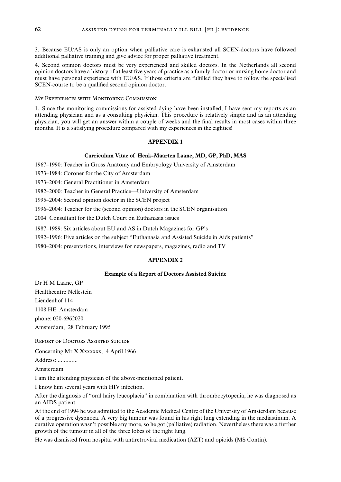3. Because EU/AS is only an option when palliative care is exhausted all SCEN-doctors have followed additional palliative training and give advice for proper palliative treatment.

4. Second opinion doctors must be very experienced and skilled doctors. In the Netherlands all second opinion doctors have a history of at least five years of practice as a family doctor or nursing home doctor and must have personal experience with EU/AS. If those criteria are fulfilled they have to follow the specialised SCEN-course to be a qualified second opinion doctor.

My Experiences with Monitoring Commission

1. Since the monitoring commissions for assisted dying have been installed, I have sent my reports as an attending physician and as a consulting physician. This procedure is relatively simple and as an attending physician, you will get an answer within a couple of weeks and the final results in most cases within three months. It is a satisfying procedure compared with my experiences in the eighties!

## **APPENDIX 1**

## **Curriculum Vitae of Henk-Maarten Laane, MD, GP, PhD, MAS**

1967–1990: Teacher in Gross Anatomy and Embryology University of Amsterdam

1973–1984: Coroner for the City of Amsterdam

1973–2004: General Practitioner in Amsterdam

1982–2000: Teacher in General Practice—University of Amsterdam

1995–2004: Second opinion doctor in the SCEN project

1996–2004: Teacher for the (second opinion) doctors in the SCEN organisation

2004: Consultant for the Dutch Court on Euthanasia issues

1987–1989: Six articles about EU and AS in Dutch Magazines for GP's

1992–1996: Five articles on the subject "Euthanasia and Assisted Suicide in Aids patients"

1980–2004: presentations, interviews for newspapers, magazines, radio and TV

## **APPENDIX 2**

## **Example of a Report of Doctors Assisted Suicide**

Dr H M Laane, GP Healthcentre Nellestein Liendenhof 114 1108 HE Amsterdam phone: 020-6962020 Amsterdam, 28 February 1995

REPORT OF DOCTORS ASSISTED SUICIDE

Concerning Mr X Xxxxxxx, 4 April 1966

Address: .............

Amsterdam

I am the attending physician of the above-mentioned patient.

I know him several years with HIV infection.

After the diagnosis of "oral hairy leucoplacia" in combination with thrombocytopenia, he was diagnosed as an AIDS patient.

At the end of 1994 he was admitted to the Academic Medical Centre of the University of Amsterdam because of a progressive dyspnoea. A very big tumour was found in his right lung extending in the mediastinum. A curative operation wasn't possible any more, so he got (palliative) radiation. Nevertheless there was a further growth of the tumour in all of the three lobes of the right lung.

He was dismissed from hospital with antiretroviral medication (AZT) and opioids (MS Contin).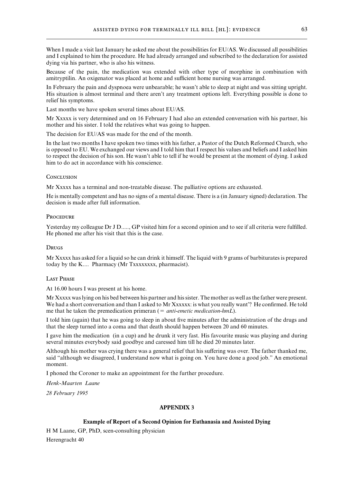When I made a visit last January he asked me about the possibilities for EU/AS. We discussed all possibilities and I explained to him the procedure. He had already arranged and subscribed to the declaration for assisted dying via his partner, who is also his witness.

Because of the pain, the medication was extended with other type of morphine in combination with amitryptilin. An oxigenator was placed at home and sufficient home nursing was arranged.

In February the pain and dyspnoea were unbearable; he wasn't able to sleep at night and was sitting upright. His situation is almost terminal and there aren't any treatment options left. Everything possible is done to relief his symptoms.

Last months we have spoken several times about EU/AS.

Mr Xxxxx is very determined and on 16 February I had also an extended conversation with his partner, his mother and his sister. I told the relatives what was going to happen.

The decision for EU/AS was made for the end of the month.

In the last two months I have spoken two times with his father, a Pastor of the Dutch Reformed Church, who is opposed to EU. We exchanged our views and I told him that I respect his values and beliefs and I asked him to respect the decision of his son. He wasn't able to tell if he would be present at the moment of dying. I asked him to do act in accordance with his conscience.

### **CONCLUSION**

Mr Xxxxx has a terminal and non-treatable disease. The palliative options are exhausted.

He is mentally competent and has no signs of a mental disease. There is a (in January signed) declaration. The decision is made after full information.

## **PROCEDURE**

Yesterday my colleague Dr J D....., GP visited him for a second opinion and to see if all criteria were fulfilled. He phoned me after his visit that this is the case.

## **DRUGS**

Mr Xxxxx has asked for a liquid so he can drink it himself. The liquid with 9 grams of barbiturates is prepared today by the K.... Pharmacy (Mr Txxxxxxxx, pharmacist).

## Last Phase

At 16.00 hours I was present at his home.

Mr Xxxxx was lying on his bed between his partner and his sister. The mother as well as the father were present. We had a short conversation and than I asked to Mr Xxxxxx: is what you really want? He confirmed. He told me that he taken the premedication primeran (= *anti-emetic medication-hmL*).

I told him (again) that he was going to sleep in about five minutes after the administration of the drugs and that the sleep turned into a coma and that death should happen between 20 and 60 minutes.

I gave him the medication (in a cup) and he drunk it very fast. His favourite music was playing and during several minutes everybody said goodbye and caressed him till he died 20 minutes later.

Although his mother was crying there was a general relief that his suffering was over. The father thanked me, said "although we disagreed, I understand now what is going on. You have done a good job." An emotional moment.

I phoned the Coroner to make an appointment for the further procedure.

*Henk-Maarten Laane*

*28 February 1995*

## **APPENDIX 3**

### **Example of Report of a Second Opinion for Euthanasia and Assisted Dying**

H M Laane, GP, PhD, scen-consulting physician Herengracht 40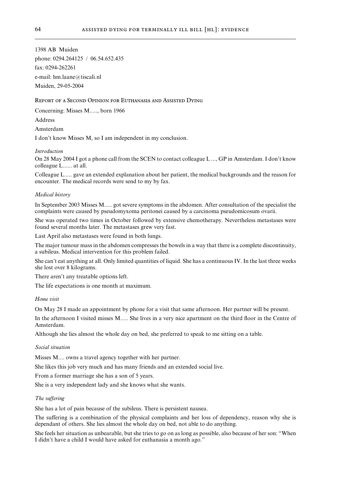1398 AB Muiden phone: 0294.264125 / 06.54.652.435 fax: 0294-262261 e-mail: hm.laane@tiscali.nl Muiden, 29-05-2004

### Report of a Second Opinion for Euthanasia and Assisted Dying

Concerning: Misses M....., born 1966

Address

Amsterdam

I don't know Misses M, so I am independent in my conclusion.

#### *Introduction*

On 28 May 2004 I got a phone call from the SCEN to contact colleague L ..., GP in Amsterdam. I don't know colleague L...... at all.

Colleague L..... gave an extended explanation about her patient, the medical backgrounds and the reason for encounter. The medical records were send to my by fax.

### *Medical history*

In September 2003 Misses M..... got severe symptoms in the abdomen. After consultation of the specialist the complaints were caused by pseudomyxoma peritonei caused by a carcinoma pseudomicosum ovarii.

She was operated two times in October followed by extensive chemotherapy. Nevertheless metastases were found several months later. The metastases grew very fast.

Last April also metastases were found in both lungs.

The major tumour mass in the abdomen compresses the bowels in a way that there is a complete discontinuity, a subileus. Medical intervention for this problem failed.

She can't eat anything at all. Only limited quantities of liquid. She has a continuous IV. In the last three weeks she lost over 8 kilograms.

There aren't any treatable options left.

The life expectations is one month at maximum.

## *Home visit*

On May 28 I made an appointment by phone for a visit that same afternoon. Her partner will be present.

In the afternoon I visited misses M..... She lives in a very nice apartment on the third floor in the Centre of Amsterdam.

Although she lies almost the whole day on bed, she preferred to speak to me sitting on a table.

## *Social situation*

Misses M.... owns a travel agency together with her partner.

She likes this job very much and has many friends and an extended social live.

From a former marriage she has a son of 5 years.

She is a very independent lady and she knows what she wants.

## *The suffering*

She has a lot of pain because of the subileus. There is persistent nausea.

The suffering is a combination of the physical complaints and her loss of dependency, reason why she is dependant of others. She lies almost the whole day on bed, not able to do anything.

She feels her situation as unbearable, but she tries to go on as long as possible, also because of her son: "When I didn't have a child I would have asked for euthanasia a month ago."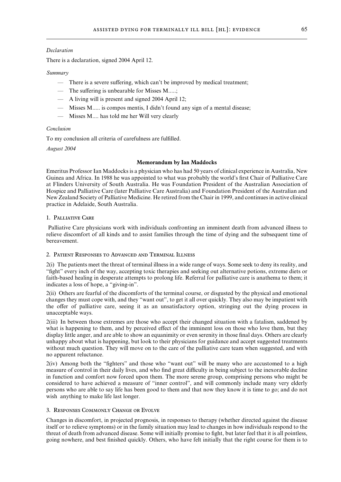## *Declaration*

There is a declaration, signed 2004 April 12.

#### *Summary*

- There is a severe suffering, which can't be improved by medical treatment;
- The suffering is unbearable for Misses M.....;
- A living will is present and signed 2004 April 12;
- Misses M..... is compos mentis, I didn't found any sign of a mental disease;
- Misses M.... has told me her Will very clearly

### *Conclusion*

To my conclusion all criteria of carefulness are fulfilled.

*August 2004*

## **Memorandum by Ian Maddocks**

Emeritus Professor Ian Maddocks is a physician who has had 50 years of clinical experience in Australia, New Guinea and Africa. In 1988 he was appointed to what was probably the world's first Chair of Palliative Care at Flinders University of South Australia. He was Foundation President of the Australian Association of Hospice and Palliative Care (later Palliative Care Australia) and Foundation President of the Australian and New Zealand Society of Palliative Medicine. He retired from the Chair in 1999, and continues in active clinical practice in Adelaide, South Australia.

### 1. Palliative Care

Palliative Care physicians work with individuals confronting an imminent death from advanced illness to relieve discomfort of all kinds and to assist families through the time of dying and the subsequent time of bereavement.

## 2. Patient Responses to Advanced and Terminal Illness

2(i) The patients meet the threat of terminal illness in a wide range of ways. Some seek to deny its reality, and "fight" every inch of the way, accepting toxic therapies and seeking out alternative potions, extreme diets or faith-based healing in desperate attempts to prolong life. Referral for palliative care is anathema to them; it indicates a loss of hope, a "giving-in".

2(ii) Others are fearful of the discomforts of the terminal course, or disgusted by the physical and emotional changes they must cope with, and they "want out", to get it all over quickly. They also may be impatient with the offer of palliative care, seeing it as an unsatisfactory option, stringing out the dying process in unacceptable ways.

2(iii) In between those extremes are those who accept their changed situation with a fatalism, saddened by what is happening to them, and by perceived effect of the imminent loss on those who love them, but they display little anger, and are able to show an equanimity or even serenity in those final days. Others are clearly unhappy about what is happening, but look to their physicians for guidance and accept suggested treatments without much question. They will move on to the care of the palliative care team when suggested, and with no apparent reluctance.

2(iv) Among both the "fighters" and those who "want out" will be many who are accustomed to a high measure of control in their daily lives, and who find great difficulty in being subject to the inexorable decline in function and comfort now forced upon them. The more serene group, comprising persons who might be considered to have achieved a measure of "inner control", and will commonly include many very elderly persons who are able to say life has been good to them and that now they know it is time to go; and do not wish anything to make life last longer.

## 3. Responses Commonly Change or Evolve

Changes in discomfort, in projected prognosis, in responses to therapy (whether directed against the disease itself or to relieve symptoms) or in the family situation may lead to changes in how individuals respond to the threat of death from advanced disease. Some will initially promise to fight, but later feel that it is all pointless, going nowhere, and best finished quickly. Others, who have felt initially that the right course for them is to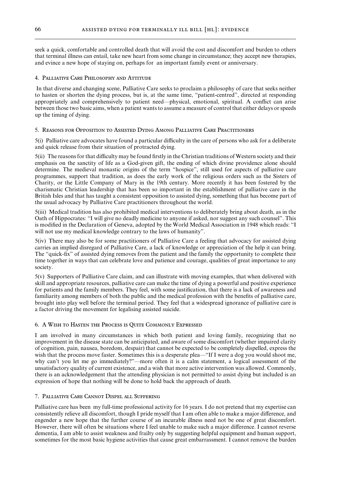seek a quick, comfortable and controlled death that will avoid the cost and discomfort and burden to others that terminal illness can entail, take new heart from some change in circumstance; they accept new therapies, and evince a new hope of staying on, perhaps for an important family event or anniversary.

## 4. Palliative Care Philosophy and Attitude

In that diverse and changing scene, Palliative Care seeks to proclaim a philosophy of care that seeks neither to hasten or shorten the dying process, but is, at the same time, "patient-centred", directed at responding appropriately and comprehensively to patient need—physical, emotional, spiritual. A conflict can arise between those two basic aims, when a patient wants to assume a measure of control that either delays or speeds up the timing of dying.

### 5. Reasons for Opposition to Assisted Dying Among Palliative Care Practitioners

5(i) Palliative care advocates have found a particular difficulty in the care of persons who ask for a deliberate and quick release from their situation of protracted dying.

5(ii) The reasons for that difficulty may be found firstly in the Christian traditions of Western society and their emphasis on the sanctity of life as a God-given gift, the ending of which divine providence alone should determine. The medieval monastic origins of the term "hospice", still used for aspects of palliative care programmes, support that tradition, as does the early work of the religious orders such as the Sisters of Charity, or the Little Company of Mary in the 19th century. More recently it has been fostered by the charismatic Christian leadership that has been so important in the establishment of palliative care in the British Isles and that has taught a consistent opposition to assisted dying, something that has become part of the usual advocacy by Palliative Care practitioners throughout the world.

5(iii) Medical tradition has also prohibited medical interventions to deliberately bring about death, as in the Oath of Hippocrates: "I will give no deadly medicine to anyone if asked, nor suggest any such counsel". This is modified in the Declaration of Geneva, adopted by the World Medical Association in 1948 which reads: "I will not use my medical knowledge contrary to the laws of humanity".

5(iv) There may also be for some practitioners of Palliative Care a feeling that advocacy for assisted dying carries an implied disregard of Palliative Care, a lack of knowledge or appreciation of the help it can bring. The "quick-fix" of assisted dying removes from the patient and the family the opportunity to complete their time together in ways that can celebrate love and patience and courage, qualities of great importance to any society.

5(v) Supporters of Palliative Care claim, and can illustrate with moving examples, that when delivered with skill and appropriate resources, palliative care can make the time of dying a powerful and positive experience for patients and the family members. They feel, with some justification, that there is a lack of awareness and familiarity among members of both the public and the medical profession with the benefits of palliative care, brought into play well before the terminal period. They feel that a widespread ignorance of palliative care is a factor driving the movement for legalising assisted suicide.

## 6. A Wish to Hasten the Process is Quite Commonly Expressed

I am involved in many circumstances in which both patient and loving family, recognizing that no improvement in the disease state can be anticipated, and aware of some discomfort (whether impaired clarity of cognition, pain, nausea, boredom, despair) that cannot be expected to be completely dispelled, express the wish that the process move faster. Sometimes this is a desperate plea—"If I were a dog you would shoot me, why can't you let me go immediately?"—more often it is a calm statement, a logical assessment of the unsatisfactory quality of current existence, and a wish that more active intervention was allowed. Commonly, there is an acknowledgement that the attending physician is not permitted to assist dying but included is an expression of hope that nothing will be done to hold back the approach of death.

### 7. Palliative Care Cannot Dispel all Suffering

Palliative care has been my full-time professional activity for 16 years. I do not pretend that my expertise can consistently relieve all discomfort, though I pride myself that I am often able to make a major difference, and engender a new hope that the further course of an incurable illness need not be one of great discomfort. However, there will often be situations where I feel unable to make such a major difference. I cannot reverse dementia, I am able to assist weakness and frailty only by suggesting helpful equipment and human support, sometimes for the most basic hygiene activities that cause great embarrassment. I cannot remove the burden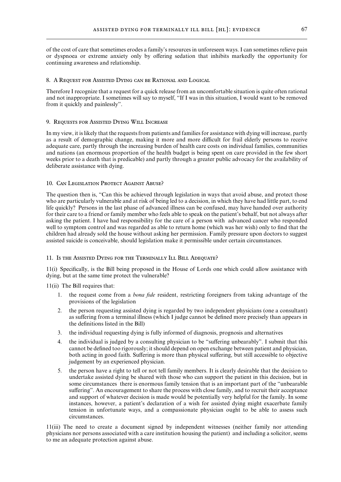of the cost of care that sometimes erodes a family's resources in unforeseen ways. I can sometimes relieve pain or dyspnoea or extreme anxiety only by offering sedation that inhibits markedly the opportunity for continuing awareness and relationship.

## 8. A Request for Assisted Dying can be Rational and Logical

Therefore I recognize that a request for a quick release from an uncomfortable situation is quite often rational and not inappropriate. I sometimes will say to myself, "If I was in this situation, I would want to be removed from it quickly and painlessly".

## 9. Requests for Assisted Dying Will Increase

In my view, it is likely that the requests from patients and families for assistance with dying will increase, partly as a result of demographic change, making it more and more difficult for frail elderly persons to receive adequate care, partly through the increasing burden of health care costs on individual families, communities and nations (an enormous proportion of the health budget is being spent on care provided in the few short weeks prior to a death that is predicable) and partly through a greater public advocacy for the availability of deliberate assistance with dying.

## 10. CAN LEGISLATION PROTECT AGAINST ABUSE?

The question then is, "Can this be achieved through legislation in ways that avoid abuse, and protect those who are particularly vulnerable and at risk of being led to a decision, in which they have had little part, to end life quickly? Persons in the last phase of advanced illness can be confused, may have handed over authority for their care to a friend or family member who feels able to speak on the patient's behalf, but not always after asking the patient. I have had responsibility for the care of a person with advanced cancer who responded well to symptom control and was regarded as able to return home (which was her wish) only to find that the children had already sold the house without asking her permission. Family pressure upon doctors to suggest assisted suicide is conceivable, should legislation make it permissible under certain circumstances.

## 11. Is the Assisted Dying for the Terminally Ill Bill Adequate?

11(i) Specifically, is the Bill being proposed in the House of Lords one which could allow assistance with dying, but at the same time protect the vulnerable?

11(ii) The Bill requires that:

- 1. the request come from a *bona fide* resident, restricting foreigners from taking advantage of the provisions of the legislation
- 2. the person requesting assisted dying is regarded by two independent physicians (one a consultant) as suffering from a terminal illness (which I judge cannot be defined more precisely than appears in the definitions listed in the Bill)
- 3. the individual requesting dying is fully informed of diagnosis, prognosis and alternatives
- 4. the individual is judged by a consulting physician to be "suffering unbearably". I submit that this cannot be defined too rigorously; it should depend on open exchange between patient and physician, both acting in good faith. Suffering is more than physical suffering, but still accessible to objective judgement by an experienced physician.
- 5. the person have a right to tell or not tell family members. It is clearly desirable that the decision to undertake assisted dying be shared with those who can support the patient in this decision, but in some circumstances there is enormous family tension that is an important part of the "unbearable suffering". An encouragement to share the process with close family, and to recruit their acceptance and support of whatever decision is made would be potentially very helpful for the family. In some instances, however, a patient's declaration of a wish for assisted dying might exacerbate family tension in unfortunate ways, and a compassionate physician ought to be able to assess such circumstances.

11(iii) The need to create a document signed by independent witnesses (neither family nor attending physicians nor persons associated with a care institution housing the patient) and including a solicitor, seems to me an adequate protection against abuse.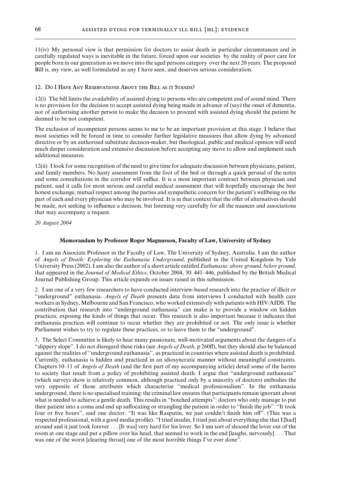11(iv) My personal view is that permission for doctors to assist death in particular circumstances and in carefully regulated ways is inevitable in the future, forced upon our societies by the reality of poor care for people born in our generation as we move into the aged persons category over the next 20 years. The proposed Bill is, my view, as well formulated as any I have seen, and deserves serious consideration.

## 12. Do I Have Any Reservations About the Bill as it Stands?

12(i) The bill limits the availability of assisted dying to persons who are competent and of sound mind. There is no provision for the decision to accept assisted dying being made in advance of (say) the onset of dementia, nor of authorising another person to make the decision to proceed with assisted dying should the patient be deemed to be not competent.

The exclusion of incompetent persons seems to me to be an important provision at this stage. I believe that most societies will be forced in time to consider further legislative measures that allow dying by advanced directive or by an authorised substitute decision-maker, but theological, public and medical opinion will need much deeper consideration and extensive discussion before accepting any move to allow and implement such additional measures.

12(ii) I look for some recognition of the need to give time for adequate discussion between physicians, patient, and family members. No hasty assessment from the foot of the bed or through a quick perusal of the notes and some consultations in the corridor will suffice. It is a most important contract between physician and patient, and it calls for most serious and careful medical assessment that will hopefully encourage the best honest exchange, mutual respect among the parties and sympathetic concern for the patient's wellbeing on the part of each and every physician who may be involved. It is in that context that the offer of alternatives should be made, not seeking to influence a decision, but listening very carefully for all the nuances and associations that may accompany a request.

*20 August 2004*

#### **Memorandum by Professor Roger Magnusson, Faculty of Law, University of Sydney**

1. I am an Associate Professor in the Faculty of Law, The University of Sydney, Australia. I am the author of *Angels of Death: Exploring the Euthanasia Underground*, published in the United Kingdom by Yale University Press (2002). I am also the author of a short article entitled *Euthanasia: above ground, below ground*, that appeared in the *Journal of Medical Ethics*, October 2004, 30: 441–446, published by the British Medical Journal Publishing Group. This article expands on issues raised in this submission.

2. I am one of a very few researchers to have conducted interview-based research into the practice of illicit or "underground" euthanasia. *Angels of Death* presents data from interviews I conducted with health care workers in Sydney, Melbourne and San Francisco, who worked extensively with patients with HIV/AIDS. The contribution that research into "underground euthanasia" can make is to provide a window on hidden practices, exposing the kinds of things that occur. This research is also important because it indicates that euthanasia practices will continue to occur whether they are prohibited or not. The only issue is whether Parliament wishes to try to regulate these practices, or to leave them to the "underground".

3. The Select Committee is likely to hear many passionate, well-motivated arguments about the dangers of a "slippery slope". I do not disregard these risks (see *Angels of Death*, p 260ff), but they should also be balanced against the realities of "underground euthanasia", as practiced in countries where assisted death is prohibited. Currently, euthanasia is hidden and practiced in an idiosyncratic manner without meaningful constraints. Chapters 10–11 of *Angels of Death* (and the first part of my accompanying article) detail some of the harms to society that result from a policy of prohibiting assisted death. I argue that "underground euthanasia" (which surveys show is relatively common, although practiced only by a minority of doctors) embodies the very opposite of those attributes which characterise "medical professionalism". In the euthanasia underground, there is no specialised training: the criminal law ensures that participants remain ignorant about what is needed to achieve a gentle death. This results in "botched attempts": doctors who only manage to put their patient into a coma and end up suffocating or strangling the patient in order to "finish the job". "It took four or five hours", said one doctor. "It was like Rasputin, we just couldn't finish him off". (This was a respected professional, with a good media profile). "I tried insulin, I tried just about everything else that I [had] around and it just took forever . . . [It was] very hard for his lover. So I um sort of shooed the lover out of the room at one stage and put a pillow over his head, that seemed to work in the end [laughs, nervously] . . . That was one of the worst [clearing throat] one of the most horrible things I've ever done".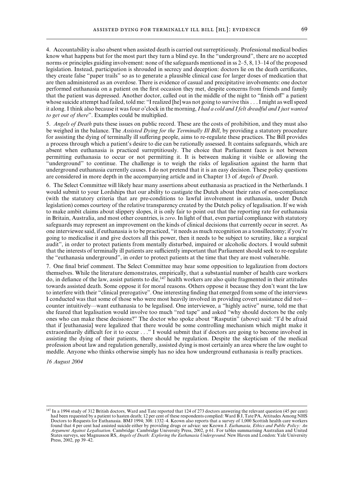4. Accountability is also absent when assisted death is carried out surreptitiously. Professional medical bodies know what happens but for the most part they turn a blind eye. In the "underground", there are no accepted norms or principles guiding involvement: none of the safeguards mentioned in ss 2–5, 8, 13–14 of the proposed legislation. Instead, participation is shrouded in secrecy and deception: doctors lie on the death certificates, they create false "paper trails" so as to generate a plausible clinical case for larger doses of medication that are then administered as an overdose. There is evidence of casual and precipitative involvements: one doctor performed euthanasia on a patient on the first occasion they met, despite concerns from friends and family that the patient was depressed. Another doctor, called out in the middle of the night to "finish off" a patient whose suicide attempt had failed, told me: "I realized [he] was not going to survive this . . . I might as well speed it along. I think also because it was four o'clock in the morning, *I had a cold and I felt dreadful and I just wanted to get out of there*". Examples could be multiplied.

5. *Angels of Death* puts these issues on public record. These are the costs of prohibition, and they must also be weighed in the balance. The *Assisted Dying for the Terminally Ill Bill*, by providing a statutory procedure for assisting the dying of terminally ill suffering people, aims to re-regulate these practices. The Bill provides a process through which a patient's desire to die can be rationally assessed. It contains safeguards, which are absent when euthanasia is practiced surreptitiously. The choice that Parliament faces is not between permitting euthanasia to occur or not permitting it. It is between making it visible or allowing the "underground" to continue. The challenge is to weigh the risks of legalisation against the harm that underground euthanasia currently causes. I do not pretend that it is an easy decision. These policy questions are considered in more depth in the accompanying article and in Chapter 13 of *Angels of Death*.

6. The Select Committee will likely hear many assertions about euthanasia as practiced in the Netherlands. I would submit to your Lordships that our ability to castigate the Dutch about their rates of non-compliance (with the statutory criteria that are pre-conditions to lawful involvement in euthanasia, under Dutch legislation) comes courtesy of the relative transparency created by the Dutch policy of legalisation. If we wish to make ambit claims about slippery slopes, it is only fair to point out that the reporting rate for euthanasia in Britain, Australia, and most other countries, is *zero*. In light of that, even partial compliance with statutory safeguards may represent an improvement on the kinds of clinical decisions that currently occur in secret. As one interviewee said, if euthanasia is to be practiced, "it needs as much recognition as a tonsillectomy; if you're going to medicalise it and give doctors all this power, then it needs to be subject to scrutiny, like a surgical audit", in order to protect patients from mentally disturbed, impaired or alcoholic doctors. I would submit that the interests of terminally ill patients are sufficiently important that Parliament should seek to re-regulate the "euthanasia underground", in order to protect patients at the time that they are most vulnerable.

7. One final brief comment. The Select Committee may hear some opposition to legalization from doctors themselves. While the literature demonstrates, empirically, that a substantial number of health care workers do, in defiance of the law, assist patients to die,147 health workers are also quite fragmented in their attitudes towards assisted death. Some oppose it for moral reasons. Others oppose it because they don't want the law to interfere with their "clinical prerogative". One interesting finding that emerged from some of the interviews I conducted was that some of those who were most heavily involved in providing covert assistance did not counter intuitively—want euthanasia to be legalised. One interviewee, a "highly active" nurse, told me that she feared that legalisation would involve too much "red tape" and asked "why should doctors be the only ones who can make these decisions?" The doctor who spoke about "Rasputin" (above) said: "I'd be afraid that if [euthanasia] were legalized that there would be some controlling mechanism which might make it extraordinarily difficult for it to occur . . ." I would submit that if doctors are going to become involved in assisting the dying of their patients, there should be regulation. Despite the skepticism of the medical profession about law and regulation generally, assisted dying is most certainly an area where the law ought to meddle. Anyone who thinks otherwise simply has no idea how underground euthanasia is really practices.

*16 August 2004*

<sup>&</sup>lt;sup>147</sup> In a 1994 study of 312 British doctors, Ward and Tate reported that 124 of 273 doctors answering the relevant question (45 per cent) had been requested by a patient to hasten death; 12 per cent of these respondents complied: Ward B J, Tate PA, Attitudes Among NHS Doctors to Requests for Euthanasia. BMJ 1994; 308: 1332–4. Keown also reports that a survey of 1,000 Scottish health care workers found that 4 per cent had assisted suicide either by providing drugs or advice: see Keown J. *Euthanasia, Ethics and Public Policy: An Argument Against Legalisation*. Cambridge: Cambridge University Press, 2002, p 61. For tables summarising Australian and United States surveys, see Magnusson RS, *Angels of Death: Exploring the Euthanasia Underground*. New Haven and London: Yale University Press, 2002, pp 39–42.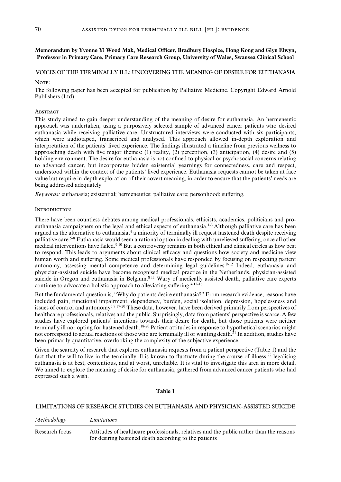# **Memorandum by Yvonne Yi Wood Mak, Medical Officer, Bradbury Hospice, Hong Kong and Glyn Elwyn, Professor in Primary Care, Primary Care Research Group, University of Wales, Swansea Clinical School**

# VOICES OF THE TERMINALLY ILL: UNCOVERING THE MEANING OF DESIRE FOR EUTHANASIA

### NOTE:

The following paper has been accepted for publication by Palliative Medicine. Copyright Edward Arnold Publishers (Ltd).

### **ABSTRACT**

This study aimed to gain deeper understanding of the meaning of desire for euthanasia. An hermeneutic approach was undertaken, using a purposively selected sample of advanced cancer patients who desired euthanasia while receiving palliative care. Unstructured interviews were conducted with six participants, which were audiotaped, transcribed and analysed. This approach allowed in-depth exploration and interpretation of the patients' lived experience. The findings illustrated a timeline from previous wellness to approaching death with five major themes: (1) reality, (2) perception, (3) anticipation, (4) desire and (5) holding environment. The desire for euthanasia is not confined to physical or psychosocial concerns relating to advanced cancer, but incorporates hidden existential yearnings for connectedness, care and respect, understood within the context of the patients' lived experience. Euthanasia requests cannot be taken at face value but require in-depth exploration of their covert meaning, in order to ensure that the patients' needs are being addressed adequately.

*Keywords:* euthanasia; existential; hermeneutics; palliative care; personhood; suffering.

# **INTRODUCTION**

There have been countless debates among medical professionals, ethicists, academics, politicians and proeuthanasia campaigners on the legal and ethical aspects of euthanasia.1-3 Although palliative care has been argued as the alternative to euthanasia,4 a minority of terminally ill request hastened death despite receiving palliative care.<sup>5-8</sup> Euthanasia would seem a rational option in dealing with unrelieved suffering, once all other medical interventions have failed.<sup>9 10</sup> But a controversy remains in both ethical and clinical circles as how best to respond. This leads to arguments about clinical efficacy and questions how society and medicine view human worth and suffering. Some medical professionals have responded by focusing on respecting patient autonomy, assessing mental competence and determining legal guidelines.<sup>9-12</sup> Indeed, euthanasia and physician-assisted suicide have become recognised medical practice in the Netherlands, physician-assisted suicide in Oregon and euthanasia in Belgium.<sup>8 11</sup> Wary of medically assisted death, palliative care experts continue to advocate a holistic approach to alleviating suffering.<sup>4 13-16</sup>

But the fundamental question is, "Why do patients desire euthanasia?" From research evidence, reasons have included pain, functional impairment, dependency, burden, social isolation, depression, hopelessness and issues of control and autonomy<sup>5 7 17-20</sup> These data, however, have been derived primarily from perspectives of healthcare professionals, relatives and the public. Surprisingly, data from patients' perspective is scarce. A few studies have explored patients' intentions towards their desire for death, but those patients were neither terminally ill nor opting for hastened death.18-20 Patient attitudes in response to hypothetical scenarios might not correspond to actual reactions of those who are terminally ill or wanting death.21 In addition, studies have been primarily quantitative, overlooking the complexity of the subjective experience.

Given the scarcity of research that explores euthanasia requests from a patient perspective (Table 1) and the fact that the will to live in the terminally ill is known to fluctuate during the course of illness,  $2^2$  legalising euthanasia is at best, contentious, and at worst, unreliable. It is vital to investigate this area in more detail. We aimed to explore the meaning of desire for euthanasia, gathered from advanced cancer patients who had expressed such a wish.

# **Table 1**

# LIMITATIONS OF RESEARCH STUDIES ON EUTHANASIA AND PHYSICIAN-ASSISTED SUICIDE

| Methodology    | Limitations                                                                             |
|----------------|-----------------------------------------------------------------------------------------|
| Research focus | Attitudes of healthcare professionals, relatives and the public rather than the reasons |
|                | for desiring hastened death according to the patients                                   |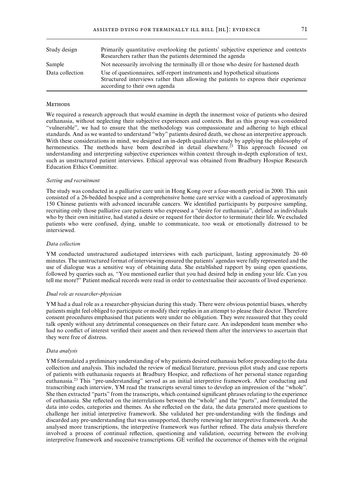| Study design    | Primarily quantitative overlooking the patients' subjective experience and contexts<br>Researchers rather than the patients determined the agenda                                                  |
|-----------------|----------------------------------------------------------------------------------------------------------------------------------------------------------------------------------------------------|
| Sample          | Not necessarily involving the terminally ill or those who desire for hastened death                                                                                                                |
| Data collection | Use of questionnaires, self-report instruments and hypothetical situations<br>Structured interviews rather than allowing the patients to express their experience<br>according to their own agenda |

### **METHODS**

We required a research approach that would examine in depth the innermost voice of patients who desired euthanasia, without neglecting their subjective experiences and contexts. But as this group was considered "vulnerable", we had to ensure that the methodology was compassionate and adhering to high ethical standards. And as we wanted to understand "why" patients desired death, we chose an interpretive approach. With these considerations in mind, we designed an in-depth qualitative study by applying the philosophy of hermeneutics. The methods have been described in detail elsewhere.<sup>23</sup> This approach focused on understanding and interpreting subjective experiences within context through in-depth exploration of text, such as unstructured patient interviews. Ethical approval was obtained from Bradbury Hospice Research Education Ethics Committee.

### *Setting and recruitment*

The study was conducted in a palliative care unit in Hong Kong over a four-month period in 2000. This unit consisted of a 26-bedded hospice and a comprehensive home care service with a caseload of approximately 150 Chinese patients with advanced incurable cancers. We identified participants by purposive sampling, recruiting only those palliative care patients who expressed a "desire for euthanasia", defined as individuals who by their own initiative, had stated a desire or request for their doctor to terminate their life. We excluded patients who were confused, dying, unable to communicate, too weak or emotionally distressed to be interviewed.

#### *Data collection*

YM conducted unstructured audiotaped interviews with each participant, lasting approximately 20–60 minutes. The unstructured format of interviewing ensured the patients' agendas were fully represented and the use of dialogue was a sensitive way of obtaining data. She established rapport by using open questions, followed by queries such as, "You mentioned earlier that you had desired help in ending your life. Can you tell me more?" Patient medical records were read in order to contextualise their accounts of lived experience.

### *Dual role as researcher-physician*

YM had a dual role as a researcher-physician during this study. There were obvious potential biases, whereby patients might feel obliged to participate or modify their replies in an attempt to please their doctor. Therefore consent procedures emphasised that patients were under no obligation. They were reassured that they could talk openly without any detrimental consequences on their future care. An independent team member who had no conflict of interest verified their assent and then reviewed them after the interviews to ascertain that they were free of distress.

# *Data analysis*

YM formulated a preliminary understanding of why patients desired euthanasia before proceeding to the data collection and analysis. This included the review of medical literature, previous pilot study and case reports of patients with euthanasia requests at Bradbury Hospice, and reflections of her personal stance regarding euthanasia.23 This "pre-understanding" served as an initial interpretive framework. After conducting and transcribing each interview, YM read the transcripts several times to develop an impression of the "whole". She then extracted "parts" from the transcripts, which contained significant phrases relating to the experience of euthanasia. She reflected on the interrelations between the "whole" and the "parts", and formulated the data into codes, categories and themes. As she reflected on the data, the data generated more questions to challenge her initial interpretive framework. She validated her pre-understanding with the findings and discarded any pre-understanding that was unsupported, thereby renewing her interpretive framework. As she analysed more transcriptions, the interpretive framework was further refined. The data analysis therefore involved a process of continual reflection, questioning and validation, occurring between the evolving interpretive framework and successive transcriptions. GE verified the occurrence of themes with the original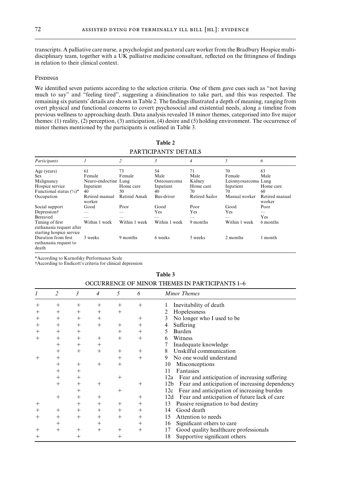transcripts. A palliative care nurse, a psychologist and pastoral care worker from the Bradbury Hospice multidisciplinary team, together with a UK palliative medicine consultant, reflected on the fittingness of findings in relation to their clinical context.

# Findings

We identified seven patients according to the selection criteria. One of them gave cues such as "not having much to say" and "feeling tired", suggesting a disinclination to take part, and this was respected. The remaining six patients' details are shown in Table 2. The findings illustrated a depth of meaning, ranging from overt physical and functional concerns to covert psychosocial and existential needs, along a timeline from previous wellness to approaching death. Data analysis revealed 18 minor themes, categorised into five major themes: (1) reality, (2) perception, (3) anticipation, (4) desire and (5) holding environment. The occurrence of minor themes mentioned by the participants is outlined in Table 3.

**Table 2**

| PARTICIPANTS' DETAILS                                                   |                          |               |               |                |                     |                          |
|-------------------------------------------------------------------------|--------------------------|---------------|---------------|----------------|---------------------|--------------------------|
| Participants                                                            |                          | 2             | 3             | $\overline{4}$ | 5                   | 6                        |
| Age (years)                                                             | 61                       | 73            | 54            | 71             | 70                  | 83                       |
| <b>Sex</b>                                                              | Female                   | Female        | Male          | Male           | Female              | Male                     |
| Malignancy                                                              | Neuro-endocrine Lung     |               | Osteosarcoma  | Kidney         | Leiomyosarcoma Lung |                          |
| Hospice service                                                         | Inpatient                | Home care     | Inpatient     | Home care      | Inpatient           | Home care                |
| Functional status $(\%)^*$                                              | 40                       | 50            | 40            | 70             | 70                  | 60                       |
| Occupation                                                              | Retired manual<br>worker | Retired Amah  | Bus-driver    | Retired Sailor | Manual worker       | Retired manual<br>worker |
| Social support                                                          | Good                     | Poor          | Good          | Poor           | Good                | Poor                     |
| Depression†                                                             |                          |               | Yes           | Yes            | Yes                 |                          |
| <b>Bereaved</b>                                                         |                          |               |               |                |                     | Yes                      |
| Timing of first<br>euthanasia request after<br>starting hospice service | Within 1 week            | Within 1 week | Within 1 week | 9 months       | Within 1 week       | 6 months                 |
| Duration from first<br>euthanasia request to<br>death                   | 3 weeks                  | 9 months      | 6 weeks       | 5 weeks        | 2 months            | 1 month                  |

\*According to Karnofsky Performance Scale

LAccording to Endicott's criteria for clinical depression

|                    | $\overline{c}$     | $\mathfrak{Z}$ | $\overline{4}$ | 5      | 6      | <b>Minor Themes</b>                                               |
|--------------------|--------------------|----------------|----------------|--------|--------|-------------------------------------------------------------------|
| $\hspace{0.1mm} +$ | $^{+}$             | $^{+}$         | $^{+}$         | $^{+}$ | $^{+}$ | Inevitability of death                                            |
| $\hspace{0.1mm} +$ | $\pm$              | $^{+}$         | $^{+}$         | $^{+}$ |        | Hopelessness<br>2                                                 |
| $^+$               | $^{+}$             | $^{+}$         | $^{+}$         |        | $^+$   | No longer who I used to be<br>3                                   |
| $^{+}$             | $^{+}$             | $^{+}$         | $^{+}$         | $^{+}$ | $^{+}$ | Suffering<br>4                                                    |
| $^+$               | $\pm$              | $^{+}$         |                | $^{+}$ | $^{+}$ | Burden<br>5                                                       |
| $^+$               | $\hspace{0.1mm} +$ | $^{+}$         | $^{+}$         | $^{+}$ | $^{+}$ | Witness<br>6                                                      |
|                    | $^+$               | $^{+}$         | $^{+}$         |        |        | Inadequate knowledge                                              |
|                    | $^{+}$             | $^{+}$         | $+$            | $^{+}$ | $^{+}$ | Unskilful communication<br>8                                      |
| $^{+}$             | $\hspace{0.1mm} +$ |                |                | $^{+}$ | $^{+}$ | No one would understand<br>9                                      |
|                    | $^+$               | $^{+}$         | $^{+}$         | $^{+}$ |        | Misconceptions<br>10                                              |
|                    | $^{+}$             | $^{+}$         |                |        |        | Fantasies<br>11                                                   |
|                    | $^{+}$             | $^{+}$         |                | $^{+}$ |        | Fear and anticipation of increasing suffering<br>12a              |
|                    | $^+$               | $^{+}$         | $^{+}$         |        | $^{+}$ | Fear and anticipation of increasing dependency<br>12 <sub>b</sub> |
|                    |                    | $^{+}$         |                | $^{+}$ |        | Fear and anticipation of increasing burden<br>12c                 |
|                    | $^{+}$             | $^{+}$         | $^{+}$         |        | $^{+}$ | Fear and anticipation of future lack of care<br>12d               |
| $^+$               |                    | $^{+}$         | $^{+}$         | $^{+}$ | $^{+}$ | Passive resignation to bad destiny<br>13                          |
| $^{+}$             | $^{+}$             | $^+$           | $^{+}$         | $^{+}$ | $^+$   | Good death<br>14                                                  |
| $^+$               | $\hspace{0.1mm} +$ | $^{+}$         | $^{+}$         | $^{+}$ | $^{+}$ | Attention to needs<br>15                                          |
|                    | $^{+}$             |                | $^{+}$         |        | $^{+}$ | Significant others to care<br>16                                  |
| $^+$               | $^{+}$             | $^{+}$         | $^{+}$         | $^{+}$ | $^{+}$ | Good quality healthcare professionals<br>17                       |
| $\pm$              |                    | $^+$           |                | $^{+}$ |        | Supportive significant others<br>18                               |

**Table 3** OCCURRENCE OF MINOR THEMES IN PARTICIPANTS 1–6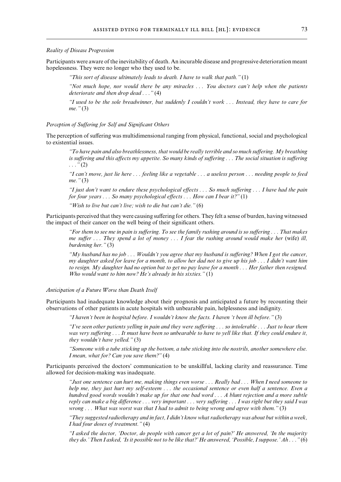### *Reality of Disease Progression*

Participants were aware of the inevitability of death. An incurable disease and progressive deterioration meant hopelessness. They were no longer who they used to be.

*"This sort of disease ultimately leads to death. I have to walk that path."* (1)

*"Not much hope, nor would there be any miracles . . . You doctors can't help when the patients deteriorate and then drop dead . . ."* (4)

*"I used to be the sole breadwinner, but suddenly I couldn't work . . . Instead, they have to care for me."* (3)

#### *Perception of Suffering for Self and Significant Others*

The perception of suffering was multidimensional ranging from physical, functional, social and psychological to existential issues.

*"To have pain and also breathlessness, that would be really terrible and so much suffering. My breathing is suffering and this affects my appetite. So many kinds of suffering ... The social situation is suffering . . ."* (2)

*"I can't move, just lie here . . . feeling like a vegetable . . . a useless person . . . needing people to feed me."* (3)

*"I just don't want to endure these psychological effects ... So much suffering ... I have had the pain for four years . . . So many psychological effects . . . How can I bear it?"* (1)

*"Wish to live but can't live; wish to die but can't die."* (6)

Participants perceived that they were causing suffering for others. They felt a sense of burden, having witnessed the impact of their cancer on the well being of their significant others.

*"For them to see me in pain is suffering. To see the family rushing around is so suffering . . . That makes me suffer* ... *They spend a lot of money ... I fear the rushing around would make her* (wife) *ill*, *burdening her."* (3)

*"My husband has no job ... Wouldn't you agree that my husband is suffering? When I got the cancer, my daughter asked for leave for a month, to allow her dad not to give up his job . . . I didn't want him to resign. My daughter had no option but to get no pay leave for a month . . . Her father then resigned. Who would want to him now? He's already in his sixties."* (1)

*Anticipation of a Future Worse than Death Itself*

Participants had inadequate knowledge about their prognosis and anticipated a future by recounting their observations of other patients in acute hospitals with unbearable pain, helplessness and indignity.

*"I haven't been in hospital before. I wouldn't know the facts. I haven 't been ill before."* (3)

*"I've seen other patients yelling in pain and they were suffering . . . so intolerable . . . Just to hear them was very suffering ... It must have been so unbearable to have to yell like that. If they could endure it, they wouldn't have yelled."* (3)

*"Someone with a tube sticking up the bottom, a tube sticking into the nostrils, another somewhere else. I mean, what for? Can you save them?"* (4)

Participants perceived the doctors' communication to be unskillful, lacking clarity and reassurance. Time allowed for decision-making was inadequate.

*"Just one sentence can hurt me, making things even worse . . . Really bad . . . When I need someone to help me, they just hurt my self-esteem . . . the occasional sentence or even half a sentence. Even a hundred good words wouldn't make up for that one bad word . . . A blunt rejection and a more subtle reply can make a big difference ... very important ... very suffering ... I was right but they said I was wrong . . . What was worst was that I had to admit to being wrong and agree with them."* (3)

*"They suggested radiotherapy and in fact, I didn't know what radiotherapy was about but within a week, I had four doses of treatment."* (4)

*"I asked the doctor, 'Doctor, do people with cancer get a lot of pain?' He answered, 'In the majority they do.' Then I asked, 'Is it possible not to be like that?' He answered, 'Possible, I suppose.' Ah . . ."* (6)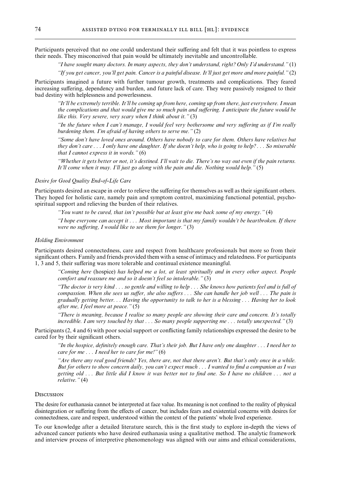Participants perceived that no one could understand their suffering and felt that it was pointless to express their needs. They misconceived that pain would be ultimately inevitable and uncontrollable.

*"I have sought many doctors. In many aspects, they don't understand, right? Only I'd understand."* (1)

*"If you get cancer, you'll get pain. Cancer is a painful disease. It'll just get more and more painful."* (2)

Participants imagined a future with further tumour growth, treatments and complications. They feared increasing suffering, dependency and burden, and future lack of care. They were passively resigned to their bad destiny with helplessness and powerlessness.

*"It'll be extremely terrible. It'll be coming up from here, coming up from there, just everywhere. I mean the complications and that would give me so much pain and suffering. I anticipate the future would be like this. Very severe, very scary when I think about it."* (3)

*"In the future when I can't manage, I would feel very bothersome and very suffering as if I'm really burdening them. I'm afraid of having others to serve me."* (2)

*"Some don't have loved ones around. Others have nobody to care for them. Others have relatives but they don't care . . . I only have one daughter. If she doesn't help, who is going to help? . . . So miserable that I cannot express it in words."* (6)

*"Whether it gets better or not, it's destined. I'll wait to die. There's no way out even if the pain returns. It'll come when it may. I'll just go along with the pain and die. Nothing would help."* (5)

# *Desire for Good Quality End-of-Life Care*

Participants desired an escape in order to relieve the suffering for themselves as well as their significant others. They hoped for holistic care, namely pain and symptom control, maximizing functional potential, psychospiritual support and relieving the burden of their relatives.

*"You want to be cured, that isn't possible but at least give me back some of my energy."* (4)

*"I hope everyone can accept it . . . Most important is that my family wouldn't be heartbroken. If there were no suffering, I would like to see them for longer.*" (3)

### *Holding Environment*

Participants desired connectedness, care and respect from healthcare professionals but more so from their significant others. Family and friends provided them with a sense of intimacy and relatedness. For participants 1, 3 and 5, their suffering was more tolerable and continual existence meaningful.

*"Coming here* (hospice) *has helped me a lot, at least spiritually and in every other aspect. People comfort and reassure me and so it doesn't feel so intolerable."* (3)

*"The doctor is very kind . . . so gentle and willing to help . . . She knows how patients feel and is full of compassion. When she sees us suffer, she also suffers ... She can handle her job well ... The pain is gradually getting better. . . Having the opportunity to talk to her is a blessing . . . Having her to look after me, I feel more at peace."* (5)

*"There is meaning, because I realise so many people are showing their care and concern. It's totally incredible. I am very touched by that . . . So many people supporting me . . . totally unexpected."* (3)

Participants (2, 4 and 6) with poor social support or conflicting family relationships expressed the desire to be cared for by their significant others.

*"In the hospice, definitely enough care. That's their job. But I have only one daughter . . . I need her to care for me . . . I need her to care for me!"* (6)

*"Are there any real good friends? Yes, there are, not that there aren't. But that's only once in a while. But for others to show concern daily, you can't expect much . . . I wanted to find a companion as I was getting old . . . But little did I know it was better not to find one. So I have no children . . . not a relative."* (4)

### **Discussion**

The desire for euthanasia cannot be interpreted at face value. Its meaning is not confined to the reality of physical disintegration or suffering from the effects of cancer, but includes fears and existential concerns with desires for connectedness, care and respect, understood within the context of the patients' whole lived experience.

To our knowledge after a detailed literature search, this is the first study to explore in-depth the views of advanced cancer patients who have desired euthanasia using a qualitative method. The analytic framework and interview process of interpretive phenomenology was aligned with our aims and ethical considerations,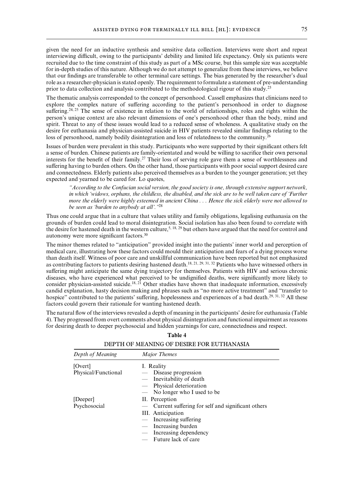given the need for an inductive synthesis and sensitive data collection. Interviews were short and repeat interviewing difficult, owing to the participants' debility and limited life expectancy. Only six patients were recruited due to the time constraint of this study as part of a MSc course, but this sample size was acceptable for in-depth studies of this nature. Although we do not attempt to generalize from these interviews, we believe that our findings are transferable to other terminal care settings. The bias generated by the researcher's dual role as a researcher-physician is stated openly. The requirement to formulate a statement of pre-understanding prior to data collection and analysis contributed to the methodological rigour of this study.23

The thematic analysis corresponded to the concept of personhood. Cassell emphasizes that clinicians need to explore the complex nature of suffering according to the patient's personhood in order to diagnose suffering.<sup>24, 25</sup> The sense of existence in relation to the world of relationships, roles and rights within the person's unique context are also relevant dimensions of one's personhood other than the body, mind and spirit. Threat to any of these issues would lead to a reduced sense of wholeness. A qualitative study on the desire for euthanasia and physician-assisted suicide in HIV patients revealed similar findings relating to the loss of personhood, namely bodily disintegration and loss of relatedness to the community.<sup>26</sup>

Issues of burden were prevalent in this study. Participants who were supported by their significant others felt a sense of burden. Chinese patients are family-orientated and would be willing to sacrifice their own personal interests for the benefit of their family.27 Their loss of serving role gave them a sense of worthlessness and suffering having to burden others. On the other hand, those participants with poor social support desired care and connectedness. Elderly patients also perceived themselves as a burden to the younger generation; yet they expected and yearned to be cared for. Lo quotes,

*"According to the Confucian social version, the good society is one, through extensive support network, in which 'widows, orphans, the childless, the disabled, and the sick are to be well taken care of 'Further more the elderly were highly esteemed in ancient China . . . Hence the sick elderly were not allowed to be seen as 'burden to anybody at all'."*<sup>28</sup>

Thus one could argue that in a culture that values utility and family obligations, legalising euthanasia on the grounds of burden could lead to moral disintegration. Social isolation has also been found to correlate with the desire for hastened death in the western culture,<sup>5, 18, 29</sup> but others have argued that the need for control and autonomy were more significant factors.30

The minor themes related to "anticipation" provided insight into the patients' inner world and perception of medical care, illustrating how these factors could mould their anticipation and fears of a dying process worse than death itself. Witness of poor care and unskillful communication have been reported but not emphasized as contributing factors to patients desiring hastened death.<sup>18, 21, 29, 31, 32</sup> Patients who have witnessed others in suffering might anticipate the same dying trajectory for themselves. Patients with HIV and serious chronic diseases, who have experienced what perceived to be undignified deaths, were significantly more likely to consider physician-assisted suicide.<sup>18, 21</sup> Other studies have shown that inadequate information, excessively candid explanation, hasty decision making and phrases such as "no more active treatment" and "transfer to hospice" contributed to the patients' suffering, hopelessness and experiences of a bad death.<sup>29, 31, 32</sup> All these factors could govern their rationale for wanting hastened death.

The natural flow of the interviews revealed a depth of meaning in the participants' desire for euthanasia (Table 4). They progressed from overt comments about physical disintegration and functional impairment as reasons for desiring death to deeper psychosocial and hidden yearnings for care, connectedness and respect.

| Depth of Meaning    | <b>Major Themes</b>                                 |
|---------------------|-----------------------------------------------------|
| [Overt]             | I. Reality                                          |
| Physical/Functional | — Disease progression                               |
|                     | $-$ Inevitability of death                          |
|                     | - Physical deterioration                            |
|                     | $-$ No longer who I used to be                      |
| [Deeper]            | II. Perception                                      |
| Psychosocial        | - Current suffering for self and significant others |
|                     | III. Anticipation                                   |
|                     | - Increasing suffering                              |
|                     | — Increasing burden                                 |
|                     | — Increasing dependency                             |
|                     | — Future lack of care                               |

# **Table 4**

# DEPTH OF MEANING OF DESIRE FOR EUTHANASIA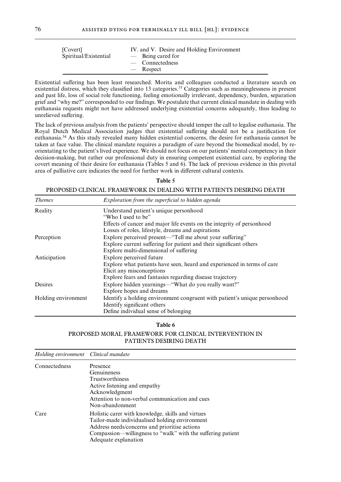| [Covert]              | IV. and V. Desire and Holding Environment |
|-----------------------|-------------------------------------------|
| Spiritual/Existential | — Being cared for                         |
|                       | — Connectedness                           |
|                       | — Respect                                 |
|                       |                                           |

Existential suffering has been least researched. Morita and colleagues conducted a literature search on existential distress, which they classified into 13 categories.<sup>33</sup> Categories such as meaninglessness in present and past life, loss of social role functioning, feeling emotionally irrelevant, dependency, burden, separation grief and "why me?" corresponded to our findings. We postulate that current clinical mandate in dealing with euthanasia requests might not have addressed underlying existential concerns adequately, thus leading to unrelieved suffering.

The lack of previous analysis from the patients' perspective should temper the call to legalise euthanasia. The Royal Dutch Medical Association judges that existential suffering should not be a justification for euthanasia.34 As this study revealed many hidden existential concerns, the desire for euthanasia cannot be taken at face value. The clinical mandate requires a paradigm of care beyond the biomedical model, by reorientating to the patient's lived experience. We should not focus on our patients' mental competency in their decision-making, but rather our professional duty in ensuring competent existential care, by exploring the covert meaning of their desire for euthanasia (Tables 5 and 6). The lack of previous evidence in this pivotal area of palliative care indicates the need for further work in different cultural contexts.

| PROPOSED CLINICAL FRAMEWORK IN DEALING WITH PATIENTS DESIRING DEATH |                                                                                                                              |  |  |
|---------------------------------------------------------------------|------------------------------------------------------------------------------------------------------------------------------|--|--|
| <i>Themes</i>                                                       | Exploration from the superficial to hidden agenda                                                                            |  |  |
| Reality                                                             | Understand patient's unique personhood                                                                                       |  |  |
|                                                                     | "Who I used to be"                                                                                                           |  |  |
|                                                                     | Effects of cancer and major life events on the integrity of personhood<br>Losses of roles, lifestyle, dreams and aspirations |  |  |
| Perception                                                          | Explore perceived present—"Tell me about your suffering"                                                                     |  |  |
|                                                                     | Explore current suffering for patient and their significant others                                                           |  |  |
|                                                                     | Explore multi-dimensional of suffering                                                                                       |  |  |
| Anticipation                                                        | Explore perceived future                                                                                                     |  |  |
|                                                                     | Explore what patients have seen, heard and experienced in terms of care                                                      |  |  |
|                                                                     | Elicit any misconceptions                                                                                                    |  |  |
|                                                                     | Explore fears and fantasies regarding disease trajectory                                                                     |  |  |
| Desires                                                             | Explore hidden yearnings—"What do you really want?"                                                                          |  |  |
|                                                                     | Explore hopes and dreams                                                                                                     |  |  |
| Holding environment                                                 | Identify a holding environment congruent with patient's unique personhood                                                    |  |  |
|                                                                     | Identify significant others                                                                                                  |  |  |

# **Table 5**

# **Table 6**

Define individual sense of belonging

# PROPOSED MORAL FRAMEWORK FOR CLINICAL INTERVENTION IN PATIENTS DESIRING DEATH

| Holding environment Clinical mandate |                                                                                                                                                                                                                                             |  |  |
|--------------------------------------|---------------------------------------------------------------------------------------------------------------------------------------------------------------------------------------------------------------------------------------------|--|--|
| Connectedness                        | Presence<br>Genuineness<br>Trustworthiness                                                                                                                                                                                                  |  |  |
|                                      | Active listening and empathy<br>Acknowledgment<br>Attention to non-verbal communication and cues<br>Non-abandonment                                                                                                                         |  |  |
| Care                                 | Holistic carer with knowledge, skills and virtues<br>Tailor-made individualised holding environment<br>Address needs/concerns and prioritise actions<br>Compassion—willingness to "walk" with the suffering patient<br>Adequate explanation |  |  |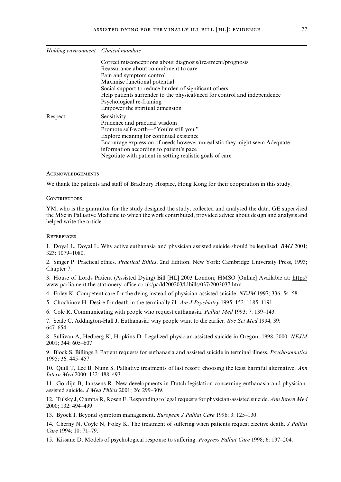| Troums environment Cumcai mundate |                                                                                                                                                                                                                                                                                                                                                            |  |  |  |  |
|-----------------------------------|------------------------------------------------------------------------------------------------------------------------------------------------------------------------------------------------------------------------------------------------------------------------------------------------------------------------------------------------------------|--|--|--|--|
|                                   | Correct misconceptions about diagnosis/treatment/prognosis<br>Reassurance about commitment to care<br>Pain and symptom control<br>Maximise functional potential<br>Social support to reduce burden of significant others<br>Help patients surrender to the physical/need for control and independence<br>Psychological re-framing                          |  |  |  |  |
| Respect                           | Empower the spiritual dimension<br>Sensitivity<br>Prudence and practical wisdom<br>Promote self-worth—"You're still you."<br>Explore meaning for continual existence<br>Encourage expression of needs however unrealistic they might seem Adequate<br>information according to patient's pace<br>Negotiate with patient in setting realistic goals of care |  |  |  |  |

#### **ACKNOWLEDGEMENTS**

*Holding environment Clinical mandate*

We thank the patients and staff of Bradbury Hospice, Hong Kong for their cooperation in this study.

### **CONTRIBUTORS**

YM, who is the guarantor for the study designed the study, collected and analysed the data. GE supervised the MSc in Palliative Medicine to which the work contributed, provided advice about design and analysis and helped write the article.

# **REFERENCES**

1. Doyal L, Doyal L. Why active euthanasia and physician assisted suicide should be legalised. *BMJ* 2001; 323: 1079–1080.

2. Singer P. Practical ethics. *Practical Ethics*. 2nd Edition. New York: Cambridge University Press, 1993; Chapter 7.

3. House of Lords Patient (Assisted Dying) Bill [HL] 2003 London; HMSO [Online] Available at: http:// www.parliament.the-stationery-office.co.uk/pa/ld200203/ldbills/037/2003037.htm

4. Foley K. Competent care for the dying instead of physician-assisted suicide. *NEJM* 1997; 336: 54–58.

5. Chochinov H. Desire for death in the terminally ill. *Am J Psychiatry* 1995; 152: 1185–1191.

6. Cole R. Communicating with people who request euthanasia. *Palliat Med* 1993; 7: 139–143.

7. Seale C, Addington-Hall J. Euthanasia: why people want to die earlier. *Soc Sci Med* 1994; 39: 647–654.

8. Sullivan A, Hedberg K, Hopkins D. Legalized physician-assisted suicide in Oregon, 1998–2000. *NEJM* 2001; 344: 605–607.

9. Block S, Billings J. Patient requests for euthanasia and assisted suicide in terminal illness. *Psychosomatics* 1995; 36: 445–457.

10. Quill T, Lee B, Nunn S. Palliative treatments of last resort: choosing the least harmful alternative. *Ann Intern Med* 2000; 132: 488–493.

11. Gordijn B, Janssens R. New developments in Dutch legislation concerning euthanasia and physicianassisted suicide. *J Med Philos* 2001; 26: 299–309.

12. Tulsky J, Ciampa R, Rosen E. Responding to legal requests for physician-assisted suicide. *Ann Intern Med* 2000; 132: 494–499.

13. Byock I. Beyond symptom management. *European J Palliat Care* 1996; 3: 125–130.

14. Cherny N, Coyle N, Foley K. The treatment of suffering when patients request elective death. *J Palliat Care* 1994; 10: 71–79.

15. Kissane D. Models of psychological response to suffering. *Progress Palliat Care* 1998; 6: 197-204.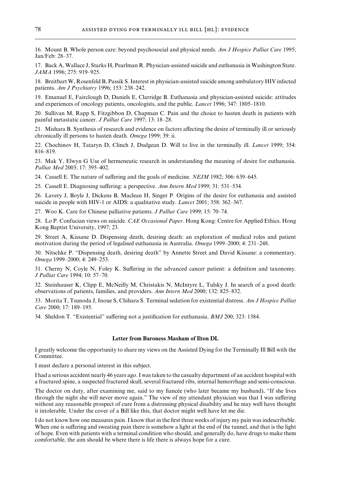16. Mount B. Whole person care: beyond psychosocial and physical needs. *Am J Hospice Palliat Care* 1995; Jan/Feb: 28–37.

17. Back A, Wallace J, Starks H, Pearlman R. Physician-assisted suicide and euthanasia in Washington State. *JAMA* 1996; 275: 919–925.

18. Breitbart W, Rosenfeld B, Passik S. Interest in physician-assisted suicide among ambulatory HIV infected patients. *Am J Psychiatry* 1996; 153: 238–242.

19. Emanuel E, Fairclough D, Daniels E, Clarridge B. Euthanasia and physician-assisted suicide: attitudes and experiences of oncology patients, oncologists, and the public. *Lancet* 1996; 347: 1805–1810.

20. Sullivan M, Rapp S, Fitzgibbon D, Chapman C. Pain and the choice to hasten death in patients with painful metastatic cancer. *J Palliat Care* 1997; 13: 18–28.

21. Mishara B. Synthesis of research and evidence on factors affecting the desire of terminally ill or seriously chronically ill persons to hasten death. *Omega* 1999; 39: ii.

22. Chochinov H, Tataryn D, Clinch J, Dudgean D. Will to live in the terminally ill. *Lancet* 1999; 354: 816–819.

23. Mak Y, Elwyn G Use of hermeneutic research in understanding the meaning of desire for euthanasia. *Palliat Med* 2003; 17: 395–402.

24. Cassell E. The nature of suffering and the goals of medicine. *NEJM* 1982; 306: 639–645.

25. Cassell E. Diagnosing suffering: a perspective. *Ann Intern Med* 1999: 31: 531–534.

26. Lavery J, Boyle J, Dickens B, Maclean H, Singer P. Origins of the desire for euthanasia and assisted suicide in people with HIV-1 or AIDS: a qualitative study. *Lancet* 2001; 358: 362–367.

27. Woo K. Care for Chinese palliative patients. *J Palliat Care* 1999; 15: 70–74.

28. Lo P. Confucian views on suicide. *CAE Occasional Paper*. Hong Kong: Centre for Applied Ethics. Hong Kong Baptist University, 1997; 23.

29. Street A, Kissane D. Dispensing death, desiring death: an exploration of medical roles and patient motivation during the period of legalised euthanasia in Australia. *Omega* 1999–2000; 4: 231–248.

30. Nitschke P. "Dispensing death, desiring death" by Annette Street and David Kissane: a commentary. *Omega* 1999–2000; 4: 249–253.

31. Cherny N, Coyle N, Foley K. Suffering in the advanced cancer patient: a definition and taxonomy. *J Palliat Care* 1994; 10: 57–70.

32. Steinhauser K, Clipp E, McNeilly M, Christakis N, McIntyre L, Tulsky J. In search of a good death: observations of patients, families, and providers. *Ann Intern Med* 2000; 132: 825–832.

33. Morita T, Tsunoda J, Inoue S, Chihara S. Terminal sedation for existential distress. *Am J Hospice Palliat Care* 2000; 17: 189–195.

34. Sheldon T. "Existential" suffering not a justification for euthanasia. *BMJ* 200: 323: 1384.

### **Letter from Baroness Masham of Ilton DL**

I greatly welcome the opportunity to share my views on the Assisted Dying for the Terminally Ill Bill with the Committee.

I must declare a personal interest in this subject.

I had a serious accident nearly 46 years ago. I was taken to the casualty department of an accident hospital with a fractured spine, a suspected fractured skull, several fractured ribs, internal hemorrhage and semi-conscious.

The doctor on duty, after examining me, said to my fiancée (who later became my husband), "If she lives through the night she will never move again." The view of my attendant physician was that I was suffering without any reasonable prospect of cure from a distressing physical disability and he may well have thought it intolerable. Under the cover of a Bill like this, that doctor might well have let me die.

I do not know how one measures pain. I know that in the first three weeks of injury my pain was indescribable. When one is suffering and sweating pain there is somehow a light at the end of the tunnel, and that is the light of hope. Even with patients with a terminal condition who should, and generally do, have drugs to make them comfortable, the aim should be where there is life there is always hope for a cure.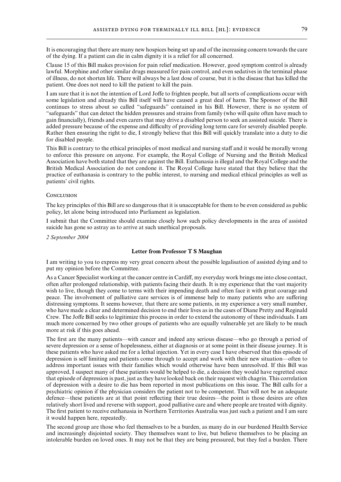It is encouraging that there are many new hospices being set up and of the increasing concern towards the care of the dying. If a patient can die in calm dignity it is a relief for all concerned.

Clause 15 of this Bill makes provision for pain relief medication. However, good symptom control is already lawful. Morphine and other similar drugs measured for pain control, and even sedatives in the terminal phase of illness, do not shorten life. There will always be a last dose of course, but it is the disease that has killed the patient. One does not need to kill the patient to kill the pain.

I am sure that it is not the intention of Lord Joffe to frighten people, but all sorts of complications occur with some legislation and already this Bill itself will have caused a great deal of harm. The Sponsor of the Bill continues to stress about so called "safeguards" contained in his Bill. However, there is no system of "safeguards" that can detect the hidden pressures and strains from family (who will quite often have much to gain financially), friends and even carers that may drive a disabled person to seek an assisted suicide. There is added pressure because of the expense and difficulty of providing long term care for severely disabled people. Rather then ensuring the right to die, I strongly believe that this Bill will quickly translate into a duty to die for disabled people.

This Bill is contrary to the ethical principles of most medical and nursing staff and it would be morally wrong to enforce this pressure on anyone. For example, the Royal College of Nursing and the British Medical Association have both stated that they are against the Bill. Euthanasia is illegal and the Royal College and the British Medical Association do not condone it. The Royal College have stated that they believe that the practice of euthanasia is contrary to the public interest, to nursing and medical ethical principles as well as patients' civil rights.

### CONCLUSION

The key principles of this Bill are so dangerous that it is unacceptable for them to be even considered as public policy, let alone being introduced into Parliament as legislation.

I submit that the Committee should examine closely how such policy developments in the area of assisted suicide has gone so astray as to arrive at such unethical proposals.

*2 September 2004*

#### **Letter from Professor T S Maughan**

I am writing to you to express my very great concern about the possible legalisation of assisted dying and to put my opinion before the Committee.

As a Cancer Specialist working at the cancer centre in Cardiff, my everyday work brings me into close contact, often after prolonged relationship, with patients facing their death. It is my experience that the vast majority wish to live, though they come to terms with their impending death and often face it with great courage and peace. The involvement of palliative care services is of immense help to many patients who are suffering distressing symptoms. It seems however, that there are some patients, in my experience a very small number, who have made a clear and determined decision to end their lives as in the cases of Diane Pretty and Reginald Crew. The Joffe Bill seeks to legitimize this process in order to extend the autonomy of these individuals. I am much more concerned by two other groups of patients who are equally vulnerable yet are likely to be much more at risk if this goes ahead.

The first are the many patients—with cancer and indeed any serious disease—who go through a period of severe depression or a sense of hopelessness, either at diagnosis or at some point in their disease journey. It is these patients who have asked me for a lethal injection. Yet in every case I have observed that this episode of depression is self limiting and patients come through to accept and work with their new situation—often to address important issues with their families which would otherwise have been unresolved. If this Bill was approved, I suspect many of these patients would be helped to die, a decision they would have regretted once that episode of depression is past, just as they have looked back on their request with chagrin. This correlation of depression with a desire to die has been reported in most publications on this issue. The Bill calls for a psychiatric opinion if the physician considers the patient not to be competent. That will not be an adequate defence—these patients are at that point reflecting their true desires—the point is those desires are often relatively short lived and reverse with support, good palliative care and where people are treated with dignity. The first patient to receive euthanasia in Northern Territories Australia was just such a patient and I am sure it would happen here, repeatedly.

The second group are those who feel themselves to be a burden, as many do in our burdened Health Service and increasingly disjointed society. They themselves want to live, but believe themselves to be placing an intolerable burden on loved ones. It may not be that they are being pressured, but they feel a burden. There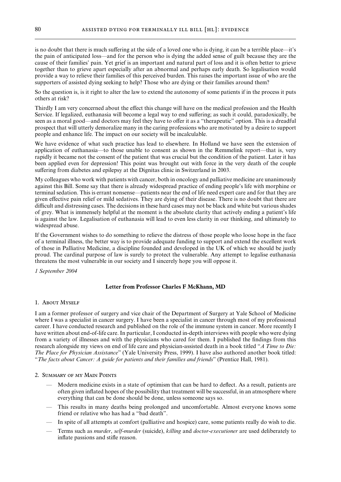is no doubt that there is much suffering at the side of a loved one who is dying, it can be a terrible place—it's the pain of anticipated loss—and for the person who is dying the added sense of guilt because they are the cause of their families' pain. Yet grief is an important and natural part of loss and it is often better to grieve together than to grieve apart especially after an abnormal and perhaps early death. So legalisation would provide a way to relieve their families of this perceived burden. This raises the important issue of who are the supporters of assisted dying seeking to help? Those who are dying or their families around them?

So the question is, is it right to alter the law to extend the autonomy of some patients if in the process it puts others at risk?

Thirdly I am very concerned about the effect this change will have on the medical profession and the Health Service. If legalized, euthanasia will become a legal way to end suffering; as such it could, paradoxically, be seen as a moral good—and doctors may feel they have to offer it as a "therapeutic" option. This is a dreadful prospect that will utterly demoralize many in the caring professions who are motivated by a desire to support people and enhance life. The impact on our society will be incalculable.

We have evidence of what such practice has lead to elsewhere. In Holland we have seen the extension of application of euthanasia—to those unable to consent as shown in the Remmelink report—that is, very rapidly it became not the consent of the patient that was crucial but the condition of the patient. Later it has been applied even for depression! This point was brought out with force in the very death of the couple suffering from diabetes and epilepsy at the Dignitas clinic in Switzerland in 2003.

My colleagues who work with patients with cancer, both in oncology and palliative medicine are unanimously against this Bill. Some say that there is already widespread practice of ending people's life with morphine or terminal sedation. This is errant nonsense—patients near the end of life need expert care and for that they are given effective pain relief or mild sedatives. They are dying of their disease. There is no doubt that there are difficult and distressing cases. The decisions in these hard cases may not be black and white but various shades of grey. What is immensely helpful at the moment is the absolute clarity that actively ending a patient's life is against the law. Legalisation of euthanasia will lead to even less clarity in our thinking, and ultimately to widespread abuse.

If the Government wishes to do something to relieve the distress of those people who loose hope in the face of a terminal illness, the better way is to provide adequate funding to support and extend the excellent work of those in Palliative Medicine, a discipline founded and developed in the UK of which we should be justly proud. The cardinal purpose of law is surely to protect the vulnerable. Any attempt to legalise euthanasia threatens the most vulnerable in our society and I sincerely hope you will oppose it.

*1 September 2004*

#### **Letter from Professor Charles F McKhann, MD**

### 1. About Myself

I am a former professor of surgery and vice chair of the Department of Surgery at Yale School of Medicine where I was a specialist in cancer surgery. I have been a specialist in cancer through most of my professional career. I have conducted research and published on the role of the immune system in cancer. More recently I have written about end-of-life care. In particular, I conducted in-depth interviews with people who were dying from a variety of illnesses and with the physicians who cared for them. I published the findings from this research alongside my views on end of life care and physician-assisted death in a book titled "*A Time to Die: The Place for Physician Assistance*" (Yale University Press, 1999). I have also authored another book titled: "*The facts about Cancer: A guide for patients and their families and friends*" (Prentice Hall, 1981).

# 2. Summary of my Main Points

- Modern medicine exists in a state of optimism that can be hard to deflect. As a result, patients are often given inflated hopes of the possibility that treatment will be successful, in an atmosphere where everything that can be done should be done, unless someone says so.
- This results in many deaths being prolonged and uncomfortable. Almost everyone knows some friend or relative who has had a "bad death".
- In spite of all attempts at comfort (palliative and hospice) care, some patients really do wish to die.
- Terms such as *murder*, *self-murder* (suicide), *killing* and *doctor-executioner* are used deliberately to inflate passions and stifle reason.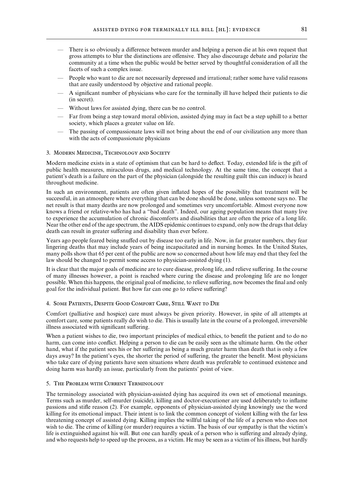- There is so obviously a difference between murder and helping a person die at his own request that gross attempts to blur the distinctions are offensive. They also discourage debate and polarize the community at a time when the public would be better served by thoughtful consideration of all the facets of such a complex issue.
- People who want to die are not necessarily depressed and irrational; rather some have valid reasons that are easily understood by objective and rational people.
- A significant number of physicians who care for the terminally ill have helped their patients to die (in secret).
- Without laws for assisted dying, there can be no control.
- Far from being a step toward moral oblivion, assisted dying may in fact be a step uphill to a better society, which places a greater value on life.
- The passing of compassionate laws will not bring about the end of our civilization any more than with the acts of compassionate physicians

# 3. Modern Medicine, Technology and Society

Modern medicine exists in a state of optimism that can be hard to deflect. Today, extended life is the gift of public health measures, miraculous drugs, and medical technology. At the same time, the concept that a patient's death is a failure on the part of the physician (alongside the resulting guilt this can induce) is heard throughout medicine.

In such an environment, patients are often given inflated hopes of the possibility that treatment will be successful, in an atmosphere where everything that can be done should be done, unless someone says no. The net result is that many deaths are now prolonged and sometimes very uncomfortable. Almost everyone now knows a friend or relative-who has had a "bad death". Indeed, our ageing population means that many live to experience the accumulation of chronic discomforts and disabilities that are often the price of a long life. Near the other end of the age spectrum, the AIDS epidemic continues to expand, only now the drugs that delay death can result in greater suffering and disability than ever before.

Years ago people feared being snuffed out by disease too early in life. Now, in far greater numbers, they fear lingering deaths that may include years of being incapacitated and in nursing homes. In the United States, many polls show that 65 per cent of the public are now so concerned about how life may end that they feel the law should be changed to permit some access to physician-assisted dying (1).

It is clear that the major goals of medicine are to cure disease, prolong life, and relieve suffering. In the course of many illnesses however, a point is reached where curing the disease and prolonging life are no longer possible. When this happens, the original goal of medicine, to relieve suffering, now becomes the final and only goal for the individual patient. But how far can one go to relieve suffering?

# 4. Some Patients, Despite Good Comfort Care, Still Want to Die

Comfort (palliative and hospice) care must always be given priority. However, in spite of all attempts at comfort care, some patients really do wish to die. This is usually late in the course of a prolonged, irreversible illness associated with significant suffering.

When a patient wishes to die, two important principles of medical ethics, to benefit the patient and to do no harm, can come into conflict. Helping a person to die can be easily seen as the ultimate harm. On the other hand, what if the patient sees his or her suffering as being a much greater harm than death that is only a few days away? In the patient's eyes, the shorter the period of suffering, the greater the benefit. Most physicians who take care of dying patients have seen situations where death was preferable to continued existence and doing harm was hardly an issue, particularly from the patients' point of view.

### 5. The Problem with Current Terminology

The terminology associated with physician-assisted dying has acquired its own set of emotional meanings. Terms such as murder, self-murder (suicide), killing and doctor-executioner are used deliberately to inflame passions and stifle reason (2). For example, opponents of physician-assisted dying knowingly use the word killing for its emotional impact. Their intent is to link the common concept of violent killing with the far less threatening concept of assisted dying. Killing implies the willful taking of the life of a person who does not wish to die. The crime of killing (or murder) requires a victim. The basis of our sympathy is that the victim's life is extinguished against his will. But one can hardly speak of a person who is suffering and already dying, and who requests help to speed up the process, as a victim. He may be seen as a victim of his illness, but hardly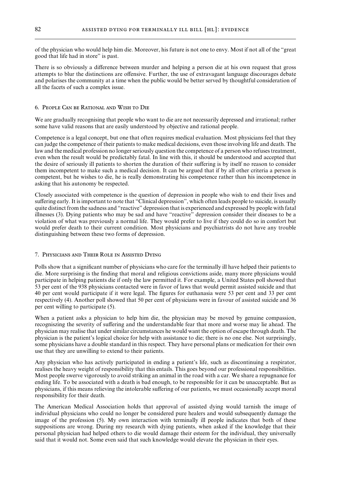of the physician who would help him die. Moreover, his future is not one to envy. Most if not all of the "great good that life had in store" is past.

There is so obviously a difference between murder and helping a person die at his own request that gross attempts to blur the distinctions are offensive. Further, the use of extravagant language discourages debate and polarises the community at a time when the public would be better served by thoughtful consideration of all the facets of such a complex issue.

### 6. People Can be Rational and Wish to Die

We are gradually recognising that people who want to die are not necessarily depressed and irrational; rather some have valid reasons that are easily understood by objective and rational people.

Competence is a legal concept, but one that often requires medical evaluation. Most physicians feel that they can judge the competence of their patients to make medical decisions, even those involving life and death. The law and the medical profession no longer seriously question the competence of a person who refuses treatment, even when the result would be predictably fatal. In line with this, it should be understood and accepted that the desire of seriously ill patients to shorten the duration of their suffering is by itself no reason to consider them incompetent to make such a medical decision. It can be argued that if by all other criteria a person is competent, but he wishes to die, he is really demonstrating his competence rather than his incompetence in asking that his autonomy be respected.

Closely associated with competence is the question of depression in people who wish to end their lives and suffering early. It is important to note that "Clinical depression", which often leads people to suicide, is usually quite distinct from the sadness and "reactive" depression that is experienced and expressed by people with fatal illnesses (3). Dying patients who may be sad and have "reactive" depression consider their diseases to be a violation of what was previously a normal life. They would prefer to live if they could do so in comfort but would prefer death to their current condition. Most physicians and psychiatrists do not have any trouble distinguishing between these two forms of depression.

# 7. Physicians and Their Role in Assisted Dying

Polls show that a significant number of physicians who care for the terminally ill have helped their patients to die. More surprising is the finding that moral and religious convictions aside, many more physicians would participate in helping patients die if only the law permitted it. For example, a United States poll showed that 53 per cent of the 938 physicians contacted were in favor of laws that would permit assisted suicide and that 40 per cent would participate if it were legal. The figures for euthanasia were 53 per cent and 33 per cent respectively (4). Another poll showed that 50 per cent of physicians were in favour of assisted suicide and 36 per cent willing to participate (5).

When a patient asks a physician to help him die, the physician may be moved by genuine compassion, recogniszing the severity of suffering and the understandable fear that more and worse may lie ahead. The physician may realise that under similar circumstances he would want the option of escape through death. The physician is the patient's logical choice for help with assistance to die; there is no one else. Not surprisingly, some physicians have a double standard in this respect. They have personal plans or medication for their own use that they are unwilling to extend to their patients.

Any physician who has actively participated in ending a patient's life, such as discontinuing a respirator, realises the heavy weight of responsibility that this entails. This goes beyond our professional responsibilities. Most people swerve vigorously to avoid striking an animal in the road with a car. We share a repugnance for ending life. To be associated with a death is bad enough, to be responsible for it can be unacceptable. But as physicians, if this means relieving the intolerable suffering of our patients, we must occasionally accept moral responsibility for their death.

The American Medical Association holds that approval of assisted dying would tarnish the image of individual physicians who could no longer be considered pure healers and would subsequently damage the image of the profession (5). My own interaction with terminally ill people indicates that both of these suppositions are wrong. During my research with dying patients, when asked if the knowledge that their personal physician had helped others to die would damage their esteem for the individual, they universally said that it would not. Some even said that such knowledge would elevate the physician in their eyes.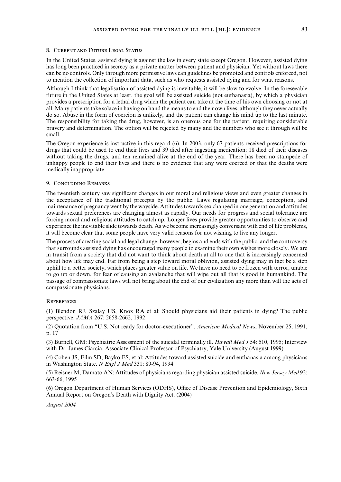# 8. CURRENT AND FUTURE LEGAL STATUS

In the United States, assisted dying is against the law in every state except Oregon. However, assisted dying has long been practiced in secrecy as a private matter between patient and physician. Yet without laws there can be no controls. Only through more permissive laws can guidelines be promoted and controls enforced, not to mention the collection of important data, such as who requests assisted dying and for what reasons.

Although I think that legalisation of assisted dying is inevitable, it will be slow to evolve. In the foreseeable future in the United States at least, the goal will be assisted suicide (not euthanasia), by which a physician provides a prescription for a lethal drug which the patient can take at the time of his own choosing or not at all. Many patients take solace in having on hand the means to end their own lives, although they never actually do so. Abuse in the form of coercion is unlikely, and the patient can change his mind up to the last minute. The responsibility for taking the drug, however, is an onerous one for the patient, requiring considerable bravery and determination. The option will be rejected by many and the numbers who see it through will be small.

The Oregon experience is instructive in this regard (6). In 2003, only 67 patients received prescriptions for drugs that could be used to end their lives and 39 died after ingesting medication; 18 died of their diseases without taking the drugs, and ten remained alive at the end of the year. There has been no stampede of unhappy people to end their lives and there is no evidence that any were coerced or that the deaths were medically inappropriate.

### 9. Concluding Remarks

The twentieth century saw significant changes in our moral and religious views and even greater changes in the acceptance of the traditional precepts by the public. Laws regulating marriage, conception, and maintenance of pregnancy went by the wayside. Attitudes towards sex changed in one generation and attitudes towards sexual preferences are changing almost as rapidly. Our needs for progress and social tolerance are forcing moral and religious attitudes to catch up. Longer lives provide greater opportunities to observe and experience the inevitable slide towards death. As we become increasingly conversant with end of life problems, it will become clear that some people have very valid reasons for not wishing to live any longer.

The process of creating social and legal change, however, begins and ends with the public, and the controversy that surrounds assisted dying has encouraged many people to examine their own wishes more closely. We are in transit from a society that did not want to think about death at all to one that is increasingly concerned about how life may end. Far from being a step toward moral oblivion, assisted dying may in fact be a step uphill to a better society, which places greater value on life. We have no need to be frozen with terror, unable to go up or down, for fear of causing an avalanche that will wipe out all that is good in humankind. The passage of compassionate laws will not bring about the end of our civilization any more than will the acts of compassionate physicians.

### **REFERENCES**

(1) Blendon RJ, Szalay US, Knox RA et al: Should physicians aid their patients in dying? The public perspective. *JAMA* 267: 2658-2662, 1992

(2) Quotation from "U.S. Not ready for doctor-executioner". *American Medical News*, November 25, 1991, p. 17

(3) Burnell, GM: Psychiatric Assessment of the suicidal terminally ill. *Hawaii Med J* 54: 510, 1995; Interview with Dr. James Ciarcia, Associate Clinical Professor of Psychiatry, Yale University (August 1999)

(4) Cohen JS, Film SD, Bayko ES, et al: Attitudes toward assisted suicide and euthanasia among physicians in Washington State. *N Engl J Med* 331: 89-94, 1994

(5) Reisner M, Damato AN: Attitudes of physicians regarding physician assisted suicide. *New Jersey Med* 92: 663-66, 1995

(6) Oregon Department of Human Services (ODHS), Office of Disease Prevention and Epidemiology, Sixth Annual Report on Oregon's Death with Dignity Act. (2004)

*August 2004*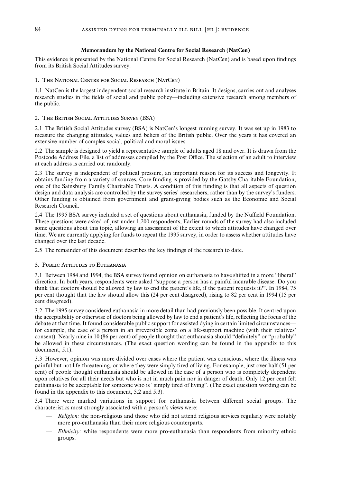# **Memorandum by the National Centre for Social Research (NatCen)**

This evidence is presented by the National Centre for Social Research (NatCen) and is based upon findings from its British Social Attitudes survey.

1. The National Centre for Social Research (NatCen)

1.1 NatCen is the largest independent social research institute in Britain. It designs, carries out and analyses research studies in the fields of social and public policy—including extensive research among members of the public.

# 2. The British Social Attitudes Survey (BSA)

2.1 The British Social Attitudes survey (BSA) is NatCen's longest running survey. It was set up in 1983 to measure the changing attitudes, values and beliefs of the British public. Over the years it has covered an extensive number of complex social, political and moral issues.

2.2 The sample is designed to yield a representative sample of adults aged 18 and over. It is drawn from the Postcode Address File, a list of addresses compiled by the Post Office. The selection of an adult to interview at each address is carried out randomly.

2.3 The survey is independent of political pressure, an important reason for its success and longevity. It obtains funding from a variety of sources. Core funding is provided by the Gatsby Charitable Foundation, one of the Sainsbury Family Charitable Trusts. A condition of this funding is that all aspects of question design and data analysis are controlled by the survey series' researchers, rather than by the survey's funders. Other funding is obtained from government and grant-giving bodies such as the Economic and Social Research Council.

2.4 The 1995 BSA survey included a set of questions about euthanasia, funded by the Nuffield Foundation. These questions were asked of just under 1,200 respondents, Earlier rounds of the survey had also included some questions about this topic, allowing an assessment of the extent to which attitudes have changed over time. We are currently applying for funds to repeat the 1995 survey, in order to assess whether attitudes have changed over the last decade.

2.5 The remainder of this document describes the key findings of the research to date.

# 3. Public Attitudes to Euthanasia

3.1 Between 1984 and 1994, the BSA survey found opinion on euthanasia to have shifted in a more "liberal" direction. In both years, respondents were asked "suppose a person has a painful incurable disease. Do you think that doctors should be allowed by law to end the patient's life, if the patient requests it?". In 1984, 75 per cent thought that the law should allow this (24 per cent disagreed), rising to 82 per cent in 1994 (15 per cent disagreed).

3.2 The 1995 survey considered euthanasia in more detail than had previously been possible. It centred upon the acceptability or otherwise of doctors being allowed by law to end a patient's life, reflecting the focus of the debate at that time. It found considerable public support for assisted dying in certain limited circumstances for example, the case of a person in an irreversible coma on a life-support machine (with their relatives' consent). Nearly nine in 10 (86 per cent) of people thought that euthanasia should "definitely" or "probably" be allowed in these circumstances. (The exact question wording can be found in the appendix to this document, 5.1).

3.3 However, opinion was more divided over cases where the patient was conscious, where the illness was painful but not life-threatening, or where they were simply tired of living. For example, just over half (51 per cent) of people thought euthanasia should be allowed in the case of a person who is completely dependent upon relatives for all their needs but who is not in much pain nor in danger of death. Only 12 per cent felt euthanasia to be acceptable for someone who is "simply tired of living". (The exact question wording can be found in the appendix to this document, 5.2 and 5.3).

3.4 There were marked variations in support for euthanasia between different social groups. The characteristics most strongly associated with a person's views were:

- *Religion:* the non-religious and those who did not attend religious services regularly were notably more pro-euthanasia than their more religious counterparts.
- *Ethnicity:* white respondents were more pro-euthanasia than respondents from minority ethnic groups.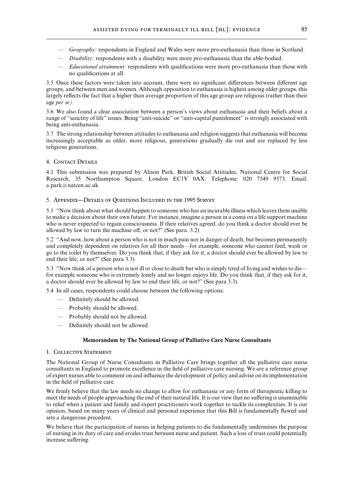- *Geography:* respondents in England and Wales were more pro-euthanasia than those in Scotland.
- *Disability:* respondents with a disability were more pro-euthanasia than the able-bodied.
- *Educational attainment:* respondents with qualifications were more pro-euthanasia than those with no qualifications at all.

3.5 Once these factors were taken into account, there were no significant differences between different age groups, and between men and women. Although opposition to euthanasia is highest among older groups, this largely reflects the fact that a higher than average proportion of this age group are religious (rather than their age *per se).*

3.6 We also found a clear association between a person's views about euthanasia and their beliefs about a range of "sanctity of life" issues. Being "anti-suicide" or "anti-capital punishment" is strongly associated with being anti-euthanasia.

3.7 The strong relationship between attitudes to euthanasia and religion suggests that euthanasia will become increasingly acceptable as older, more religious, generations gradually die out and are replaced by less religious generations.

# 4. CONTACT DETAILS

4.1 This submission was prepared by Alison Park, British Social Attitudes, National Centre for Social Research, 35 Northampton Square, London EC1V 0AX. Telephone: 020 7549 9573. Email: a.park@natcen.ac.uk

# 5. Appendix—Details of Questions Included in the 1995 Survey

5.1 "Now think about what should happen to someone who has an incurable illness which leaves them unable to make a decision about their own future. For instance, imagine a person in a coma on a life support machine who is never expected to regain consciousness. If their relatives agreed, do you think a doctor should ever be allowed by law to turn the machine off, or not?" (See para. 3.2)

5.2 "And now, how about a person who is not in much pain nor in danger of death, but becomes permanently and completely dependent on relatives for all their needs—for example, someone who cannot feed, wash or go to the toilet by themselves. Do you think that, if they ask for it, a doctor should ever be allowed by law to end their life, or not?" (See para 3.3)

5.3 "Now think of a person who is not ill or close to death but who is simply tired of living and wishes to die for example someone who is extremely lonely and no longer enjoys life. Do you think that, if they ask for it, a doctor should ever be allowed by law to end their life, or not?" (See para 3.3).

5.4 In all cases, respondents could choose between the following options:

- Definitely should be allowed.
- Probably should be allowed.
- Probably should not be allowed.
- Definitely should not be allowed.

### **Memorandum by The National Group of Palliative Care Nurse Consultants**

# 1. Collective Statement

The National Group of Nurse Consultants in Palliative Care brings together all the palliative care nurse consultants in England to promote excellence in the field of palliative care nursing. We are a reference group of expert nurses able to comment on and influence the development of policy and advise on its implementation in the field of palliative care.

We firmly believe that the law needs no change to allow for euthanasia or any form of therapeutic killing to meet the needs of people approaching the end of their natural life. It is our view that no suffering is unamenable to relief when a patient and family and expert practitioners work together to tackle its complexities. It is our opinion, based on many years of clinical and personal experience that this Bill is fundamentally flawed and sets a dangerous precedent.

We believe that the participation of nurses in helping patients to die fundamentally undermines the purpose of nursing in its duty of care and erodes trust between nurse and patient. Such a loss of trust could potentially increase suffering.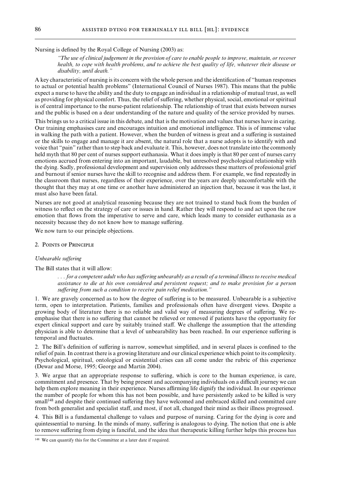Nursing is defined by the Royal College of Nursing (2003) as:

*"The use of clinical judgement in the provision of care to enable people to improve, maintain, or recover health, to cope with health problems, and to achieve the best quality of life, whatever their disease or disability, until death."*

A key characteristic of nursing is its concern with the whole person and the identification of "human responses to actual or potential health problems" (International Council of Nurses 1987). This means that the public expect a nurse to have the ability and the duty to engage an individual in a relationship of mutual trust, as well as providing for physical comfort. Thus, the relief of suffering, whether physical, social, emotional or spiritual is of central importance to the nurse-patient relationship. The relationship of trust that exists between nurses and the public is based on a dear understanding of the nature and quality of the service provided by nurses.

This brings us to a critical issue in this debate, and that is the motivation and values that nurses have in caring. Our training emphasises care and encourages intuition and emotional intelligence. This is of immense value in walking the path with a patient. However, when the burden of witness is great and a suffering is sustained or the skills to engage and manage it are absent, the natural role that a nurse adopts is to identify with and voice that "pain" rather than to step back and evaluate it. This, however, does not translate into the commonly held myth that 80 per cent of nurses support euthanasia. What it does imply is that 80 per cent of nurses carry emotions accrued from entering into an important, laudable, but unresolved psychological relationship with the dying. Sadly, professional development and supervision only addresses these matters of professional grief and burnout if senior nurses have the skill to recognise and address them. For example, we find repeatedly in the classroom that nurses, regardless of their experience, over the years are deeply uncomfortable with the thought that they may at one time or another have administered an injection that, because it was the last, it must also have been fatal.

Nurses are not good at analytical reasoning because they are not trained to stand back from the burden of witness to reflect on the strategy of care or issues in hand. Rather they will respond to and act upon the raw emotion that flows from the imperative to serve and care, which leads many to consider euthanasia as a necessity because they do not know how to manage suffering.

We now turn to our principle objections.

# 2. Points of Principle

#### *Unbearable suffering*

The Bill states that it will allow:

*. . . for a competent adult who has suVering unbearably as a result of a terminal illness to receive medical assistance to die at his own considered and persistent request; and to make provision for a person suVering from such a condition to receive pain relief medication."*

1. We are gravely concerned as to how the degree of suffering is to be measured. Unbearable is a subjective term, open to interpretation. Patients, families and professionals often have divergent views. Despite a growing body of literature there is no reliable and valid way of measuring degrees of suffering. We reemphasise that there is no suffering that cannot be relieved or removed if patients have the opportunity for expert clinical support and care by suitably trained staff. We challenge the assumption that the attending physician is able to determine that a level of unbearability has been reached. In our experience suffering is temporal and fluctuates.

2. The Bill's definition of suffering is narrow, somewhat simplified, and in several places is confined to the relief of pain. In contrast there is a growing literature and our clinical experience which point to its complexity. Psychological, spiritual, ontological or existential crises can all come under the rubric of this experience (Dewar and Morse, 1995; George and Martin 2004).

3. We argue that an appropriate response to suffering, which is core to the human experience, is care, commitment and presence. That by being present and accompanying individuals on a difficult journey we can help them explore meaning in their experience. Nurses affirming life dignify the individual. In our experience the number of people for whom this has not been possible, and have persistently asked to be killed is very small<sup>148</sup> and despite their continued suffering they have welcomed and embraced skilled and committed care from both generalist and specialist staff, and most, if not all, changed their mind as their illness progressed.

4. This Bill is a fundamental challenge to values and purpose of nursing. Caring for the dying is core and quintessential to nursing. In the minds of many, suffering is analogous to dying. The notion that one is able to remove suffering from dying is fanciful, and the idea that therapeutic killing further helps this process has

<sup>&</sup>lt;sup>148</sup> We can quantify this for the Committee at a later date if required.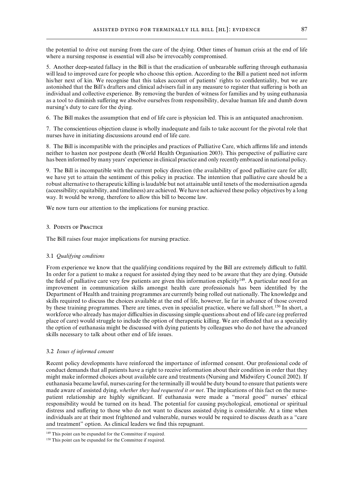the potential to drive out nursing from the care of the dying. Other times of human crisis at the end of life where a nursing response is essential will also be irrevocably compromised.

5. Another deep-seated fallacy in the Bill is that the eradication of unbearable suffering through euthanasia will lead to improved care for people who choose this option. According to the Bill a patient need not inform his/her next of kin. We recognise that this takes account of patients' rights to confidentiality, but we are astonished that the Bill's drafters and clinical advisers fail in any measure to register that suffering is both an individual and collective experience. By removing the burden of witness for families and by using euthanasia as a tool to diminish suffering we absolve ourselves from responsibility, devalue human life and dumb down nursing's duty to care for the dying.

6. The Bill makes the assumption that end of life care is physician led. This is an antiquated anachronism.

7. The conscientious objection clause is wholly inadequate and fails to take account for the pivotal role that nurses have in initiating discussions around end of life care.

8. The Bill is incompatible with the principles and practices of Palliative Care, which affirms life and intends neither to hasten nor postpone death (World Health Organisation 2003). This perspective of palliative care has been informed by many years' experience in clinical practice and only recently embraced in national policy.

9. The Bill is incompatible with the current policy direction (the availability of good palliative care for all); we have yet to attain the sentiment of this policy in practice. The intention that palliative care should be a robust alternative to therapeutic killing is laudable but not attainable until tenets of the modernisation agenda (accessibility; equitability, and timeliness) are achieved. We have not achieved these policy objectives by a long way. It would be wrong, therefore to allow this bill to become law.

We now turn our attention to the implications for nursing practice.

### 3. Points of Practice

The Bill raises four major implications for nursing practice.

### 3.1 *Qualifying conditions*

From experience we know that the qualifying conditions required by the Bill are extremely difficult to fulfil. In order for a patient to make a request for assisted dying they need to be aware that they are dying. Outside the field of palliative care very few patients are given this information explicitly<sup>149</sup>. A particular need for an improvement in communication skills amongst health care professionals has been identified by the Department of Health and training programmes are currently being rolled out nationally. The knowledge and skills required to discuss the choices available at the end of life, however, lie far in advance of those covered by these training programmes. There are times, even in specialist practice, where we fall short.150 In short, a workforce who already has major difficulties in discussing simple questions about end of life care (eg preferred place of care) would struggle to include the option of therapeutic killing. We are offended that as a speciality the option of euthanasia might be discussed with dying patients by colleagues who do not have the advanced skills necessary to talk about other end of life issues.

#### 3.2 *Issues of informed consent*

Recent policy developments have reinforced the importance of informed consent. Our professional code of conduct demands that all patients have a right to receive information about their condition in order that they might make informed choices about available care and treatments (Nursing and Midwifery Council 2002). If euthanasia became lawful, nurses caring for the terminally ill would be duty bound to ensure that patients were made aware of assisted dying, *whether they had requested it or not*. The implications of this fact on the nursepatient relationship are highly significant. If euthanasia were made a "moral good" nurses' ethical responsibility would be turned on its head. The potential for causing psychological, emotional or spiritual distress and suffering to those who do not want to discuss assisted dying is considerable. At a time when individuals are at their most frightened and vulnerable, nurses would be required to discuss death as a "care and treatment" option. As clinical leaders we find this repugnant.

<sup>149</sup> This point can be expanded for the Committee if required.

<sup>&</sup>lt;sup>150</sup> This point can be expanded for the Committee if required.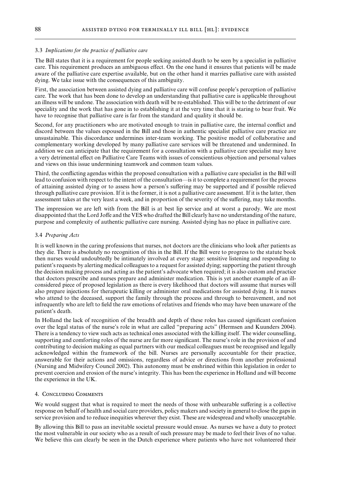### 3.3 *Implications for the practice of palliative care*

The Bill states that it is a requirement for people seeking assisted death to be seen by a specialist in palliative care. This requirement produces an ambiguous effect. On the one hand it ensures that patients will be made aware of the palliative care expertise available, but on the other hand it marries palliative care with assisted dying. We take issue with the consequences of this ambiguity.

First, the association between assisted dying and palliative care will confuse people's perception of palliative care. The work that has been done to develop an understanding that palliative care is applicable throughout an illness will be undone. The association with death will be re-established. This will be to the detriment of our speciality and the work that has gone in to establishing it at the very time that it is staring to bear fruit. We have to recognise that palliative care is far from the standard and quality it should be.

Second, for any practitioners who are motivated enough to train in palliative care, the internal conflict and discord between the values espoused in the Bill and those in authentic specialist palliative care practice are unsustainable. This discordance undermines inter-team working. The positive model of collaborative and complementary working developed by many palliative care services will be threatened and undermined. In addition we can anticipate that the requirement for a consultation with a palliative care specialist may have a very detrimental effect on Palliative Care Teams with issues of conscientious objection and personal values and views on this issue undermining teamwork and common team values.

Third, the conflicting agendas within the proposed consultation with a palliative care specialist in the Bill will lead to confusion with respect to the intent of the consultation—is it to complete a requirement for the process of attaining assisted dying or to assess how a person's suffering may be supported and if possible relieved through palliative care provision. If it is the former, it is not a palliative care assessment. If it is the latter, then assessment takes at the very least a week, and in proportion of the severity of the suffering, may take months.

The impression we are left with from the Bill is at best lip service and at worst a parody. We are most disappointed that the Lord Joffe and the VES who drafted the Bill clearly have no understanding of the nature, purpose and complexity of authentic palliative care nursing. Assisted dying has no place in palliative care.

### 3.4 *Preparing Acts*

It is well known in the caring professions that nurses, not doctors are the clinicians who look after patients as they die. There is absolutely no recognition of this in the Bill. If the Bill were to progress to the statute book then nurses would undoubtedly be intimately involved at every stage: sensitive listening and responding to patient's requests by alerting medical colleagues to a request for assisted dying; supporting the patient through the decision making process and acting as the patient's advocate when required; it is also custom and practice that doctors prescribe and nurses prepare and administer medication. This is yet another example of an illconsidered piece of proposed legislation as there is every likelihood that doctors will assume that nurses will also prepare injections for therapeutic killing or administer oral medications for assisted dying. It is nurses who attend to the deceased, support the family through the process and through to bereavement, and not infrequently who are left to field the raw emotions of relatives and friends who may have been unaware of the patient's death.

In Holland the lack of recognition of the breadth and depth of these roles has caused significant confusion over the legal status of the nurse's role in what are called "preparing acts" (Hermsen and Kuunders 2004). There is a tendency to view such acts as technical ones associated with the killing itself. The wider counselling, supporting and comforting roles of the nurse are far more significant. The nurse's role in the provision of and contributing to decision making as equal partners with our medical colleagues must be recognised and legally acknowledged within the framework of the bill. Nurses are personally accountable for their practice, answerable for their actions and omissions, regardless of advice or directions from another professional (Nursing and Midwifery Council 2002). This autonomy must be enshrined within this legislation in order to prevent coercion and erosion of the nurse's integrity. This has been the experience in Holland and will become the experience in the UK.

# 4. Concluding Comments

We would suggest that what is required to meet the needs of those with unbearable suffering is a collective response on behalf of health and social care providers, policy makers and society in general to close the gaps in service provision and to reduce inequities wherever they exist. These are widespread and wholly unacceptable.

By allowing this Bill to pass an inevitable societal pressure would ensue. As nurses we have a duty to protect the most vulnerable in our society who as a result of such pressure may be made to feel their lives of no value. We believe this can clearly be seen in the Dutch experience where patients who have not volunteered their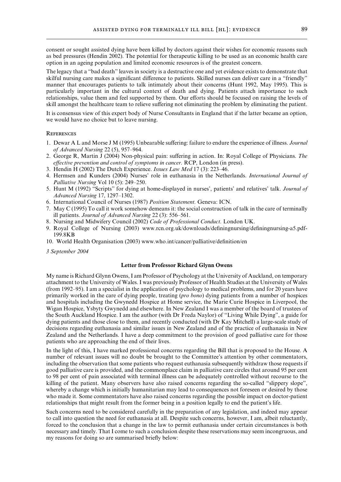consent or sought assisted dying have been killed by doctors against their wishes for economic reasons such as bed pressures (Hendin 2002). The potential for therapeutic killing to be used as an economic health care option in an ageing population and limited economic resources is of the greatest concern.

The legacy that a "bad death" leaves in society is a destructive one and yet evidence exists to demonstrate that skilful nursing care makes a significant difference to patients. Skilled nurses can deliver care in a "friendly" manner that encourages patients to talk intimately about their concerns (Hunt 1992, May 1995). This is particularly important in the cultural context of death and dying. Patients attach importance to such relationships, value them and feel supported by them. Our efforts should be focused on raising the levels of skill amongst the healthcare team to relieve suffering not eliminating the problem by eliminating the patient.

It is consensus view of this expert body of Nurse Consultants in England that if the latter became an option, we would have no choice but to leave nursing.

### **REFERENCES**

- 1. Dewar A L and Morse J M (1995) Unbearable suffering: failure to endure the experience of illness. *Journal of Advanced Nursing* 22 (5), 957–964.
- 2. George R, Martin J (2004) Non-physical pain: suffering in action. In: Royal College of Physicians. *The effective prevention and control of symptoms in cancer.* RCP, London (in press).
- 3. Hendin H (2002) The Dutch Experience. *Issues Law Med* 17 (3): 223–46.
- 4. Hermsen and Kunders (2004) Nurses' role in euthanasia in the Netherlands. *International Journal of Palliative Nursing* Vol 10 (5): 249–250.
- 5. Hunt M (1992) "Scripts" for dying at home-displayed in nurses', patients' and relatives' talk. *Journal of Advanced Nursing* 17, 1297–1302.
- 6. International Council of Nurses (1987) *Position Statement.* Geneva: ICN.
- 7. May C (1995) To call it work somehow demeans it: the social construction of talk in the care of terminally ill patients. *Journal of Advanced Nursing* 22 (3): 556–561.
- 8. Nursing and Midwifery Council (2002) *Code of Professional Conduct.* London UK.
- 9. Royal College of Nursing (2003) www.rcn.org.uk/downloads/definingnursing/definingnursing-a5.pdf-199.8KB
- 10. World Health Organisation (2003) www.who.int/cancer/palliative/definition/en

*3 September 2004*

### **Letter from Professor Richard Glynn Owens**

My name is Richard Glynn Owens, I am Professor of Psychology at the University of Auckland, on temporary attachment to the University of Wales. I was previously Professor of Health Studies at the University of Wales (from 1992–95). I am a specialist in the application of psychology to medical problems, and for 20 years have primarily worked in the care of dying people, treating (*pro bono*) dying patients from a number of hospices and hospitals including the Gwynedd Hospice at Home service, the Marie Curie Hospice in Liverpool, the Wigan Hospice, Ysbyty Gwynedd and elsewhere. In New Zealand I was a member of the board of trustees of the South Auckland Hospice. I am the author (with Dr Freda Naylor) of "Living While Dying", a guide for dying patients and those close to them, and recently conducted (with Dr Kay Mitchell) a large-scale study of decisions regarding euthanasia and similar issues in New Zealand and of the practice of euthanasia in New Zealand and the Netherlands. I have a deep commitment to the provision of good palliative care for those patients who are approaching the end of their lives.

In the light of this, I have marked professional concerns regarding the Bill that is proposed to the House. A number of relevant issues will no doubt be brought to the Committee's attention by other commentators, including the observation that some patients who request euthanasia subsequently withdraw those requests if good palliative care is provided, and the commonplace claim in palliative care circles that around 95 per cent to 98 per cent of pain associated with terminal illness can be adequately controlled without recourse to the killing of the patient. Many observers have also raised concerns regarding the so-called "slippery slope", whereby a change which is initially humanitarian may lead to consequences not foreseen or desired by those who made it. Some commentators have also raised concerns regarding the possible impact on doctor-patient relationships that might result from the former being in a position legally to end the patient's life.

Such concerns need to be considered carefully in the preparation of any legislation, and indeed may appear to call into question the need for euthanasia at all. Despite such concerns, however, I am, albeit reluctantly, forced to the conclusion that a change in the law to permit euthanasia under certain circumstances is both necessary and timely. That I come to such a conclusion despite these reservations may seem incongruous, and my reasons for doing so are summarised briefly below: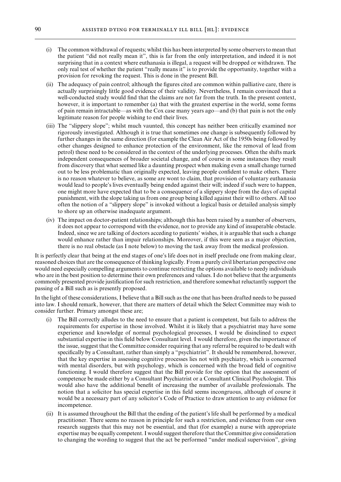- (i) The common withdrawal of requests; whilst this has been interpreted by some observers to mean that the patient "did not really mean it", this is far from the only interpretation, and indeed it is not surprising that in a context where euthanasia is illegal, a request will be dropped or withdrawn. The only real test of whether the patient "really means it" is to provide the opportunity, together with a provision for revoking the request. This is done in the present Bill.
- (ii) The adequacy of pain control; although the figures cited are common within palliative care, there is actually surprisingly little good evidence of their validity. Nevertheless, I remain convinced that a well-conducted study would find that the claims are not far from the truth. In the present context, however, it is important to remember (a) that with the greatest expertise in the world, some forms of pain remain intractable—as with the Cox case many years ago—and (b) that pain is not the only legitimate reason for people wishing to end their lives.
- (iii) The "slippery slope"; whilst much vaunted, this concept has neither been critically examined nor rigorously investigated. Although it is true that sometimes one change is subsequently followed by further changes in the same direction (for example the Clean Air Act of the 1950s being followed by other changes designed to enhance protection of the environment, like the removal of lead from petrol) these need to be considered in the context of the underlying processes. Often the shifts mark independent consequences of broader societal change, and of course in some instances they result from discovery that what seemed like a daunting prospect when making even a small change turned out to be less problematic than originally expected, leaving people confident to make others. There is no reason whatever to believe, as some are wont to claim, that provision of voluntary euthanasia would lead to people's lives eventually being ended against their will; indeed if such were to happen, one might more have expected that to be a consequence of a slippery slope from the days of capital punishment, with the slope taking us from one group being killed against their will to others. All too often the notion of a "slippery slope" is invoked without a logical basis or detailed analysis simply to shore up an otherwise inadequate argument.
- (iv) The impact on doctor-patient relationships; although this has been raised by a number of observers, it does not appear to correspond with the evidence, nor to provide any kind of insuperable obstacle. Indeed, since we are talking of doctors acceding to patients' wishes, it is arguable that such a change would enhance rather than impair relationships. Moreover, if this were seen as a major objection, there is no real obstacle (as I note below) to moving the task away from the medical profession.

It is perfectly clear that being at the end stages of one's life does not in itself preclude one from making clear, reasoned choices that are the consequence of thinking logically. From a purely civil libertarian perspective one would need especially compelling arguments to continue restricting the options available to needy individuals who are in the best position to determine their own preferences and values. I do not believe that the arguments commonly presented provide justification for such restriction, and therefore somewhat reluctantly support the passing of a Bill such as is presently proposed.

In the light of these considerations, I believe that a Bill such as the one that has been drafted needs to be passed into law. I should remark, however, that there are matters of detail which the Select Committee may wish to consider further. Primary amongst these are;

- The Bill correctly alludes to the need to ensure that a patient is competent, but fails to address the requirements for expertise in those involved. Whilst it is likely that a psychiatrist may have some experience and knowledge of normal psychological processes, I would be disinclined to expect substantial expertise in this field below Consultant level. I would therefore, given the importance of the issue, suggest that the Committee consider requiring that any referral be required to be dealt with specifically by a Consultant, rather than simply a "psychiatrist". It should be remembered, however, that the key expertise in assessing cognitive processes lies not with psychiatry, which is concerned with mental disorders, but with psychology, which is concerned with the broad field of cognitive functioning. I would therefore suggest that the Bill provide for the option that the assessment of competence be made either by a Consultant Psychiatrist or a Consultant Clinical Psychologist. This would also have the additional benefit of increasing the number of available professionals. The notion that a solicitor has special expertise in this field seems incongruous, although of course it would be a necessary part of any solicitor's Code of Practice to draw attention to any evidence for incompetence.
- (ii) It is assumed throughout the Bill that the ending of the patient's life shall be performed by a medical practitioner. There seems no reason in principle for such a restriction, and evidence from our own research suggests that this may not be essential, and that (for example) a nurse with appropriate expertise may be equally competent. I would suggest therefore that the Committee give consideration to changing the wording to suggest that the act be performed "under medical supervision", giving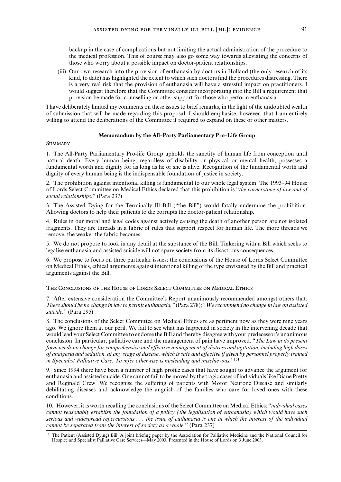backup in the case of complications but not limiting the actual administration of the procedure to the medical profession. This of course may also go some way towards alleviating the concerns of those who worry about a possible impact on doctor-patient relationships.

(iii) Our own research into the provision of euthanasia by doctors in Holland (the only research of its kind, to date) has highlighted the extent to which such doctors find the procedures distressing. There is a very real risk that the provision of euthanasia will have a stressful impact on practitioners. I would suggest therefore that the Committee consider incorporating into the Bill a requirement that provision be made for counselling or other support for those who perform euthanasia.

I have deliberately limited my comments on these issues to brief remarks, in the light of the undoubted wealth of submission that will be made regarding this proposal. I should emphasise, however, that I am entirely willing to attend the deliberations of the Committee if required to expand on these or other matters.

# **Memorandum by the All-Party Parliamentary Pro-Life Group**

# **SUMMARY**

1. The All-Party Parliamentary Pro-life Group upholds the sanctity of human life from conception until natural death. Every human being, regardless of disability or physical or mental health, possesses a fundamental worth and dignity for as long as he or she is alive. Recognition of the fundamental worth and dignity of every human being is the indispensable foundation of justice in society.

2. The prohibition against intentional killing is fundamental to our whole legal system. The 1993–94 House of Lords Select Committee on Medical Ethics declared that this prohibition is "*the cornerstone of law and of social relationships.*" (Para 237)

3. The Assisted Dying for the Terminally Ill Bill ("the Bill") would fatally undermine the prohibition. Allowing doctors to help their patients to die corrupts the doctor-patient relationship.

4. Rules in our moral and legal codes against actively causing the death of another person are not isolated fragments. They are threads in a fabric of rules that support respect for human life. The more threads we remove, the weaker the fabric becomes.

5. We do not propose to look in any detail at the substance of the Bill. Tinkering with a Bill which seeks to legalise euthanasia and assisted suicide will not spare society from its disastrous consequences.

6. We propose to focus on three particular issues; the conclusions of the House of Lords Select Committee on Medical Ethics, ethical arguments against intentional killing of the type envisaged by the Bill and practical arguments against the Bill.

The Conclusions of the House of Lords Select Committee on Medical Ethics

7. After extensive consideration the Committee's Report unanimously recommended amongst others that: *There should be no change in law to permit euthanasia."* (Para 278); "*We recommend no change in law on assisted suicide.*" (Para 295)

8. The conclusions of the Select Committee on Medical Ethics are as pertinent now as they were nine years ago. We ignore them at our peril. We fail to see what has happened in society in the intervening decade that would lead your Select Committee to endorse the Bill and thereby disagree with your predecessor's unanimous conclusion. In particular, palliative care and the management of pain have improved. "*The Law in its present form needs no change for comprehensive and effective management of distress and agitation, including high doses of analgesia and sedation, at any stage of disease, which is safe and effective if given by personnel properly trained in Specialist Palliative Care. To infer otherwise is misleading and mischievous.*"151

9. Since 1994 there have been a number of high profile cases that have sought to advance the argument for euthanasia and assisted suicide. One cannot fail to be moved by the tragic cases of individuals like Diane Pretty and Reginald Crew. We recognise the suffering of patients with Motor Neurone Disease and similarly debilitating diseases and acknowledge the anguish of the families who care for loved ones with these conditions.

10. However, it is worth recalling the conclusions of the Select Committee on Medical Ethics: "*individual cases cannot reasonably establish the foundation of a policy (the legalisation of euthanasia) which would have such serious and widespread repercussions . . . the issue of euthanasia is one in which the interest of the individual cannot be separated from the interest of society as a whole.*" (Para 237)

<sup>&</sup>lt;sup>151</sup> The Patient (Assisted Dying) Bill: A joint briefing paper by the Association for Palliative Medicine and the National Council for Hospice and Specialist Palliative Care Services—May 2003. Presented in the House of Lords on 3 June 2003.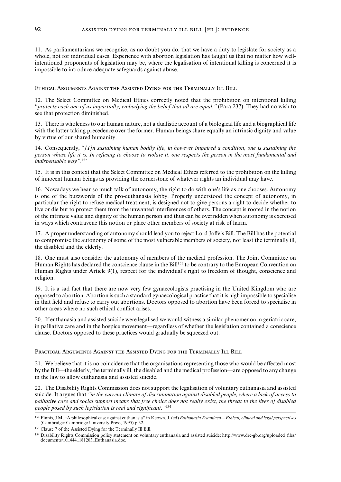11. As parliamentarians we recognise, as no doubt you do, that we have a duty to legislate for society as a whole, not for individual cases. Experience with abortion legislation has taught us that no matter how wellintentioned proponents of legislation may be, where the legalisation of intentional killing is concerned it is impossible to introduce adequate safeguards against abuse.

Ethical Arguments Against the Assisted Dying for the Terminally Ill Bill

12. The Select Committee on Medical Ethics correctly noted that the prohibition on intentional killing "*protects each one of us impartially, embodying the belief that all are equal."* (Para 237). They had no wish to see that protection diminished.

13. There is wholeness to our human nature, not a dualistic account of a biological life and a biographical life with the latter taking precedence over the former. Human beings share equally an intrinsic dignity and value by virtue of our shared humanity.

14. Consequently, "*[I]n sustaining human bodily life, in however impaired a condition, one is sustaining the person whose life it is. In refusing to choose to violate it, one respects the person in the most fundamental and indispensable way".*<sup>152</sup>

15. It is in this context that the Select Committee on Medical Ethics referred to the prohibition on the killing of innocent human beings as providing the cornerstone of whatever rights an individual may have.

16. Nowadays we hear so much talk of autonomy, the right to do with one's life as one chooses. Autonomy is one of the buzzwords of the pro-euthanasia lobby. Properly understood the concept of autonomy, in particular the right to refuse medical treatment, is designed not to give persons a right to decide whether to live or die but to protect them from the unwanted interferences of others. The concept is rooted in the notion of the intrinsic value and dignity of the human person and thus can be overridden when autonomy is exercised in ways which contravene this notion or place other members of society at risk of harm.

17. A proper understanding of autonomy should lead you to reject Lord Joffe's Bill. The Bill has the potential to compromise the autonomy of some of the most vulnerable members of society, not least the terminally ill, the disabled and the elderly.

18. One must also consider the autonomy of members of the medical profession. The Joint Committee on Human Rights has declared the conscience clause in the Bill<sup>153</sup> to be contrary to the European Convention on Human Rights under Article 9(1), respect for the individual's right to freedom of thought, conscience and religion.

19. It is a sad fact that there are now very few gynaecologists practising in the United Kingdom who are opposed to abortion. Abortion is such a standard gynaecological practice that it is nigh impossible to specialise in that field and refuse to carry out abortions. Doctors opposed to abortion have been forced to specialise in other areas where no such ethical conflict arises.

20. If euthanasia and assisted suicide were legalised we would witness a similar phenomenon in geriatric care, in palliative care and in the hospice movement—regardless of whether the legislation contained a conscience clause. Doctors opposed to these practices would gradually be squeezed out.

Practical Arguments Against the Assisted Dying for the Terminally Ill Bill

21. We believe that it is no coincidence that the organisations representing those who would be affected most by the Bill—the elderly, the terminally ill, the disabled and the medical profession—are opposed to any change in the law to allow euthanasia and assisted suicide.

22. The Disability Rights Commission does not support the legalisation of voluntary euthanasia and assisted suicide. It argues that *"in the current climate of discrimination against disabled people, where a lack of access to palliative care and social support means that free choice does not really exist, the threat to the lives of disabled people posed by such legislation is real and significant."*<sup>154</sup>

<sup>152</sup> Finnis, J M, "A philosophical case against euthanasia" in Keown, J, (ed) *Euthanasia Examined—Ethical, clinical and legal perspectives* (Cambridge: Cambridge University Press, 1995) p 32.

<sup>153</sup> Clause 7 of the Assisted Dying for the Terminally Ill Bill.

<sup>154</sup> Disability Rights Commission policy statement on voluntary euthanasia and assisted suicide; http://www.drc-gb.org/uploaded–files/ documents/10–444–181203–Euthanasia.doc.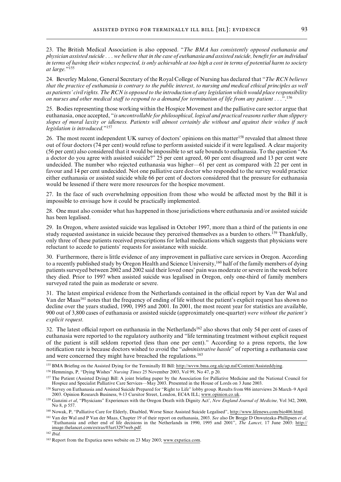23. The British Medical Association is also opposed. "*The BMA has consistently opposed euthanasia and physician assisted suicide . . . we believe that in the case of euthanasia and assisted suicide, benefit for an individual in terms of having their wishes respected, is only achievable at too high a cost in terms of potential harm to society at large.*"155

24. Beverley Malone, General Secretary of the Royal College of Nursing has declared that "*The RCN believes that the practice of euthanasia is contrary to the public interest, to nursing and medical ethical principles as well as patients' civil rights. The RCN is opposed to the introduction of any legislation which would place responsibility on nurses and other medical staV to respond to a demand for termination of life from any patient . . .*".156

25. Bodies representing those working within the Hospice Movement and the palliative care sector argue that euthanasia, once accepted, "*is uncontrollable for philosophical, logical and practical reasons rather than slippery slopes of moral laxity or idleness. Patients will almost certainly die without and against their wishes if such legislation is introduced.*"157

26. The most recent independent UK survey of doctors' opinions on this matter<sup>158</sup> revealed that almost three out of four doctors (74 per cent) would refuse to perform assisted suicide if it were legalised. A clear majority (56 per cent) also considered that it would be impossible to set safe bounds to euthanasia. To the question "As a doctor do you agree with assisted suicide?" 25 per cent agreed, 60 per cent disagreed and 13 per cent were undecided. The number who rejected euthanasia was higher—61 per cent as compared with 22 per cent in favour and 14 per cent undecided. Not one palliative care doctor who responded to the survey would practice either euthanasia or assisted suicide while 66 per cent of doctors considered that the pressure for euthanasia would be lessened if there were more resources for the hospice movement.

27. In the face of such overwhelming opposition from those who would be affected most by the Bill it is impossible to envisage how it could be practically implemented.

28. One must also consider what has happened in those jurisdictions where euthanasia and/or assisted suicide has been legalised.

29. In Oregon, where assisted suicide was legalised in October 1997, more than a third of the patients in one study requested assistance in suicide because they perceived themselves as a burden to others.<sup>159</sup> Thankfully, only three of these patients received prescriptions for lethal medications which suggests that physicians were reluctant to accede to patients' requests for assistance with suicide.

30. Furthermore, there is little evidence of any improvement in palliative care services in Oregon. According to a recently published study by Oregon Health and Science University,160 half of the family members of dying patients surveyed between 2002 and 2002 said their loved ones' pain was moderate or severe in the week before they died. Prior to 1997 when assisted suicide was legalised in Oregon, only one-third of family members surveyed rated the pain as moderate or severe.

31. The latest empirical evidence from the Netherlands contained in the official report by Van der Wal and Van der Maas<sup>161</sup> notes that the frequency of ending of life without the patient's explicit request has shown no decline over the years studied, 1990, 1995 and 2001. In 2001, the most recent year for statistics are available, 900 out of 3,800 cases of euthanasia or assisted suicide (approximately one-quarter) *were without the patient's explicit request.*

32. The latest official report on euthanasia in the Netherlands<sup>162</sup> also shows that only 54 per cent of cases of euthanasia were reported to the regulatory authority and "life terminating treatment without explicit request of the patient is still seldom reported (less than one per cent)." According to a press reports, the low notification rate is because doctors wished to avoid the "*administrative hassle*" of reporting a euthanasia case and were concerned they might have breached the regulations.163

<sup>156</sup> Hemmings, P, "Dying Wishes" *Nursing Times* 25 November 2003, Vol 99, No 47, p 20.

<sup>155</sup> BMA Briefing on the Assisted Dying for the Terminally Ill Bill: http://wvvw.bma.org.ulc/ap.nsf/Content/Assisteddying.

<sup>&</sup>lt;sup>157</sup> The Patient (Assisted Dying) Bill: A joint briefing paper by the Association for Palliative Medicine and the National Council for Hospice and Specialist Palliative Care Services—May 2003. Presented in the House of Lords on 3 June 2003.

<sup>158</sup> Survey on Euthanasia and Assisted Suicide Prepared for "Right to Life" lobby group. Results from 986 interviews 26 March–9 April 2003. Opinion Research Business, 9-13 Cursitor Street, London, EC4A ILL; www.opinion.co.uk.

<sup>159</sup> Ganzini *et al*, "Physicians" Experiences with the Oregon Death with Dignity Act', *New England Journal of Medicine,* Vol 342, 2000, No 8, p 557.

<sup>160</sup> Nowak, P, "Palliative Care for Elderly, Disabled, Worse Since Assisted Suicide Legalised", http://www.lifenews.com/bio406.html.

<sup>161</sup> Van der Wal and P Van der Maas, Chapter 19 of their report on euthanasia, 2003. *See* also Dr Bregje D Onwuteaka-Phillipsen *et al,* "Euthanasia and other end of life decisions in the Netherlands in 1990, 1995 and 2001", *The Lancet,* 17 June 2003: http:// image.thelancet.com/extras/03art3297web.pdf.

<sup>162</sup> *Ibid.*

<sup>163</sup> Report from the Expatica news website on 23 May 2003; www.expatica.com.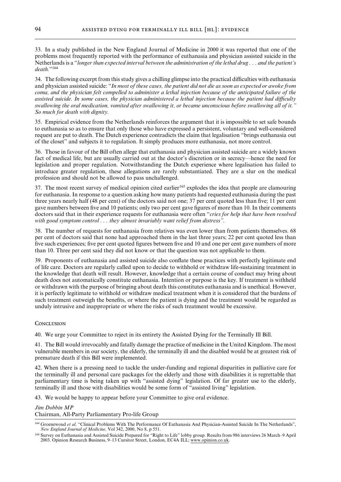33. In a study published in the New England Journal of Medicine in 2000 it was reported that one of the problems most frequently reported with the performance of euthanasia and physician assisted suicide in the Netherlands is a "*longer than expected interval between the administration of the lethal drug . . . and the patient's death.*"164

34. The following excerpt from this study gives a chilling glimpse into the practical difficulties with euthanasia and physician assisted suicide: "*In most of these cases, the patient did not die as soon as expected or awoke from coma, and the physician felt compelled to administer a lethal injection because of the anticipated failure of the assisted suicide. In some cases, the physician administered a lethal injection because the patient had diYculty swallowing the oral medication, vomited after swallowing it, or became unconscious before swallowing all of it." So much for death with dignity.*

35. Empirical evidence from the Netherlands reinforces the argument that it is impossible to set safe bounds to euthanasia so as to ensure that only those who have expressed a persistent, voluntary and well-considered request are put to death. The Dutch experience contradicts the claim that legalisation "brings euthanasia out of the closet" and subjects it to regulation. It simply produces more euthanasia, not more control.

36. Those in favour of the Bill often allege that euthanasia and physician assisted suicide are a widely known fact of medical life, but are usually carried out at the doctor's discretion or in secrecy—hence the need for legislation and proper regulation. Notwithstanding the Dutch experience where legalisation has failed to introduce greater regulation, these allegations are rarely substantiated. They are a slur on the medical profession and should not be allowed to pass unchallenged.

37. The most recent survey of medical opinion cited earlier<sup>165</sup> explodes the idea that people are clamouring for euthanasia. In response to a question asking how many patients had requested euthanasia during the past three years nearly half (48 per cent) of the doctors said not one; 37 per cent quoted less than five; 11 per cent gave numbers between five and 10 patients; only two per cent gave figures of more than 10. In their comments doctors said that in their experience requests for euthanasia were often "*cries for help that have been resolved with good symptom control . . . they almost invariably want relief from distress"*.

38. The number of requests for euthanasia from relatives was even lower than from patients themselves. 68 per cent of doctors said that none had approached them in the last three years; 22 per cent quoted less than five such experiences; five per cent quoted figures between five and 10 and one per cent gave numbers of more than 10. Three per cent said they did not know or that the question was not applicable to them.

39. Proponents of euthanasia and assisted suicide also conflate these practices with perfectly legitimate end of life care. Doctors are regularly called upon to decide to withhold or withdraw life-sustaining treatment in the knowledge that death will result. However, knowledge that a certain course of conduct may bring about death does not automatically constitute euthanasia. Intention or purpose is the key. If treatment is withheld or withdrawn with the purpose of bringing about death this constitutes euthanasia and is unethical. However, it is perfectly legitimate to withhold or withdraw medical treatment when it is considered that the burdens of such treatment outweigh the benefits, or where the patient is dying and the treatment would be regarded as unduly intrusive and inappropriate or where the risks of such treatment would be excessive.

# **CONCLUSION**

40. We urge your Committee to reject in its entirety the Assisted Dying for the Terminally Ill Bill.

41. The Bill would irrevocably and fatally damage the practice of medicine in the United Kingdom. The most vulnerable members in our society, the elderly, the terminally ill and the disabled would be at greatest risk of premature death if this Bill were implemented.

42. When there is a pressing need to tackle the under-funding and regional disparities in palliative care for the terminally ill and personal care packages for the elderly and those with disabilities it is regrettable that parliamentary time is being taken up with "assisted dying" legislation. Of far greater use to the elderly, terminally ill and those with disabilities would be some form of "assisted living" legislation.

43. We would be happy to appear before your Committee to give oral evidence.

*Jim Dobbin MP*

Chairman, All-Party Parliamentary Pro-life Group

<sup>&</sup>lt;sup>164</sup> Groenewoud et al, "Clinical Problems With The Performance Of Euthanasia And Physician-Assisted Suicide In The Netherlands", *New England Journal of Medicine,* Vol 342, 2000, No 8, p 551.

<sup>164</sup> Survey on Euthanasia and Assisted Suicide Prepared for "Right to Life" lobby group. Results from 986 interviews 26 March–9 April 2003. Opinion Research Business, 9–13 Cursitor Street, London, EC4A ILL; www.opinion.co.uk.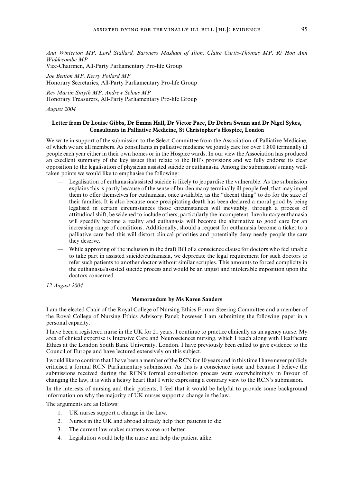*Ann Winterton MP, Lord Stallard, Baroness Masham of Ilton, Claire Curtis-Thomas MP, Rt Hon Ann Widdecombe MP*

Vice-Chairmen, All-Party Parliamentary Pro-life Group

*Joe Benton MP, Kerry Pollard MP* Honorary Secretaries, All-Party Parliamentary Pro-life Group

*Rev Martin Smyth MP, Andrew Selous MP* Honorary Treasurers, All-Party Parliamentary Pro-life Group

*August 2004*

# **Letter from Dr Louise Gibbs, Dr Emma Hall, Dr Victor Pace, Dr Debra Swann and Dr Nigel Sykes, Consultants in Palliative Medicine, St Christopher's Hospice, London**

We write in support of the submission to the Select Committee from the Association of Palliative Medicine, of which we are all members. As consultants in palliative medicine we jointly care for over 1,800 terminally ill people each year either in their own homes or in the Hospice wards. In our view the Association has produced an excellent summary of the key issues that relate to the Bill's provisions and we fully endorse its clear opposition to the legalisation of physician assisted suicide or euthanasia. Among the submission's many welltaken points we would like to emphasise the following:

- Legalisation of euthanasia/assisted suicide is likely to jeopardise the vulnerable. As the submission explains this is partly because of the sense of burden many terminally ill people feel, that may impel them to offer themselves for euthanasia, once available, as the "decent thing" to do for the sake of their families. It is also because once precipitating death has been declared a moral good by being legalised in certain circumstances those circumstances will inevitably, through a process of attitudinal shift, be widened to include others, particularly the incompetent. Involuntary euthanasia will speedily become a reality and euthanasia will become the alternative to good care for an increasing range of conditions. Additionally, should a request for euthanasia become a ticket to a palliative care bed this will distort clinical priorities and potentially deny needy people the care they deserve.
- While approving of the inclusion in the draft Bill of a conscience clause for doctors who feel unable to take part in assisted suicide/euthanasia, we deprecate the legal requirement for such doctors to refer such patients to another doctor without similar scruples. This amounts to forced complicity in the euthanasia/assisted suicide process and would be an unjust and intolerable imposition upon the doctors concerned.

*12 August 2004*

# **Memorandum by Ms Karen Sanders**

I am the elected Chair of the Royal College of Nursing Ethics Forum Steering Committee and a member of the Royal College of Nursing Ethics Advisory Panel; however I am submitting the following paper in a personal capacity.

I have been a registered nurse in the UK for 21 years. I continue to practice clinically as an agency nurse. My area of clinical expertise is Intensive Care and Neurosciences nursing, which I teach along with Healthcare Ethics at the London South Bank University, London. I have previously been called to give evidence to the Council of Europe and have lectured extensively on this subject.

I would like to confirm that I have been a member of the RCN for 10 years and in this time I have never publicly criticised a formal RCN Parliamentary submission. As this is a conscience issue and because I believe the submissions received during the RCN's formal consultation process were overwhelmingly in favour of changing the law, it is with a heavy heart that I write expressing a contrary view to the RCN's submission.

In the interests of nursing and their patients, I feel that it would be helpful to provide some background information on why the majority of UK nurses support a change in the law.

The arguments are as follows:

- 1. UK nurses support a change in the Law.
- 2. Nurses in the UK and abroad already help their patients to die.
- 3. The current law makes matters worse not better.
- 4. Legislation would help the nurse and help the patient alike.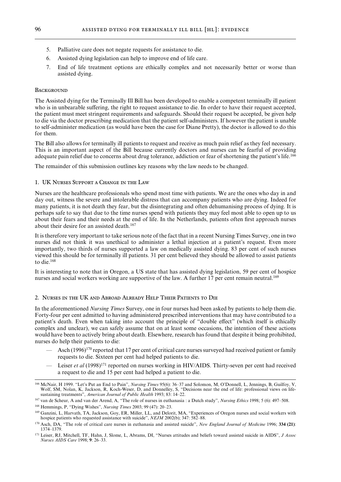- 5. Palliative care does not negate requests for assistance to die.
- 6. Assisted dying legislation can help to improve end of life care.
- 7. End of life treatment options are ethically complex and not necessarily better or worse than assisted dying.

### **BACKGROUND**

The Assisted dying for the Terminally Ill Bill has been developed to enable a competent terminally ill patient who is in unbearable suffering, the right to request assistance to die. In order to have their request accepted, the patient must meet stringent requirements and safeguards. Should their request be accepted, be given help to die via the doctor prescribing medication that the patient self-administers. If however the patient is unable to self-administer medication (as would have been the case for Diane Pretty), the doctor is allowed to do this for them.

The Bill also allows for terminally ill patients to request and receive as much pain relief as they feel necessary. This is an important aspect of the Bill because currently doctors and nurses can be fearful of providing adequate pain relief due to concerns about drug tolerance, addiction or fear of shortening the patient's life.<sup>166</sup>

The remainder of this submission outlines key reasons why the law needs to be changed.

# 1. UK Nurses Support a Change in the Law

Nurses are the healthcare professionals who spend most time with patients. We are the ones who day in and day out, witness the severe and intolerable distress that can accompany patients who are dying. Indeed for many patients, it is not death they fear, but the disintegrating and often dehumanising process of dying. It is perhaps safe to say that due to the time nurses spend with patients they may feel most able to open up to us about their fears and their needs at the end of life. In the Netherlands, patients often first approach nurses about their desire for an assisted death.<sup>167</sup>

It is therefore very important to take serious note of the fact that in a recent Nursing Times Survey, one in two nurses did not think it was unethical to administer a lethal injection at a patient's request. Even more importantly, two thirds of nurses supported a law on medically assisted dying. 83 per cent of such nurses viewed this should be for terminally ill patients. 31 per cent believed they should be allowed to assist patients to die.168

It is interesting to note that in Oregon, a US state that has assisted dying legislation, 59 per cent of hospice nurses and social workers working are supportive of the law. A further 17 per cent remain neutral.<sup>169</sup>

# 2. Nurses in the UK and Abroad Already Help Their Patients to Die

In the aforementioned *Nursing Times* Survey, one in four nurses had been asked by patients to help them die. Forty-four per cent admitted to having administered prescribed interventions that may have contributed to a patient's death. Even when taking into account the principle of "double effect" (which itself is ethically complex and unclear), we can safely assume that on at least some occasions, the intention of these actions would have been to actively bring about death. Elsewhere, research has found that despite it being prohibited, nurses do help their patients to die:

- Asch (1996)170 reported that 17 per cent of critical care nurses surveyed had received patient or family requests to die. Sixteen per cent had helped patients to die.
- Leiser et al (1998)<sup>171</sup> reported on nurses working in HIV/AIDS. Thirty-seven per cent had received a request to die and 15 per cent had helped a patient to die.

<sup>166</sup> McNair, H 1999. "Let's Put an End to Pain", *Nursing Times* 95(6): 36–37 and Solomon, M, O'Donnell, L, Jennings, B, Guilfoy, V, Wolf, SM, Nolan, K, Jackson, R, Koch-Weser, D, and Donnelley, S, "Decisions near the end of life: professional views on lifesustaining treatments", *American Journal of Public Health* 1993; 83: 14–22.

<sup>167</sup> van de Scheur, A and van der Arend, A, "The role of nurses in euthanasia : a Dutch study", *Nursing Ethics* 1998; 5 (6): 497–508.

<sup>168</sup> Hemmings, P, "Dying Wishes", *Nursing Times* 2003; 99 (47): 20–23.

<sup>169</sup> Ganzini, L, Harvath, TA, Jackson, Goy, ER, Miller, LL, and Delorit, MA, "Experiences of Oregon nurses and social workers with hospice patients who requested assistance with suicide", *NEJM* 2002(b); 347: 582–88.

<sup>170</sup> Asch, DA, "The role of critical care nurses in euthanasia and assisted suicide", *New England Journal of Medicine* 1996; **334 (21)**: 1374–1379.

<sup>171</sup> Leiser, RJ, Mitchell, TF, Hahn, J, Slome, L, Abrams, DI, "Nurses attitudes and beliefs toward assisted suicide in AIDS", *J Assoc Nurses AIDS Care* 1998; **9**: 26–33.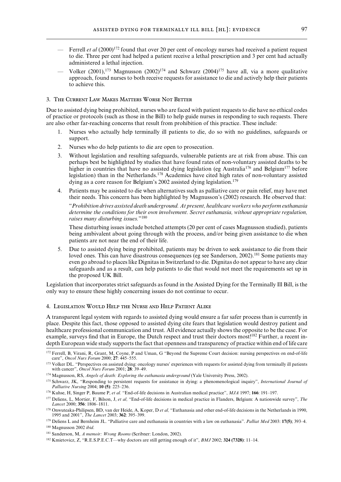- Ferrell *et al* (2000)<sup>172</sup> found that over 20 per cent of oncology nurses had received a patient request to die. Three per cent had helped a patient receive a lethal prescription and 3 per cent had actually administered a lethal injection.
- Volker (2001),<sup>173</sup> Magnusson (2002)<sup>174</sup> and Schwarz (2004)<sup>175</sup> have all, via a more qualitative approach, found nurses to both receive requests for assistance to die and actively help their patients to achieve this.

### 3. The Current Law Makes Matters Worse Not Better

Due to assisted dying being prohibited, nurses who are faced with patient requests to die have no ethical codes of practice or protocols (such as those in the Bill) to help guide nurses in responding to such requests. There are also other far-reaching concerns that result from prohibition of this practice. These include:

- 1. Nurses who actually help terminally ill patients to die, do so with no guidelines, safeguards or support.
- 2. Nurses who do help patients to die are open to prosecution.
- 3. Without legislation and resulting safeguards, vulnerable patients are at risk from abuse. This can perhaps best be highlighted by studies that have found rates of non-voluntary assisted deaths to be higher in countries that have no assisted dying legislation (eg Australia<sup>176</sup> and Belgium<sup>177</sup> before legislation) than in the Netherlands.178 Academics have cited high rates of non-voluntary assisted dying as a core reason for Belgium's 2002 assisted dying legislation.<sup>179</sup>
- 4. Patients may be assisted to die when alternatives such as palliative care or pain relief, may have met their needs. This concern has been highlighted by Magnusson's (2002) research. He observed that:

"*Prohibition drives assisted death underground. At present, healthcare workers who perform euthanasia determine the conditions for their own involvement. Secret euthanasia, without appropriate regulation, raises many disturbing issues.*"180

These disturbing issues include botched attempts (20 per cent of cases Magnusson studied), patients being ambivalent about going through with the process, and/or being given assistance to die when patients are not near the end of their life.

5. Due to assisted dying being prohibited, patients may be driven to seek assistance to die from their loved ones. This can have disastrous consequences (eg see Sanderson, 2002).<sup>181</sup> Some patients may even go abroad to places like Dignitas in Switzerland to die. Dignitas do not appear to have any clear safeguards and as a result, can help patients to die that would not meet the requirements set up in the proposed UK Bill.

Legislation that incorporates strict safeguards as found in the Assisted Dying for the Terminally Ill Bill, is the only way to ensure these highly concerning issues do not continue to occur.

# 4. Legislation Would Help the Nurse and Help Patient Alike

A transparent legal system with regards to assisted dying would ensure a far safer process than is currently in place. Despite this fact, those opposed to assisted dying cite fears that legislation would destroy patient and healthcare professional communication and trust. All evidence actually shows the opposite to be the case. For example, surveys find that in Europe, the Dutch respect and trust their doctors most!<sup>182</sup> Further, a recent indepth European wide study supports the fact that openness and transparency of practice within end of life care

<sup>&</sup>lt;sup>172</sup> Ferrell, B, Virani, R, Grant, M, Coyne, P and Uman, G "Beyond the Supreme Court decision: nursing perspectives on end-of-life care", *Oncol Nurs Forum* 2000; **27**: 445–555.

<sup>&</sup>lt;sup>173</sup> Volker DL. "Perspectives on assisted dying: oncology nurses' experiences with requests for assisted dying from terminally ill patients with cancer", *Oncol Nurs Forum* 2001; **28**: 39–49.

<sup>174</sup> Magnusson, RS, *Angels of death: Exploring the euthanasia underground* (Yale University Press, 2002).

<sup>175</sup> Schwarz, JK, "Responding to persistent requests for assistance in dying: a phenomenological inquiry", *International Journal of Palliative Nursing* 2004; **10 (5)**: 225–236.

<sup>176</sup> Kuhse, H, Singer P, Baume P, *et al.* "End-of-life decisions in Australian medical practice", *MJA* 1997; **166**: 191–197.

<sup>177</sup> Deliens, L, Mortier, F, Bilson, J, *et al,* "End-of-life decisions in medical practice in Flanders, Belgium: A nationwide survey", *The Lancet* 2000; **356**: 1806–1811.

<sup>178</sup> Onwuteaka-Philipsen, BD, van der Heide, A, Koper, D *et al,* "Euthanasia and other end-of-life decisions in the Netherlands in 1990, 1995 and 2001", *The Lancet* 2003; **362**: 395–399.

<sup>179</sup> Deliens L and Bernheim JL. "Palliative care and euthanasia in countries with a law on euthanasia". *Palliat Med* 2003: **17(5)**; 393–4. <sup>180</sup> Magnusson 2002 *ibid*.

<sup>181</sup> Sanderson, M, *A memoir: Wrong Rooms* (Scribner: London, 2002).

<sup>182</sup> Kmietovicz, Z, "R.E.S.P.E.C.T—why doctors are still getting enough of it", *BMJ* 2002; **324 (7328)**: 11–14.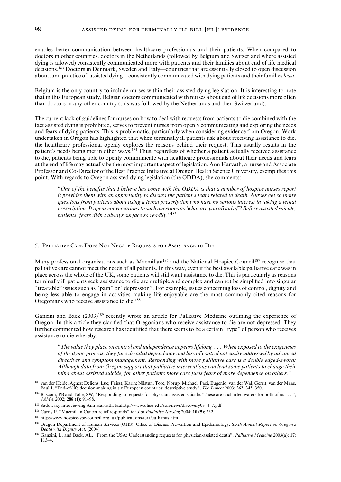enables better communication between healthcare professionals and their patients. When compared to doctors in other countries, doctors in the Netherlands (followed by Belgium and Switzerland where assisted dying is allowed) consistently communicated more with patients and their families about end of life medical decisions.183 Doctors in Denmark, Sweden and Italy—countries that are essentially closed to open discussion about, and practice of, assisted dying—consistently communicated with dying patients and their families*least*.

Belgium is the only country to include nurses within their assisted dying legislation. It is interesting to note that in this European study, Belgian doctors communicated with nurses about end of life decisions more often than doctors in any other country (this was followed by the Netherlands and then Switzerland).

The current lack of guidelines for nurses on how to deal with requests from patients to die combined with the fact assisted dying is prohibited, serves to prevent nurses from openly communicating and exploring the needs and fears of dying patients. This is problematic, particularly when considering evidence from Oregon. Work undertaken in Oregon has highlighted that when terminally ill patients ask about receiving assistance to die, the healthcare professional openly explores the reasons behind their request. This usually results in the patient's needs being met in other ways.<sup>184</sup> Thus, regardless of whether a patient actually received assistance to die, patients being able to openly communicate with healthcare professionals about their needs and fears at the end of life may actually be the most important aspect of legislation. Ann Harvath, a nurse and Associate Professor and Co-Director of the Best Practice Initiative at Oregon Health Science University, exemplifies this point. With regards to Oregon assisted dying legislation (the ODDA), she comments:

"*One of the benefits that I believe has come with the ODDA is that a number of hospice nurses report it provides them with an opportunity to discuss the patient's fears related to death. Nurses get so many questions from patients about using a lethal prescription who have no serious interest in taking a lethal prescription. It opens conversations to such questions as 'what are you afraid of'? Before assisted suicide, patients' fears didn't always surface so readily.*"185

### 5. Palliative Care Does Not Negate Requests for Assistance to Die

Many professional organisations such as Macmillan<sup>186</sup> and the National Hospice Council<sup>187</sup> recognise that palliative care cannot meet the needs of all patients. In this way, even if the best available palliative care was in place across the whole of the UK, some patients will still want assistance to die. This is particularly as reasons terminally ill patients seek assistance to die are multiple and complex and cannot be simplified into singular "treatable" issues such as "pain" or "depression". For example, issues concerning loss of control, dignity and being less able to engage in activities making life enjoyable are the most commonly cited reasons for Oregonians who receive assistance to die.188

Ganzini and Back (2003)<sup>189</sup> recently wrote an article for Palliative Medicine outlining the experience of Oregon. In this article they clarified that Oregonians who receive assistance to die are not depressed. They further commented how research has identified that there seems to be a certain "type" of person who receives assistance to die whereby:

"*The value they place on control and independence appears lifelong . . . When exposed to the exigencies of the dying process, they face dreaded dependency and loss of control not easily addressed by advanced directives and symptom management. Responding with more palliative care is a double edged-sword: Although data from Oregon support that palliative interventions can lead some patients to change their mind about assisted suicide, for other patients more care fuels fears of more dependence on others."*

<sup>183</sup> van der Heide, Agnes; Deliens, Luc; Faisst, Karin; Nilstun, Tore; Norup, Michael; Paci, Eugenio; van der Wal, Gerrit; van der Maas, Paul J, "End-of-life decision-making in six European countries: descriptive study", *The Lancet* 2003; **362**: 345–350.

 $184$  Bascom, PB and Tolle, SW, "Responding to requests for physician assisted suicide: 'These are uncharted waters for both of us ...", *JAMA* 2002; **288 (1)**: 91–98.

<sup>185</sup> Sadowsky interviewing Ann Harvath: Hahttp://www.ohsu.edu/son/news/discovery03 4 7.pdf

<sup>186</sup> Cardy P. "Macmillan Cancer relief responds" *Int J of Palliative Nursing* 2004: **10 (5)**; 252.

<sup>187</sup> http://www.hospice-spc-council.org. uk/publicat.ons/text/euthanas.htm

<sup>&</sup>lt;sup>188</sup> Oregon Department of Human Services (OHS), Office of Disease Prevention and Epidemiology, *Sixth Annual Report on Oregon's Death with Dignity Act.* (2004)

<sup>189</sup> Ganzini, L, and Back, AL, "From the USA: Understanding requests for physician-assisted death". *Palliative Medicine* 2003(a); **17**: 113–4.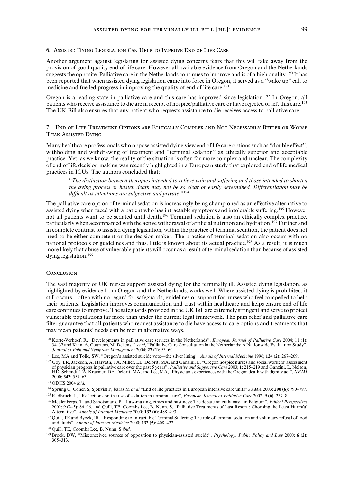# 6. Assisted Dying Legislation Can Help to Improve End of Life Care

Another argument against legislating for assisted dying concerns fears that this will take away from the provision of good quality end of life care. However all available evidence from Oregon and the Netherlands suggests the opposite. Palliative care in the Netherlands continues to improve and is of a high quality.190 It has been reported that when assisted dying legislation came into force in Oregon, it served as a "wake up" call to medicine and fuelled progress in improving the quality of end of life care.<sup>191</sup>

Oregon is a leading state in palliative care and this care has improved since legislation.192 In Oregon, all patients who receive assistance to die are in receipt of hospice/palliative care or have rejected or left this care.193 The UK Bill also ensures that any patient who requests assistance to die receives access to palliative care.

# 7. End of Life Treatment Options are Ethically Complex and Not Necessarily Better or Worse Than Assisted Dying

Many healthcare professionals who oppose assisted dying view end of life care options such as "double effect", withholding and withdrawing of treatment and "terminal sedation" as ethically superior and acceptable practice. Yet, as we know, the reality of the situation is often far more complex and unclear. The complexity of end of life decision making was recently highlighted in a European study that explored end of life medical practices in ICUs. The authors concluded that:

"*The distinction between therapies intended to relieve pain and suVering and those intended to shorten the dying process or hasten death may not be so clear or easily determined. Differentiation may be diYcult as intentions are subjective and private.*"194

The palliative care option of terminal sedation is increasingly being championed as an effective alternative to assisted dying when faced with a patient who has intractable symptoms and intolerable suffering.<sup>195</sup> However not all patients want to be sedated until death.196 Terminal sedation is also an ethically complex practice, particularly when accompanied with the active withdrawal of artificial nutrition and hydration.197 Further and in complete contrast to assisted dying legislation, within the practice of terminal sedation, the patient does not need to be either competent or the decision maker. The practice of terminal sedation also occurs with no national protocols or guidelines and thus, little is known about its actual practice.<sup>198</sup> As a result, it is much more likely that abuse of vulnerable patients will occur as a result of terminal sedation than because of assisted dying legislation.199

# **CONCLUSION**

The vast majority of UK nurses support assisted dying for the terminally ill. Assisted dying legislation, as highlighted by evidence from Oregon and the Netherlands, works well. Where assisted dying is prohibited, it still occurs—often with no regard for safeguards, guidelines or support for nurses who feel compelled to help their patients. Legislation improves communication and trust within healthcare and helps ensure end of life care continues to improve. The safeguards provided in the UK Bill are extremely stringent and serve to protect vulnerable populations far more than under the current legal framework. The pain relief and palliative care filter guarantee that all patients who request assistance to die have access to care options and treatments that may mean patients' needs can be met in alternative ways.

<sup>194</sup> Sprung C, Cohen S, Sjokvist P, baras M *at al* "End of life practices in European intensive care units" *JAMA* 2003: **290 (6)**; 790–797.

<sup>190</sup> Korte-Verhoef, R, "Developments in palliative care services in the Netherlands", *European Journal of Palliative Care* 2004; 11 (1): 34–37 and Kuin, A, Courtens, M, Deliens, L *et al,* "Palliative Care Consultation in the Netherlands: A Nationwide Evaluation Study", *Journal of Pain and Symptom Management* 2004; **27 (1)**: 53–60.

<sup>191</sup> Lee, MA and Tolle, SW, "Oregon's assisted suicide vote—the silver lining", *Annals of Internal Medicine* 1996; **124 (2)**: 267–269.

<sup>192</sup> Goy, ER, Jackson, A, Harvath, TA, Miller, LL, Delorit, MA, and Ganzini, L, "Oregon hospice nurses and social workers' assessment of physician progress in palliative care over the past 5 years", *Palliative and Supportive Care* 2003; **1**: 215–219 and Ganzini, L, Nelson, HD, Schmidt, TA, Kraemer, DF, Delorit, MA, and Lee, MA, "Physician's experiences with the Oregon death with dignity act", *NEJM* 2000; **342**: 557–63.

<sup>193</sup> ODHS 2004 *ibid.*

<sup>195</sup> Radbruch, L, "Reflections on the use of sedation in terminal care", *European Journal of Palliative Care* 2002; **9 (6)**: 237–8.

<sup>196</sup> Meulenbergs, T, and Schotsmans, P, "Law-making, ethics and hastiness: The debate on euthanasia in Belgium", *Ethical Perspectives* 2002; **9 (2–3)**: 86–96. and Quill, TE, Coombs Lee, B, Nunn, S, "Palliative Treatments of Last Resort : Choosing the Least Harmful Alternative", *Annals of Internal Medicine* 2000; **132 (6)**: 488–493.

<sup>197</sup> Ouill, TE and Byock, IR, "Responding to Intractable Terminal Suffering: The role of terminal sedation and voluntary refusal of food and fluids", *Annals of Internal Medicine* 2000; **132 (5)**: 408–422.

<sup>198</sup> Quill, TE, Coombs Lee, B, Nunn, S *ibid*.

<sup>199</sup> Brock, DW, "Misconceived sources of opposition to physician-assisted suicide", *Psychology, Public Policy and Law* 2000; **6 (2)**:  $305 - 313$ .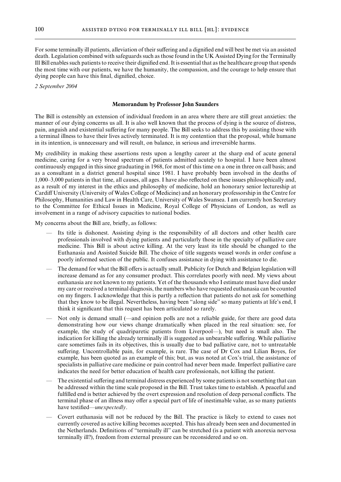For some terminally ill patients, alleviation of their suffering and a dignified end will best be met via an assisted death. Legislation combined with safeguards such as those found in the UK Assisted Dying for the Terminally Ill Bill enables such patients to receive their dignified end. It is essential that as the healthcare group that spends the most time with our patients, we have the humanity, the compassion, and the courage to help ensure that dying people can have this final, dignified, choice.

### *2 September 2004*

### **Memorandum by Professor John Saunders**

The Bill is ostensibly an extension of individual freedom in an area where there are still great anxieties: the manner of our dying concerns us all. It is also well known that the process of dying is the source of distress, pain, anguish and existential suffering for many people. The Bill seeks to address this by assisting those with a terminal illness to have their lives actively terminated. It is my contention that the proposal, while humane in its intention, is unnecessary and will result, on balance, in serious and irreversible harms.

My credibility in making these assertions rests upon a lengthy career at the sharp end of acute general medicine, caring for a very broad spectrum of patients admitted acutely to hospital. I have been almost continuously engaged in this since graduating in 1968, for most of this time on a one in three on call basis; and as a consultant in a district general hospital since 1981. I have probably been involved in the deaths of 1,000–3,000 patients in that time, all causes, all ages. I have also reflected on these issues philosophically and, as a result of my interest in the ethics and philosophy of medicine, hold an honorary senior lectureship at Cardiff University (University of Wales College of Medicine) and an honorary professorship in the Centre for Philosophy, Humanities and Law in Health Care, University of Wales Swansea. I am currently hon Secretary to the Committee for Ethical Issues in Medicine, Royal College of Physicians of London, as well as involvement in a range of advisory capacities to national bodies.

My concerns about the Bill are, briefly, as follows:

- Its title is dishonest. Assisting dying is the responsibility of all doctors and other health care professionals involved with dying patients and particularly those in the specialty of palliative care medicine. This Bill is about active killing. At the very least its title should be changed to the Euthanasia and Assisted Suicide Bill. The choice of title suggests weasel words in order confuse a poorly informed section of the public. It confuses assistance in dying with assistance to die.
- The demand for what the Bill offers is actually small. Publicity for Dutch and Belgian legislation will increase demand as for any consumer product. This correlates poorly with need. My views about euthanasia are not known to my patients. Yet of the thousands who I estimate must have died under my care or received a terminal diagnosis, the numbers who have requested euthanasia can be counted on my fingers. I acknowledge that this is partly a reflection that patients do not ask for something that they know to be illegal. Nevertheless, having been "along side" so many patients at life's end, I think it significant that this request has been articulated so rarely.
- Not only is demand small (—and opinion polls are not a reliable guide, for there are good data demonstrating how our views change dramatically when placed in the real situation: see, for example, the study of quadriparetic patients from Liverpool—), but need is small also. The indication for killing the already terminally ill is suggested as unbearable suffering. While palliative care sometimes fails in its objectives, this is usually due to bad palliative care, not to untreatable suffering. Uncontrollable pain, for example, is rare. The case of Dr Cox and Lilian Boyes, for example, has been quoted as an example of this; but, as was noted at Cox's trial, the assistance of specialists in palliative care medicine or pain control had never been made. Imperfect palliative care indicates the need for better education of health care professionals, not killing the patient.
- The existential suffering and terminal distress experienced by some patients is not something that can be addressed within the time scale proposed in the Bill. Trust takes time to establish. A peaceful and fulfilled end is better achieved by the overt expression and resolution of deep personal conflicts. The terminal phase of an illness may offer a special part of life of inestimable value, as so many patients have testified—*unexpectedly*.
- Covert euthanasia will not be reduced by the Bill. The practice is likely to extend to cases not currently covered as active killing becomes accepted. This has already been seen and documented in the Netherlands. Definitions of "terminally ill" can be stretched (is a patient with anorexia nervosa terminally ill?), freedom from external pressure can be reconsidered and so on.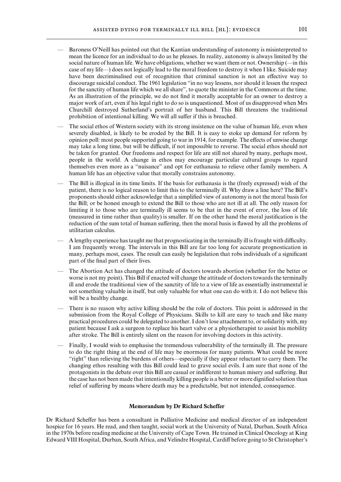- Baroness O'Neill has pointed out that the Kantian understanding of autonomy is misinterpreted to mean the licence for an individual to do as he pleases. In reality, autonomy is always limited by the social nature of human life. We have obligations, whether we want them or not. Ownership (—in this case of my life—) does not logically lead to the moral freedom to destroy it when I like. Suicide may have been decriminalised out of recognition that criminal sanction is not an effective way to discourage suicidal conduct. The 1961 legislation "in no way lessens, nor should it lessen the respect for the sanctity of human life which we all share", to quote the minister in the Commons at the time. As an illustration of the principle, we do not find it morally acceptable for an owner to destroy a major work of art, even if his legal right to do so is unquestioned. Most of us disapproved when Mrs Churchill destroyed Sutherland's portrait of her husband. This Bill threatens the traditional prohibition of intentional killing. We will all suffer if this is breached.
- The social ethos of Western society with its strong insistence on the value of human life, even when severely disabled, is likely to be eroded by the Bill. It is easy to stoke up demand for reform by opinion poll: most people supported going to war in 1914, for example. The effects of unwise change may take a long time, but will be difficult, if not impossible to reverse. The social ethos should not be taken for granted. Our freedoms and respect for life are still not shared by many, perhaps most, people in the world. A change in ethos may encourage particular cultural groups to regard themselves even more as a "nuisance" and opt for euthanasia to relieve other family members. A human life has an objective value that morally constrains autonomy.
- The Bill is illogical in its time limits. If the basis for euthanasia is the (freely expressed) wish of the patient, there is no logical reason to limit this to the terminally ill. Why draw a line here? The Bill's proponents should either acknowledge that a simplified view of autonomy is not the moral basis for the Bill; or be honest enough to extend the Bill to those who are not ill at all. The only reason for limiting it to those who are terminally ill seems to be that in the event of error, the loss of life (measured in time rather than quality) is smaller. If on the other hand the moral justification is the reduction of the sum total of human suffering, then the moral basis is flawed by all the problems of utilitarian calculus.
- A lengthy experience has taught me that prognosticating in the terminally ill is fraught with difficulty. I am frequently wrong. The intervals in this Bill are far too long for accurate prognostication in many, perhaps most, cases. The result can easily be legislation that robs individuals of a significant part of the final part of their lives.
- The Abortion Act has changed the attitude of doctors towards abortion (whether for the better or worse is not my point). This Bill if enacted will change the attitude of doctors towards the terminally ill and erode the traditional view of the sanctity of life to a view of life as essentially instrumental ie not something valuable in itself, but only valuable for what one can do with it. I do not believe this will be a healthy change.
- There is no reason why active killing should be the role of doctors. This point is addressed in the submission from the Royal College of Physicians. Skills to kill are easy to teach and like many practical procedures could be delegated to another. I don't lose attachment to, or solidarity with, my patient because I ask a surgeon to replace his heart valve or a physiotherapist to assist his mobility after stroke. The Bill is entirely silent on the reason for involving doctors in this activity.
- Finally, I would wish to emphasise the tremendous vulnerability of the terminally ill. The pressure to do the right thing at the end of life may be enormous for many patients. What could be more "right" than relieving the burdens of others—especially if they appear reluctant to carry them. The changing ethos resulting with this Bill could lead to grave social evils. I am sure that none of the protagonists in the debate over this Bill are casual or indifferent to human misery and suffering. But the case has not been made that intentionally killing people is a better or more dignified solution than relief of suffering by means where death may be a predictable, but not intended, consequence.

### **Memorandum by Dr Richard Scheffer**

Dr Richard Scheffer has been a consultant in Palliative Medicine and medical director of an independent hospice for 16 years. He read, and then taught, social work at the University of Natal, Durban, South Africa in the 1970s before reading medicine at the University of Cape Town. He trained in Clinical Oncology at King Edward VIII Hospital, Durban, South Africa, and Velindre Hospital, Cardiff before going to St Christopher's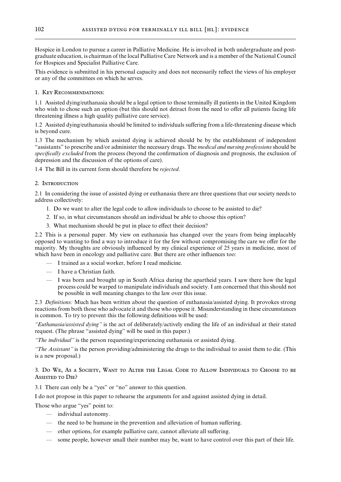Hospice in London to pursue a career in Palliative Medicine. He is involved in both undergraduate and postgraduate education, is chairman of the local Palliative Care Network and is a member of the National Council for Hospices and Specialist Palliative Care.

This evidence is submitted in his personal capacity and does not necessarily reflect the views of his employer or any of the committees on which he serves.

1. Key Recommendations:

1.1 Assisted dying/euthanasia should be a legal option to those terminally ill patients in the United Kingdom who wish to chose such an option (but this should not detract from the need to offer all patients facing life threatening illness a high quality palliative care service).

1.2 Assisted dying/euthanasia should be limited to individuals suffering from a life-threatening disease which is beyond cure.

1.3 The mechanism by which assisted dying is achieved should be by the establishment of independent "assistants" to prescribe and/or administer the necessary drugs. The *medical and nursing professions* should be *specifically excluded* from the process (beyond the confirmation of diagnosis and prognosis, the exclusion of depression and the discussion of the options of care).

1.4 The Bill in its current form should therefore be *rejected*.

# 2. Introduction

2.1 In considering the issue of assisted dying or euthanasia there are three questions that our society needs to address collectively:

- 1. Do we want to alter the legal code to allow individuals to choose to be assisted to die?
- 2. If so, in what circumstances should an individual be able to choose this option?
- 3. What mechanism should be put in place to effect their decision?

2.2 This is a personal paper. My view on euthanasia has changed over the years from being implacably opposed to wanting to find a way to introduce it for the few without compromising the care we offer for the majority. My thoughts are obviously influenced by my clinical experience of 25 years in medicine, most of which have been in oncology and palliative care. But there are other influences too:

- I trained as a social worker, before I read medicine.
- I have a Christian faith.
- I was born and brought up in South Africa during the apartheid years. I saw there how the legal process could be warped to manipulate individuals and society. I am concerned that this should not be possible in well meaning changes to the law over this issue.

2.3 *Definitions:* Much has been written about the question of euthanasia/assisted dying. It provokes strong reactions from both those who advocate it and those who oppose it. Misunderstanding in these circumstances is common. To try to prevent this the following definitions will be used:

*"Euthanasia/assisted dying"* is the act of deliberately/actively ending the life of an individual at their stated request. (The phrase "assisted dying" will be used in this paper.)

*"The individual"* is the person requesting/experiencing euthanasia or assisted dying.

*"The Assistant"* is the person providing/administering the drugs to the individual to assist them to die. (This is a new proposal.)

# 3. Do We, As a Society, Want to Alter the Legal Code to Allow Individuals to Choose to be Assisted to Die?

3.1 There can only be a "yes" or "no" answer to this question.

I do not propose in this paper to rehearse the arguments for and against assisted dying in detail.

Those who argue "yes" point to:

- individual autonomy.
- the need to be humane in the prevention and alleviation of human suffering.
- $\equiv$  other options, for example palliative care, cannot alleviate all suffering.
- some people, however small their number may be, want to have control over this part of their life.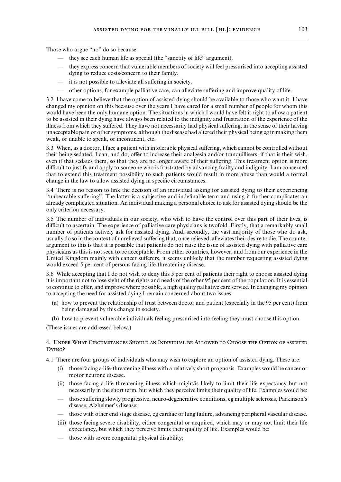Those who argue "no" do so because:

- they see each human life as special (the "sanctity of life" argument).
- they express concern that vulnerable members of society will feel pressurised into accepting assisted dying to reduce costs/concern to their family.
- it is not possible to alleviate all suffering in society.
- other options, for example palliative care, can alleviate suffering and improve quality of life.

3.2 I have come to believe that the option of assisted dying should be available to those who want it. I have changed my opinion on this because over the years I have cared for a small number of people for whom this would have been the only humane option. The situations in which I would have felt it right to allow a patient to be assisted in their dying have always been related to the indignity and frustration of the experience of the illness from which they suffered. They have not necessarily had physical suffering, in the sense of their having unacceptable pain or other symptoms, although the disease had altered their physical being eg in making them weak, or unable to speak, or incontinent, etc.

3.3 When, as a doctor, I face a patient with intolerable physical suffering, which cannot be controlled without their being sedated, I can, and do, offer to increase their analgesia and/or tranquillisers, if that is their wish, even if that sedates them, so that they are no longer aware of their suffering. This treatment option is more difficult to justify and apply to someone who is frustrated by advancing frailty and indignity. I am concerned that to extend this treatment possibility to such patients would result in more abuse than would a formal change in the law to allow assisted dying in specific circumstances.

3.4 There is no reason to link the decision of an individual asking for assisted dying to their experiencing "unbearable suffering". The latter is a subjective and indefinable term and using it further complicates an already complicated situation. An individual making a personal choice to ask for assisted dying should be the only criterion necessary.

3.5 The number of individuals in our society, who wish to have the control over this part of their lives, is difficult to ascertain. The experience of palliative care physicians is twofold. Firstly, that a remarkably small number of patients actively ask for assisted dying. And, secondly, the vast majority of those who do ask, usually do so in the context of unrelieved suffering that, once relieved, alleviates their desire to die. The counter argument to this is that it is possible that patients do not raise the issue of assisted dying with palliative care physicians as this is not seen to be acceptable. From other countries, however, and from our experience in the United Kingdom mainly with cancer sufferers, it seems unlikely that the number requesting assisted dying would exceed 5 per cent of persons facing life-threatening disease.

3.6 While accepting that I do not wish to deny this 5 per cent of patients their right to choose assisted dying it is important not to lose sight of the rights and needs of the other 95 per cent of the population. It is essential to continue to offer, and improve where possible, a high quality palliative care service. In changing my opinion to accepting the need for assisted dying I remain concerned about two issues:

- (a) how to prevent the relationship of trust between doctor and patient (especially in the 95 per cent) from being damaged by this change in society.
- (b) how to prevent vulnerable individuals feeling pressurised into feeling they must choose this option.

(These issues are addressed below.)

4. Under What Circumstances Should an Individual be Allowed to Choose the Option of assisted Dy<sub>ING</sub>?

- 4.1 There are four groups of individuals who may wish to explore an option of assisted dying. These are:
	- (i) those facing a life-threatening illness with a relatively short prognosis. Examples would be cancer or motor neurone disease.
	- (ii) those facing a life threatening illness which might/is likely to limit their life expectancy but not necessarily in the short term, but which they perceive limits their quality of life. Examples would be:
	- those suffering slowly progressive, neuro-degenerative conditions, eg multiple sclerosis, Parkinson's disease, Alzheimer's disease;
	- those with other end stage disease, eg cardiac or lung failure, advancing peripheral vascular disease.
	- (iii) those facing severe disability, either congenital or acquired, which may or may not limit their life expectancy, but which they perceive limits their quality of life. Examples would be:
	- those with severe congenital physical disability;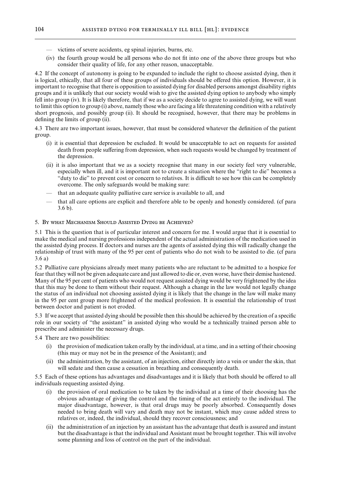- victims of severe accidents, eg spinal injuries, burns, etc.
- (iv) the fourth group would be all persons who do not fit into one of the above three groups but who consider their quality of life, for any other reason, unacceptable.

4.2 If the concept of autonomy is going to be expanded to include the right to choose assisted dying, then it is logical, ethically, that all four of these groups of individuals should be offered this option. However, it is important to recognise that there is opposition to assisted dying for disabled persons amongst disability rights groups and it is unlikely that our society would wish to give the assisted dying option to anybody who simply fell into group (iv). It is likely therefore, that if we as a society decide to agree to assisted dying, we will want to limit this option to group (i) above, namely those who are facing a life threatening condition with a relatively short prognosis, and possibly group (ii). It should be recognised, however, that there may be problems in defining the limits of group (ii).

4.3 There are two important issues, however, that must be considered whatever the definition of the patient group.

- (i) it is essential that depression be excluded. It would be unacceptable to act on requests for assisted death from people suffering from depression, when such requests would be changed by treatment of the depression.
- (ii) it is also important that we as a society recognise that many in our society feel very vulnerable, especially when ill, and it is important not to create a situation where the "right to die" becomes a "duty to die" to prevent cost or concern to relatives. It is difficult to see how this can be completely overcome. The only safeguards would be making sure:
- that an adequate quality palliative care service is available to all, and
- that all care options are explicit and therefore able to be openly and honestly considered. (cf para 3.6 b).

# 5. By what Mechanism Should Assisted Dying be Achieved?

5.1 This is the question that is of particular interest and concern for me. I would argue that it is essential to make the medical and nursing professions independent of the actual administration of the medication used in the assisted dying process. If doctors and nurses are the agents of assisted dying this will radically change the relationship of trust with many of the 95 per cent of patients who do not wish to be assisted to die. (cf para 3.6 a)

5.2 Palliative care physicians already meet many patients who are reluctant to be admitted to a hospice for fear that they will not be given adequate care and just allowed to die or, even worse, have their demise hastened. Many of the 95 per cent of patients who would not request assisted dying would be very frightened by the idea that this may be done to them without their request. Although a change in the law would not legally change the status of an individual not choosing assisted dying it is likely that the change in the law will make many in the 95 per cent group more frightened of the medical profession. It is essential the relationship of trust between doctor and patient is not eroded.

5.3 If we accept that assisted dying should be possible then this should be achieved by the creation of a specific role in our society of "the assistant" in assisted dying who would be a technically trained person able to prescribe and administer the necessary drugs.

5.4 There are two possibilities:

- (i) the provision of medication taken orally by the individual, at a time, and in a setting of their choosing (this may or may not be in the presence of the Assistant); and
- (ii) the administration, by the assistant, of an injection, either directly into a vein or under the skin, that will sedate and then cause a cessation in breathing and consequently death.

5.5 Each of these options has advantages and disadvantages and it is likely that both should be offered to all individuals requesting assisted dying.

- (i) the provision of oral medication to be taken by the individual at a time of their choosing has the obvious advantage of giving the control and the timing of the act entirely to the individual. The major disadvantage, however, is that oral drugs may be poorly absorbed. Consequently doses needed to bring death will vary and death may not be instant, which may cause added stress to relatives or, indeed, the individual, should they recover consciousness; and
- (ii) the administration of an injection by an assistant has the advantage that death is assured and instant but the disadvantage is that the individual and Assistant must be brought together. This will involve some planning and loss of control on the part of the individual.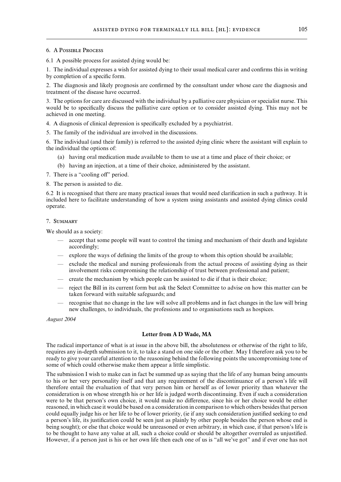#### 6. A Possible Process

6.1 A possible process for assisted dying would be:

1. The individual expresses a wish for assisted dying to their usual medical carer and confirms this in writing by completion of a specific form.

2. The diagnosis and likely prognosis are confirmed by the consultant under whose care the diagnosis and treatment of the disease have occurred.

3. The options for care are discussed with the individual by a palliative care physician or specialist nurse. This would be to specifically discuss the palliative care option or to consider assisted dying. This may not be achieved in one meeting.

4. A diagnosis of clinical depression is specifically excluded by a psychiatrist.

5. The family of the individual are involved in the discussions.

6. The individual (and their family) is referred to the assisted dying clinic where the assistant will explain to the individual the options of:

- (a) having oral medication made available to them to use at a time and place of their choice; or
- (b) having an injection, at a time of their choice, administered by the assistant.

7. There is a "cooling off" period.

8. The person is assisted to die.

6.2 It is recognised that there are many practical issues that would need clarification in such a pathway. It is included here to facilitate understanding of how a system using assistants and assisted dying clinics could operate.

#### 7. Summary

We should as a society:

- accept that some people will want to control the timing and mechanism of their death and legislate accordingly;
- explore the ways of defining the limits of the group to whom this option should be available;
- exclude the medical and nursing professionals from the actual process of assisting dying as their involvement risks compromising the relationship of trust between professional and patient;
- create the mechanism by which people can be assisted to die if that is their choice;
- reject the Bill in its current form but ask the Select Committee to advise on how this matter can be taken forward with suitable safeguards; and
- recognise that no change in the law will solve all problems and in fact changes in the law will bring new challenges, to individuals, the professions and to organisations such as hospices.

*August 2004*

## **Letter from A D Wade, MA**

The radical importance of what is at issue in the above bill, the absoluteness or otherwise of the right to life, requires any in-depth submission to it, to take a stand on one side or the other. May I therefore ask you to be ready to give your careful attention to the reasoning behind the following points the uncompromising tone of some of which could otherwise make them appear a little simplistic.

The submission I wish to make can in fact be summed up as saying that the life of any human being amounts to his or her very personality itself and that any requirement of the discontinuance of a person's life will therefore entail the evaluation of that very person him or herself as of lower priority than whatever the consideration is on whose strength his or her life is judged worth discontinuing. Even if such a consideration were to be that person's own choice, it would make no difference, since his or her choice would be either reasoned, in which case it would be based on a consideration in comparison to which others besides that person could equally judge his or her life to be of lower priority, (ie if any such consideration justified seeking to end a person's life, its justification could be seen just as plainly by other people besides the person whose end is being sought); or else that choice would be unreasoned or even arbitrary, in which case, if that person's life is to be thought to have any value at all, such a choice could or should be altogether overruled as unjustified. However, if a person just is his or her own life then each one of us is "all we've got" and if ever one has not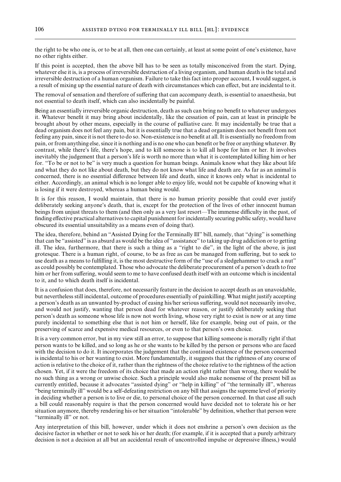the right to be who one is, or to be at all, then one can certainly, at least at some point of one's existence, have no other rights either.

If this point is accepted, then the above bill has to be seen as totally misconceived from the start. Dying, whatever else it is, is a process of irreversible destruction of a living organism, and human death is the total and irreversible destruction of a human organism. Failure to take this fact into proper account, I would suggest, is a result of mixing up the essential nature of death with circumstances which can effect, but are incidental to it.

The removal of sensation and therefore of suffering that can accompany death, is essential to anaesthesia, but not essential to death itself, which can also incidentally be painful.

Being an essentially irreversible organic destruction, death as such can bring no benefit to whatever undergoes it. Whatever benefit it may bring about incidentally, like the cessation of pain, can at least in principle be brought about by other means, especially in the course of palliative care. It may incidentally be true that a dead organism does not feel any pain, but it is essentially true that a dead organism does not benefit from not feeling any pain, since it is not there to do so. Non-existence is no benefit at all. It is essentially no freedom from pain, or from anything else, since it is nothing and is no one who can benefit or be free or anything whatever. By contrast, while there's life, there's hope, and to kill someone is to kill all hope for him or her. It involves inevitably the judgement that a person's life is worth no more than what it is contemplated killing him or her for. "To be or not to be" is very much a question for human beings. Animals know what they like about life and what they do not like about death, but they do not know what life and death are. As far as an animal is concerned, there is no essential difference between life and death, since it knows only what is incidental to either. Accordingly, an animal which is no longer able to enjoy life, would not be capable of knowing what it is losing if it were destroyed, whereas a human being would.

It is for this reason, I would maintain, that there is no human priority possible that could ever justify deliberately seeking anyone's death, that is, except for the protection of the lives of other innocent human beings from unjust threats to them (and then only as a very last resort—The immense difficulty in the past, of finding effective practical alternatives to capital punishment for incidentally securing public safety, would have obscured its essential unsuitability as a means even of doing that).

The idea, therefore, behind an "Assisted Dying for the Terminally Ill" bill, namely, that "dying" is something that can be "assisted" is as absurd as would be the idea of "assistance" to taking up drug addiction or to getting ill. The idea, furthermore, that there is such a thing as a "right to die", in the light of the above, is just grotesque. There is a human right, of course, to be as free as can be managed from suffering, but to seek to use death as a means to fulfilling it, is the most destructive form of the "use of a sledgehammer to crack a nut" as could possibly be contemplated. Those who advocate the deliberate procurement of a person's death to free him or her from suffering, would seem to me to have confused death itself with an outcome which is incidental to it, and to which death itself is incidental.

It is a confusion that does, therefore, not necessarily feature in the decision to accept death as an unavoidable, but nevertheless still incidental, outcome of procedures essentially of painkilling. What might justify accepting a person's death as an unwanted by-product of easing his/her serious suffering, would not necessarily involve, and would not justify, wanting that person dead for whatever reason, or justify deliberately seeking that person's death as someone whose life is now not worth living, whose very right to exist is now or at any time purely incidental to something else that is not him or herself, like for example, being out of pain, or the preserving of scarce and expensive medical resources, or even to that person's own choice.

It is a very common error, but in my view still an error, to suppose that killing someone is morally right if that person wants to be killed, and so long as he or she wants to be killed by the person or persons who are faced with the decision to do it. It incorporates the judgement that the continued existence of the person concerned is incidental to his or her wanting to exist. More fundamentally, it suggests that the rightness of any course of action is relative to the choice of it, rather than the rightness of the choice relative to the rightness of the action chosen. Yet, if it were the freedom of its choice that made an action right rather than wrong, there would be no such thing as a wrong or unwise choice. Such a principle would also make nonsense of the present bill as currently entitled, because it advocates "assisted dying" or "help in killing" of "the terminally ill", whereas "being terminally ill" would be a self-defeating restriction on any bill that assigns the supreme level of priority in deciding whether a person is to live or die, to personal choice of the person concerned. In that case all such a bill could reasonably require is that the person concerned would have decided not to tolerate his or her situation anymore, thereby rendering his or her situation "intolerable" by definition, whether that person were "terminally ill" or not.

Any interpretation of this bill, however, under which it does not enshrine a person's own decision as the decisive factor in whether or not to seek his or her death; (for example, if it is accepted that a purely arbitrary decision is not a decision at all but an accidental result of uncontrolled impulse or depressive illness,) would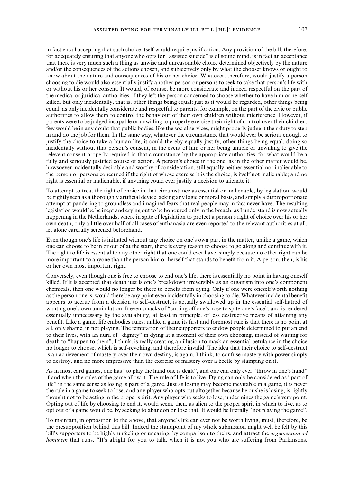in fact entail accepting that such choice itself would require justification. Any provision of the bill, therefore, for adequately ensuring that anyone who opts for "assisted suicide" is of sound mind, is in fact an acceptance that there is very much such a thing as unwise and unreasonable choice determined objectively by the nature and/or the consequences of the actions chosen, and subjectively only by what the chooser knows or ought to know about the nature and consequences of his or her choice. Whatever, therefore, would justify a person choosing to die would also essentially justify another person or persons to seek to take that person's life with or without his or her consent. It would, of course, be more considerate and indeed respectful on the part of the medical or juridical authorities, if they left the person concerned to choose whether to have him or herself killed, but only incidentally, that is, other things being equal; just as it would be regarded, other things being equal, as only incidentally considerate and respectful to parents, for example, on the part of the civic or public authorities to allow them to control the behaviour of their own children without interference. However, if parents were to be judged incapable or unwilling to properly exercise their right of control over their children, few would be in any doubt that public bodies, like the social services, might properly judge it their duty to step in and do the job for them. In the same way, whatever the circumstance that would ever be serious enough to justify the choice to take a human life, it could thereby equally justify, other things being equal, doing so incidentally without that person's consent, in the event of him or her being unable or unwilling to give the relevent consent properly required in that circumstance by the appropriate authorities, for what would be a fully and seriously justified course of action. A person's choice in the one, as in the other matter would be, howsoever incidentally desirable and worthy of consideration, still equally neither essential nor inalienable to the person or persons concerned if the right of whose exercise it is the choice, is itself not inalienable; and no right is essential or inalienable, if anything could ever justify a decision to alienate it.

To attempt to treat the right of choice in that circumstance as essential or inalienable, by legislation, would be rightly seen as a thoroughly artificial device lacking any logic or moral basis, and simply a disproportionate attempt at pandering to groundless and imagined fears that real people may in fact never have. The resulting legislation would be be inept and crying out to be honoured only in the breach; as I understand is now actually happening in the Netherlands, where in spite of legislation to protect a person's right of choice over his or her own death, only a little over half of all cases of euthanasia are even reported to the relevant authorities at all, let alone carefully screened beforehand.

Even though one's life is initiated without any choice on one's own part in the matter, unlike a game, which one can choose to be in or out of at the start, there is every reason to choose to go along and continue with it. The right to life is essential to any other right that one could ever have, simply because no other right can be more important to anyone than the person him or herself that stands to benefit from it. A person, then, is his or her own most important right.

Conversely, even though one is free to choose to end one's life, there is essentially no point in having oneself killed. If it is accepted that death just is one's breakdown irreversibly as an organism into one's component chemicals, then one would no longer be there to benefit from dying. Only if one were oneself worth nothing as the person one is, would there be any point even incidentally in choosing to die. Whatever incidental benefit appears to accrue from a decision to self-destruct, is actually swallowed up in the essential self-hatred of wanting one's own annihilation. It even smacks of "cutting off one's nose to spite one's face", and is rendered essentially unnecessary by the availability, at least in principle, of less destructive means of attaining any benefit. Like a game, life embodies rules; unlike a game its first and foremost rule is that there is no point at all, only shame, in not playing. The temptation of their supporters to endow people determined to put an end to their lives, with an aura of "dignity" in dying at a moment of their own choosing, instead of waiting for death to "happen to them", I think, is really creating an illusion to mask an essential petulance in the choice no longer to choose, which is self-revoking, and therefore invalid. The idea that their choice to self-destruct is an achievement of mastery over their own destiny, is again, I think, to confuse mastery with power simply to destroy, and no more impressive than the exercise of mastery over a beetle by stamping on it.

As in most card games, one has "to play the hand one is dealt", and one can only ever "throw in one's hand" if and when the rules of the game allow it. The rule of life is to live. Dying can only be considered as "part of life" in the same sense as losing is part of a game. Just as losing may become inevitable in a game, it is never the rule in a game to seek to lose; and any player who opts out altogether because he or she is losing, is rightly thought not to be acting in the proper spirit. Any player who seeks to lose, undermines the game's very point. Opting out of life by choosing to end it, would seem, then, as alien to the proper spirit in which to live, as to opt out of a game would be, by seeking to abandon or Iose that. It would be literally "not playing the game".

To maintain, in opposition to the above, that anyone's life can ever not be worth living, must, therefore, be the presupposition behind this bill. Indeed the standpoint of my whole submission might well be felt by this bill's supporters to be highly unfeeling or uncaring, by comparison to theirs, and attract the *argumentum ad hominem* that runs, "It's alright for you to talk, when it is not you who are suffering from Parkinsons,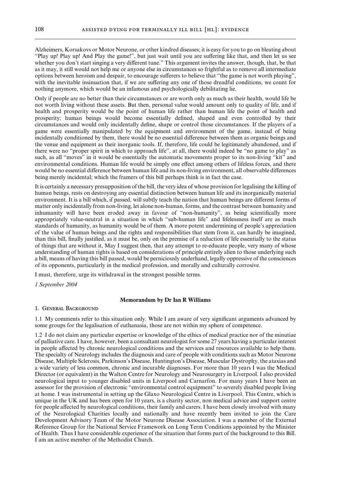Alzheimers, Korsakovs or Motor Neurone, or other kindred diseases; it is easy for you to go on bleating about "Play up! Play up! And Play the game!", but just wait until you are suffering like that, and then let us see whether you don't start singing a very different tune." This argument invites the answer, though, that, be that as it may, it still would not help me or anyone else in circumstances so frightful as to remove all intermediate options between heroism and despair, to encourage sufferers to believe that "the game is not worth playing", with the inevitable insinuation that, if we are suffering any one of those dreadful conditions, we count for nothing anymore, which would be an infamous and psychologically debilitating lie.

Only if people are no better than their circumstances or are worth only as much as their health, would life be not worth living without these assets. But then, personal value would amount only to quality of life, and if health and prosperity would be the point of human life rather than human life the point of health and prosperity; human beings would become essentially defined, shaped and even controlled by their circumstances and would only incidentally define, shape or control those circumstances. If the players of a game were essentially manipulated by the equipment and environment of the game, instead of being incidentally conditioned by them, there would be no essential difference between them as organic beings and the venue and equipment as their inorganic tools. If, therefore, life could be legitimately abandoned, and if there were no "proper spirit in which to approach life", at all, there would indeed be "no game to play" as such, as all "moves" in it would be essentially the automatic movements proper to its non-living "kit" and environmental conditions. Human life would be simply one effect among others of lifeless forces, and there would be no essential difference between human life and its non-living environment, all observable differences being merely incidental; which the framers of this bill perhaps think is in fact the case.

It is certainly a necessary presupposition of the bill, the very idea of whose provision for legalising the killing of human beings, rests on destroying any essential distinction between human life and its inorganically material environment. It is a bill which, if passed, will subtly teach the nation that human beings are different forms of matter only incidentally from non-living, let alone non-human, forms, and the contrast between humanity and inhumanity will have been eroded away in favour of "non-humanity", as being scientifically more appropriately value-neutral in a situation in which "sub-human life" and lifelessness itself are as much standards of humanity, as humanity would be of them. A more potent undermining of people's appreciation of the value of human beings and the rights and responsibilities that stem from it, can hardly be imagined, than this bill, finally justified, as it must be, only on the premise of a reduction of life essentially to the status of things that are without it, May I suggest then, that any attempt to re-educate people, very many of whose understanding of human rights is based on considerations of principle entirely alien to those underlying such a bill, means of having this bill passed, would be perniciously underhand, legally oppressive of the consciences of its opponents, particularly in the medical profession, and morally and culturally corrosive.

I must, therefore, urge its withdrawal in the strongest possible terms.

*1 September 2004*

#### **Memorandum by Dr Ian R Williams**

#### 1. General Background

1.1 My comments refer to this situation only. While I am aware of very significant arguments advanced by some groups for the legalisation of euthanasia, those are not within my sphere of competence.

1.2 I do not claim any particular expertise or knowledge of the ethics of medical practice nor of the minutiae of palliative care. I have, however, been a consultant neurologist for some 27 years having a particular interest in people affected by chronic neurological conditions and the services and resources available to help them. The specialty of Neurology includes the diagnosis and care of people with conditions such as Motor Neurone Disease, Multiple Sclerosis, Parkinson's Disease, Huntington's Disease, Muscular Dystrophy, the ataxias and a wide variety of less common, chronic and incurable diagnoses. For more than 10 years I was the Medical Director (or equivalent) in the Walton Centre for Neurology and Neurosurgery in Liverpool. I also provided neurological input to younger disabled units in Liverpool and Carnarfon. For many years I have been an assessor for the provision of electronic "environmental control equipment" to severely disabled people living at home. I was instrumental in setting up the Glaxo Neurological Centre in Liverpool. This Centre, which is unique in the UK and has been open for 10 years, is a charity sector, non medical advice and support centre for people affected by neurological conditions, their family and carers. I have been closely involved with many of the Neurological Charities locally and nationally and have recently been invited to join the Care Development Advisory Team of the Motor Neurone Disease Association. I was a member of the External Reference Group for the National Service Framework on Long Term Conditions appointed by the Minister of Health. Thus I have considerable experience of the situation that forms part of the background to this Bill. I am an active member of the Methodist Church.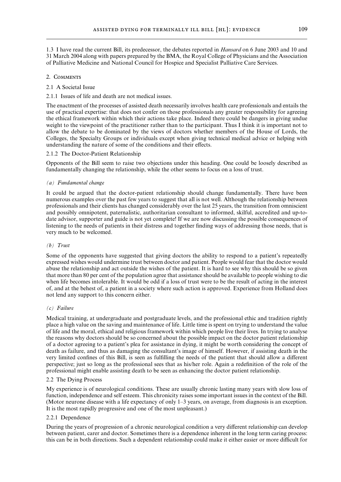1.3 I have read the current Bill, its predecessor, the debates reported in *Hansard* on 6 June 2003 and 10 and 31 March 2004 along with papers prepared by the BMA, the Royal College of Physicians and the Association of Palliative Medicine and National Council for Hospice and Specialist Palliative Care Services.

# 2. Comments

## 2.1 A Societal Issue

2.1.1 Issues of life and death are not medical issues.

The enactment of the processes of assisted death necessarily involves health care professionals and entails the use of practical expertise: that does not confer on those professionals any greater responsibility for agreeing the ethical framework within which their actions take place. Indeed there could be dangers in giving undue weight to the viewpoint of the practitioner rather than to the participant. Thus I think it is important not to allow the debate to be dominated by the views of doctors whether members of the House of Lords, the Colleges, the Specialty Groups or individuals except when giving technical medical advice or helping with understanding the nature of some of the conditions and their effects.

## 2.1.2 The Doctor-Patient Relationship

Opponents of the Bill seem to raise two objections under this heading. One could be loosely described as fundamentally changing the relationship, while the other seems to focus on a loss of trust.

## *(a) Fundamental change*

It could be argued that the doctor-patient relationship should change fundamentally. There have been numerous examples over the past few years to suggest that all is not well. Although the relationship between professionals and their clients has changed considerably over the last 25 years, the transition from omniscient and possibly omnipotent, paternalistic, authoritarian consultant to informed, skilful, accredited and up-todate advisor, supporter and guide is not yet complete! If we are now discussing the possible consequences of listening to the needs of patients in their distress and together finding ways of addressing those needs, that is very much to be welcomed.

## *(b) Trust*

Some of the opponents have suggested that giving doctors the ability to respond to a patient's repeatedly expressed wishes would undermine trust between doctor and patient. People would fear that the doctor would abuse the relationship and act outside the wishes of the patient. It is hard to see why this should be so given that more than 80 per cent of the population agree that assistance should be available to people wishing to die when life becomes intolerable. It would be odd if a loss of trust were to be the result of acting in the interest of, and at the behest of, a patient in a society where such action is approved. Experience from Holland does not lend any support to this concern either.

## *(c) Failure*

Medical training, at undergraduate and postgraduate levels, and the professional ethic and tradition rightly place a high value on the saving and maintenance of life. Little time is spent on trying to understand the value of life and the moral, ethical and religious framework within which people live their lives. In trying to analyse the reasons why doctors should be so concerned about the possible impact on the doctor patient relationship of a doctor agreeing to a patient's plea for assistance in dying, it might be worth considering the concept of death as failure, and thus as damaging the consultant's image of himself. However, if assisting death in the very limited confines of this Bill, is seen as fulfilling the needs of the patient that should allow a different perspective; just so long as the professional sees that as his/her role. Again a redefinition of the role of the professional might enable assisting death to be seen as enhancing the doctor patient relationship.

## 2.2 The Dying Process

My experience is of neurological conditions. These are usually chronic lasting many years with slow loss of function, independence and self esteem. This chronicity raises some important issues in the context of the Bill. (Motor neurone disease with a life expectancy of only 1–3 years, on average, from diagnosis is an exception. It is the most rapidly progressive and one of the most unpleasant.)

## 2.2.1 Dependence

During the years of progression of a chronic neurological condition a very different relationship can develop between patient, carer and doctor. Sometimes there is a dependence inherent in the long term caring process: this can be in both directions. Such a dependent relationship could make it either easier or more difficult for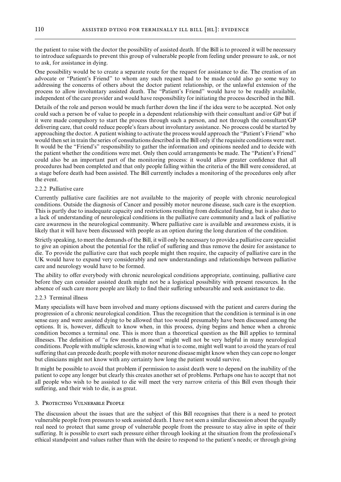the patient to raise with the doctor the possibility of assisted death. If the Bill is to proceed it will be necessary to introduce safeguards to prevent this group of vulnerable people from feeling under pressure to ask, or not to ask, for assistance in dying.

One possibility would be to create a separate route for the request for assistance to die. The creation of an advocate or "Patient's Friend" to whom any such request had to be made could also go some way to addressing the concerns of others about the doctor patient relationship, or the unlawful extension of the process to allow involuntary assisted death. The "Patient's Friend" would have to be readily available, independent of the care provider and would have responsibility for initiating the process described in the Bill.

Details of the role and person would be much further down the line if the idea were to be accepted. Not only could such a person be of value to people in a dependent relationship with their consultant and/or GP but if it were made compulsory to start the process through such a person, and not through the consultant/GP delivering care, that could reduce people's fears about involuntary assistance. No process could be started by approaching the doctor. A patient wishing to activate the process would approach the "Patient's Friend" who would then set in train the series of consultations described in the Bill only if the requisite conditions were met. It would be the "Friend's" responsibility to gather the information and opinions needed and to decide with the patient whether the conditions were met. Only then could arrangements be made. The "Patient's Friend" could also be an important part of the monitoring process: it would allow greater confidence that all procedures had been completed and that only people falling within the criteria of the Bill were considered, at a stage before death had been assisted. The Bill currently includes a monitoring of the procedures only after the event.

## 2.2.2 Palliative care

Currently palliative care facilities are not available to the majority of people with chronic neurological conditions. Outside the diagnosis of Cancer and possibly motor neurone disease, such care is the exception. This is partly due to inadequate capacity and restrictions resulting from dedicated funding, but is also due to a lack of understanding of neurological conditions in the palliative care community and a lack of palliative care awareness in the neurological community. Where palliative care is available and awareness exists, it is likely that it will have been discussed with people as an option during the long duration of the condition.

Strictly speaking, to meet the demands of the Bill, it will only be necessary to provide a palliative care specialist to give an opinion about the potential for the relief of suffering and thus remove the desire for assistance to die. To provide the palliative care that such people might then require, the capacity of palliative care in the UK would have to expand very considerably and new understandings and relationships between palliative care and neurology would have to be formed.

The ability to offer everybody with chronic neurological conditions appropriate, continuing, palliative care before they can consider assisted death might not be a logistical possibility with present resources. In the absence of such care more people are likely to find their suffering unbearable and seek assistance to die.

#### 2.2.3 Terminal illness

Many specialists will have been involved and many options discussed with the patient and carers during the progression of a chronic neurological condition. Thus the recognition that the condition is terminal is in one sense easy and were assisted dying to be allowed that too would presumably have been discussed among the options. It is, however, difficult to know when, in this process, dying begins and hence when a chronic condition becomes a terminal one. This is more than a theoretical question as the Bill applies to terminal illnesses. The definition of "a few months at most" might well not be very helpful in many neurological conditions. People with multiple sclerosis, knowing what is to come, might well want to avoid the years of real suffering that can precede death; people with motor neurone disease might know when they can cope no longer but clinicians might not know with any certainty how long the patient would survive.

It might be possible to avoid that problem if permission to assist death were to depend on the inability of the patient to cope any longer but clearly this creates another set of problems. Perhaps one has to accept that not all people who wish to be assisted to die will meet the very narrow criteria of this Bill even though their suffering, and their wish to die, is as great.

#### 3. Protecting Vulnerable People

The discussion about the issues that are the subject of this Bill recognises that there is a need to protect vulnerable people from pressures to seek assisted death. I have not seen a similar discussion about the equally real need to protect that same group of vulnerable people from the pressure to stay alive in spite of their suffering. It is possible to exert such pressure either through looking at the situation from the professional's ethical standpoint and values rather than with the desire to respond to the patient's needs; or through giving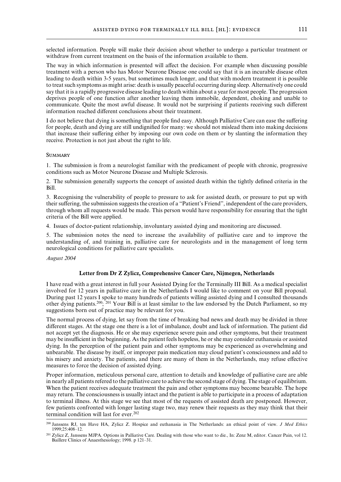selected information. People will make their decision about whether to undergo a particular treatment or withdraw from current treatment on the basis of the information available to them.

The way in which information is presented will affect the decision. For example when discussing possible treatment with a person who has Motor Neurone Disease one could say that it is an incurable disease often leading to death within 3-5 years, but sometimes much longer, and that with modern treatment it is possible to treat such symptoms as might arise: death is usually peaceful occurring during sleep. Alternatively one could say that it is a rapidly progressive disease leading to death within about a year for most people. The progression deprives people of one function after another leaving them immobile, dependent, choking and unable to communicate. Quite the most awful disease. It would not be surprising if patients receiving such different information reached different conclusions about their treatment.

I do not believe that dying is something that people find easy. Although Palliative Care can ease the suffering for people, death and dying are still undignified for many: we should not mislead them into making decisions that increase their suffering either by imposing our own code on them or by slanting the information they receive. Protection is not just about the right to life.

#### **SUMMARY**

1. The submission is from a neurologist familiar with the predicament of people with chronic, progressive conditions such as Motor Neurone Disease and Multiple Sclerosis.

2. The submission generally supports the concept of assisted death within the tightly defined criteria in the Bill.

3. Recognising the vulnerability of people to pressure to ask for assisted death, or pressure to put up with their suffering, the submission suggests the creation of a "Patient's Friend", independent of the care providers, through whom all requests would be made. This person would have responsibility for ensuring that the tight criteria of the Bill were applied.

4. Issues of doctor-patient relationship, involuntary assisted dying and monitoring are discussed.

5. The submission notes the need to increase the availability of palliative care and to improve the understanding of, and training in, palliative care for neurologists and in the management of long term neurological conditions for palliative care specialists.

*August 2004*

#### **Letter from Dr Z Zylicz, Comprehensive Cancer Care, Nijmegen, Netherlands**

I have read with a great interest in full your Assisted Dying for the Terminally III Bill. As a medical specialist involved for 12 years in palliative care in the Netherlands I would like to comment on your Bill proposal. During past 12 years I spoke to many hundreds of patients willing assisted dying and I consulted thousands other dying patients.200; <sup>201</sup> Your Bill is at least similar to the law endorsed by the Dutch Parliament, so my suggestions born out of practice may be relevant for you.

The normal process of dying, let say from the time of breaking bad news and death may be divided in three different stages. At the stage one there is a lot of imbalance, doubt and lack of information. The patient did not accept yet the diagnosis. He or she may experience severe pain and other symptoms, but their treatment may be insufficient in the beginning. As the patient feels hopeless, he or she may consider euthanasia or assisted dying. In the perception of the patient pain and other symptoms may be experienced as overwhelming and unbearable. The disease by itself, or improper pain medication may cloud patient's consciousness and add to his misery and anxiety. The patients, and there are many of them in the Netherlands, may refuse effective measures to force the decision of assisted dying.

Proper information, meticulous personal care, attention to details and knowledge of palliative care are able in nearly all patients refered to the palliative care to achieve the second stage of dying. The stage of equilibrium. When the patient receives adequate treatment the pain and other symptoms may become bearable. The hope may return. The consciousness is usually intact and the patient is able to participate in a process of adaptation to terminal illness. At this stage we see that most of the requests of assisted death are postponed. However, few patients confronted with longer lasting stage two, may renew their requests as they may think that their terminal condition will last for ever.<sup>202</sup>

<sup>200</sup> Janssens RJ, ten Have HA, Zylicz Z. Hospice and euthanasia in The Netherlands: an ethical point of view. *J Med Ethics* 1999;25:408–12.

<sup>201</sup> Zylicz Z, Janssens MJPA. Options in Palliative Care. Dealing with those who want to die., In: Zenz M, editor. Cancer Pain, vol 12. Baillere Clinics of Anaesthesiology; 1998. p 121-31.